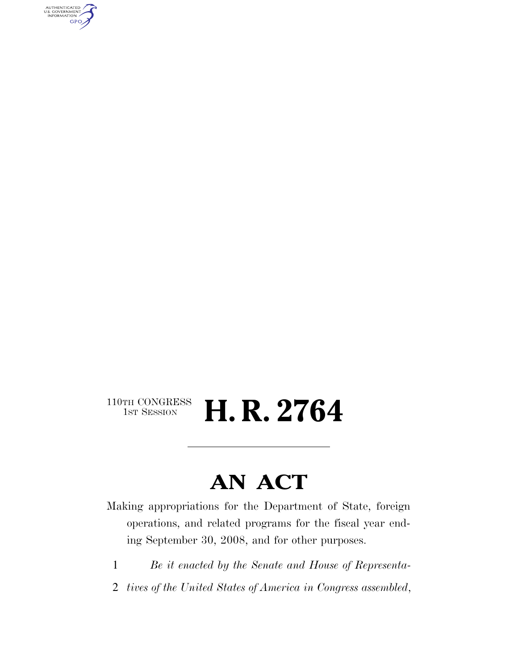AUTHENTICATED<br>U.S. GOVERNMENT<br>INFORMATION GPO

## $\begin{array}{c} \textbf{110TH CONGRESS} \\ \textbf{1ST SESION} \end{array}$ H. R. 2764

# **AN ACT**

Making appropriations for the Department of State, foreign operations, and related programs for the fiscal year ending September 30, 2008, and for other purposes.

- 1 *Be it enacted by the Senate and House of Representa-*
- 2 *tives of the United States of America in Congress assembled*,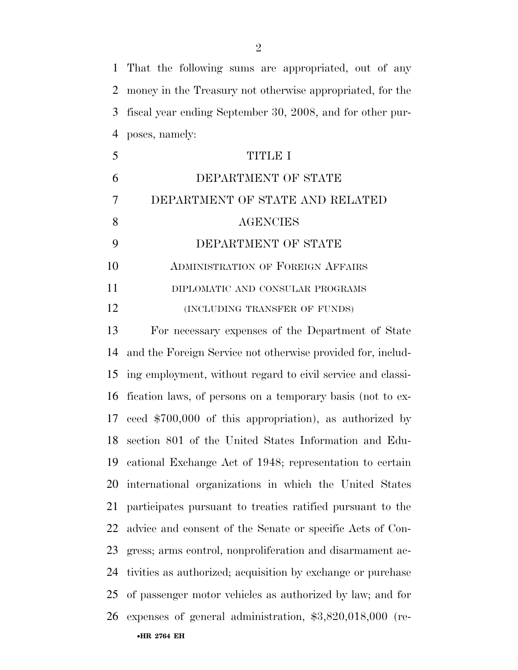That the following sums are appropriated, out of any money in the Treasury not otherwise appropriated, for the fiscal year ending September 30, 2008, and for other pur-poses, namely:

|    | TITLE I                                  |
|----|------------------------------------------|
|    | DEPARTMENT OF STATE                      |
|    | DEPARTMENT OF STATE AND RELATED          |
| 8  | <b>AGENCIES</b>                          |
|    | DEPARTMENT OF STATE                      |
| 10 | <b>ADMINISTRATION OF FOREIGN AFFAIRS</b> |
| 11 | DIPLOMATIC AND CONSULAR PROGRAMS         |
| 12 | (INCLUDING TRANSFER OF FUNDS)            |

 For necessary expenses of the Department of State and the Foreign Service not otherwise provided for, includ- ing employment, without regard to civil service and classi- fication laws, of persons on a temporary basis (not to ex- ceed \$700,000 of this appropriation), as authorized by section 801 of the United States Information and Edu- cational Exchange Act of 1948; representation to certain international organizations in which the United States participates pursuant to treaties ratified pursuant to the advice and consent of the Senate or specific Acts of Con- gress; arms control, nonproliferation and disarmament ac- tivities as authorized; acquisition by exchange or purchase of passenger motor vehicles as authorized by law; and for expenses of general administration, \$3,820,018,000 (re-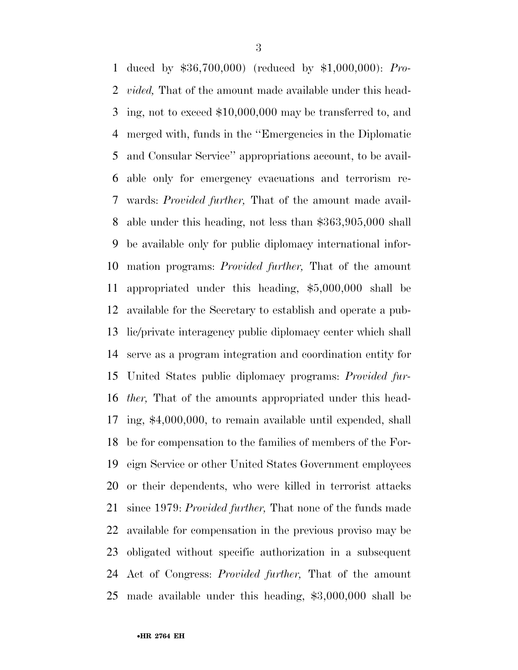duced by \$36,700,000) (reduced by \$1,000,000): *Pro- vided,* That of the amount made available under this head- ing, not to exceed \$10,000,000 may be transferred to, and merged with, funds in the ''Emergencies in the Diplomatic and Consular Service'' appropriations account, to be avail- able only for emergency evacuations and terrorism re- wards: *Provided further,* That of the amount made avail- able under this heading, not less than \$363,905,000 shall be available only for public diplomacy international infor- mation programs: *Provided further,* That of the amount appropriated under this heading, \$5,000,000 shall be available for the Secretary to establish and operate a pub- lic/private interagency public diplomacy center which shall serve as a program integration and coordination entity for United States public diplomacy programs: *Provided fur- ther,* That of the amounts appropriated under this head- ing, \$4,000,000, to remain available until expended, shall be for compensation to the families of members of the For- eign Service or other United States Government employees or their dependents, who were killed in terrorist attacks since 1979: *Provided further,* That none of the funds made available for compensation in the previous proviso may be obligated without specific authorization in a subsequent Act of Congress: *Provided further,* That of the amount made available under this heading, \$3,000,000 shall be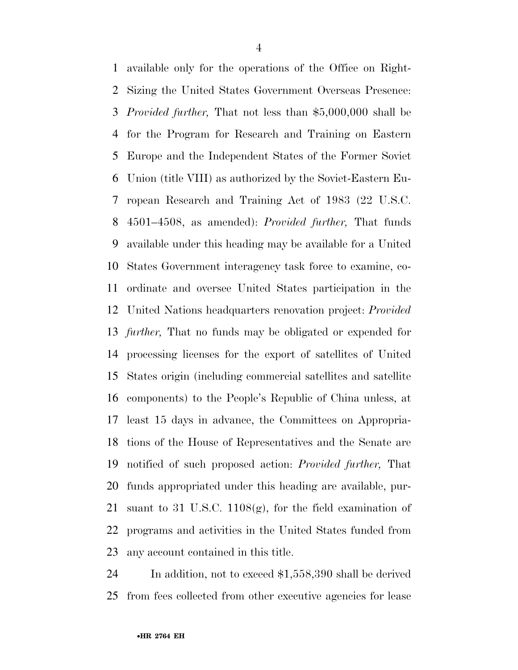available only for the operations of the Office on Right- Sizing the United States Government Overseas Presence: *Provided further,* That not less than \$5,000,000 shall be for the Program for Research and Training on Eastern Europe and the Independent States of the Former Soviet Union (title VIII) as authorized by the Soviet-Eastern Eu- ropean Research and Training Act of 1983 (22 U.S.C. 4501–4508, as amended): *Provided further,* That funds available under this heading may be available for a United States Government interagency task force to examine, co- ordinate and oversee United States participation in the United Nations headquarters renovation project: *Provided further,* That no funds may be obligated or expended for processing licenses for the export of satellites of United States origin (including commercial satellites and satellite components) to the People's Republic of China unless, at least 15 days in advance, the Committees on Appropria- tions of the House of Representatives and the Senate are notified of such proposed action: *Provided further,* That funds appropriated under this heading are available, pur- suant to 31 U.S.C. 1108(g), for the field examination of programs and activities in the United States funded from any account contained in this title.

 In addition, not to exceed \$1,558,390 shall be derived from fees collected from other executive agencies for lease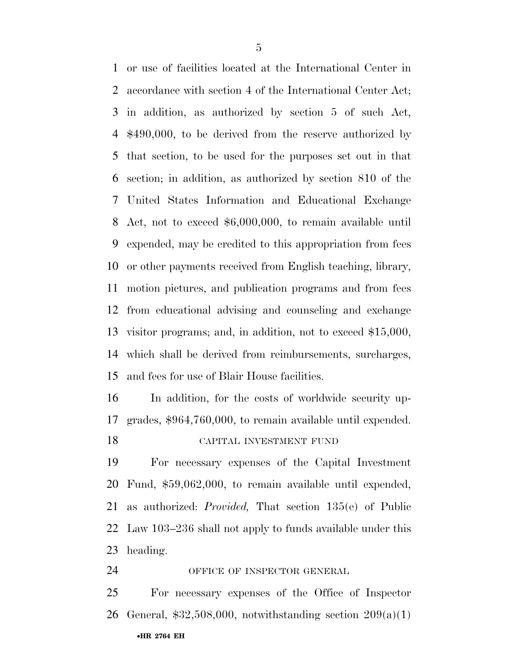or use of facilities located at the International Center in accordance with section 4 of the International Center Act; in addition, as authorized by section 5 of such Act, \$490,000, to be derived from the reserve authorized by that section, to be used for the purposes set out in that section; in addition, as authorized by section 810 of the United States Information and Educational Exchange Act, not to exceed \$6,000,000, to remain available until expended, may be credited to this appropriation from fees or other payments received from English teaching, library, motion pictures, and publication programs and from fees from educational advising and counseling and exchange visitor programs; and, in addition, not to exceed \$15,000, which shall be derived from reimbursements, surcharges, and fees for use of Blair House facilities.

 In addition, for the costs of worldwide security up- grades, \$964,760,000, to remain available until expended. CAPITAL INVESTMENT FUND

 For necessary expenses of the Capital Investment Fund, \$59,062,000, to remain available until expended, as authorized: *Provided,* That section 135(e) of Public Law 103–236 shall not apply to funds available under this heading.

24 OFFICE OF INSPECTOR GENERAL

 For necessary expenses of the Office of Inspector 26 General,  $$32,508,000$ , notwithstanding section  $209(a)(1)$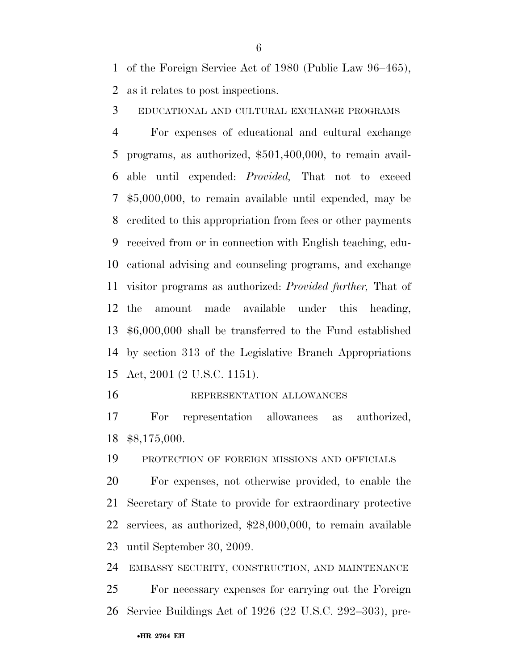of the Foreign Service Act of 1980 (Public Law 96–465), as it relates to post inspections.

EDUCATIONAL AND CULTURAL EXCHANGE PROGRAMS

 For expenses of educational and cultural exchange programs, as authorized, \$501,400,000, to remain avail- able until expended: *Provided,* That not to exceed \$5,000,000, to remain available until expended, may be credited to this appropriation from fees or other payments received from or in connection with English teaching, edu- cational advising and counseling programs, and exchange visitor programs as authorized: *Provided further,* That of the amount made available under this heading, \$6,000,000 shall be transferred to the Fund established by section 313 of the Legislative Branch Appropriations Act, 2001 (2 U.S.C. 1151).

#### REPRESENTATION ALLOWANCES

 For representation allowances as authorized, \$8,175,000.

PROTECTION OF FOREIGN MISSIONS AND OFFICIALS

 For expenses, not otherwise provided, to enable the Secretary of State to provide for extraordinary protective services, as authorized, \$28,000,000, to remain available until September 30, 2009.

EMBASSY SECURITY, CONSTRUCTION, AND MAINTENANCE

 For necessary expenses for carrying out the Foreign Service Buildings Act of 1926 (22 U.S.C. 292–303), pre-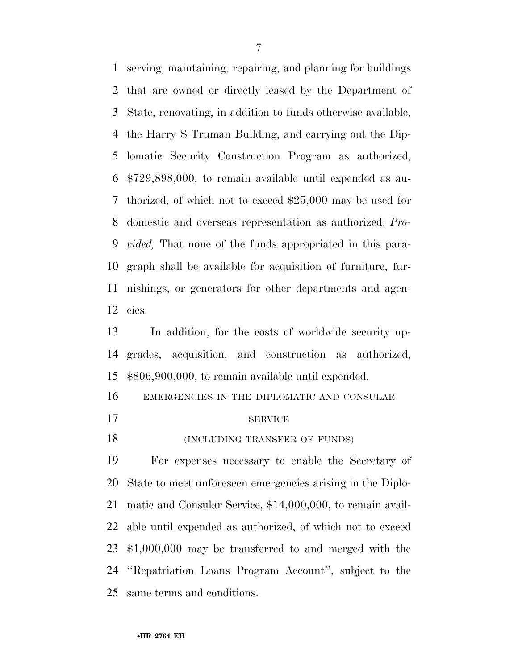serving, maintaining, repairing, and planning for buildings that are owned or directly leased by the Department of State, renovating, in addition to funds otherwise available, the Harry S Truman Building, and carrying out the Dip- lomatic Security Construction Program as authorized, \$729,898,000, to remain available until expended as au- thorized, of which not to exceed \$25,000 may be used for domestic and overseas representation as authorized: *Pro- vided,* That none of the funds appropriated in this para- graph shall be available for acquisition of furniture, fur- nishings, or generators for other departments and agen-cies.

 In addition, for the costs of worldwide security up- grades, acquisition, and construction as authorized, \$806,900,000, to remain available until expended.

EMERGENCIES IN THE DIPLOMATIC AND CONSULAR

- 17 SERVICE
- **INCLUDING TRANSFER OF FUNDS**

 For expenses necessary to enable the Secretary of State to meet unforeseen emergencies arising in the Diplo- matic and Consular Service, \$14,000,000, to remain avail- able until expended as authorized, of which not to exceed \$1,000,000 may be transferred to and merged with the ''Repatriation Loans Program Account'', subject to the same terms and conditions.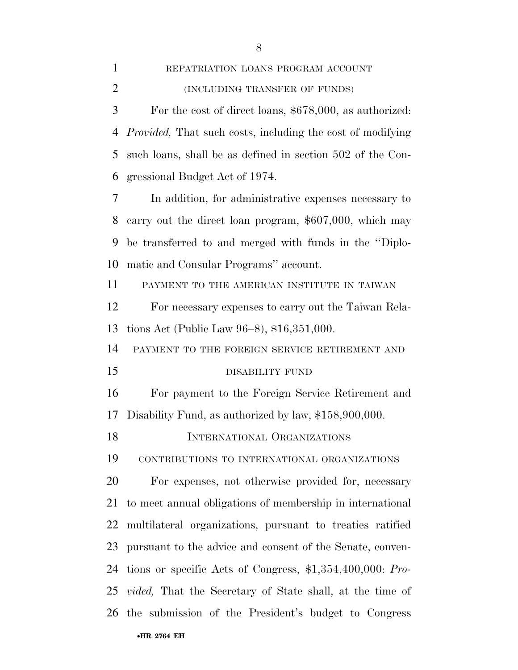REPATRIATION LOANS PROGRAM ACCOUNT

| 3              | For the cost of direct loans, \$678,000, as authorized:             |
|----------------|---------------------------------------------------------------------|
| $\overline{4}$ | <i>Provided</i> , That such costs, including the cost of modifying  |
| 5              | such loans, shall be as defined in section 502 of the Con-          |
| 6              | gressional Budget Act of 1974.                                      |
| 7              | In addition, for administrative expenses necessary to               |
| 8              | carry out the direct loan program, \$607,000, which may             |
| 9              | be transferred to and merged with funds in the "Diplo-              |
| 10             | matic and Consular Programs" account.                               |
| 11             | PAYMENT TO THE AMERICAN INSTITUTE IN TAIWAN                         |
| 12             | For necessary expenses to carry out the Taiwan Rela-                |
| 13             | tions Act (Public Law 96–8), \$16,351,000.                          |
| 14             | PAYMENT TO THE FOREIGN SERVICE RETIREMENT AND                       |
|                |                                                                     |
| 15             | DISABILITY FUND                                                     |
|                | For payment to the Foreign Service Retirement and                   |
| 16<br>17       | Disability Fund, as authorized by law, \$158,900,000.               |
| 18             | INTERNATIONAL ORGANIZATIONS                                         |
| 19             | CONTRIBUTIONS TO INTERNATIONAL ORGANIZATIONS                        |
| 20             | For expenses, not otherwise provided for, necessary                 |
| 21             | to meet annual obligations of membership in international           |
| 22             | multilateral organizations, pursuant to treaties ratified           |
| 23             | pursuant to the advice and consent of the Senate, conven-           |
| 24             | tions or specific Acts of Congress, $$1,354,400,000$ : Pro-         |
|                | 25 <i>vided</i> , That the Secretary of State shall, at the time of |

# (INCLUDING TRANSFER OF FUNDS)

•**HR 2764 EH**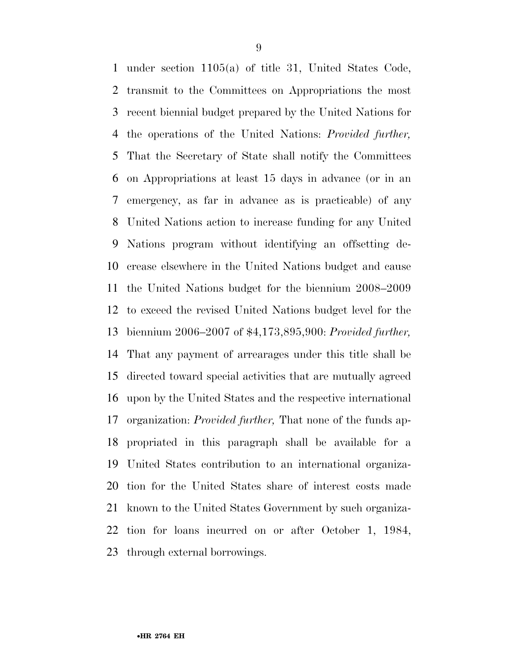under section 1105(a) of title 31, United States Code, transmit to the Committees on Appropriations the most recent biennial budget prepared by the United Nations for the operations of the United Nations: *Provided further,*  That the Secretary of State shall notify the Committees on Appropriations at least 15 days in advance (or in an emergency, as far in advance as is practicable) of any United Nations action to increase funding for any United Nations program without identifying an offsetting de- crease elsewhere in the United Nations budget and cause the United Nations budget for the biennium 2008–2009 to exceed the revised United Nations budget level for the biennium 2006–2007 of \$4,173,895,900: *Provided further,*  That any payment of arrearages under this title shall be directed toward special activities that are mutually agreed upon by the United States and the respective international organization: *Provided further,* That none of the funds ap- propriated in this paragraph shall be available for a United States contribution to an international organiza- tion for the United States share of interest costs made known to the United States Government by such organiza- tion for loans incurred on or after October 1, 1984, through external borrowings.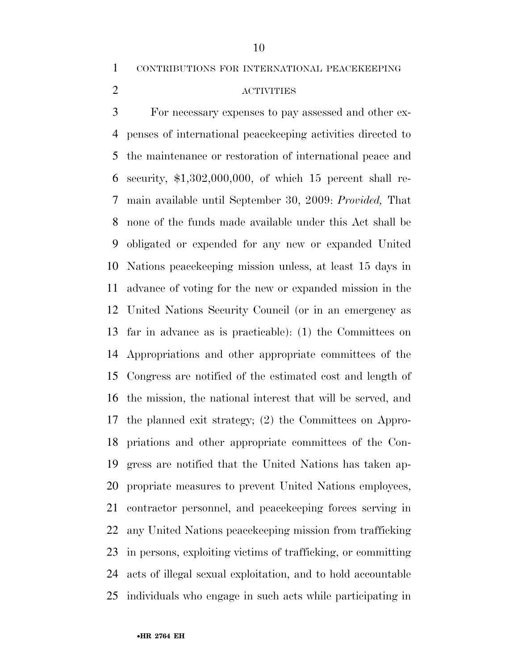CONTRIBUTIONS FOR INTERNATIONAL PEACEKEEPING

### ACTIVITIES

 For necessary expenses to pay assessed and other ex- penses of international peacekeeping activities directed to the maintenance or restoration of international peace and security, \$1,302,000,000, of which 15 percent shall re- main available until September 30, 2009: *Provided,* That none of the funds made available under this Act shall be obligated or expended for any new or expanded United Nations peacekeeping mission unless, at least 15 days in advance of voting for the new or expanded mission in the United Nations Security Council (or in an emergency as far in advance as is practicable): (1) the Committees on Appropriations and other appropriate committees of the Congress are notified of the estimated cost and length of the mission, the national interest that will be served, and the planned exit strategy; (2) the Committees on Appro- priations and other appropriate committees of the Con- gress are notified that the United Nations has taken ap- propriate measures to prevent United Nations employees, contractor personnel, and peacekeeping forces serving in any United Nations peacekeeping mission from trafficking in persons, exploiting victims of trafficking, or committing acts of illegal sexual exploitation, and to hold accountable individuals who engage in such acts while participating in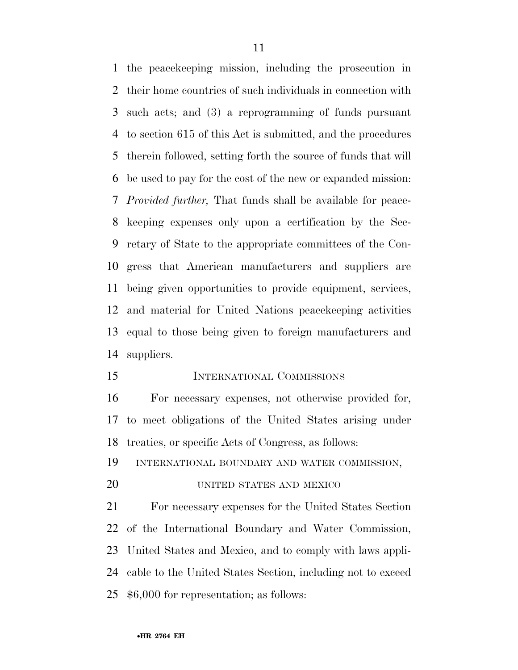the peacekeeping mission, including the prosecution in their home countries of such individuals in connection with such acts; and (3) a reprogramming of funds pursuant to section 615 of this Act is submitted, and the procedures therein followed, setting forth the source of funds that will be used to pay for the cost of the new or expanded mission: *Provided further,* That funds shall be available for peace- keeping expenses only upon a certification by the Sec- retary of State to the appropriate committees of the Con- gress that American manufacturers and suppliers are being given opportunities to provide equipment, services, and material for United Nations peacekeeping activities equal to those being given to foreign manufacturers and suppliers.

INTERNATIONAL COMMISSIONS

 For necessary expenses, not otherwise provided for, to meet obligations of the United States arising under treaties, or specific Acts of Congress, as follows:

INTERNATIONAL BOUNDARY AND WATER COMMISSION,

#### UNITED STATES AND MEXICO

 For necessary expenses for the United States Section of the International Boundary and Water Commission, United States and Mexico, and to comply with laws appli- cable to the United States Section, including not to exceed \$6,000 for representation; as follows: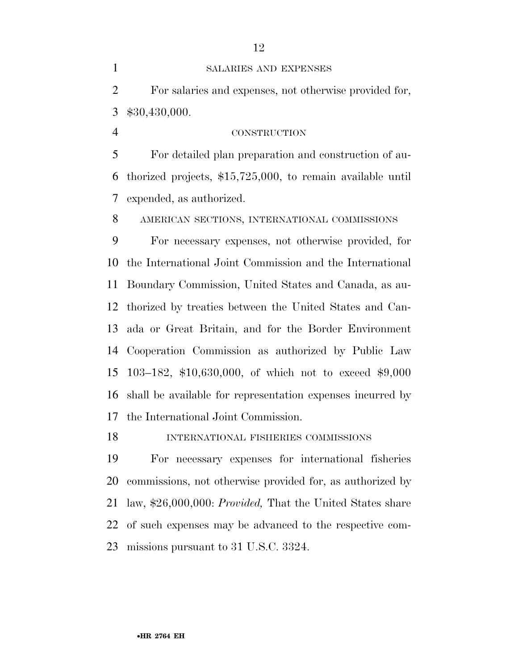For detailed plan preparation and construction of au- thorized projects, \$15,725,000, to remain available until expended, as authorized.

AMERICAN SECTIONS, INTERNATIONAL COMMISSIONS

 For necessary expenses, not otherwise provided, for the International Joint Commission and the International Boundary Commission, United States and Canada, as au- thorized by treaties between the United States and Can- ada or Great Britain, and for the Border Environment Cooperation Commission as authorized by Public Law 103–182, \$10,630,000, of which not to exceed \$9,000 shall be available for representation expenses incurred by the International Joint Commission.

INTERNATIONAL FISHERIES COMMISSIONS

 For necessary expenses for international fisheries commissions, not otherwise provided for, as authorized by law, \$26,000,000: *Provided,* That the United States share of such expenses may be advanced to the respective com-missions pursuant to 31 U.S.C. 3324.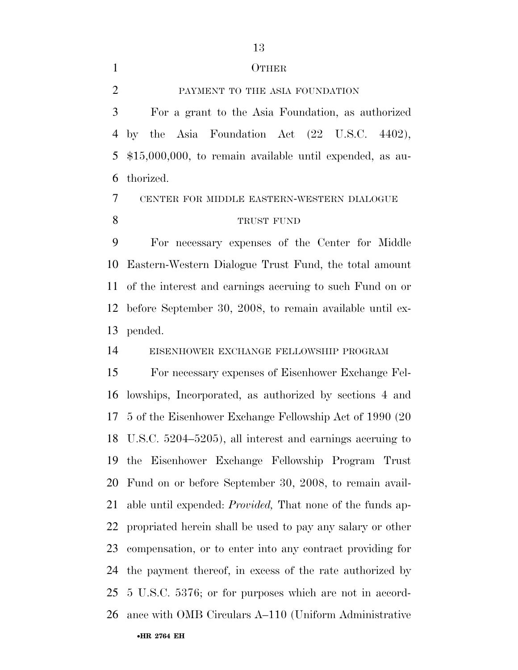#### OTHER

PAYMENT TO THE ASIA FOUNDATION

 For a grant to the Asia Foundation, as authorized by the Asia Foundation Act (22 U.S.C. 4402), \$15,000,000, to remain available until expended, as au-thorized.

### CENTER FOR MIDDLE EASTERN-WESTERN DIALOGUE TRUST FUND

 For necessary expenses of the Center for Middle Eastern-Western Dialogue Trust Fund, the total amount of the interest and earnings accruing to such Fund on or before September 30, 2008, to remain available until ex-pended.

EISENHOWER EXCHANGE FELLOWSHIP PROGRAM

•**HR 2764 EH**  For necessary expenses of Eisenhower Exchange Fel- lowships, Incorporated, as authorized by sections 4 and 5 of the Eisenhower Exchange Fellowship Act of 1990 (20 U.S.C. 5204–5205), all interest and earnings accruing to the Eisenhower Exchange Fellowship Program Trust Fund on or before September 30, 2008, to remain avail- able until expended: *Provided,* That none of the funds ap- propriated herein shall be used to pay any salary or other compensation, or to enter into any contract providing for the payment thereof, in excess of the rate authorized by 5 U.S.C. 5376; or for purposes which are not in accord-ance with OMB Circulars A–110 (Uniform Administrative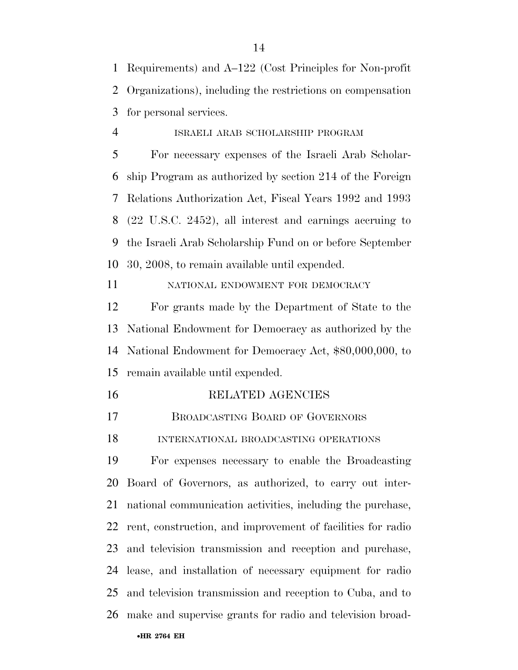Requirements) and A–122 (Cost Principles for Non-profit Organizations), including the restrictions on compensation for personal services.

### ISRAELI ARAB SCHOLARSHIP PROGRAM

 For necessary expenses of the Israeli Arab Scholar- ship Program as authorized by section 214 of the Foreign Relations Authorization Act, Fiscal Years 1992 and 1993 (22 U.S.C. 2452), all interest and earnings accruing to the Israeli Arab Scholarship Fund on or before September 30, 2008, to remain available until expended.

NATIONAL ENDOWMENT FOR DEMOCRACY

 For grants made by the Department of State to the National Endowment for Democracy as authorized by the National Endowment for Democracy Act, \$80,000,000, to remain available until expended.

- RELATED AGENCIES
- BROADCASTING BOARD OF GOVERNORS

INTERNATIONAL BROADCASTING OPERATIONS

 For expenses necessary to enable the Broadcasting Board of Governors, as authorized, to carry out inter- national communication activities, including the purchase, rent, construction, and improvement of facilities for radio and television transmission and reception and purchase, lease, and installation of necessary equipment for radio and television transmission and reception to Cuba, and to make and supervise grants for radio and television broad-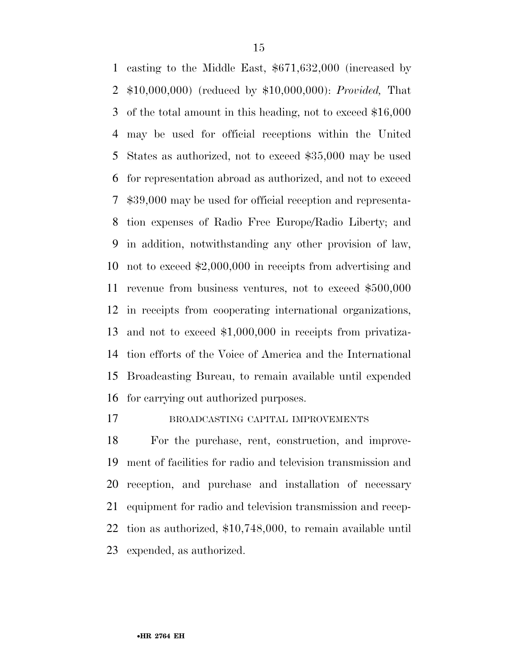casting to the Middle East, \$671,632,000 (increased by \$10,000,000) (reduced by \$10,000,000): *Provided,* That of the total amount in this heading, not to exceed \$16,000 may be used for official receptions within the United States as authorized, not to exceed \$35,000 may be used for representation abroad as authorized, and not to exceed \$39,000 may be used for official reception and representa- tion expenses of Radio Free Europe/Radio Liberty; and in addition, notwithstanding any other provision of law, not to exceed \$2,000,000 in receipts from advertising and revenue from business ventures, not to exceed \$500,000 in receipts from cooperating international organizations, and not to exceed \$1,000,000 in receipts from privatiza- tion efforts of the Voice of America and the International Broadcasting Bureau, to remain available until expended for carrying out authorized purposes.

BROADCASTING CAPITAL IMPROVEMENTS

 For the purchase, rent, construction, and improve- ment of facilities for radio and television transmission and reception, and purchase and installation of necessary equipment for radio and television transmission and recep- tion as authorized, \$10,748,000, to remain available until expended, as authorized.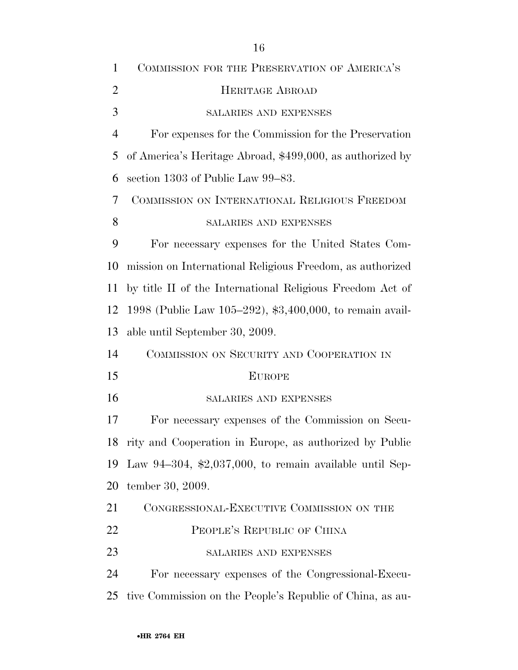| 1              | COMMISSION FOR THE PRESERVATION OF AMERICA'S                     |
|----------------|------------------------------------------------------------------|
| $\overline{2}$ | <b>HERITAGE ABROAD</b>                                           |
| 3              | <b>SALARIES AND EXPENSES</b>                                     |
| $\overline{4}$ | For expenses for the Commission for the Preservation             |
| 5              | of America's Heritage Abroad, \$499,000, as authorized by        |
| 6              | section 1303 of Public Law 99–83.                                |
| 7              | COMMISSION ON INTERNATIONAL RELIGIOUS FREEDOM                    |
| 8              | SALARIES AND EXPENSES                                            |
| 9              | For necessary expenses for the United States Com-                |
| 10             | mission on International Religious Freedom, as authorized        |
| 11             | by title II of the International Religious Freedom Act of        |
| 12             | 1998 (Public Law 105-292), \$3,400,000, to remain avail-         |
| 13             | able until September 30, 2009.                                   |
| 14             | COMMISSION ON SECURITY AND COOPERATION IN                        |
| 15             | <b>EUROPE</b>                                                    |
| 16             | <b>SALARIES AND EXPENSES</b>                                     |
| 17             | For necessary expenses of the Commission on Secu-                |
| 18             | rity and Cooperation in Europe, as authorized by Public          |
| 19             | Law 94-304, $\text{\$2,037,000},$ to remain available until Sep- |
| 20             | tember 30, 2009.                                                 |
| 21             | CONGRESSIONAL-EXECUTIVE COMMISSION ON THE                        |
| 22             | PEOPLE'S REPUBLIC OF CHINA                                       |
| 23             | SALARIES AND EXPENSES                                            |
| 24             | For necessary expenses of the Congressional-Execu-               |
| 25             | tive Commission on the People's Republic of China, as au-        |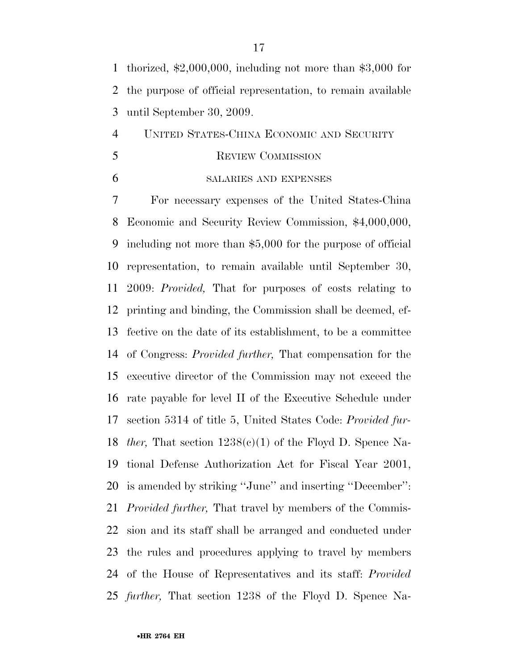thorized, \$2,000,000, including not more than \$3,000 for the purpose of official representation, to remain available until September 30, 2009.

 UNITED STATES-CHINA ECONOMIC AND SECURITY 5 REVIEW COMMISSION

#### SALARIES AND EXPENSES

 For necessary expenses of the United States-China Economic and Security Review Commission, \$4,000,000, including not more than \$5,000 for the purpose of official representation, to remain available until September 30, 2009: *Provided,* That for purposes of costs relating to printing and binding, the Commission shall be deemed, ef- fective on the date of its establishment, to be a committee of Congress: *Provided further,* That compensation for the executive director of the Commission may not exceed the rate payable for level II of the Executive Schedule under section 5314 of title 5, United States Code: *Provided fur- ther,* That section 1238(c)(1) of the Floyd D. Spence Na- tional Defense Authorization Act for Fiscal Year 2001, is amended by striking ''June'' and inserting ''December'': *Provided further,* That travel by members of the Commis- sion and its staff shall be arranged and conducted under the rules and procedures applying to travel by members of the House of Representatives and its staff: *Provided further,* That section 1238 of the Floyd D. Spence Na-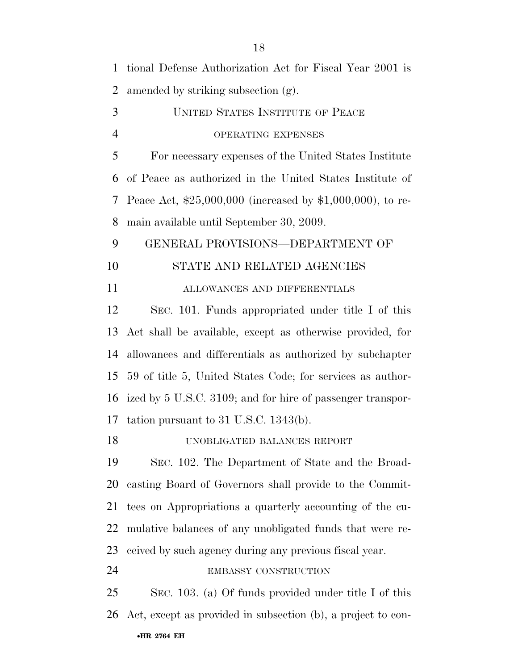| $\mathbf{1}$   | tional Defense Authorization Act for Fiscal Year 2001 is      |
|----------------|---------------------------------------------------------------|
| $\overline{2}$ | amended by striking subsection (g).                           |
| 3              | <b>UNITED STATES INSTITUTE OF PEACE</b>                       |
| $\overline{4}$ | OPERATING EXPENSES                                            |
| 5              | For necessary expenses of the United States Institute         |
| 6              | of Peace as authorized in the United States Institute of      |
| 7              | Peace Act, $$25,000,000$ (increased by $$1,000,000$ ), to re- |
| 8              | main available until September 30, 2009.                      |
| 9              | GENERAL PROVISIONS-DEPARTMENT OF                              |
| 10             | STATE AND RELATED AGENCIES                                    |
| 11             | ALLOWANCES AND DIFFERENTIALS                                  |
| 12             | SEC. 101. Funds appropriated under title I of this            |
| 13             | Act shall be available, except as otherwise provided, for     |
| 14             | allowances and differentials as authorized by subchapter      |
| 15             | 59 of title 5, United States Code; for services as author-    |
| 16             | ized by 5 U.S.C. 3109; and for hire of passenger transpor-    |
| 17             | tation pursuant to $31$ U.S.C. 1343(b).                       |
| 18             | UNOBLIGATED BALANCES REPORT                                   |
| 19             | SEC. 102. The Department of State and the Broad-              |
| 20             | casting Board of Governors shall provide to the Commit-       |
| 21             | tees on Appropriations a quarterly accounting of the cu-      |
| 22             | mulative balances of any unobligated funds that were re-      |
| 23             | ceived by such agency during any previous fiscal year.        |
| 24             | EMBASSY CONSTRUCTION                                          |
| 25             | SEC. 103. (a) Of funds provided under title I of this         |
| 26             | Act, except as provided in subsection (b), a project to con-  |
|                | •HR 2764 EH                                                   |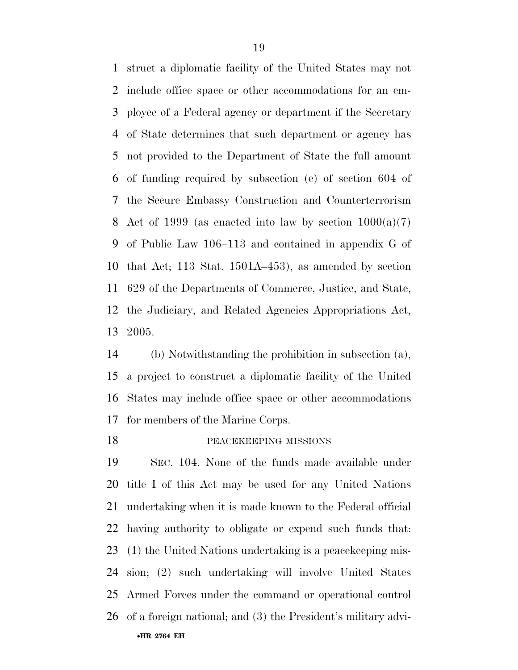struct a diplomatic facility of the United States may not include office space or other accommodations for an em- ployee of a Federal agency or department if the Secretary of State determines that such department or agency has not provided to the Department of State the full amount of funding required by subsection (e) of section 604 of the Secure Embassy Construction and Counterterrorism 8 Act of 1999 (as enacted into law by section  $1000(a)(7)$  of Public Law 106–113 and contained in appendix G of that Act; 113 Stat. 1501A–453), as amended by section 629 of the Departments of Commerce, Justice, and State, the Judiciary, and Related Agencies Appropriations Act, 2005.

 (b) Notwithstanding the prohibition in subsection (a), a project to construct a diplomatic facility of the United States may include office space or other accommodations for members of the Marine Corps.

**PEACEKEEPING MISSIONS** 

•**HR 2764 EH**  SEC. 104. None of the funds made available under title I of this Act may be used for any United Nations undertaking when it is made known to the Federal official having authority to obligate or expend such funds that: (1) the United Nations undertaking is a peacekeeping mis- sion; (2) such undertaking will involve United States Armed Forces under the command or operational control of a foreign national; and (3) the President's military advi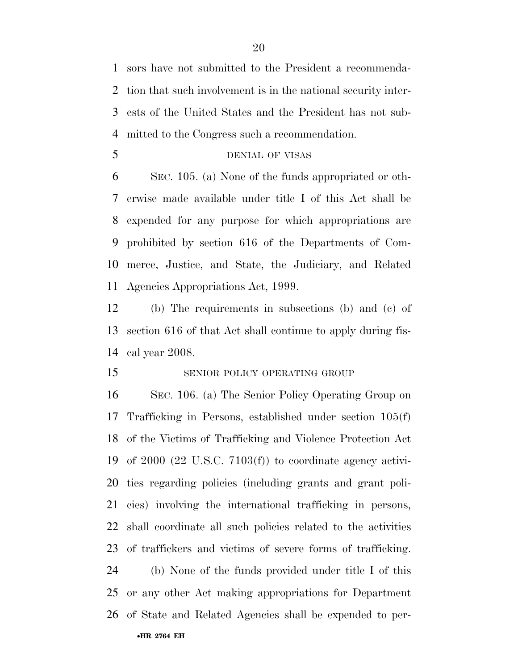sors have not submitted to the President a recommenda- tion that such involvement is in the national security inter- ests of the United States and the President has not sub-mitted to the Congress such a recommendation.

#### DENIAL OF VISAS

 SEC. 105. (a) None of the funds appropriated or oth- erwise made available under title I of this Act shall be expended for any purpose for which appropriations are prohibited by section 616 of the Departments of Com- merce, Justice, and State, the Judiciary, and Related Agencies Appropriations Act, 1999.

 (b) The requirements in subsections (b) and (c) of section 616 of that Act shall continue to apply during fis-cal year 2008.

#### 15 SENIOR POLICY OPERATING GROUP

 SEC. 106. (a) The Senior Policy Operating Group on Trafficking in Persons, established under section 105(f) of the Victims of Trafficking and Violence Protection Act of 2000 (22 U.S.C. 7103(f)) to coordinate agency activi- ties regarding policies (including grants and grant poli- cies) involving the international trafficking in persons, shall coordinate all such policies related to the activities of traffickers and victims of severe forms of trafficking. (b) None of the funds provided under title I of this or any other Act making appropriations for Department of State and Related Agencies shall be expended to per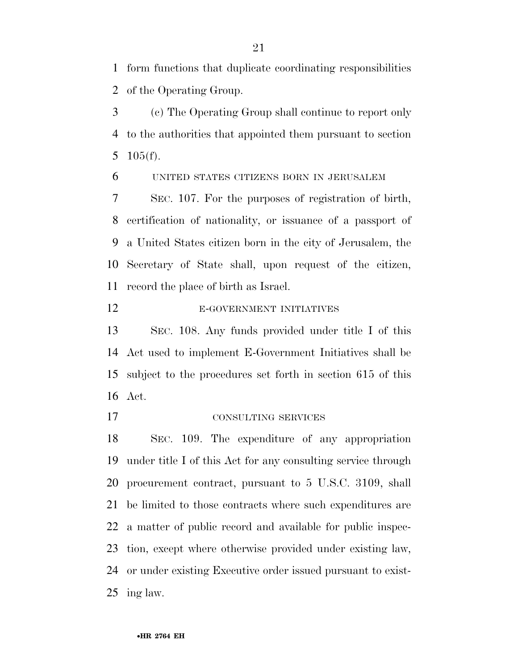form functions that duplicate coordinating responsibilities of the Operating Group.

 (c) The Operating Group shall continue to report only to the authorities that appointed them pursuant to section 105(f).

UNITED STATES CITIZENS BORN IN JERUSALEM

 SEC. 107. For the purposes of registration of birth, certification of nationality, or issuance of a passport of a United States citizen born in the city of Jerusalem, the Secretary of State shall, upon request of the citizen, record the place of birth as Israel.

E-GOVERNMENT INITIATIVES

 SEC. 108. Any funds provided under title I of this Act used to implement E-Government Initiatives shall be subject to the procedures set forth in section 615 of this Act.

#### CONSULTING SERVICES

 SEC. 109. The expenditure of any appropriation under title I of this Act for any consulting service through procurement contract, pursuant to 5 U.S.C. 3109, shall be limited to those contracts where such expenditures are a matter of public record and available for public inspec- tion, except where otherwise provided under existing law, or under existing Executive order issued pursuant to exist-ing law.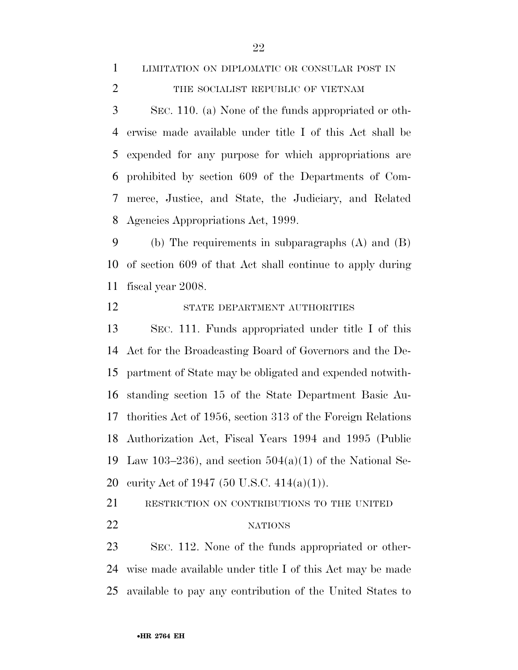### LIMITATION ON DIPLOMATIC OR CONSULAR POST IN 2 THE SOCIALIST REPUBLIC OF VIETNAM

 SEC. 110. (a) None of the funds appropriated or oth- erwise made available under title I of this Act shall be expended for any purpose for which appropriations are prohibited by section 609 of the Departments of Com- merce, Justice, and State, the Judiciary, and Related Agencies Appropriations Act, 1999.

 (b) The requirements in subparagraphs (A) and (B) of section 609 of that Act shall continue to apply during fiscal year 2008.

12 STATE DEPARTMENT AUTHORITIES

 SEC. 111. Funds appropriated under title I of this Act for the Broadcasting Board of Governors and the De- partment of State may be obligated and expended notwith- standing section 15 of the State Department Basic Au- thorities Act of 1956, section 313 of the Foreign Relations Authorization Act, Fiscal Years 1994 and 1995 (Public 19 Law 103–236), and section  $504(a)(1)$  of the National Se-curity Act of 1947 (50 U.S.C. 414(a)(1)).

RESTRICTION ON CONTRIBUTIONS TO THE UNITED

#### 22 NATIONS

 SEC. 112. None of the funds appropriated or other- wise made available under title I of this Act may be made available to pay any contribution of the United States to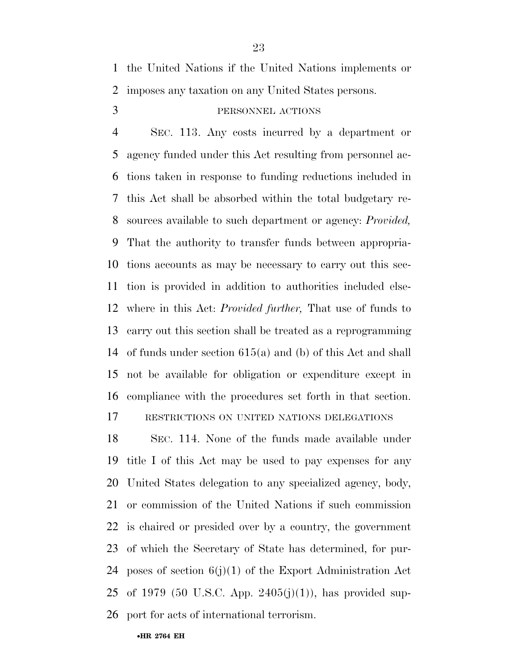the United Nations if the United Nations implements or imposes any taxation on any United States persons.

#### PERSONNEL ACTIONS

 SEC. 113. Any costs incurred by a department or agency funded under this Act resulting from personnel ac- tions taken in response to funding reductions included in this Act shall be absorbed within the total budgetary re- sources available to such department or agency: *Provided,*  That the authority to transfer funds between appropria- tions accounts as may be necessary to carry out this sec- tion is provided in addition to authorities included else- where in this Act: *Provided further,* That use of funds to carry out this section shall be treated as a reprogramming of funds under section 615(a) and (b) of this Act and shall not be available for obligation or expenditure except in compliance with the procedures set forth in that section. RESTRICTIONS ON UNITED NATIONS DELEGATIONS

 SEC. 114. None of the funds made available under title I of this Act may be used to pay expenses for any United States delegation to any specialized agency, body, or commission of the United Nations if such commission is chaired or presided over by a country, the government of which the Secretary of State has determined, for pur-24 poses of section  $6(j)(1)$  of the Export Administration Act of 1979 (50 U.S.C. App. 2405(j)(1)), has provided sup-port for acts of international terrorism.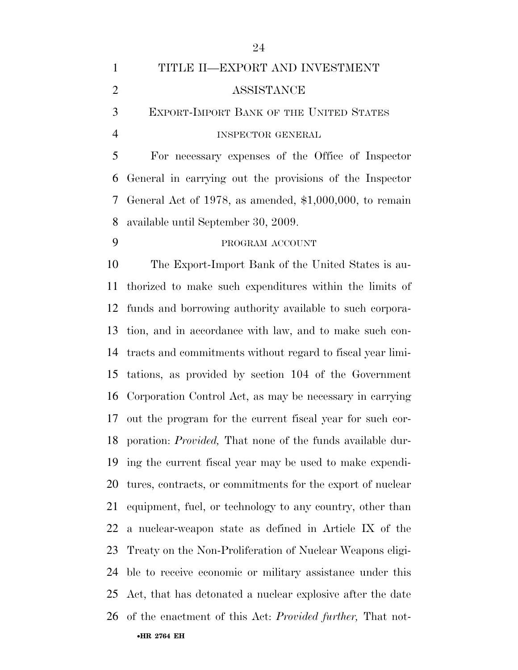| $\mathbf{1}$   | TITLE II—EXPORT AND INVESTMENT                                    |
|----------------|-------------------------------------------------------------------|
| $\overline{2}$ | ASSISTANCE                                                        |
| 3              | <b>EXPORT-IMPORT BANK OF THE UNITED STATES</b>                    |
| $\overline{4}$ | <b>INSPECTOR GENERAL</b>                                          |
| 5              | For necessary expenses of the Office of Inspector                 |
| 6              | General in carrying out the provisions of the Inspector           |
| 7              | General Act of 1978, as amended, $$1,000,000$ , to remain         |
| 8              | available until September 30, 2009.                               |
| 9              | PROGRAM ACCOUNT                                                   |
| 10             | The Export-Import Bank of the United States is au-                |
| 11             | thorized to make such expenditures within the limits of           |
| 12             | funds and borrowing authority available to such corpora-          |
| 13             | tion, and in accordance with law, and to make such con-           |
| 14             | tracts and commitments without regard to fiscal year limi-        |
| 15             | tations, as provided by section 104 of the Government             |
| 16             | Corporation Control Act, as may be necessary in carrying          |
| 17             | out the program for the current fiscal year for such cor-         |
| 18             | poration: <i>Provided</i> , That none of the funds available dur- |
| 19             | ing the current fiscal year may be used to make expendi-          |
| 20             | tures, contracts, or commitments for the export of nuclear        |
| 21             | equipment, fuel, or technology to any country, other than         |
| 22             | a nuclear-weapon state as defined in Article IX of the            |
| 23             | Treaty on the Non-Proliferation of Nuclear Weapons eligi-         |

 ble to receive economic or military assistance under this Act, that has detonated a nuclear explosive after the date of the enactment of this Act: *Provided further,* That not-

•**HR 2764 EH** 

####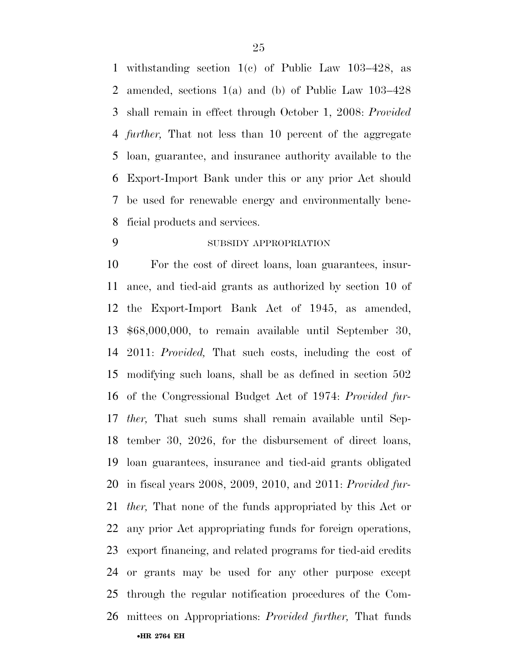withstanding section 1(c) of Public Law 103–428, as amended, sections 1(a) and (b) of Public Law 103–428 shall remain in effect through October 1, 2008: *Provided further,* That not less than 10 percent of the aggregate loan, guarantee, and insurance authority available to the Export-Import Bank under this or any prior Act should be used for renewable energy and environmentally bene-ficial products and services.

### SUBSIDY APPROPRIATION

•**HR 2764 EH**  For the cost of direct loans, loan guarantees, insur- ance, and tied-aid grants as authorized by section 10 of the Export-Import Bank Act of 1945, as amended, \$68,000,000, to remain available until September 30, 2011: *Provided,* That such costs, including the cost of modifying such loans, shall be as defined in section 502 of the Congressional Budget Act of 1974: *Provided fur- ther,* That such sums shall remain available until Sep- tember 30, 2026, for the disbursement of direct loans, loan guarantees, insurance and tied-aid grants obligated in fiscal years 2008, 2009, 2010, and 2011: *Provided fur- ther,* That none of the funds appropriated by this Act or any prior Act appropriating funds for foreign operations, export financing, and related programs for tied-aid credits or grants may be used for any other purpose except through the regular notification procedures of the Com-mittees on Appropriations: *Provided further,* That funds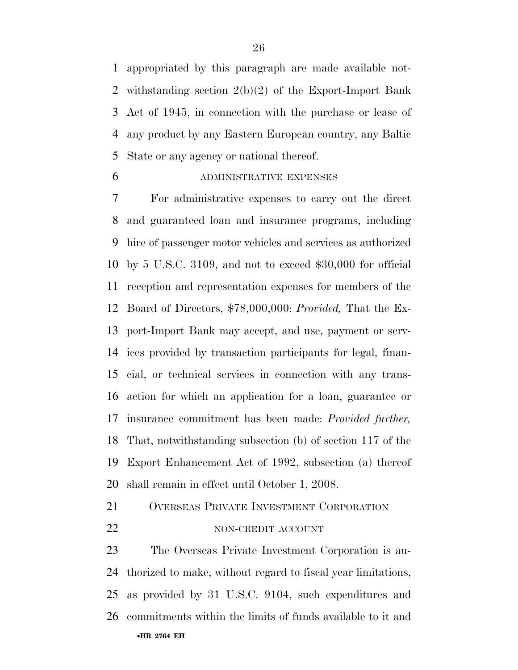appropriated by this paragraph are made available not- withstanding section 2(b)(2) of the Export-Import Bank Act of 1945, in connection with the purchase or lease of any product by any Eastern European country, any Baltic State or any agency or national thereof.

#### ADMINISTRATIVE EXPENSES

 For administrative expenses to carry out the direct and guaranteed loan and insurance programs, including hire of passenger motor vehicles and services as authorized by 5 U.S.C. 3109, and not to exceed \$30,000 for official reception and representation expenses for members of the Board of Directors, \$78,000,000: *Provided,* That the Ex- port-Import Bank may accept, and use, payment or serv- ices provided by transaction participants for legal, finan- cial, or technical services in connection with any trans- action for which an application for a loan, guarantee or insurance commitment has been made: *Provided further,*  That, notwithstanding subsection (b) of section 117 of the Export Enhancement Act of 1992, subsection (a) thereof shall remain in effect until October 1, 2008.

### OVERSEAS PRIVATE INVESTMENT CORPORATION

#### 22 NON-CREDIT ACCOUNT

•**HR 2764 EH**  The Overseas Private Investment Corporation is au- thorized to make, without regard to fiscal year limitations, as provided by 31 U.S.C. 9104, such expenditures and commitments within the limits of funds available to it and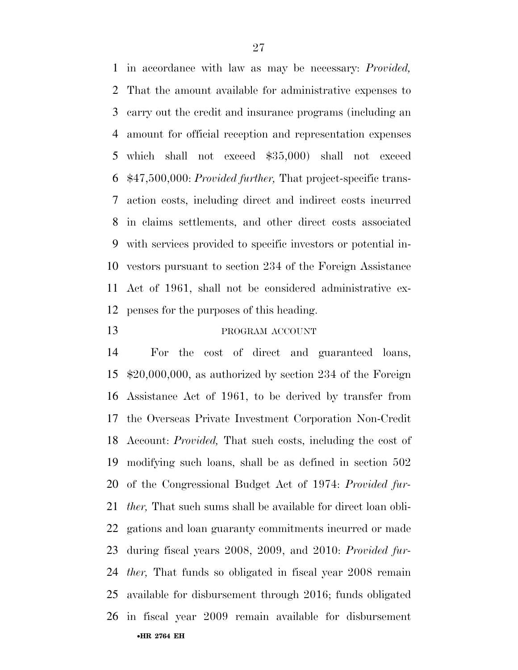in accordance with law as may be necessary: *Provided,*  That the amount available for administrative expenses to carry out the credit and insurance programs (including an amount for official reception and representation expenses which shall not exceed \$35,000) shall not exceed \$47,500,000: *Provided further,* That project-specific trans- action costs, including direct and indirect costs incurred in claims settlements, and other direct costs associated with services provided to specific investors or potential in- vestors pursuant to section 234 of the Foreign Assistance Act of 1961, shall not be considered administrative ex-penses for the purposes of this heading.

#### 13 PROGRAM ACCOUNT

•**HR 2764 EH**  For the cost of direct and guaranteed loans, \$20,000,000, as authorized by section 234 of the Foreign Assistance Act of 1961, to be derived by transfer from the Overseas Private Investment Corporation Non-Credit Account: *Provided,* That such costs, including the cost of modifying such loans, shall be as defined in section 502 of the Congressional Budget Act of 1974: *Provided fur- ther,* That such sums shall be available for direct loan obli- gations and loan guaranty commitments incurred or made during fiscal years 2008, 2009, and 2010: *Provided fur- ther,* That funds so obligated in fiscal year 2008 remain available for disbursement through 2016; funds obligated in fiscal year 2009 remain available for disbursement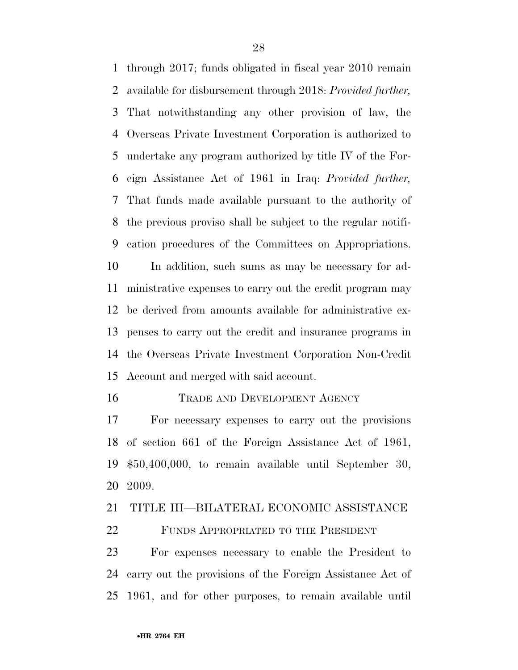through 2017; funds obligated in fiscal year 2010 remain available for disbursement through 2018: *Provided further,*  That notwithstanding any other provision of law, the Overseas Private Investment Corporation is authorized to undertake any program authorized by title IV of the For- eign Assistance Act of 1961 in Iraq: *Provided further,*  That funds made available pursuant to the authority of the previous proviso shall be subject to the regular notifi- cation procedures of the Committees on Appropriations. In addition, such sums as may be necessary for ad- ministrative expenses to carry out the credit program may be derived from amounts available for administrative ex- penses to carry out the credit and insurance programs in the Overseas Private Investment Corporation Non-Credit Account and merged with said account.

#### TRADE AND DEVELOPMENT AGENCY

 For necessary expenses to carry out the provisions of section 661 of the Foreign Assistance Act of 1961, \$50,400,000, to remain available until September 30, 2009.

#### TITLE III—BILATERAL ECONOMIC ASSISTANCE

FUNDS APPROPRIATED TO THE PRESIDENT

 For expenses necessary to enable the President to carry out the provisions of the Foreign Assistance Act of 1961, and for other purposes, to remain available until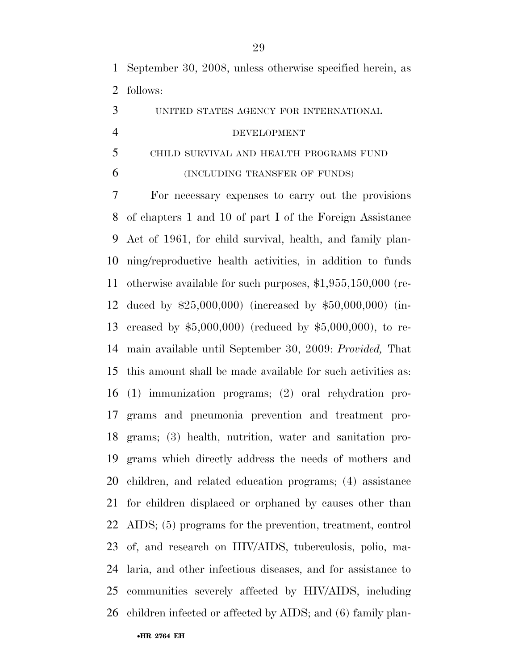September 30, 2008, unless otherwise specified herein, as follows:

UNITED STATES AGENCY FOR INTERNATIONAL

#### DEVELOPMENT

## CHILD SURVIVAL AND HEALTH PROGRAMS FUND (INCLUDING TRANSFER OF FUNDS)

 For necessary expenses to carry out the provisions of chapters 1 and 10 of part I of the Foreign Assistance Act of 1961, for child survival, health, and family plan- ning/reproductive health activities, in addition to funds otherwise available for such purposes, \$1,955,150,000 (re- duced by \$25,000,000) (increased by \$50,000,000) (in- creased by \$5,000,000) (reduced by \$5,000,000), to re- main available until September 30, 2009: *Provided,* That this amount shall be made available for such activities as: (1) immunization programs; (2) oral rehydration pro- grams and pneumonia prevention and treatment pro- grams; (3) health, nutrition, water and sanitation pro- grams which directly address the needs of mothers and children, and related education programs; (4) assistance for children displaced or orphaned by causes other than AIDS; (5) programs for the prevention, treatment, control of, and research on HIV/AIDS, tuberculosis, polio, ma- laria, and other infectious diseases, and for assistance to communities severely affected by HIV/AIDS, including children infected or affected by AIDS; and (6) family plan-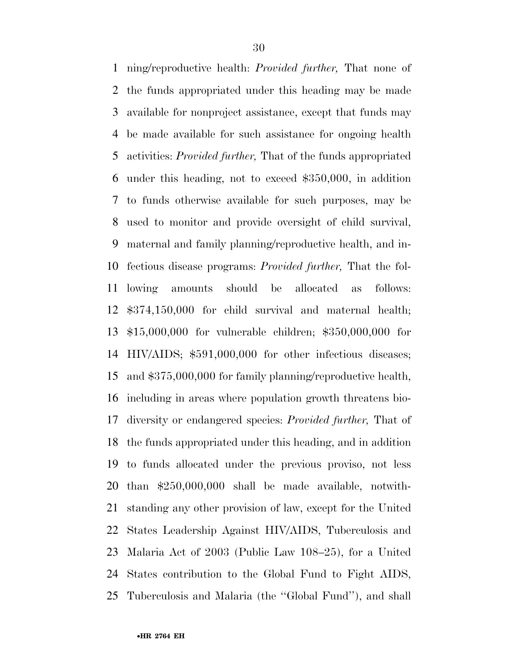ning/reproductive health: *Provided further,* That none of the funds appropriated under this heading may be made available for nonproject assistance, except that funds may be made available for such assistance for ongoing health activities: *Provided further,* That of the funds appropriated under this heading, not to exceed \$350,000, in addition to funds otherwise available for such purposes, may be used to monitor and provide oversight of child survival, maternal and family planning/reproductive health, and in- fectious disease programs: *Provided further,* That the fol- lowing amounts should be allocated as follows: \$374,150,000 for child survival and maternal health; \$15,000,000 for vulnerable children; \$350,000,000 for HIV/AIDS; \$591,000,000 for other infectious diseases; and \$375,000,000 for family planning/reproductive health, including in areas where population growth threatens bio- diversity or endangered species: *Provided further,* That of the funds appropriated under this heading, and in addition to funds allocated under the previous proviso, not less than \$250,000,000 shall be made available, notwith- standing any other provision of law, except for the United States Leadership Against HIV/AIDS, Tuberculosis and Malaria Act of 2003 (Public Law 108–25), for a United States contribution to the Global Fund to Fight AIDS, Tuberculosis and Malaria (the ''Global Fund''), and shall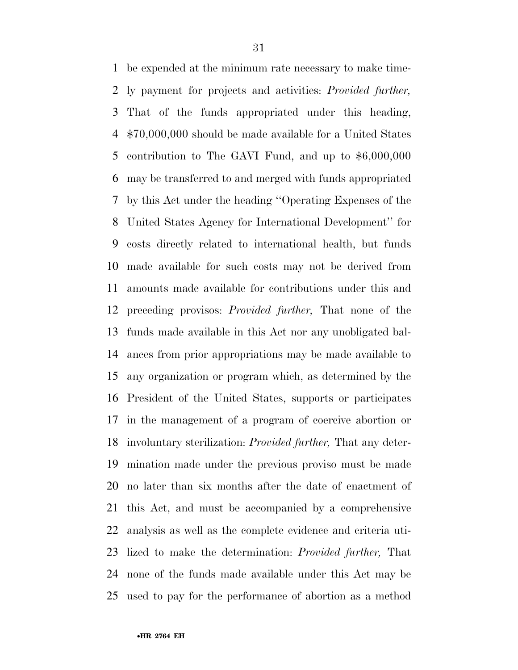be expended at the minimum rate necessary to make time- ly payment for projects and activities: *Provided further,*  That of the funds appropriated under this heading, \$70,000,000 should be made available for a United States contribution to The GAVI Fund, and up to \$6,000,000 may be transferred to and merged with funds appropriated by this Act under the heading ''Operating Expenses of the United States Agency for International Development'' for costs directly related to international health, but funds made available for such costs may not be derived from amounts made available for contributions under this and preceding provisos: *Provided further,* That none of the funds made available in this Act nor any unobligated bal- ances from prior appropriations may be made available to any organization or program which, as determined by the President of the United States, supports or participates in the management of a program of coercive abortion or involuntary sterilization: *Provided further,* That any deter- mination made under the previous proviso must be made no later than six months after the date of enactment of this Act, and must be accompanied by a comprehensive analysis as well as the complete evidence and criteria uti- lized to make the determination: *Provided further,* That none of the funds made available under this Act may be used to pay for the performance of abortion as a method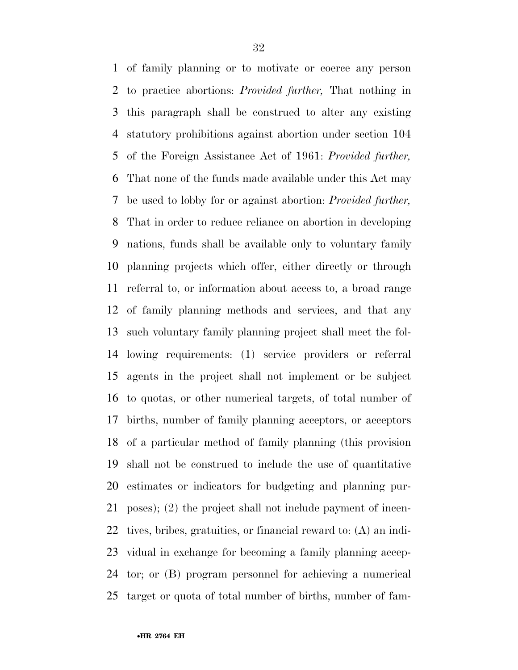of family planning or to motivate or coerce any person to practice abortions: *Provided further,* That nothing in this paragraph shall be construed to alter any existing statutory prohibitions against abortion under section 104 of the Foreign Assistance Act of 1961: *Provided further,*  That none of the funds made available under this Act may be used to lobby for or against abortion: *Provided further,*  That in order to reduce reliance on abortion in developing nations, funds shall be available only to voluntary family planning projects which offer, either directly or through referral to, or information about access to, a broad range of family planning methods and services, and that any such voluntary family planning project shall meet the fol- lowing requirements: (1) service providers or referral agents in the project shall not implement or be subject to quotas, or other numerical targets, of total number of births, number of family planning acceptors, or acceptors of a particular method of family planning (this provision shall not be construed to include the use of quantitative estimates or indicators for budgeting and planning pur- poses); (2) the project shall not include payment of incen- tives, bribes, gratuities, or financial reward to: (A) an indi- vidual in exchange for becoming a family planning accep- tor; or (B) program personnel for achieving a numerical target or quota of total number of births, number of fam-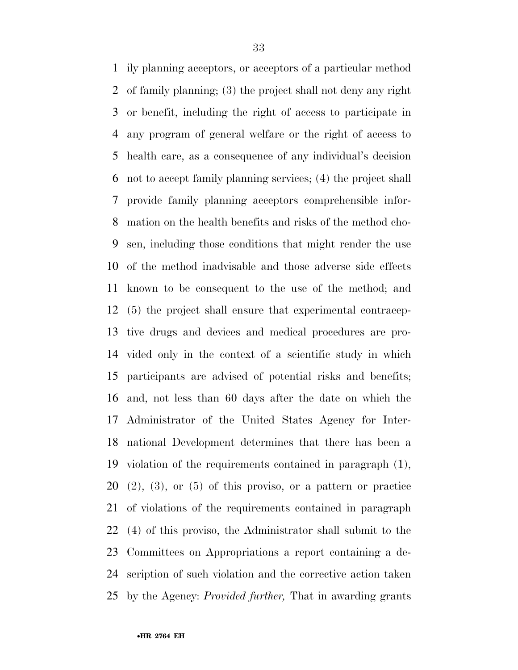ily planning acceptors, or acceptors of a particular method of family planning; (3) the project shall not deny any right or benefit, including the right of access to participate in any program of general welfare or the right of access to health care, as a consequence of any individual's decision not to accept family planning services; (4) the project shall provide family planning acceptors comprehensible infor- mation on the health benefits and risks of the method cho- sen, including those conditions that might render the use of the method inadvisable and those adverse side effects known to be consequent to the use of the method; and (5) the project shall ensure that experimental contracep- tive drugs and devices and medical procedures are pro- vided only in the context of a scientific study in which participants are advised of potential risks and benefits; and, not less than 60 days after the date on which the Administrator of the United States Agency for Inter- national Development determines that there has been a violation of the requirements contained in paragraph (1),  $(2)$ ,  $(3)$ , or  $(5)$  of this proviso, or a pattern or practice of violations of the requirements contained in paragraph (4) of this proviso, the Administrator shall submit to the Committees on Appropriations a report containing a de- scription of such violation and the corrective action taken by the Agency: *Provided further,* That in awarding grants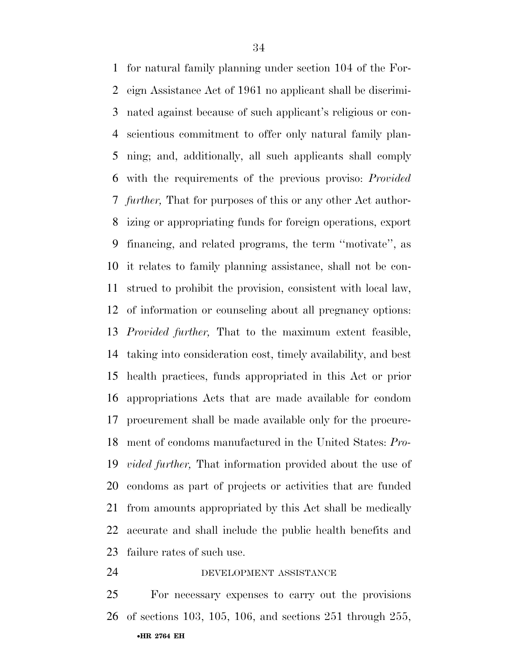for natural family planning under section 104 of the For- eign Assistance Act of 1961 no applicant shall be discrimi- nated against because of such applicant's religious or con- scientious commitment to offer only natural family plan- ning; and, additionally, all such applicants shall comply with the requirements of the previous proviso: *Provided further,* That for purposes of this or any other Act author- izing or appropriating funds for foreign operations, export financing, and related programs, the term ''motivate'', as it relates to family planning assistance, shall not be con- strued to prohibit the provision, consistent with local law, of information or counseling about all pregnancy options: *Provided further,* That to the maximum extent feasible, taking into consideration cost, timely availability, and best health practices, funds appropriated in this Act or prior appropriations Acts that are made available for condom procurement shall be made available only for the procure- ment of condoms manufactured in the United States: *Pro- vided further,* That information provided about the use of condoms as part of projects or activities that are funded from amounts appropriated by this Act shall be medically accurate and shall include the public health benefits and failure rates of such use.

DEVELOPMENT ASSISTANCE

•**HR 2764 EH**  For necessary expenses to carry out the provisions of sections 103, 105, 106, and sections 251 through 255,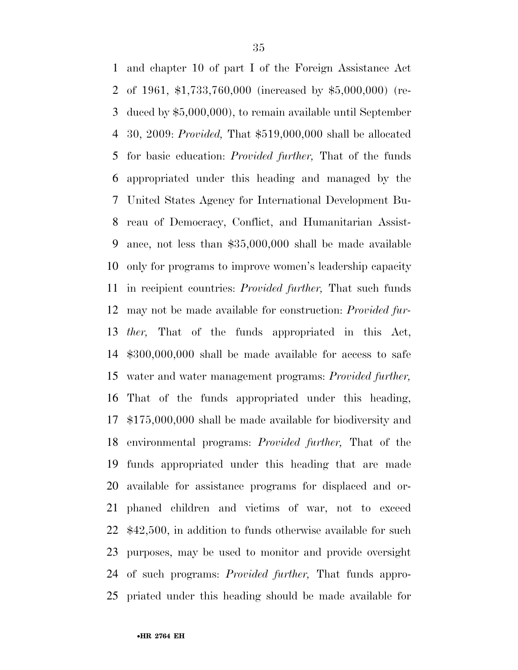and chapter 10 of part I of the Foreign Assistance Act of 1961, \$1,733,760,000 (increased by \$5,000,000) (re- duced by \$5,000,000), to remain available until September 30, 2009: *Provided,* That \$519,000,000 shall be allocated for basic education: *Provided further,* That of the funds appropriated under this heading and managed by the United States Agency for International Development Bu- reau of Democracy, Conflict, and Humanitarian Assist- ance, not less than \$35,000,000 shall be made available only for programs to improve women's leadership capacity in recipient countries: *Provided further,* That such funds may not be made available for construction: *Provided fur- ther,* That of the funds appropriated in this Act, \$300,000,000 shall be made available for access to safe water and water management programs: *Provided further,*  That of the funds appropriated under this heading, \$175,000,000 shall be made available for biodiversity and environmental programs: *Provided further,* That of the funds appropriated under this heading that are made available for assistance programs for displaced and or- phaned children and victims of war, not to exceed \$42,500, in addition to funds otherwise available for such purposes, may be used to monitor and provide oversight of such programs: *Provided further,* That funds appro-priated under this heading should be made available for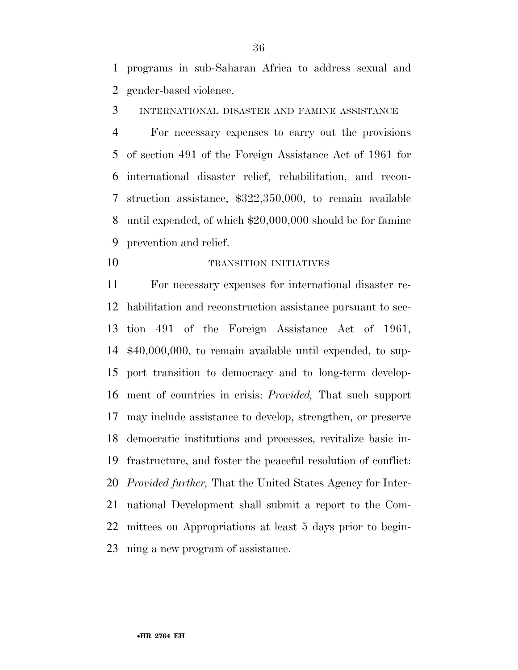programs in sub-Saharan Africa to address sexual and gender-based violence.

INTERNATIONAL DISASTER AND FAMINE ASSISTANCE

 For necessary expenses to carry out the provisions of section 491 of the Foreign Assistance Act of 1961 for international disaster relief, rehabilitation, and recon- struction assistance, \$322,350,000, to remain available until expended, of which \$20,000,000 should be for famine prevention and relief.

10 TRANSITION INITIATIVES

 For necessary expenses for international disaster re- habilitation and reconstruction assistance pursuant to sec- tion 491 of the Foreign Assistance Act of 1961, \$40,000,000, to remain available until expended, to sup- port transition to democracy and to long-term develop- ment of countries in crisis: *Provided,* That such support may include assistance to develop, strengthen, or preserve democratic institutions and processes, revitalize basic in- frastructure, and foster the peaceful resolution of conflict: *Provided further,* That the United States Agency for Inter- national Development shall submit a report to the Com- mittees on Appropriations at least 5 days prior to begin-ning a new program of assistance.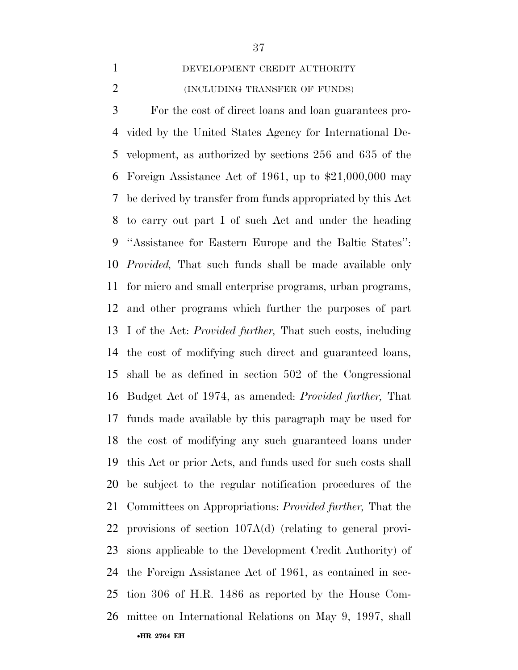# DEVELOPMENT CREDIT AUTHORITY

2 (INCLUDING TRANSFER OF FUNDS)

•**HR 2764 EH**  For the cost of direct loans and loan guarantees pro- vided by the United States Agency for International De- velopment, as authorized by sections 256 and 635 of the Foreign Assistance Act of 1961, up to \$21,000,000 may be derived by transfer from funds appropriated by this Act to carry out part I of such Act and under the heading ''Assistance for Eastern Europe and the Baltic States'': *Provided,* That such funds shall be made available only for micro and small enterprise programs, urban programs, and other programs which further the purposes of part I of the Act: *Provided further,* That such costs, including the cost of modifying such direct and guaranteed loans, shall be as defined in section 502 of the Congressional Budget Act of 1974, as amended: *Provided further,* That funds made available by this paragraph may be used for the cost of modifying any such guaranteed loans under this Act or prior Acts, and funds used for such costs shall be subject to the regular notification procedures of the Committees on Appropriations: *Provided further,* That the provisions of section 107A(d) (relating to general provi- sions applicable to the Development Credit Authority) of the Foreign Assistance Act of 1961, as contained in sec- tion 306 of H.R. 1486 as reported by the House Com-mittee on International Relations on May 9, 1997, shall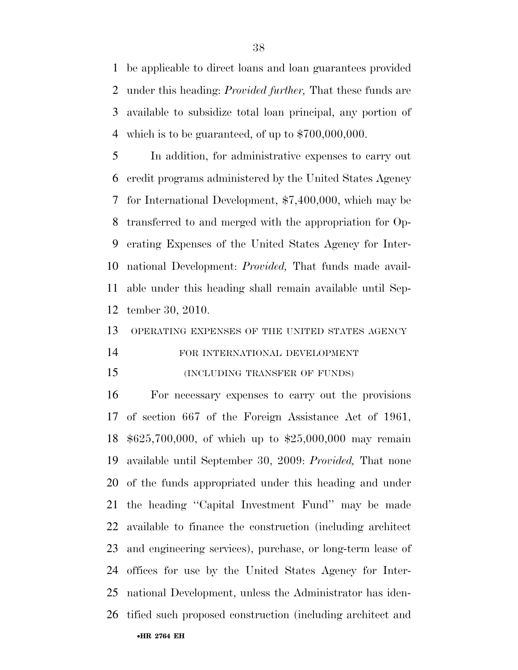be applicable to direct loans and loan guarantees provided under this heading: *Provided further,* That these funds are available to subsidize total loan principal, any portion of which is to be guaranteed, of up to \$700,000,000.

 In addition, for administrative expenses to carry out credit programs administered by the United States Agency for International Development, \$7,400,000, which may be transferred to and merged with the appropriation for Op- erating Expenses of the United States Agency for Inter- national Development: *Provided,* That funds made avail- able under this heading shall remain available until Sep-tember 30, 2010.

#### OPERATING EXPENSES OF THE UNITED STATES AGENCY

# FOR INTERNATIONAL DEVELOPMENT

#### (INCLUDING TRANSFER OF FUNDS)

•**HR 2764 EH**  For necessary expenses to carry out the provisions of section 667 of the Foreign Assistance Act of 1961, \$625,700,000, of which up to \$25,000,000 may remain available until September 30, 2009: *Provided,* That none of the funds appropriated under this heading and under the heading ''Capital Investment Fund'' may be made available to finance the construction (including architect and engineering services), purchase, or long-term lease of offices for use by the United States Agency for Inter- national Development, unless the Administrator has iden-tified such proposed construction (including architect and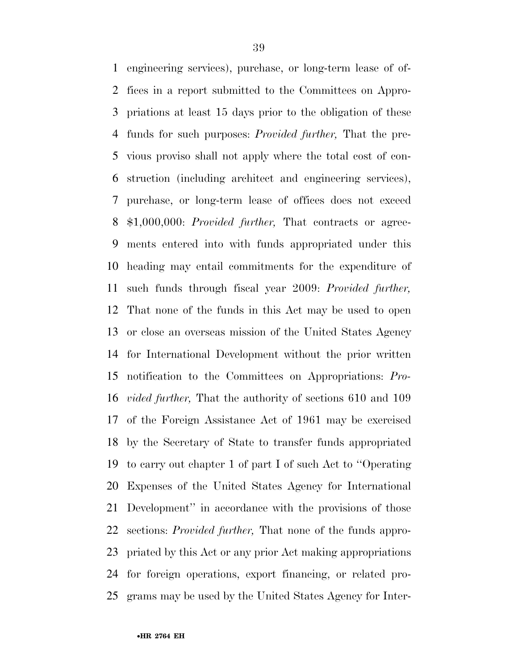engineering services), purchase, or long-term lease of of- fices in a report submitted to the Committees on Appro- priations at least 15 days prior to the obligation of these funds for such purposes: *Provided further,* That the pre- vious proviso shall not apply where the total cost of con- struction (including architect and engineering services), purchase, or long-term lease of offices does not exceed \$1,000,000: *Provided further,* That contracts or agree- ments entered into with funds appropriated under this heading may entail commitments for the expenditure of such funds through fiscal year 2009: *Provided further,*  That none of the funds in this Act may be used to open or close an overseas mission of the United States Agency for International Development without the prior written notification to the Committees on Appropriations: *Pro- vided further,* That the authority of sections 610 and 109 of the Foreign Assistance Act of 1961 may be exercised by the Secretary of State to transfer funds appropriated to carry out chapter 1 of part I of such Act to ''Operating Expenses of the United States Agency for International Development'' in accordance with the provisions of those sections: *Provided further,* That none of the funds appro- priated by this Act or any prior Act making appropriations for foreign operations, export financing, or related pro-grams may be used by the United States Agency for Inter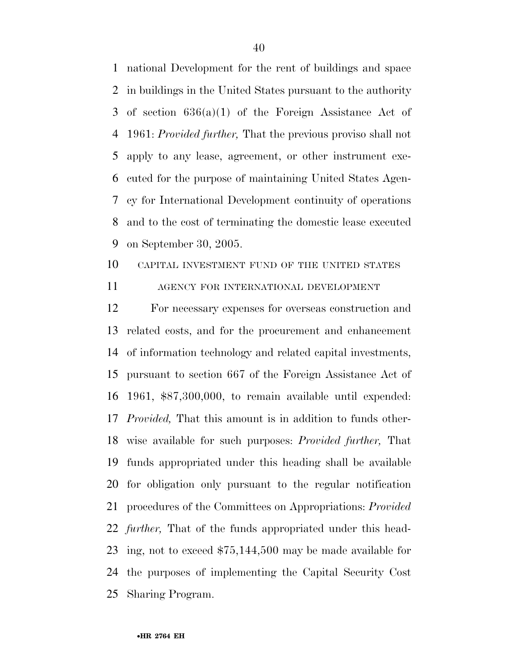national Development for the rent of buildings and space in buildings in the United States pursuant to the authority of section 636(a)(1) of the Foreign Assistance Act of 1961: *Provided further,* That the previous proviso shall not apply to any lease, agreement, or other instrument exe- cuted for the purpose of maintaining United States Agen- cy for International Development continuity of operations and to the cost of terminating the domestic lease executed on September 30, 2005.

# CAPITAL INVESTMENT FUND OF THE UNITED STATES

AGENCY FOR INTERNATIONAL DEVELOPMENT

 For necessary expenses for overseas construction and related costs, and for the procurement and enhancement of information technology and related capital investments, pursuant to section 667 of the Foreign Assistance Act of 1961, \$87,300,000, to remain available until expended: *Provided,* That this amount is in addition to funds other- wise available for such purposes: *Provided further,* That funds appropriated under this heading shall be available for obligation only pursuant to the regular notification procedures of the Committees on Appropriations: *Provided further,* That of the funds appropriated under this head- ing, not to exceed \$75,144,500 may be made available for the purposes of implementing the Capital Security Cost Sharing Program.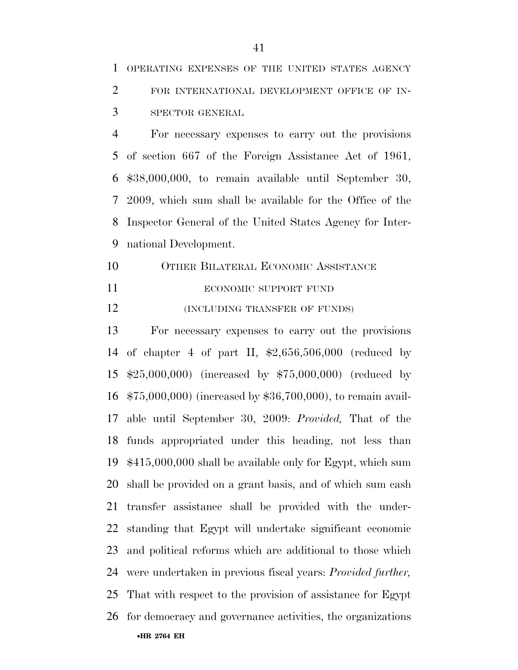For necessary expenses to carry out the provisions of section 667 of the Foreign Assistance Act of 1961, \$38,000,000, to remain available until September 30, 2009, which sum shall be available for the Office of the Inspector General of the United States Agency for Inter-national Development.

- OTHER BILATERAL ECONOMIC ASSISTANCE
- 

### 11 ECONOMIC SUPPORT FUND

**(INCLUDING TRANSFER OF FUNDS)** 

•**HR 2764 EH**  For necessary expenses to carry out the provisions of chapter 4 of part II, \$2,656,506,000 (reduced by \$25,000,000) (increased by \$75,000,000) (reduced by \$75,000,000) (increased by \$36,700,000), to remain avail- able until September 30, 2009: *Provided,* That of the funds appropriated under this heading, not less than \$415,000,000 shall be available only for Egypt, which sum shall be provided on a grant basis, and of which sum cash transfer assistance shall be provided with the under- standing that Egypt will undertake significant economic and political reforms which are additional to those which were undertaken in previous fiscal years: *Provided further,*  That with respect to the provision of assistance for Egypt for democracy and governance activities, the organizations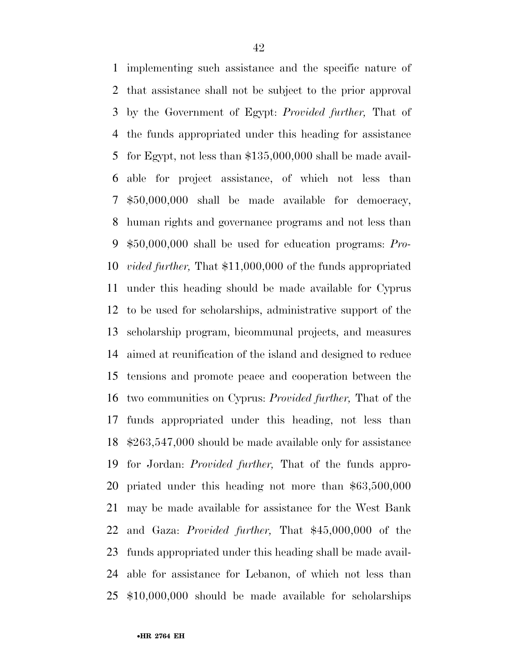implementing such assistance and the specific nature of that assistance shall not be subject to the prior approval by the Government of Egypt: *Provided further,* That of the funds appropriated under this heading for assistance for Egypt, not less than \$135,000,000 shall be made avail- able for project assistance, of which not less than \$50,000,000 shall be made available for democracy, human rights and governance programs and not less than \$50,000,000 shall be used for education programs: *Pro- vided further,* That \$11,000,000 of the funds appropriated under this heading should be made available for Cyprus to be used for scholarships, administrative support of the scholarship program, bicommunal projects, and measures aimed at reunification of the island and designed to reduce tensions and promote peace and cooperation between the two communities on Cyprus: *Provided further,* That of the funds appropriated under this heading, not less than \$263,547,000 should be made available only for assistance for Jordan: *Provided further,* That of the funds appro- priated under this heading not more than \$63,500,000 may be made available for assistance for the West Bank and Gaza: *Provided further,* That \$45,000,000 of the funds appropriated under this heading shall be made avail- able for assistance for Lebanon, of which not less than \$10,000,000 should be made available for scholarships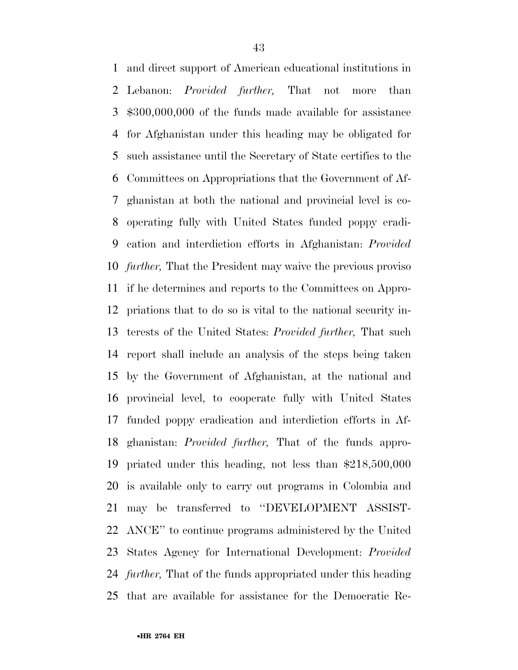and direct support of American educational institutions in Lebanon: *Provided further,* That not more than \$300,000,000 of the funds made available for assistance for Afghanistan under this heading may be obligated for such assistance until the Secretary of State certifies to the Committees on Appropriations that the Government of Af- ghanistan at both the national and provincial level is co- operating fully with United States funded poppy eradi- cation and interdiction efforts in Afghanistan: *Provided further,* That the President may waive the previous proviso if he determines and reports to the Committees on Appro- priations that to do so is vital to the national security in- terests of the United States: *Provided further,* That such report shall include an analysis of the steps being taken by the Government of Afghanistan, at the national and provincial level, to cooperate fully with United States funded poppy eradication and interdiction efforts in Af- ghanistan: *Provided further,* That of the funds appro- priated under this heading, not less than \$218,500,000 is available only to carry out programs in Colombia and may be transferred to ''DEVELOPMENT ASSIST- ANCE'' to continue programs administered by the United States Agency for International Development: *Provided further,* That of the funds appropriated under this heading that are available for assistance for the Democratic Re-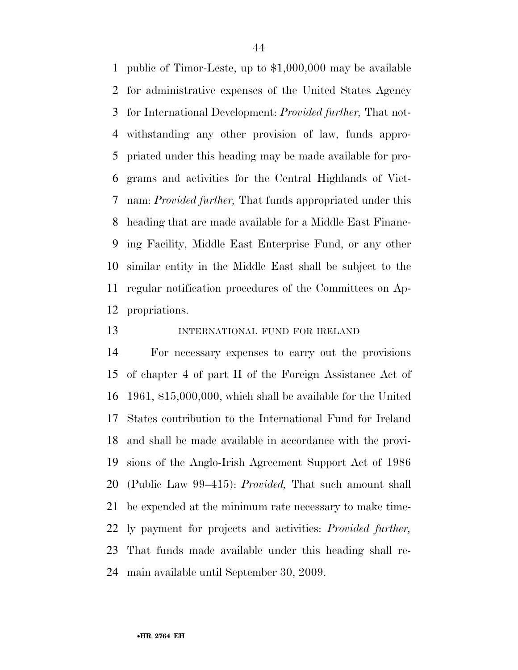public of Timor-Leste, up to \$1,000,000 may be available for administrative expenses of the United States Agency for International Development: *Provided further,* That not- withstanding any other provision of law, funds appro- priated under this heading may be made available for pro- grams and activities for the Central Highlands of Viet- nam: *Provided further,* That funds appropriated under this heading that are made available for a Middle East Financ- ing Facility, Middle East Enterprise Fund, or any other similar entity in the Middle East shall be subject to the regular notification procedures of the Committees on Ap-propriations.

### INTERNATIONAL FUND FOR IRELAND

 For necessary expenses to carry out the provisions of chapter 4 of part II of the Foreign Assistance Act of 1961, \$15,000,000, which shall be available for the United States contribution to the International Fund for Ireland and shall be made available in accordance with the provi- sions of the Anglo-Irish Agreement Support Act of 1986 (Public Law 99–415): *Provided,* That such amount shall be expended at the minimum rate necessary to make time- ly payment for projects and activities: *Provided further,*  That funds made available under this heading shall re-main available until September 30, 2009.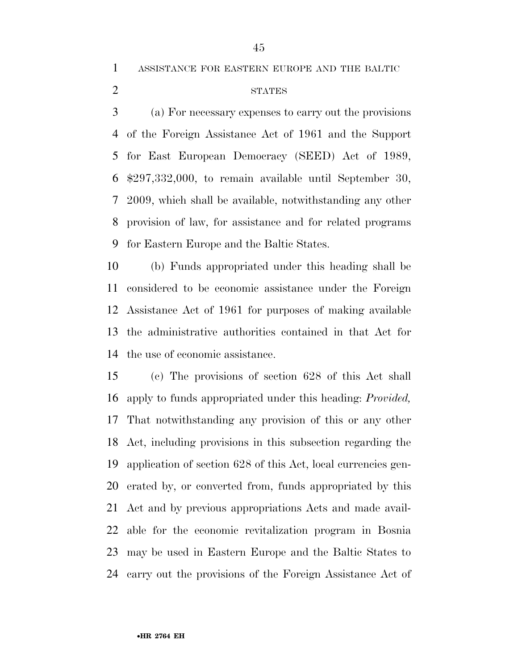ASSISTANCE FOR EASTERN EUROPE AND THE BALTIC

STATES

 (a) For necessary expenses to carry out the provisions of the Foreign Assistance Act of 1961 and the Support for East European Democracy (SEED) Act of 1989, \$297,332,000, to remain available until September 30, 2009, which shall be available, notwithstanding any other provision of law, for assistance and for related programs for Eastern Europe and the Baltic States.

 (b) Funds appropriated under this heading shall be considered to be economic assistance under the Foreign Assistance Act of 1961 for purposes of making available the administrative authorities contained in that Act for the use of economic assistance.

 (c) The provisions of section 628 of this Act shall apply to funds appropriated under this heading: *Provided,*  That notwithstanding any provision of this or any other Act, including provisions in this subsection regarding the application of section 628 of this Act, local currencies gen- erated by, or converted from, funds appropriated by this Act and by previous appropriations Acts and made avail- able for the economic revitalization program in Bosnia may be used in Eastern Europe and the Baltic States to carry out the provisions of the Foreign Assistance Act of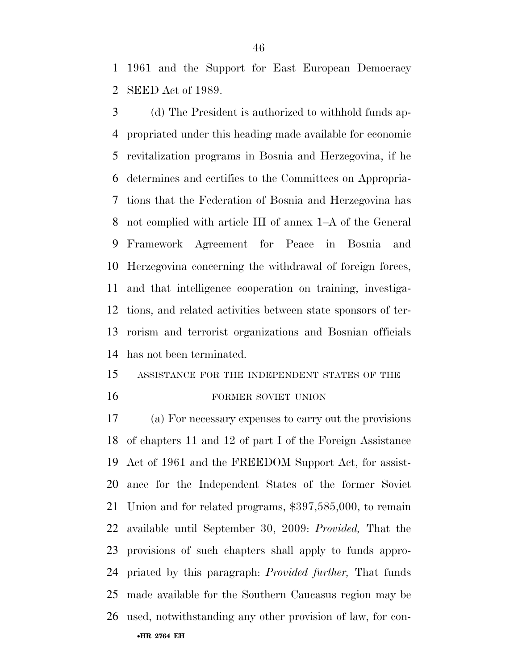1961 and the Support for East European Democracy SEED Act of 1989.

 (d) The President is authorized to withhold funds ap- propriated under this heading made available for economic revitalization programs in Bosnia and Herzegovina, if he determines and certifies to the Committees on Appropria- tions that the Federation of Bosnia and Herzegovina has not complied with article III of annex 1–A of the General Framework Agreement for Peace in Bosnia and Herzegovina concerning the withdrawal of foreign forces, and that intelligence cooperation on training, investiga- tions, and related activities between state sponsors of ter- rorism and terrorist organizations and Bosnian officials has not been terminated.

# ASSISTANCE FOR THE INDEPENDENT STATES OF THE 16 FORMER SOVIET UNION

•**HR 2764 EH**  (a) For necessary expenses to carry out the provisions of chapters 11 and 12 of part I of the Foreign Assistance Act of 1961 and the FREEDOM Support Act, for assist- ance for the Independent States of the former Soviet Union and for related programs, \$397,585,000, to remain available until September 30, 2009: *Provided,* That the provisions of such chapters shall apply to funds appro- priated by this paragraph: *Provided further,* That funds made available for the Southern Caucasus region may be used, notwithstanding any other provision of law, for con-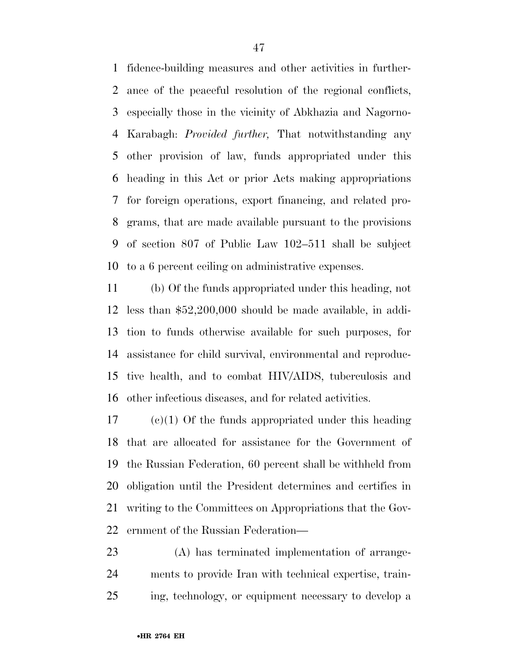fidence-building measures and other activities in further- ance of the peaceful resolution of the regional conflicts, especially those in the vicinity of Abkhazia and Nagorno- Karabagh: *Provided further,* That notwithstanding any other provision of law, funds appropriated under this heading in this Act or prior Acts making appropriations for foreign operations, export financing, and related pro- grams, that are made available pursuant to the provisions of section 807 of Public Law 102–511 shall be subject to a 6 percent ceiling on administrative expenses.

 (b) Of the funds appropriated under this heading, not less than \$52,200,000 should be made available, in addi- tion to funds otherwise available for such purposes, for assistance for child survival, environmental and reproduc- tive health, and to combat HIV/AIDS, tuberculosis and other infectious diseases, and for related activities.

 (c)(1) Of the funds appropriated under this heading that are allocated for assistance for the Government of the Russian Federation, 60 percent shall be withheld from obligation until the President determines and certifies in writing to the Committees on Appropriations that the Gov-ernment of the Russian Federation—

 (A) has terminated implementation of arrange- ments to provide Iran with technical expertise, train-ing, technology, or equipment necessary to develop a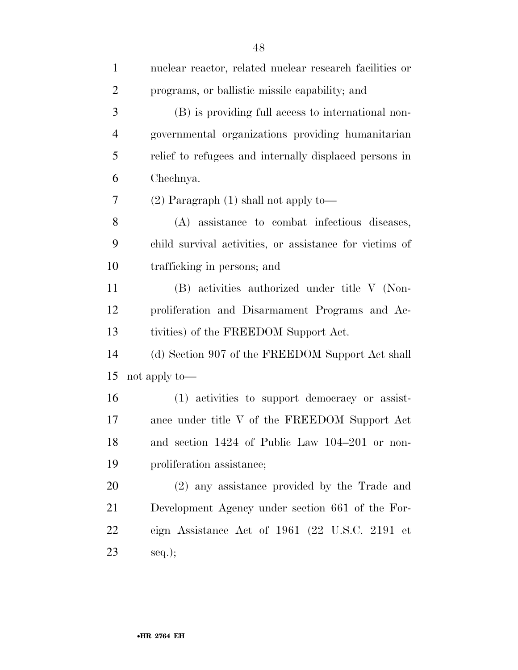| $\mathbf{1}$   | nuclear reactor, related nuclear research facilities or |
|----------------|---------------------------------------------------------|
| $\overline{2}$ | programs, or ballistic missile capability; and          |
| 3              | (B) is providing full access to international non-      |
| $\overline{4}$ | governmental organizations providing humanitarian       |
| 5              | relief to refugees and internally displaced persons in  |
| 6              | Chechnya.                                               |
| 7              | $(2)$ Paragraph $(1)$ shall not apply to —              |
| 8              | (A) assistance to combat infectious diseases,           |
| 9              | child survival activities, or assistance for victims of |
| 10             | trafficking in persons; and                             |
| 11             | (B) activities authorized under title V (Non-           |
| 12             | proliferation and Disarmament Programs and Ac-          |
| 13             | tivities) of the FREEDOM Support Act.                   |
| 14             | (d) Section 907 of the FREEDOM Support Act shall        |
| 15             | not apply to—                                           |
| 16             | (1) activities to support democracy or assist-          |
| $17\,$         | ance under title V of the FREEDOM Support Act           |
| 18             | and section 1424 of Public Law 104-201 or non-          |
| 19             | proliferation assistance;                               |
| 20             | (2) any assistance provided by the Trade and            |
| 21             | Development Agency under section 661 of the For-        |
| 22             | eign Assistance Act of 1961 (22 U.S.C. 2191 et          |
| 23             | $seq.$ ;                                                |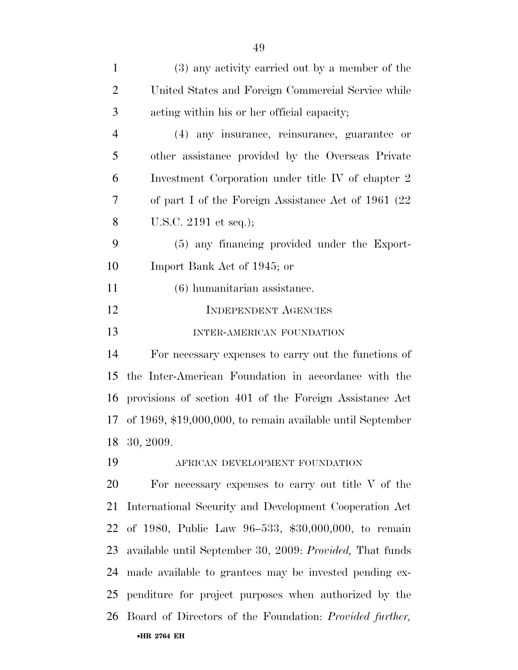| $\mathbf{1}$   | (3) any activity carried out by a member of the            |
|----------------|------------------------------------------------------------|
| $\overline{2}$ | United States and Foreign Commercial Service while         |
| 3              | acting within his or her official capacity;                |
| $\overline{4}$ | (4) any insurance, reinsurance, guarantee or               |
| 5              | other assistance provided by the Overseas Private          |
| 6              | Investment Corporation under title IV of chapter 2         |
| $\overline{7}$ | of part I of the Foreign Assistance Act of 1961 (22)       |
| 8              | U.S.C. 2191 et seq.);                                      |
| 9              | (5) any financing provided under the Export-               |
| 10             | Import Bank Act of 1945; or                                |
| 11             | $(6)$ humanitarian assistance.                             |
| 12             | <b>INDEPENDENT AGENCIES</b>                                |
| 13             | INTER-AMERICAN FOUNDATION                                  |
| 14             | For necessary expenses to carry out the functions of       |
| 15             | the Inter-American Foundation in accordance with the       |
| 16             | provisions of section 401 of the Foreign Assistance Act    |
| 17             | of 1969, \$19,000,000, to remain available until September |
|                | 18 30, 2009.                                               |
| 19             | AFRICAN DEVELOPMENT FOUNDATION                             |
| 20             | For necessary expenses to carry out title $V$ of the       |
| 21             | International Security and Development Cooperation Act     |
| 22             | of 1980, Public Law 96-533, \$30,000,000, to remain        |
| 23             | available until September 30, 2009: Provided, That funds   |
| 24             | made available to grantees may be invested pending ex-     |
| 25             | penditure for project purposes when authorized by the      |
| 26             | Board of Directors of the Foundation: Provided further,    |
|                | •HR 2764 EH                                                |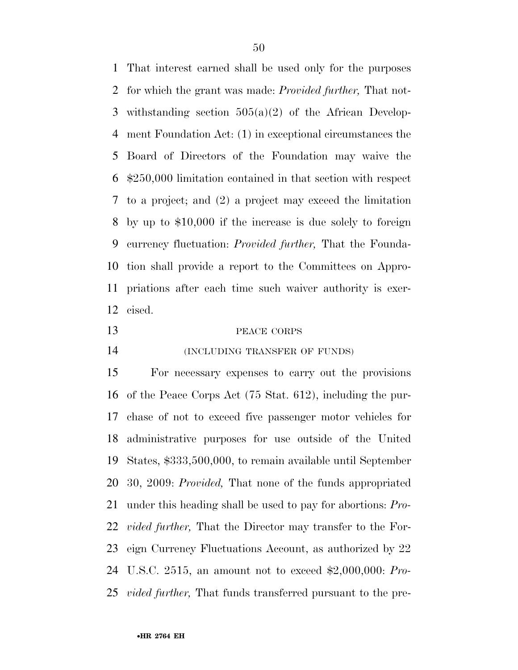That interest earned shall be used only for the purposes for which the grant was made: *Provided further,* That not- withstanding section 505(a)(2) of the African Develop- ment Foundation Act: (1) in exceptional circumstances the Board of Directors of the Foundation may waive the \$250,000 limitation contained in that section with respect to a project; and (2) a project may exceed the limitation by up to \$10,000 if the increase is due solely to foreign currency fluctuation: *Provided further,* That the Founda- tion shall provide a report to the Committees on Appro- priations after each time such waiver authority is exer-cised.

# PEACE CORPS

**INCLUDING TRANSFER OF FUNDS** 

 For necessary expenses to carry out the provisions of the Peace Corps Act (75 Stat. 612), including the pur- chase of not to exceed five passenger motor vehicles for administrative purposes for use outside of the United States, \$333,500,000, to remain available until September 30, 2009: *Provided,* That none of the funds appropriated under this heading shall be used to pay for abortions: *Pro- vided further,* That the Director may transfer to the For- eign Currency Fluctuations Account, as authorized by 22 U.S.C. 2515, an amount not to exceed \$2,000,000: *Pro-vided further,* That funds transferred pursuant to the pre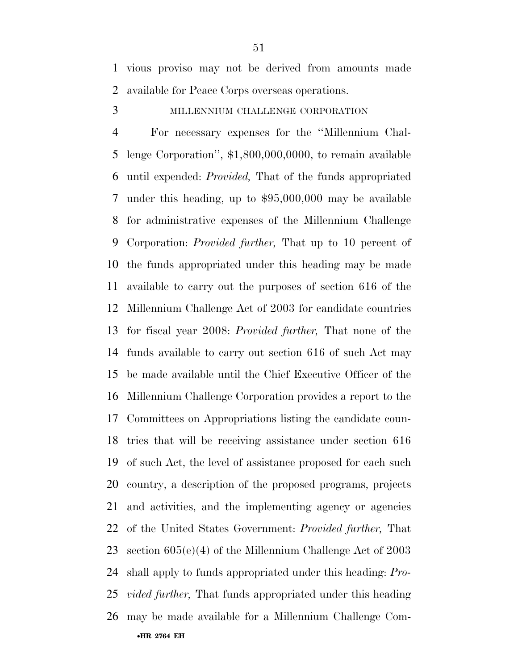vious proviso may not be derived from amounts made available for Peace Corps overseas operations.

## MILLENNIUM CHALLENGE CORPORATION

•**HR 2764 EH**  For necessary expenses for the ''Millennium Chal- lenge Corporation'', \$1,800,000,0000, to remain available until expended: *Provided,* That of the funds appropriated under this heading, up to \$95,000,000 may be available for administrative expenses of the Millennium Challenge Corporation: *Provided further,* That up to 10 percent of the funds appropriated under this heading may be made available to carry out the purposes of section 616 of the Millennium Challenge Act of 2003 for candidate countries for fiscal year 2008: *Provided further,* That none of the funds available to carry out section 616 of such Act may be made available until the Chief Executive Officer of the Millennium Challenge Corporation provides a report to the Committees on Appropriations listing the candidate coun- tries that will be receiving assistance under section 616 of such Act, the level of assistance proposed for each such country, a description of the proposed programs, projects and activities, and the implementing agency or agencies of the United States Government: *Provided further,* That section 605(e)(4) of the Millennium Challenge Act of 2003 shall apply to funds appropriated under this heading: *Pro- vided further,* That funds appropriated under this heading may be made available for a Millennium Challenge Com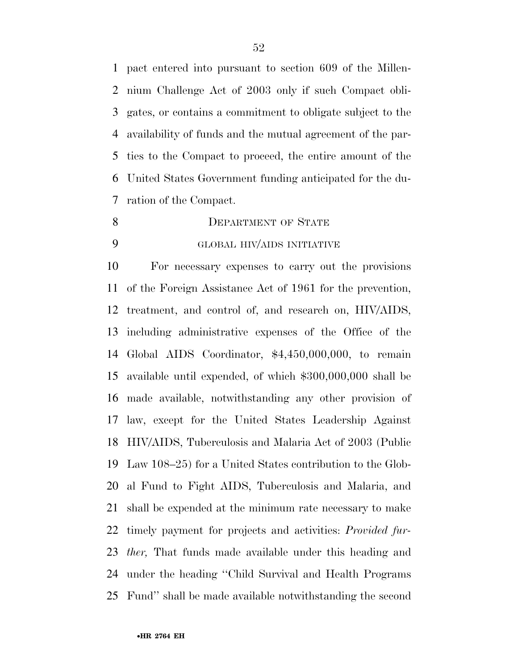pact entered into pursuant to section 609 of the Millen- nium Challenge Act of 2003 only if such Compact obli- gates, or contains a commitment to obligate subject to the availability of funds and the mutual agreement of the par- ties to the Compact to proceed, the entire amount of the United States Government funding anticipated for the du-ration of the Compact.

- 8 DEPARTMENT OF STATE
- 

# GLOBAL HIV/AIDS INITIATIVE

 For necessary expenses to carry out the provisions of the Foreign Assistance Act of 1961 for the prevention, treatment, and control of, and research on, HIV/AIDS, including administrative expenses of the Office of the Global AIDS Coordinator, \$4,450,000,000, to remain available until expended, of which \$300,000,000 shall be made available, notwithstanding any other provision of law, except for the United States Leadership Against HIV/AIDS, Tuberculosis and Malaria Act of 2003 (Public Law 108–25) for a United States contribution to the Glob- al Fund to Fight AIDS, Tuberculosis and Malaria, and shall be expended at the minimum rate necessary to make timely payment for projects and activities: *Provided fur- ther,* That funds made available under this heading and under the heading ''Child Survival and Health Programs Fund'' shall be made available notwithstanding the second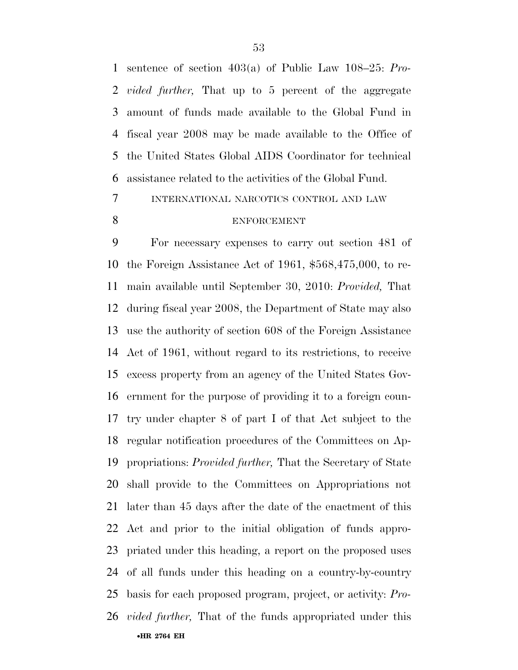sentence of section 403(a) of Public Law 108–25: *Pro- vided further,* That up to 5 percent of the aggregate amount of funds made available to the Global Fund in fiscal year 2008 may be made available to the Office of the United States Global AIDS Coordinator for technical assistance related to the activities of the Global Fund.

# INTERNATIONAL NARCOTICS CONTROL AND LAW ENFORCEMENT

•**HR 2764 EH**  For necessary expenses to carry out section 481 of the Foreign Assistance Act of 1961, \$568,475,000, to re- main available until September 30, 2010: *Provided,* That during fiscal year 2008, the Department of State may also use the authority of section 608 of the Foreign Assistance Act of 1961, without regard to its restrictions, to receive excess property from an agency of the United States Gov- ernment for the purpose of providing it to a foreign coun- try under chapter 8 of part I of that Act subject to the regular notification procedures of the Committees on Ap- propriations: *Provided further,* That the Secretary of State shall provide to the Committees on Appropriations not later than 45 days after the date of the enactment of this Act and prior to the initial obligation of funds appro- priated under this heading, a report on the proposed uses of all funds under this heading on a country-by-country basis for each proposed program, project, or activity: *Pro-vided further,* That of the funds appropriated under this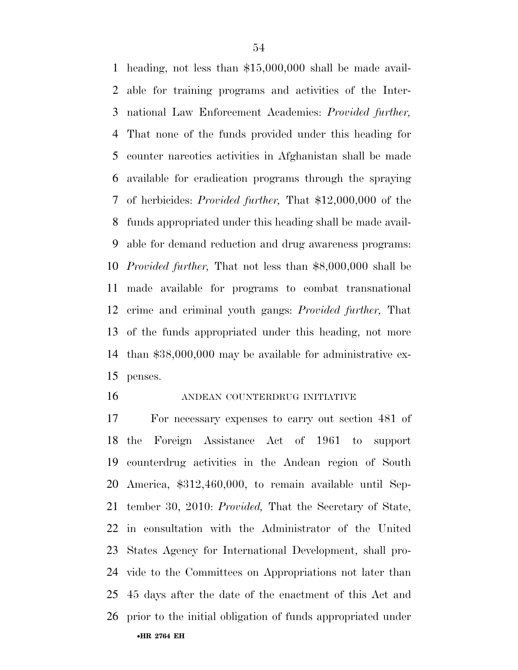heading, not less than \$15,000,000 shall be made avail- able for training programs and activities of the Inter- national Law Enforcement Academies: *Provided further,*  That none of the funds provided under this heading for counter narcotics activities in Afghanistan shall be made available for eradication programs through the spraying of herbicides: *Provided further,* That \$12,000,000 of the funds appropriated under this heading shall be made avail- able for demand reduction and drug awareness programs: *Provided further,* That not less than \$8,000,000 shall be made available for programs to combat transnational crime and criminal youth gangs: *Provided further,* That of the funds appropriated under this heading, not more than \$38,000,000 may be available for administrative ex-penses.

## ANDEAN COUNTERDRUG INITIATIVE

•**HR 2764 EH**  For necessary expenses to carry out section 481 of the Foreign Assistance Act of 1961 to support counterdrug activities in the Andean region of South America, \$312,460,000, to remain available until Sep- tember 30, 2010: *Provided,* That the Secretary of State, in consultation with the Administrator of the United States Agency for International Development, shall pro- vide to the Committees on Appropriations not later than 45 days after the date of the enactment of this Act and prior to the initial obligation of funds appropriated under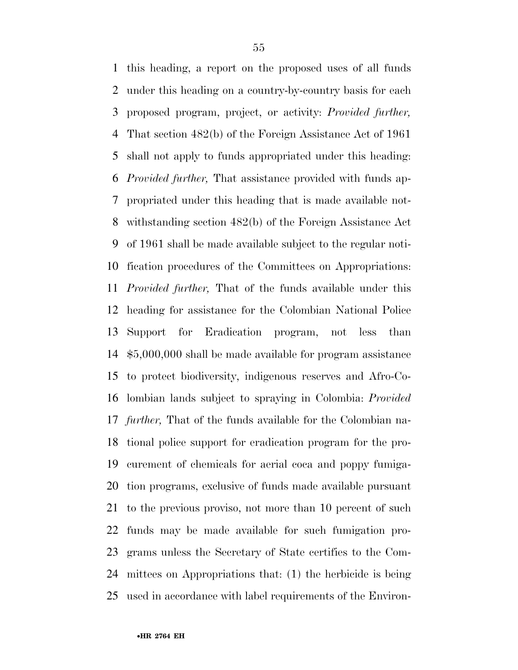this heading, a report on the proposed uses of all funds under this heading on a country-by-country basis for each proposed program, project, or activity: *Provided further,*  That section 482(b) of the Foreign Assistance Act of 1961 shall not apply to funds appropriated under this heading: *Provided further,* That assistance provided with funds ap- propriated under this heading that is made available not- withstanding section 482(b) of the Foreign Assistance Act of 1961 shall be made available subject to the regular noti- fication procedures of the Committees on Appropriations: *Provided further,* That of the funds available under this heading for assistance for the Colombian National Police Support for Eradication program, not less than \$5,000,000 shall be made available for program assistance to protect biodiversity, indigenous reserves and Afro-Co- lombian lands subject to spraying in Colombia: *Provided further,* That of the funds available for the Colombian na- tional police support for eradication program for the pro- curement of chemicals for aerial coca and poppy fumiga- tion programs, exclusive of funds made available pursuant to the previous proviso, not more than 10 percent of such funds may be made available for such fumigation pro- grams unless the Secretary of State certifies to the Com- mittees on Appropriations that: (1) the herbicide is being used in accordance with label requirements of the Environ-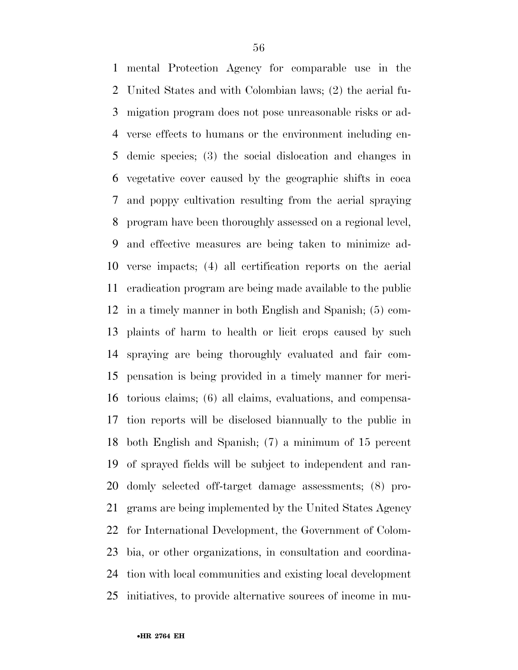mental Protection Agency for comparable use in the United States and with Colombian laws; (2) the aerial fu- migation program does not pose unreasonable risks or ad- verse effects to humans or the environment including en- demic species; (3) the social dislocation and changes in vegetative cover caused by the geographic shifts in coca and poppy cultivation resulting from the aerial spraying program have been thoroughly assessed on a regional level, and effective measures are being taken to minimize ad- verse impacts; (4) all certification reports on the aerial eradication program are being made available to the public in a timely manner in both English and Spanish; (5) com- plaints of harm to health or licit crops caused by such spraying are being thoroughly evaluated and fair com- pensation is being provided in a timely manner for meri- torious claims; (6) all claims, evaluations, and compensa- tion reports will be disclosed biannually to the public in both English and Spanish; (7) a minimum of 15 percent of sprayed fields will be subject to independent and ran- domly selected off-target damage assessments; (8) pro- grams are being implemented by the United States Agency for International Development, the Government of Colom- bia, or other organizations, in consultation and coordina- tion with local communities and existing local development initiatives, to provide alternative sources of income in mu-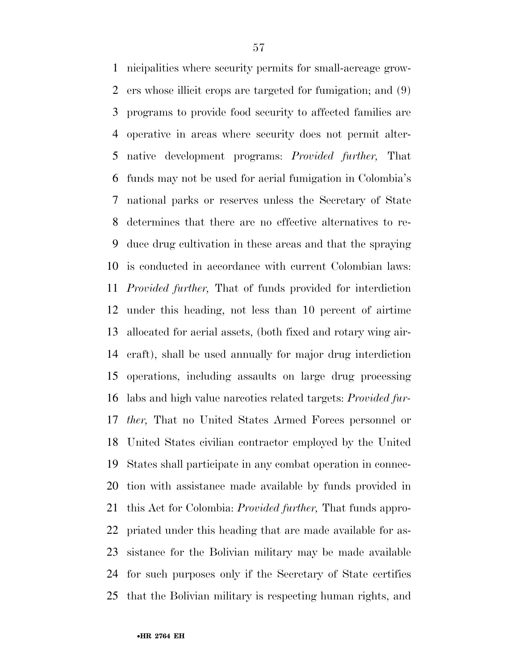nicipalities where security permits for small-acreage grow- ers whose illicit crops are targeted for fumigation; and (9) programs to provide food security to affected families are operative in areas where security does not permit alter- native development programs: *Provided further,* That funds may not be used for aerial fumigation in Colombia's national parks or reserves unless the Secretary of State determines that there are no effective alternatives to re- duce drug cultivation in these areas and that the spraying is conducted in accordance with current Colombian laws: *Provided further,* That of funds provided for interdiction under this heading, not less than 10 percent of airtime allocated for aerial assets, (both fixed and rotary wing air- craft), shall be used annually for major drug interdiction operations, including assaults on large drug processing labs and high value narcotics related targets: *Provided fur- ther,* That no United States Armed Forces personnel or United States civilian contractor employed by the United States shall participate in any combat operation in connec- tion with assistance made available by funds provided in this Act for Colombia: *Provided further,* That funds appro- priated under this heading that are made available for as- sistance for the Bolivian military may be made available for such purposes only if the Secretary of State certifies that the Bolivian military is respecting human rights, and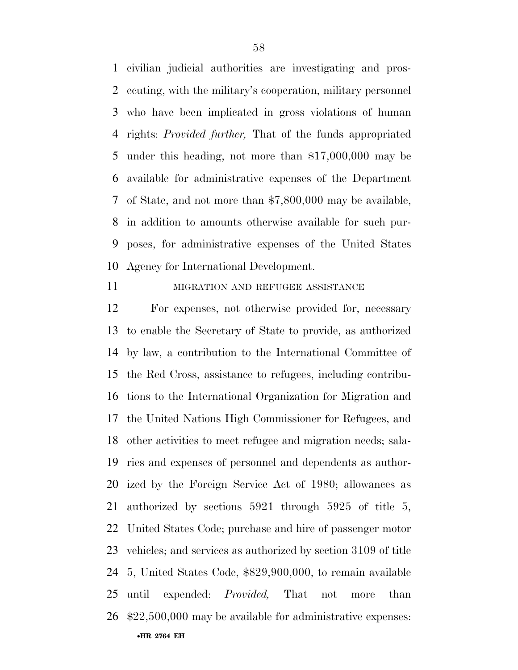civilian judicial authorities are investigating and pros- ecuting, with the military's cooperation, military personnel who have been implicated in gross violations of human rights: *Provided further,* That of the funds appropriated under this heading, not more than \$17,000,000 may be available for administrative expenses of the Department of State, and not more than \$7,800,000 may be available, in addition to amounts otherwise available for such pur- poses, for administrative expenses of the United States Agency for International Development.

## **MIGRATION AND REFUGEE ASSISTANCE**

•**HR 2764 EH**  For expenses, not otherwise provided for, necessary to enable the Secretary of State to provide, as authorized by law, a contribution to the International Committee of the Red Cross, assistance to refugees, including contribu- tions to the International Organization for Migration and the United Nations High Commissioner for Refugees, and other activities to meet refugee and migration needs; sala- ries and expenses of personnel and dependents as author- ized by the Foreign Service Act of 1980; allowances as authorized by sections 5921 through 5925 of title 5, United States Code; purchase and hire of passenger motor vehicles; and services as authorized by section 3109 of title 5, United States Code, \$829,900,000, to remain available until expended: *Provided,* That not more than \$22,500,000 may be available for administrative expenses: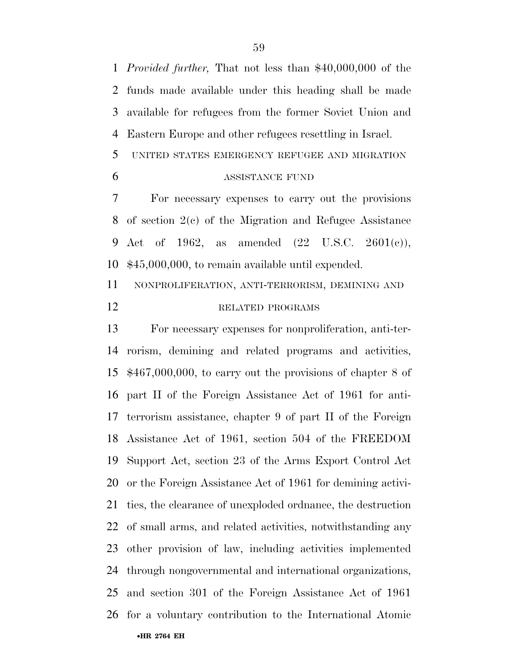*Provided further,* That not less than \$40,000,000 of the funds made available under this heading shall be made available for refugees from the former Soviet Union and Eastern Europe and other refugees resettling in Israel.

- UNITED STATES EMERGENCY REFUGEE AND MIGRATION
- 

## 6 ASSISTANCE FUND

 For necessary expenses to carry out the provisions of section 2(c) of the Migration and Refugee Assistance Act of 1962, as amended (22 U.S.C. 2601(c)), \$45,000,000, to remain available until expended.

 NONPROLIFERATION, ANTI-TERRORISM, DEMINING AND 12 RELATED PROGRAMS

•**HR 2764 EH**  For necessary expenses for nonproliferation, anti-ter- rorism, demining and related programs and activities, \$467,000,000, to carry out the provisions of chapter 8 of part II of the Foreign Assistance Act of 1961 for anti- terrorism assistance, chapter 9 of part II of the Foreign Assistance Act of 1961, section 504 of the FREEDOM Support Act, section 23 of the Arms Export Control Act or the Foreign Assistance Act of 1961 for demining activi- ties, the clearance of unexploded ordnance, the destruction of small arms, and related activities, notwithstanding any other provision of law, including activities implemented through nongovernmental and international organizations, and section 301 of the Foreign Assistance Act of 1961 for a voluntary contribution to the International Atomic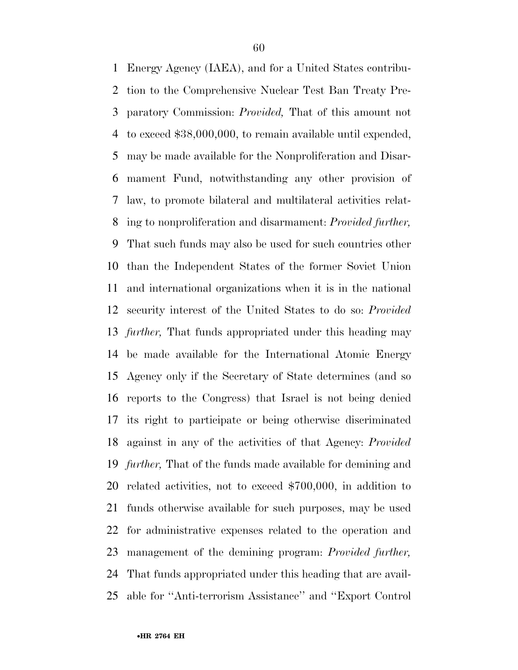Energy Agency (IAEA), and for a United States contribu- tion to the Comprehensive Nuclear Test Ban Treaty Pre- paratory Commission: *Provided,* That of this amount not to exceed \$38,000,000, to remain available until expended, may be made available for the Nonproliferation and Disar- mament Fund, notwithstanding any other provision of law, to promote bilateral and multilateral activities relat- ing to nonproliferation and disarmament: *Provided further,*  That such funds may also be used for such countries other than the Independent States of the former Soviet Union and international organizations when it is in the national security interest of the United States to do so: *Provided further,* That funds appropriated under this heading may be made available for the International Atomic Energy Agency only if the Secretary of State determines (and so reports to the Congress) that Israel is not being denied its right to participate or being otherwise discriminated against in any of the activities of that Agency: *Provided further,* That of the funds made available for demining and related activities, not to exceed \$700,000, in addition to funds otherwise available for such purposes, may be used for administrative expenses related to the operation and management of the demining program: *Provided further,*  That funds appropriated under this heading that are avail-able for ''Anti-terrorism Assistance'' and ''Export Control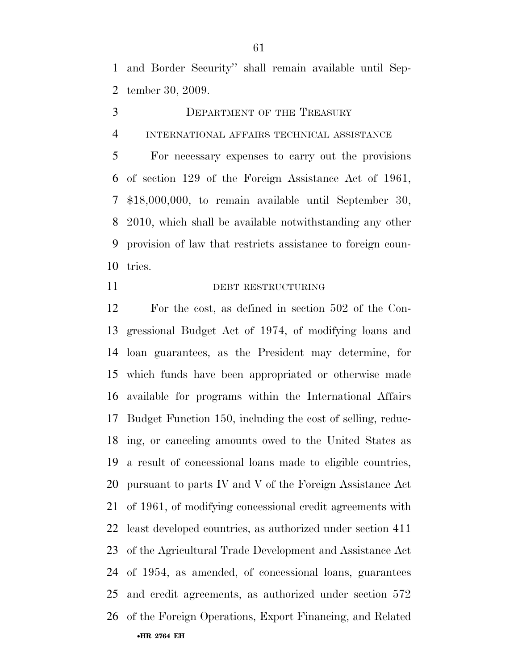and Border Security'' shall remain available until Sep-tember 30, 2009.

- 3 DEPARTMENT OF THE TREASURY
- INTERNATIONAL AFFAIRS TECHNICAL ASSISTANCE

 For necessary expenses to carry out the provisions of section 129 of the Foreign Assistance Act of 1961, \$18,000,000, to remain available until September 30, 2010, which shall be available notwithstanding any other provision of law that restricts assistance to foreign coun-tries.

## DEBT RESTRUCTURING

•**HR 2764 EH**  For the cost, as defined in section 502 of the Con- gressional Budget Act of 1974, of modifying loans and loan guarantees, as the President may determine, for which funds have been appropriated or otherwise made available for programs within the International Affairs Budget Function 150, including the cost of selling, reduc- ing, or canceling amounts owed to the United States as a result of concessional loans made to eligible countries, pursuant to parts IV and V of the Foreign Assistance Act of 1961, of modifying concessional credit agreements with least developed countries, as authorized under section 411 of the Agricultural Trade Development and Assistance Act of 1954, as amended, of concessional loans, guarantees and credit agreements, as authorized under section 572 of the Foreign Operations, Export Financing, and Related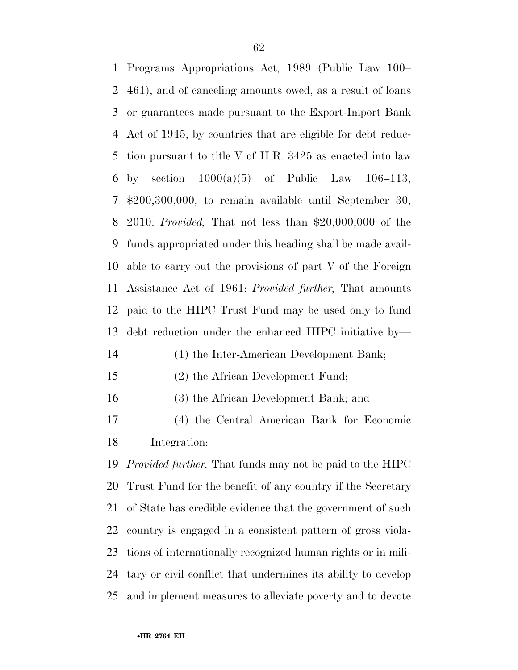Programs Appropriations Act, 1989 (Public Law 100– 461), and of canceling amounts owed, as a result of loans or guarantees made pursuant to the Export-Import Bank Act of 1945, by countries that are eligible for debt reduc- tion pursuant to title V of H.R. 3425 as enacted into law 6 by section  $1000(a)(5)$  of Public Law  $106-113$ , \$200,300,000, to remain available until September 30, 2010: *Provided,* That not less than \$20,000,000 of the funds appropriated under this heading shall be made avail- able to carry out the provisions of part V of the Foreign Assistance Act of 1961: *Provided further,* That amounts paid to the HIPC Trust Fund may be used only to fund debt reduction under the enhanced HIPC initiative by— (1) the Inter-American Development Bank;

- 
- (2) the African Development Fund;
- (3) the African Development Bank; and
- (4) the Central American Bank for Economic Integration:

 *Provided further,* That funds may not be paid to the HIPC Trust Fund for the benefit of any country if the Secretary of State has credible evidence that the government of such country is engaged in a consistent pattern of gross viola- tions of internationally recognized human rights or in mili- tary or civil conflict that undermines its ability to develop and implement measures to alleviate poverty and to devote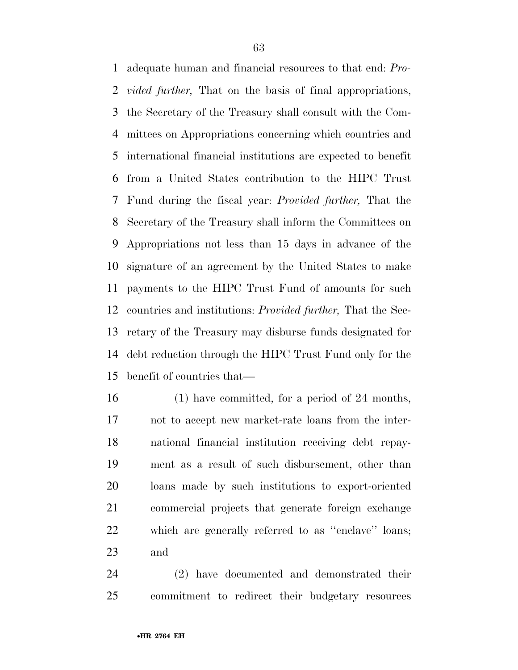adequate human and financial resources to that end: *Pro- vided further,* That on the basis of final appropriations, the Secretary of the Treasury shall consult with the Com- mittees on Appropriations concerning which countries and international financial institutions are expected to benefit from a United States contribution to the HIPC Trust Fund during the fiscal year: *Provided further,* That the Secretary of the Treasury shall inform the Committees on Appropriations not less than 15 days in advance of the signature of an agreement by the United States to make payments to the HIPC Trust Fund of amounts for such countries and institutions: *Provided further,* That the Sec- retary of the Treasury may disburse funds designated for debt reduction through the HIPC Trust Fund only for the benefit of countries that—

 (1) have committed, for a period of 24 months, not to accept new market-rate loans from the inter- national financial institution receiving debt repay- ment as a result of such disbursement, other than loans made by such institutions to export-oriented commercial projects that generate foreign exchange which are generally referred to as ''enclave'' loans; and

 (2) have documented and demonstrated their commitment to redirect their budgetary resources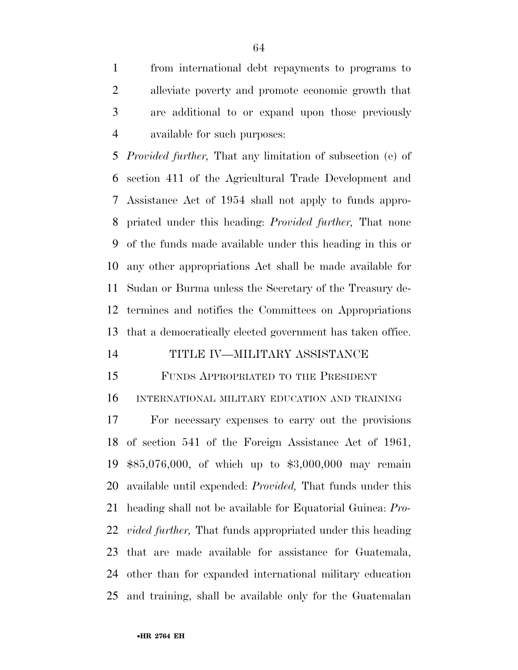from international debt repayments to programs to alleviate poverty and promote economic growth that are additional to or expand upon those previously available for such purposes:

 *Provided further,* That any limitation of subsection (e) of section 411 of the Agricultural Trade Development and Assistance Act of 1954 shall not apply to funds appro- priated under this heading: *Provided further,* That none of the funds made available under this heading in this or any other appropriations Act shall be made available for Sudan or Burma unless the Secretary of the Treasury de- termines and notifies the Committees on Appropriations that a democratically elected government has taken office.

#### TITLE IV—MILITARY ASSISTANCE

FUNDS APPROPRIATED TO THE PRESIDENT

INTERNATIONAL MILITARY EDUCATION AND TRAINING

 For necessary expenses to carry out the provisions of section 541 of the Foreign Assistance Act of 1961, \$85,076,000, of which up to \$3,000,000 may remain available until expended: *Provided,* That funds under this heading shall not be available for Equatorial Guinea: *Pro- vided further,* That funds appropriated under this heading that are made available for assistance for Guatemala, other than for expanded international military education and training, shall be available only for the Guatemalan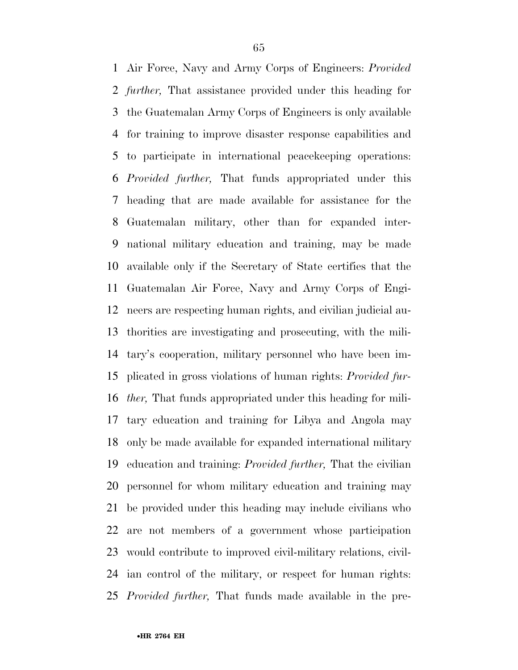Air Force, Navy and Army Corps of Engineers: *Provided further,* That assistance provided under this heading for the Guatemalan Army Corps of Engineers is only available for training to improve disaster response capabilities and to participate in international peacekeeping operations: *Provided further,* That funds appropriated under this heading that are made available for assistance for the Guatemalan military, other than for expanded inter- national military education and training, may be made available only if the Secretary of State certifies that the Guatemalan Air Force, Navy and Army Corps of Engi- neers are respecting human rights, and civilian judicial au- thorities are investigating and prosecuting, with the mili- tary's cooperation, military personnel who have been im- plicated in gross violations of human rights: *Provided fur- ther,* That funds appropriated under this heading for mili- tary education and training for Libya and Angola may only be made available for expanded international military education and training: *Provided further,* That the civilian personnel for whom military education and training may be provided under this heading may include civilians who are not members of a government whose participation would contribute to improved civil-military relations, civil- ian control of the military, or respect for human rights: *Provided further,* That funds made available in the pre-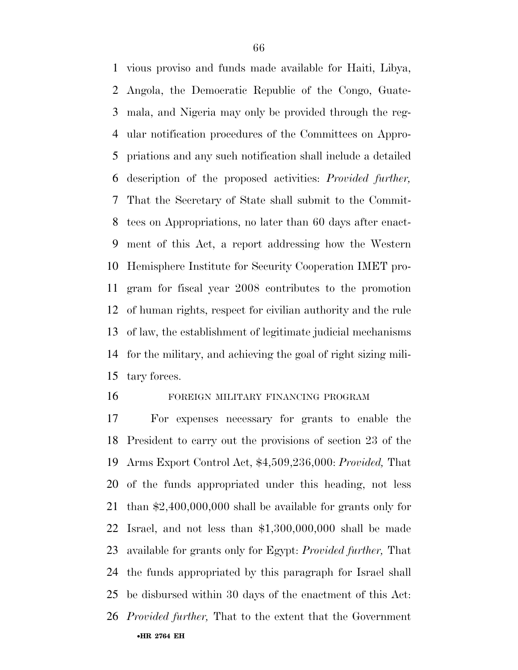vious proviso and funds made available for Haiti, Libya, Angola, the Democratic Republic of the Congo, Guate- mala, and Nigeria may only be provided through the reg- ular notification procedures of the Committees on Appro- priations and any such notification shall include a detailed description of the proposed activities: *Provided further,*  That the Secretary of State shall submit to the Commit- tees on Appropriations, no later than 60 days after enact- ment of this Act, a report addressing how the Western Hemisphere Institute for Security Cooperation IMET pro- gram for fiscal year 2008 contributes to the promotion of human rights, respect for civilian authority and the rule of law, the establishment of legitimate judicial mechanisms for the military, and achieving the goal of right sizing mili-tary forces.

## FOREIGN MILITARY FINANCING PROGRAM

•**HR 2764 EH**  For expenses necessary for grants to enable the President to carry out the provisions of section 23 of the Arms Export Control Act, \$4,509,236,000: *Provided,* That of the funds appropriated under this heading, not less than \$2,400,000,000 shall be available for grants only for Israel, and not less than \$1,300,000,000 shall be made available for grants only for Egypt: *Provided further,* That the funds appropriated by this paragraph for Israel shall be disbursed within 30 days of the enactment of this Act: *Provided further,* That to the extent that the Government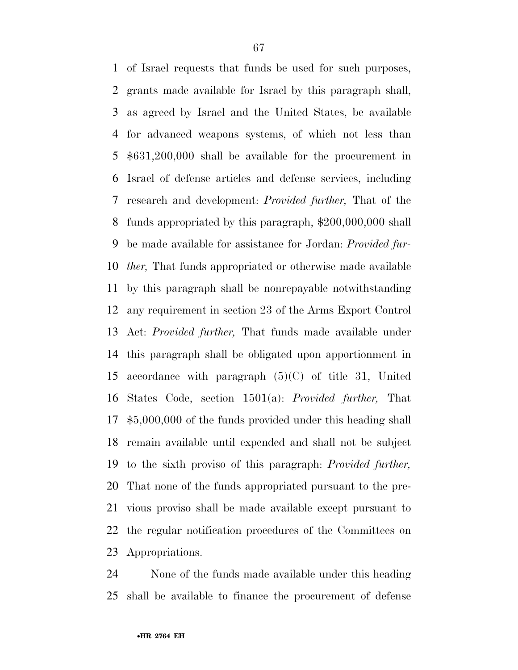of Israel requests that funds be used for such purposes, grants made available for Israel by this paragraph shall, as agreed by Israel and the United States, be available for advanced weapons systems, of which not less than \$631,200,000 shall be available for the procurement in Israel of defense articles and defense services, including research and development: *Provided further,* That of the funds appropriated by this paragraph, \$200,000,000 shall be made available for assistance for Jordan: *Provided fur- ther,* That funds appropriated or otherwise made available by this paragraph shall be nonrepayable notwithstanding any requirement in section 23 of the Arms Export Control Act: *Provided further,* That funds made available under this paragraph shall be obligated upon apportionment in accordance with paragraph (5)(C) of title 31, United States Code, section 1501(a): *Provided further,* That \$5,000,000 of the funds provided under this heading shall remain available until expended and shall not be subject to the sixth proviso of this paragraph: *Provided further,*  That none of the funds appropriated pursuant to the pre- vious proviso shall be made available except pursuant to the regular notification procedures of the Committees on Appropriations.

 None of the funds made available under this heading shall be available to finance the procurement of defense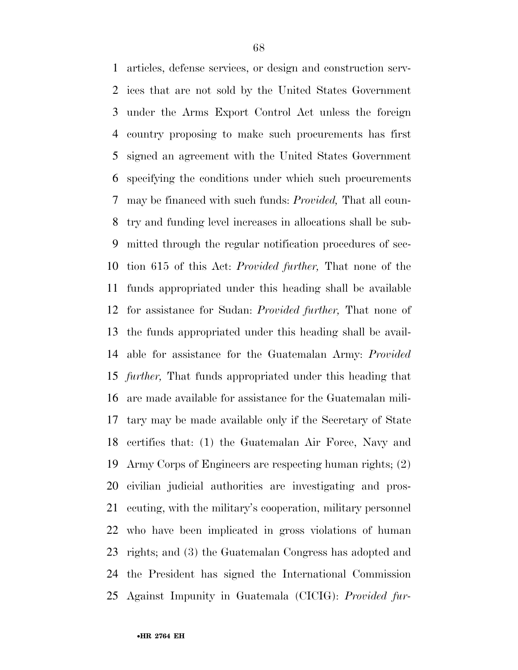articles, defense services, or design and construction serv- ices that are not sold by the United States Government under the Arms Export Control Act unless the foreign country proposing to make such procurements has first signed an agreement with the United States Government specifying the conditions under which such procurements may be financed with such funds: *Provided,* That all coun- try and funding level increases in allocations shall be sub- mitted through the regular notification procedures of sec- tion 615 of this Act: *Provided further,* That none of the funds appropriated under this heading shall be available for assistance for Sudan: *Provided further,* That none of the funds appropriated under this heading shall be avail- able for assistance for the Guatemalan Army: *Provided further,* That funds appropriated under this heading that are made available for assistance for the Guatemalan mili- tary may be made available only if the Secretary of State certifies that: (1) the Guatemalan Air Force, Navy and Army Corps of Engineers are respecting human rights; (2) civilian judicial authorities are investigating and pros- ecuting, with the military's cooperation, military personnel who have been implicated in gross violations of human rights; and (3) the Guatemalan Congress has adopted and the President has signed the International Commission Against Impunity in Guatemala (CICIG): *Provided fur-*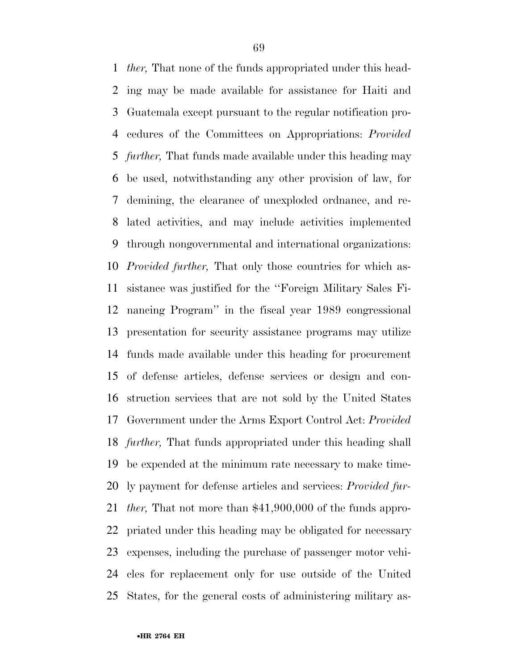*ther,* That none of the funds appropriated under this head- ing may be made available for assistance for Haiti and Guatemala except pursuant to the regular notification pro- cedures of the Committees on Appropriations: *Provided further,* That funds made available under this heading may be used, notwithstanding any other provision of law, for demining, the clearance of unexploded ordnance, and re- lated activities, and may include activities implemented through nongovernmental and international organizations: *Provided further,* That only those countries for which as- sistance was justified for the ''Foreign Military Sales Fi- nancing Program'' in the fiscal year 1989 congressional presentation for security assistance programs may utilize funds made available under this heading for procurement of defense articles, defense services or design and con- struction services that are not sold by the United States Government under the Arms Export Control Act: *Provided further,* That funds appropriated under this heading shall be expended at the minimum rate necessary to make time- ly payment for defense articles and services: *Provided fur- ther,* That not more than \$41,900,000 of the funds appro- priated under this heading may be obligated for necessary expenses, including the purchase of passenger motor vehi- cles for replacement only for use outside of the United States, for the general costs of administering military as-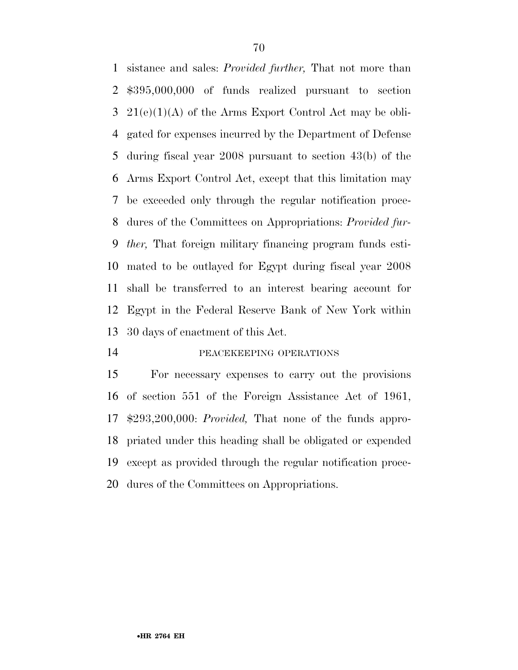sistance and sales: *Provided further,* That not more than \$395,000,000 of funds realized pursuant to section  $3\,21(e)(1)(A)$  of the Arms Export Control Act may be obli- gated for expenses incurred by the Department of Defense during fiscal year 2008 pursuant to section 43(b) of the Arms Export Control Act, except that this limitation may be exceeded only through the regular notification proce- dures of the Committees on Appropriations: *Provided fur- ther,* That foreign military financing program funds esti- mated to be outlayed for Egypt during fiscal year 2008 shall be transferred to an interest bearing account for Egypt in the Federal Reserve Bank of New York within 30 days of enactment of this Act.

#### PEACEKEEPING OPERATIONS

 For necessary expenses to carry out the provisions of section 551 of the Foreign Assistance Act of 1961, \$293,200,000: *Provided,* That none of the funds appro- priated under this heading shall be obligated or expended except as provided through the regular notification proce-dures of the Committees on Appropriations.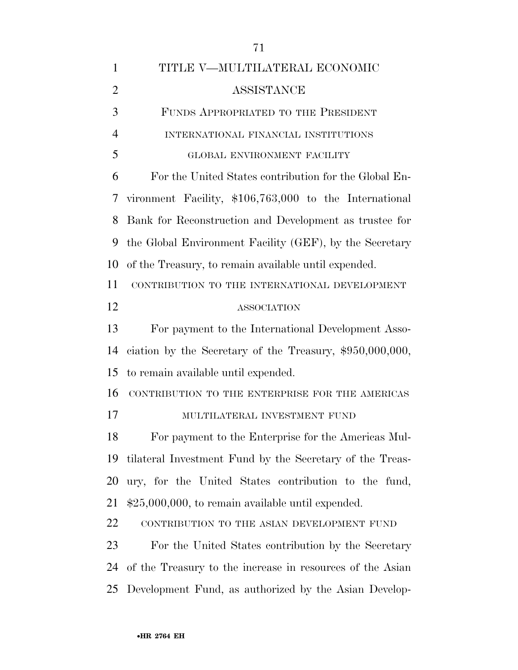| 1              | TITLE V—MULTILATERAL ECONOMIC                              |
|----------------|------------------------------------------------------------|
| $\overline{2}$ | ASSISTANCE                                                 |
| 3              | FUNDS APPROPRIATED TO THE PRESIDENT                        |
| $\overline{4}$ | INTERNATIONAL FINANCIAL INSTITUTIONS                       |
| 5              | GLOBAL ENVIRONMENT FACILITY                                |
| 6              | For the United States contribution for the Global En-      |
| 7              | vironment Facility, \$106,763,000 to the International     |
| 8              | Bank for Reconstruction and Development as trustee for     |
| 9              | the Global Environment Facility (GEF), by the Secretary    |
| 10             | of the Treasury, to remain available until expended.       |
| 11             | CONTRIBUTION TO THE INTERNATIONAL DEVELOPMENT              |
| 12             | <b>ASSOCIATION</b>                                         |
| 13             | For payment to the International Development Asso-         |
| 14             | ciation by the Secretary of the Treasury, $$950,000,000$ , |
| 15             | to remain available until expended.                        |
| 16             | CONTRIBUTION TO THE ENTERPRISE FOR THE AMERICAS            |
| 17             | MULTILATERAL INVESTMENT FUND                               |
| 18             | For payment to the Enterprise for the Americas Mul-        |
| 19             | tilateral Investment Fund by the Secretary of the Treas-   |
| 20             | ury, for the United States contribution to the fund,       |
| 21             | $$25,000,000$ , to remain available until expended.        |
| 22             | CONTRIBUTION TO THE ASIAN DEVELOPMENT FUND                 |
| 23             | For the United States contribution by the Secretary        |
| 24             | of the Treasury to the increase in resources of the Asian  |
| 25             | Development Fund, as authorized by the Asian Develop-      |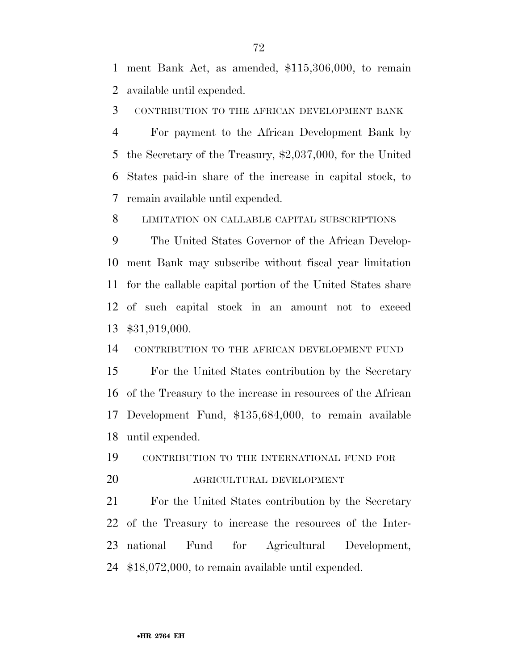ment Bank Act, as amended, \$115,306,000, to remain available until expended.

CONTRIBUTION TO THE AFRICAN DEVELOPMENT BANK

 For payment to the African Development Bank by the Secretary of the Treasury, \$2,037,000, for the United States paid-in share of the increase in capital stock, to remain available until expended.

LIMITATION ON CALLABLE CAPITAL SUBSCRIPTIONS

 The United States Governor of the African Develop- ment Bank may subscribe without fiscal year limitation for the callable capital portion of the United States share of such capital stock in an amount not to exceed \$31,919,000.

CONTRIBUTION TO THE AFRICAN DEVELOPMENT FUND

 For the United States contribution by the Secretary of the Treasury to the increase in resources of the African Development Fund, \$135,684,000, to remain available until expended.

 CONTRIBUTION TO THE INTERNATIONAL FUND FOR AGRICULTURAL DEVELOPMENT

 For the United States contribution by the Secretary of the Treasury to increase the resources of the Inter- national Fund for Agricultural Development, \$18,072,000, to remain available until expended.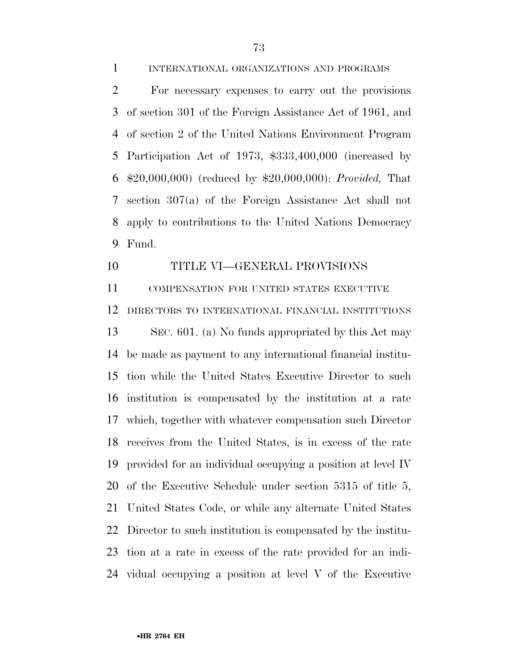INTERNATIONAL ORGANIZATIONS AND PROGRAMS

 For necessary expenses to carry out the provisions of section 301 of the Foreign Assistance Act of 1961, and of section 2 of the United Nations Environment Program Participation Act of 1973, \$333,400,000 (increased by \$20,000,000) (reduced by \$20,000,000): *Provided,* That section 307(a) of the Foreign Assistance Act shall not apply to contributions to the United Nations Democracy Fund.

#### TITLE VI—GENERAL PROVISIONS

 COMPENSATION FOR UNITED STATES EXECUTIVE DIRECTORS TO INTERNATIONAL FINANCIAL INSTITUTIONS SEC. 601. (a) No funds appropriated by this Act may

 be made as payment to any international financial institu- tion while the United States Executive Director to such institution is compensated by the institution at a rate which, together with whatever compensation such Director receives from the United States, is in excess of the rate provided for an individual occupying a position at level IV of the Executive Schedule under section 5315 of title 5, United States Code, or while any alternate United States Director to such institution is compensated by the institu- tion at a rate in excess of the rate provided for an indi-vidual occupying a position at level V of the Executive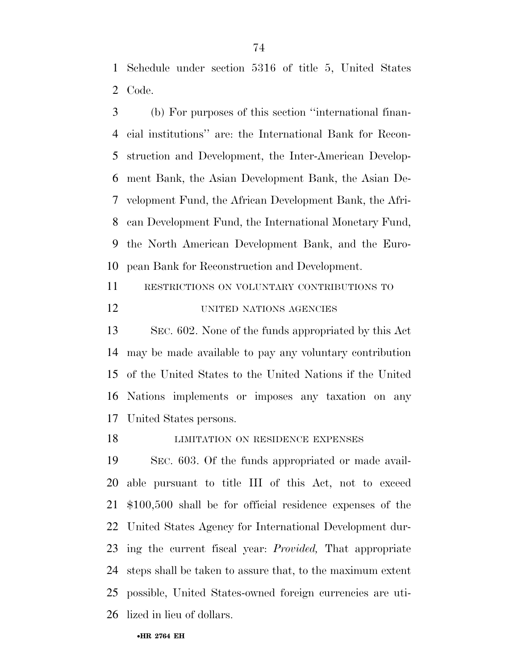Schedule under section 5316 of title 5, United States Code.

 (b) For purposes of this section ''international finan- cial institutions'' are: the International Bank for Recon- struction and Development, the Inter-American Develop- ment Bank, the Asian Development Bank, the Asian De- velopment Fund, the African Development Bank, the Afri- can Development Fund, the International Monetary Fund, the North American Development Bank, and the Euro-pean Bank for Reconstruction and Development.

RESTRICTIONS ON VOLUNTARY CONTRIBUTIONS TO

UNITED NATIONS AGENCIES

 SEC. 602. None of the funds appropriated by this Act may be made available to pay any voluntary contribution of the United States to the United Nations if the United Nations implements or imposes any taxation on any United States persons.

**LIMITATION ON RESIDENCE EXPENSES** 

 SEC. 603. Of the funds appropriated or made avail- able pursuant to title III of this Act, not to exceed \$100,500 shall be for official residence expenses of the United States Agency for International Development dur- ing the current fiscal year: *Provided,* That appropriate steps shall be taken to assure that, to the maximum extent possible, United States-owned foreign currencies are uti-lized in lieu of dollars.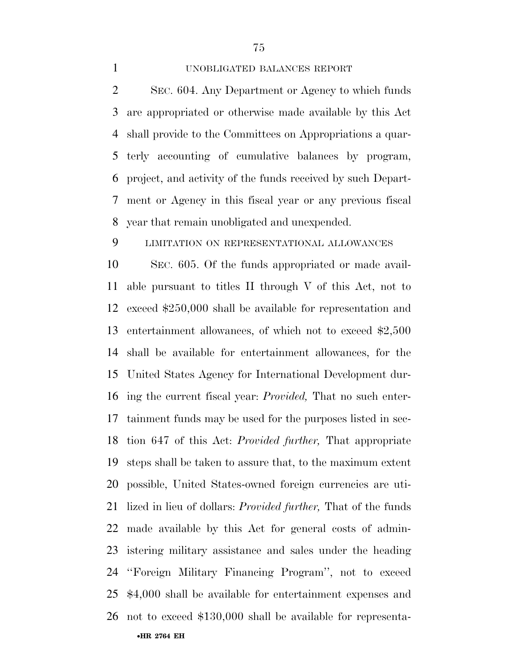# UNOBLIGATED BALANCES REPORT

 SEC. 604. Any Department or Agency to which funds are appropriated or otherwise made available by this Act shall provide to the Committees on Appropriations a quar- terly accounting of cumulative balances by program, project, and activity of the funds received by such Depart- ment or Agency in this fiscal year or any previous fiscal year that remain unobligated and unexpended.

# LIMITATION ON REPRESENTATIONAL ALLOWANCES

 SEC. 605. Of the funds appropriated or made avail- able pursuant to titles II through V of this Act, not to exceed \$250,000 shall be available for representation and entertainment allowances, of which not to exceed \$2,500 shall be available for entertainment allowances, for the United States Agency for International Development dur- ing the current fiscal year: *Provided,* That no such enter- tainment funds may be used for the purposes listed in sec- tion 647 of this Act: *Provided further,* That appropriate steps shall be taken to assure that, to the maximum extent possible, United States-owned foreign currencies are uti- lized in lieu of dollars: *Provided further,* That of the funds made available by this Act for general costs of admin- istering military assistance and sales under the heading ''Foreign Military Financing Program'', not to exceed \$4,000 shall be available for entertainment expenses and not to exceed \$130,000 shall be available for representa-

•**HR 2764 EH**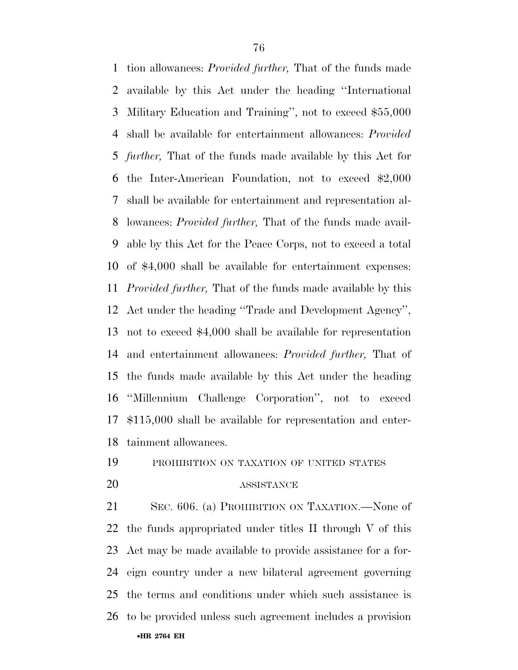tion allowances: *Provided further,* That of the funds made available by this Act under the heading ''International Military Education and Training'', not to exceed \$55,000 shall be available for entertainment allowances: *Provided further,* That of the funds made available by this Act for the Inter-American Foundation, not to exceed \$2,000 shall be available for entertainment and representation al- lowances: *Provided further,* That of the funds made avail- able by this Act for the Peace Corps, not to exceed a total of \$4,000 shall be available for entertainment expenses: *Provided further,* That of the funds made available by this Act under the heading ''Trade and Development Agency'', not to exceed \$4,000 shall be available for representation and entertainment allowances: *Provided further,* That of the funds made available by this Act under the heading ''Millennium Challenge Corporation'', not to exceed \$115,000 shall be available for representation and enter-tainment allowances.

# PROHIBITION ON TAXATION OF UNITED STATES

### ASSISTANCE

•**HR 2764 EH**  SEC. 606. (a) PROHIBITION ON TAXATION.—None of the funds appropriated under titles II through V of this Act may be made available to provide assistance for a for- eign country under a new bilateral agreement governing the terms and conditions under which such assistance is to be provided unless such agreement includes a provision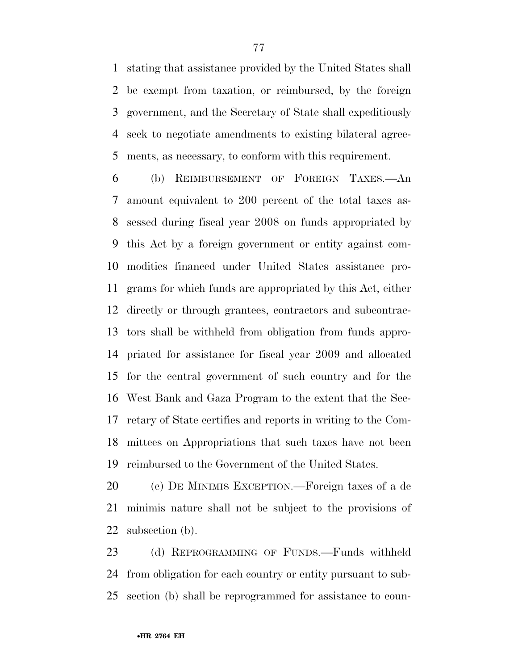stating that assistance provided by the United States shall be exempt from taxation, or reimbursed, by the foreign government, and the Secretary of State shall expeditiously seek to negotiate amendments to existing bilateral agree-ments, as necessary, to conform with this requirement.

 (b) REIMBURSEMENT OF FOREIGN TAXES.—An amount equivalent to 200 percent of the total taxes as- sessed during fiscal year 2008 on funds appropriated by this Act by a foreign government or entity against com- modities financed under United States assistance pro- grams for which funds are appropriated by this Act, either directly or through grantees, contractors and subcontrac- tors shall be withheld from obligation from funds appro- priated for assistance for fiscal year 2009 and allocated for the central government of such country and for the West Bank and Gaza Program to the extent that the Sec- retary of State certifies and reports in writing to the Com- mittees on Appropriations that such taxes have not been reimbursed to the Government of the United States.

 (c) DE MINIMIS EXCEPTION.—Foreign taxes of a de minimis nature shall not be subject to the provisions of subsection (b).

 (d) REPROGRAMMING OF FUNDS.—Funds withheld from obligation for each country or entity pursuant to sub-section (b) shall be reprogrammed for assistance to coun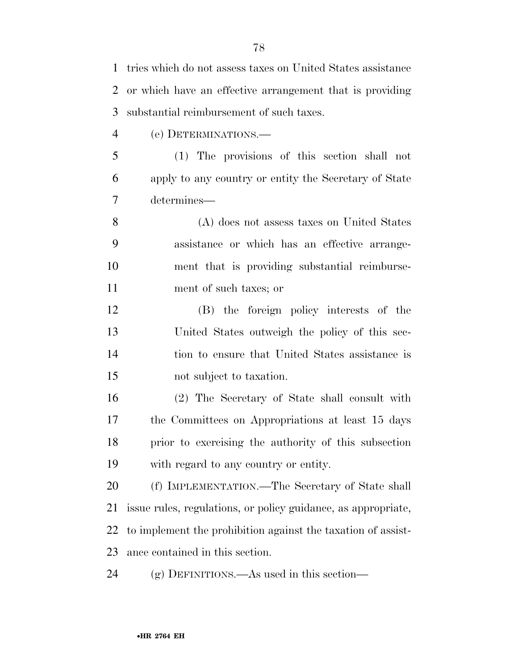tries which do not assess taxes on United States assistance or which have an effective arrangement that is providing substantial reimbursement of such taxes.

(e) DETERMINATIONS.—

 (1) The provisions of this section shall not apply to any country or entity the Secretary of State determines—

 (A) does not assess taxes on United States assistance or which has an effective arrange- ment that is providing substantial reimburse-ment of such taxes; or

 (B) the foreign policy interests of the United States outweigh the policy of this sec- tion to ensure that United States assistance is not subject to taxation.

 (2) The Secretary of State shall consult with the Committees on Appropriations at least 15 days prior to exercising the authority of this subsection with regard to any country or entity.

 (f) IMPLEMENTATION.—The Secretary of State shall issue rules, regulations, or policy guidance, as appropriate, to implement the prohibition against the taxation of assist-ance contained in this section.

(g) DEFINITIONS.—As used in this section—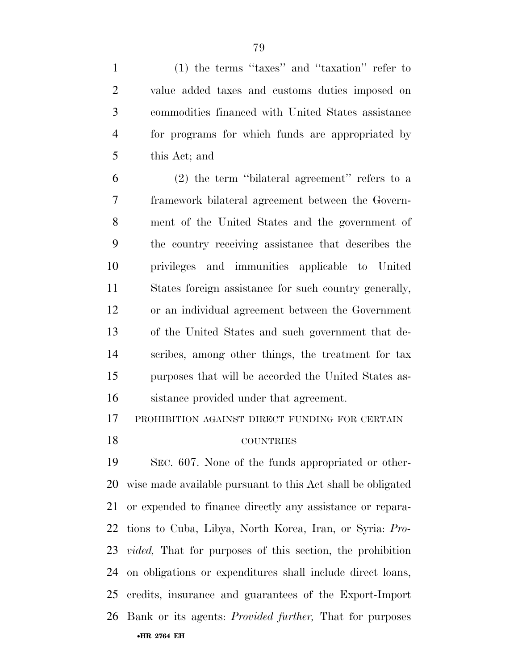(1) the terms ''taxes'' and ''taxation'' refer to value added taxes and customs duties imposed on commodities financed with United States assistance for programs for which funds are appropriated by this Act; and

 (2) the term ''bilateral agreement'' refers to a framework bilateral agreement between the Govern- ment of the United States and the government of the country receiving assistance that describes the privileges and immunities applicable to United States foreign assistance for such country generally, or an individual agreement between the Government of the United States and such government that de- scribes, among other things, the treatment for tax purposes that will be accorded the United States as-sistance provided under that agreement.

PROHIBITION AGAINST DIRECT FUNDING FOR CERTAIN

#### COUNTRIES

•**HR 2764 EH**  SEC. 607. None of the funds appropriated or other- wise made available pursuant to this Act shall be obligated or expended to finance directly any assistance or repara- tions to Cuba, Libya, North Korea, Iran, or Syria: *Pro- vided,* That for purposes of this section, the prohibition on obligations or expenditures shall include direct loans, credits, insurance and guarantees of the Export-Import Bank or its agents: *Provided further,* That for purposes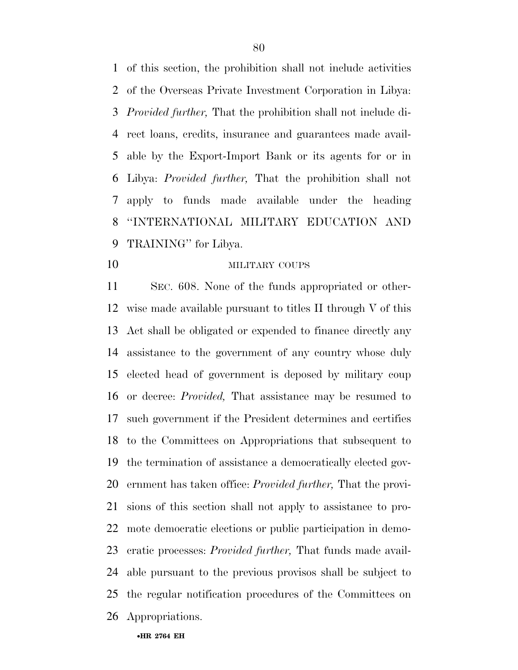of this section, the prohibition shall not include activities of the Overseas Private Investment Corporation in Libya: *Provided further,* That the prohibition shall not include di- rect loans, credits, insurance and guarantees made avail- able by the Export-Import Bank or its agents for or in Libya: *Provided further,* That the prohibition shall not apply to funds made available under the heading ''INTERNATIONAL MILITARY EDUCATION AND TRAINING'' for Libya.

# **MILITARY COUPS**

 SEC. 608. None of the funds appropriated or other- wise made available pursuant to titles II through V of this Act shall be obligated or expended to finance directly any assistance to the government of any country whose duly elected head of government is deposed by military coup or decree: *Provided,* That assistance may be resumed to such government if the President determines and certifies to the Committees on Appropriations that subsequent to the termination of assistance a democratically elected gov- ernment has taken office: *Provided further,* That the provi- sions of this section shall not apply to assistance to pro- mote democratic elections or public participation in demo- cratic processes: *Provided further,* That funds made avail- able pursuant to the previous provisos shall be subject to the regular notification procedures of the Committees on Appropriations.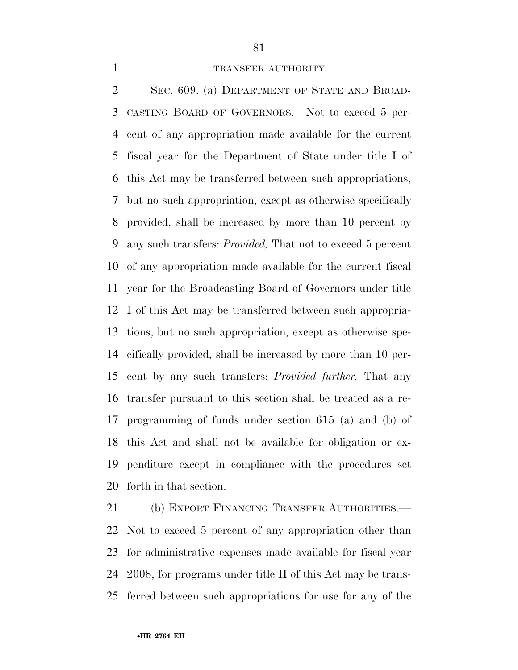#### 1 TRANSFER AUTHORITY

 SEC. 609. (a) DEPARTMENT OF STATE AND BROAD- CASTING BOARD OF GOVERNORS.—Not to exceed 5 per- cent of any appropriation made available for the current fiscal year for the Department of State under title I of this Act may be transferred between such appropriations, but no such appropriation, except as otherwise specifically provided, shall be increased by more than 10 percent by any such transfers: *Provided,* That not to exceed 5 percent of any appropriation made available for the current fiscal year for the Broadcasting Board of Governors under title I of this Act may be transferred between such appropria- tions, but no such appropriation, except as otherwise spe- cifically provided, shall be increased by more than 10 per- cent by any such transfers: *Provided further,* That any transfer pursuant to this section shall be treated as a re- programming of funds under section 615 (a) and (b) of this Act and shall not be available for obligation or ex- penditure except in compliance with the procedures set forth in that section.

 (b) EXPORT FINANCING TRANSFER AUTHORITIES.— Not to exceed 5 percent of any appropriation other than for administrative expenses made available for fiscal year 2008, for programs under title II of this Act may be trans-ferred between such appropriations for use for any of the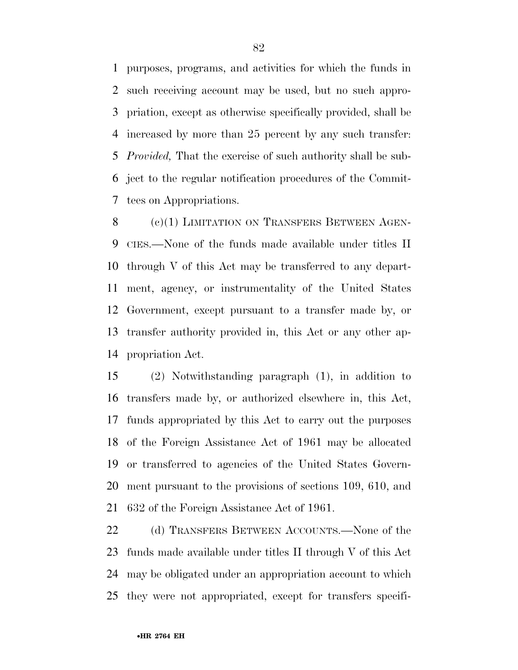purposes, programs, and activities for which the funds in such receiving account may be used, but no such appro- priation, except as otherwise specifically provided, shall be increased by more than 25 percent by any such transfer: *Provided,* That the exercise of such authority shall be sub- ject to the regular notification procedures of the Commit-tees on Appropriations.

8 (c)(1) LIMITATION ON TRANSFERS BETWEEN AGEN- CIES.—None of the funds made available under titles II through V of this Act may be transferred to any depart- ment, agency, or instrumentality of the United States Government, except pursuant to a transfer made by, or transfer authority provided in, this Act or any other ap-propriation Act.

 (2) Notwithstanding paragraph (1), in addition to transfers made by, or authorized elsewhere in, this Act, funds appropriated by this Act to carry out the purposes of the Foreign Assistance Act of 1961 may be allocated or transferred to agencies of the United States Govern- ment pursuant to the provisions of sections 109, 610, and 632 of the Foreign Assistance Act of 1961.

22 (d) TRANSFERS BETWEEN ACCOUNTS.—None of the funds made available under titles II through V of this Act may be obligated under an appropriation account to which they were not appropriated, except for transfers specifi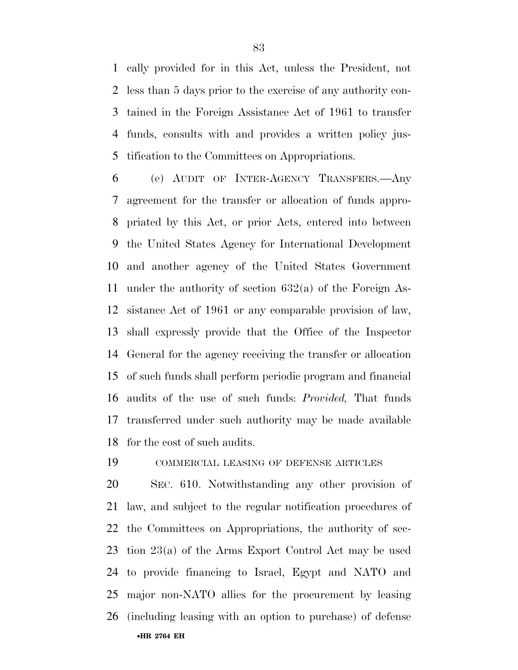cally provided for in this Act, unless the President, not less than 5 days prior to the exercise of any authority con- tained in the Foreign Assistance Act of 1961 to transfer funds, consults with and provides a written policy jus-tification to the Committees on Appropriations.

 (e) AUDIT OF INTER-AGENCY TRANSFERS.—Any agreement for the transfer or allocation of funds appro- priated by this Act, or prior Acts, entered into between the United States Agency for International Development and another agency of the United States Government under the authority of section 632(a) of the Foreign As- sistance Act of 1961 or any comparable provision of law, shall expressly provide that the Office of the Inspector General for the agency receiving the transfer or allocation of such funds shall perform periodic program and financial audits of the use of such funds: *Provided,* That funds transferred under such authority may be made available for the cost of such audits.

COMMERCIAL LEASING OF DEFENSE ARTICLES

•**HR 2764 EH**  SEC. 610. Notwithstanding any other provision of law, and subject to the regular notification procedures of the Committees on Appropriations, the authority of sec- tion 23(a) of the Arms Export Control Act may be used to provide financing to Israel, Egypt and NATO and major non-NATO allies for the procurement by leasing (including leasing with an option to purchase) of defense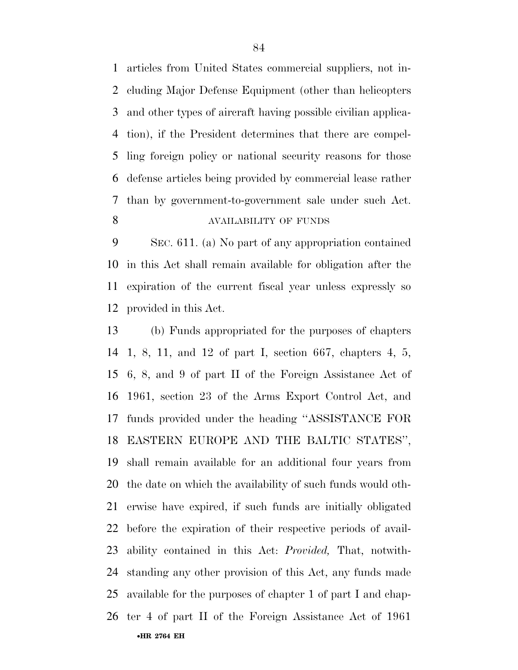articles from United States commercial suppliers, not in- cluding Major Defense Equipment (other than helicopters and other types of aircraft having possible civilian applica- tion), if the President determines that there are compel- ling foreign policy or national security reasons for those defense articles being provided by commercial lease rather than by government-to-government sale under such Act. AVAILABILITY OF FUNDS

 SEC. 611. (a) No part of any appropriation contained in this Act shall remain available for obligation after the expiration of the current fiscal year unless expressly so provided in this Act.

•**HR 2764 EH**  (b) Funds appropriated for the purposes of chapters 1, 8, 11, and 12 of part I, section 667, chapters 4, 5, 6, 8, and 9 of part II of the Foreign Assistance Act of 1961, section 23 of the Arms Export Control Act, and funds provided under the heading ''ASSISTANCE FOR EASTERN EUROPE AND THE BALTIC STATES'', shall remain available for an additional four years from the date on which the availability of such funds would oth- erwise have expired, if such funds are initially obligated before the expiration of their respective periods of avail- ability contained in this Act: *Provided,* That, notwith- standing any other provision of this Act, any funds made available for the purposes of chapter 1 of part I and chap-ter 4 of part II of the Foreign Assistance Act of 1961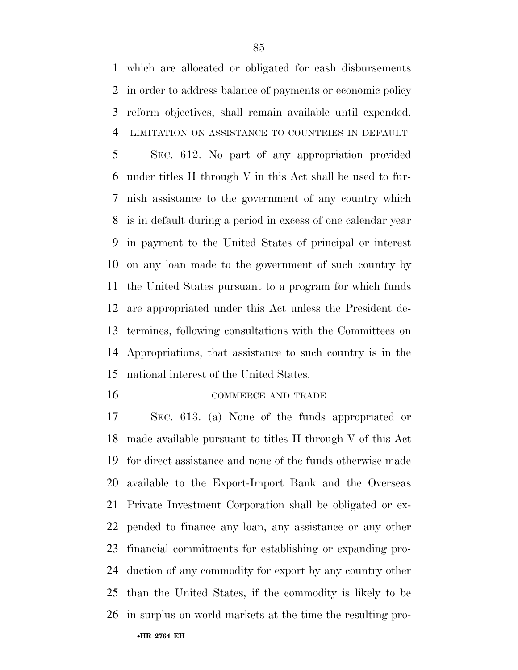which are allocated or obligated for cash disbursements in order to address balance of payments or economic policy reform objectives, shall remain available until expended. LIMITATION ON ASSISTANCE TO COUNTRIES IN DEFAULT

 SEC. 612. No part of any appropriation provided under titles II through V in this Act shall be used to fur- nish assistance to the government of any country which is in default during a period in excess of one calendar year in payment to the United States of principal or interest on any loan made to the government of such country by the United States pursuant to a program for which funds are appropriated under this Act unless the President de- termines, following consultations with the Committees on Appropriations, that assistance to such country is in the national interest of the United States.

16 COMMERCE AND TRADE

 SEC. 613. (a) None of the funds appropriated or made available pursuant to titles II through V of this Act for direct assistance and none of the funds otherwise made available to the Export-Import Bank and the Overseas Private Investment Corporation shall be obligated or ex- pended to finance any loan, any assistance or any other financial commitments for establishing or expanding pro- duction of any commodity for export by any country other than the United States, if the commodity is likely to be in surplus on world markets at the time the resulting pro-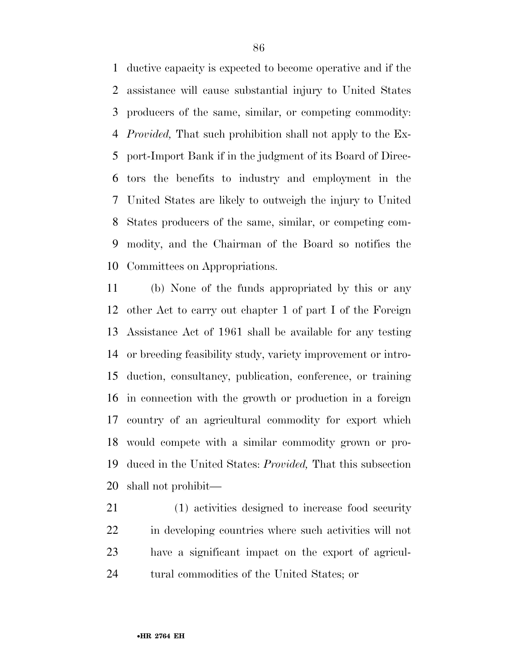ductive capacity is expected to become operative and if the assistance will cause substantial injury to United States producers of the same, similar, or competing commodity: *Provided,* That such prohibition shall not apply to the Ex- port-Import Bank if in the judgment of its Board of Direc- tors the benefits to industry and employment in the United States are likely to outweigh the injury to United States producers of the same, similar, or competing com- modity, and the Chairman of the Board so notifies the Committees on Appropriations.

 (b) None of the funds appropriated by this or any other Act to carry out chapter 1 of part I of the Foreign Assistance Act of 1961 shall be available for any testing or breeding feasibility study, variety improvement or intro- duction, consultancy, publication, conference, or training in connection with the growth or production in a foreign country of an agricultural commodity for export which would compete with a similar commodity grown or pro- duced in the United States: *Provided,* That this subsection shall not prohibit—

 (1) activities designed to increase food security in developing countries where such activities will not have a significant impact on the export of agricul-tural commodities of the United States; or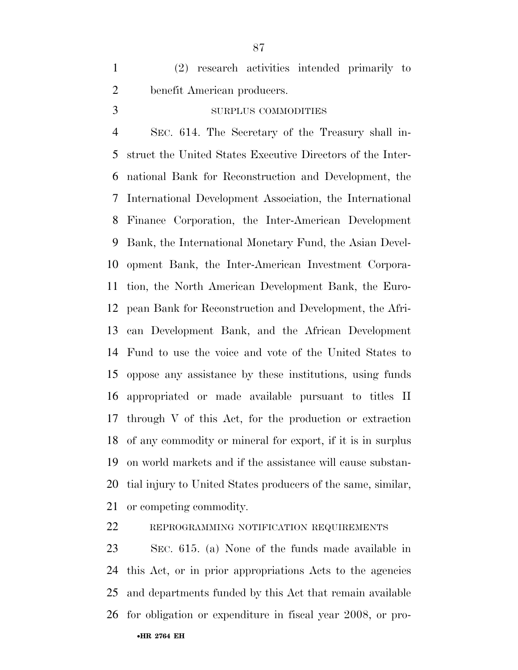(2) research activities intended primarily to benefit American producers.

# SURPLUS COMMODITIES

 SEC. 614. The Secretary of the Treasury shall in- struct the United States Executive Directors of the Inter- national Bank for Reconstruction and Development, the International Development Association, the International Finance Corporation, the Inter-American Development Bank, the International Monetary Fund, the Asian Devel- opment Bank, the Inter-American Investment Corpora- tion, the North American Development Bank, the Euro- pean Bank for Reconstruction and Development, the Afri- can Development Bank, and the African Development Fund to use the voice and vote of the United States to oppose any assistance by these institutions, using funds appropriated or made available pursuant to titles II through V of this Act, for the production or extraction of any commodity or mineral for export, if it is in surplus on world markets and if the assistance will cause substan- tial injury to United States producers of the same, similar, or competing commodity.

REPROGRAMMING NOTIFICATION REQUIREMENTS

•**HR 2764 EH**  SEC. 615. (a) None of the funds made available in this Act, or in prior appropriations Acts to the agencies and departments funded by this Act that remain available for obligation or expenditure in fiscal year 2008, or pro-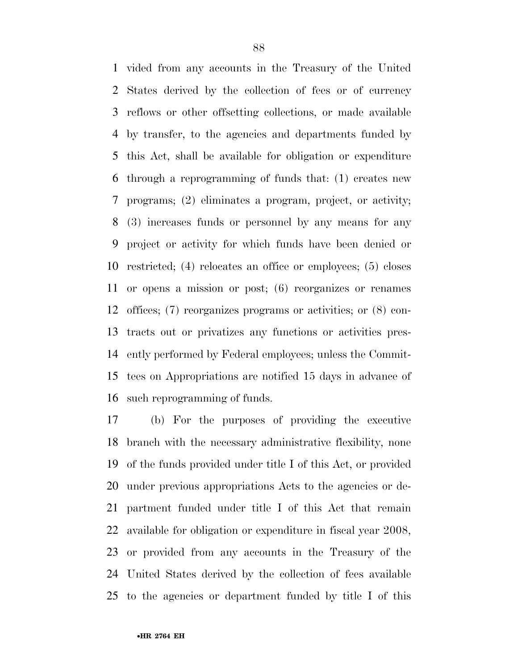vided from any accounts in the Treasury of the United States derived by the collection of fees or of currency reflows or other offsetting collections, or made available by transfer, to the agencies and departments funded by this Act, shall be available for obligation or expenditure through a reprogramming of funds that: (1) creates new programs; (2) eliminates a program, project, or activity; (3) increases funds or personnel by any means for any project or activity for which funds have been denied or restricted; (4) relocates an office or employees; (5) closes or opens a mission or post; (6) reorganizes or renames offices; (7) reorganizes programs or activities; or (8) con- tracts out or privatizes any functions or activities pres- ently performed by Federal employees; unless the Commit- tees on Appropriations are notified 15 days in advance of such reprogramming of funds.

 (b) For the purposes of providing the executive branch with the necessary administrative flexibility, none of the funds provided under title I of this Act, or provided under previous appropriations Acts to the agencies or de- partment funded under title I of this Act that remain available for obligation or expenditure in fiscal year 2008, or provided from any accounts in the Treasury of the United States derived by the collection of fees available to the agencies or department funded by title I of this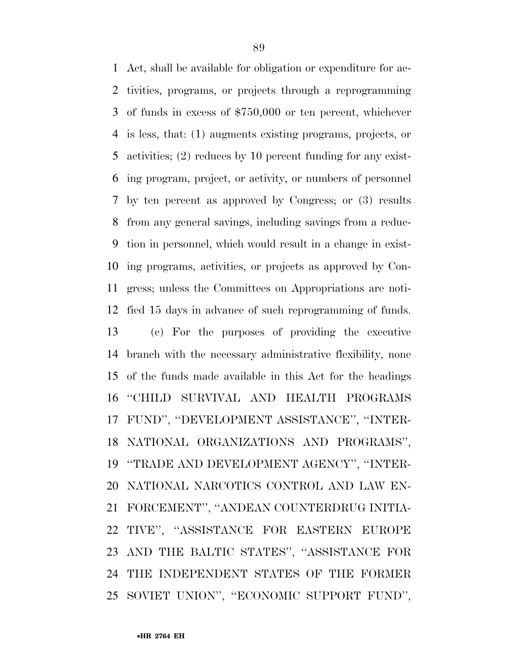Act, shall be available for obligation or expenditure for ac- tivities, programs, or projects through a reprogramming of funds in excess of \$750,000 or ten percent, whichever is less, that: (1) augments existing programs, projects, or activities; (2) reduces by 10 percent funding for any exist- ing program, project, or activity, or numbers of personnel by ten percent as approved by Congress; or (3) results from any general savings, including savings from a reduc- tion in personnel, which would result in a change in exist- ing programs, activities, or projects as approved by Con- gress; unless the Committees on Appropriations are noti- fied 15 days in advance of such reprogramming of funds. (c) For the purposes of providing the executive branch with the necessary administrative flexibility, none of the funds made available in this Act for the headings ''CHILD SURVIVAL AND HEALTH PROGRAMS FUND'', ''DEVELOPMENT ASSISTANCE'', ''INTER- NATIONAL ORGANIZATIONS AND PROGRAMS'', ''TRADE AND DEVELOPMENT AGENCY'', ''INTER- NATIONAL NARCOTICS CONTROL AND LAW EN- FORCEMENT'', ''ANDEAN COUNTERDRUG INITIA- TIVE'', ''ASSISTANCE FOR EASTERN EUROPE AND THE BALTIC STATES'', ''ASSISTANCE FOR THE INDEPENDENT STATES OF THE FORMER SOVIET UNION'', ''ECONOMIC SUPPORT FUND'',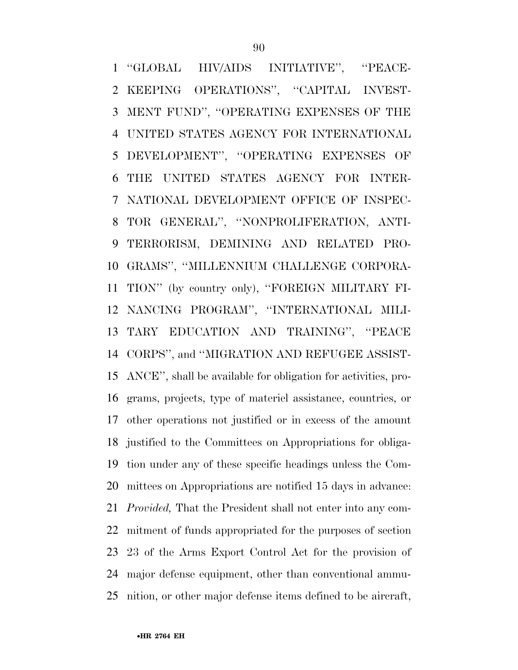''GLOBAL HIV/AIDS INITIATIVE'', ''PEACE- KEEPING OPERATIONS'', ''CAPITAL INVEST- MENT FUND'', ''OPERATING EXPENSES OF THE UNITED STATES AGENCY FOR INTERNATIONAL DEVELOPMENT'', ''OPERATING EXPENSES OF THE UNITED STATES AGENCY FOR INTER- NATIONAL DEVELOPMENT OFFICE OF INSPEC- TOR GENERAL'', ''NONPROLIFERATION, ANTI- TERRORISM, DEMINING AND RELATED PRO- GRAMS'', ''MILLENNIUM CHALLENGE CORPORA- TION'' (by country only), ''FOREIGN MILITARY FI- NANCING PROGRAM'', ''INTERNATIONAL MILI- TARY EDUCATION AND TRAINING'', ''PEACE CORPS'', and ''MIGRATION AND REFUGEE ASSIST- ANCE'', shall be available for obligation for activities, pro- grams, projects, type of materiel assistance, countries, or other operations not justified or in excess of the amount justified to the Committees on Appropriations for obliga- tion under any of these specific headings unless the Com- mittees on Appropriations are notified 15 days in advance: *Provided,* That the President shall not enter into any com- mitment of funds appropriated for the purposes of section 23 of the Arms Export Control Act for the provision of major defense equipment, other than conventional ammu-nition, or other major defense items defined to be aircraft,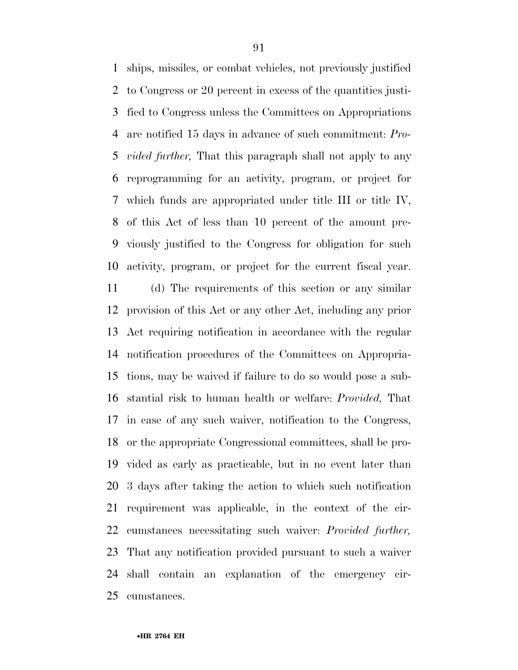ships, missiles, or combat vehicles, not previously justified to Congress or 20 percent in excess of the quantities justi- fied to Congress unless the Committees on Appropriations are notified 15 days in advance of such commitment: *Pro- vided further,* That this paragraph shall not apply to any reprogramming for an activity, program, or project for which funds are appropriated under title III or title IV, of this Act of less than 10 percent of the amount pre- viously justified to the Congress for obligation for such activity, program, or project for the current fiscal year.

 (d) The requirements of this section or any similar provision of this Act or any other Act, including any prior Act requiring notification in accordance with the regular notification procedures of the Committees on Appropria- tions, may be waived if failure to do so would pose a sub- stantial risk to human health or welfare: *Provided,* That in case of any such waiver, notification to the Congress, or the appropriate Congressional committees, shall be pro- vided as early as practicable, but in no event later than 3 days after taking the action to which such notification requirement was applicable, in the context of the cir- cumstances necessitating such waiver: *Provided further,*  That any notification provided pursuant to such a waiver shall contain an explanation of the emergency cir-cumstances.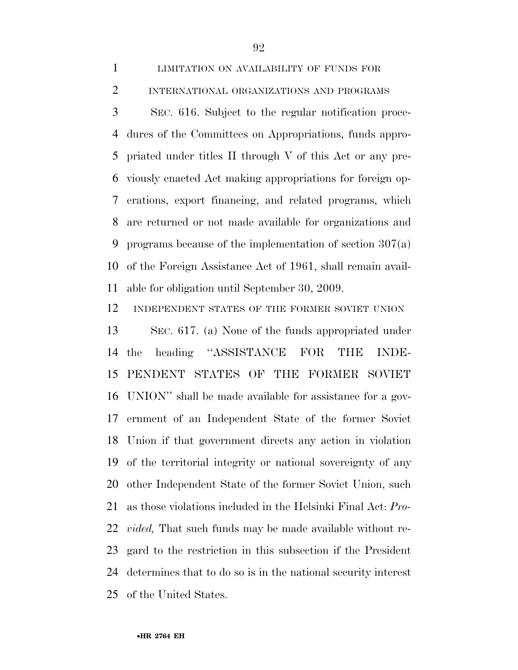SEC. 616. Subject to the regular notification proce- dures of the Committees on Appropriations, funds appro- priated under titles II through V of this Act or any pre- viously enacted Act making appropriations for foreign op- erations, export financing, and related programs, which are returned or not made available for organizations and programs because of the implementation of section 307(a) of the Foreign Assistance Act of 1961, shall remain avail-able for obligation until September 30, 2009.

INDEPENDENT STATES OF THE FORMER SOVIET UNION

 SEC. 617. (a) None of the funds appropriated under the heading ''ASSISTANCE FOR THE INDE- PENDENT STATES OF THE FORMER SOVIET UNION'' shall be made available for assistance for a gov- ernment of an Independent State of the former Soviet Union if that government directs any action in violation of the territorial integrity or national sovereignty of any other Independent State of the former Soviet Union, such as those violations included in the Helsinki Final Act: *Pro- vided,* That such funds may be made available without re- gard to the restriction in this subsection if the President determines that to do so is in the national security interest of the United States.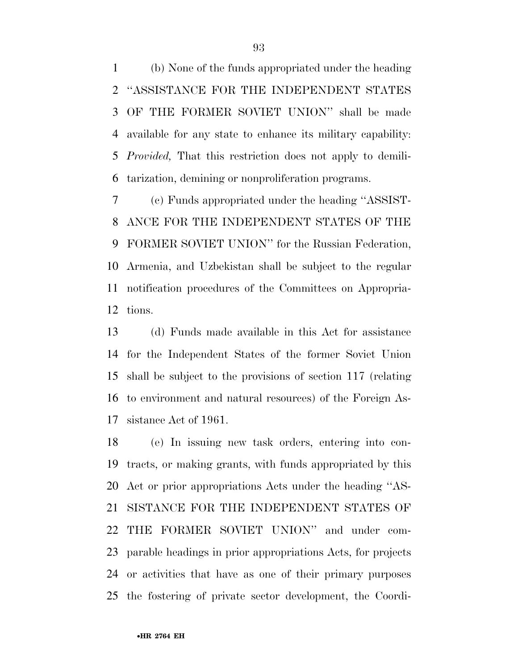(b) None of the funds appropriated under the heading ''ASSISTANCE FOR THE INDEPENDENT STATES OF THE FORMER SOVIET UNION'' shall be made available for any state to enhance its military capability: *Provided,* That this restriction does not apply to demili-tarization, demining or nonproliferation programs.

 (c) Funds appropriated under the heading ''ASSIST- ANCE FOR THE INDEPENDENT STATES OF THE FORMER SOVIET UNION'' for the Russian Federation, Armenia, and Uzbekistan shall be subject to the regular notification procedures of the Committees on Appropria-tions.

 (d) Funds made available in this Act for assistance for the Independent States of the former Soviet Union shall be subject to the provisions of section 117 (relating to environment and natural resources) of the Foreign As-sistance Act of 1961.

 (e) In issuing new task orders, entering into con- tracts, or making grants, with funds appropriated by this Act or prior appropriations Acts under the heading ''AS- SISTANCE FOR THE INDEPENDENT STATES OF THE FORMER SOVIET UNION'' and under com- parable headings in prior appropriations Acts, for projects or activities that have as one of their primary purposes the fostering of private sector development, the Coordi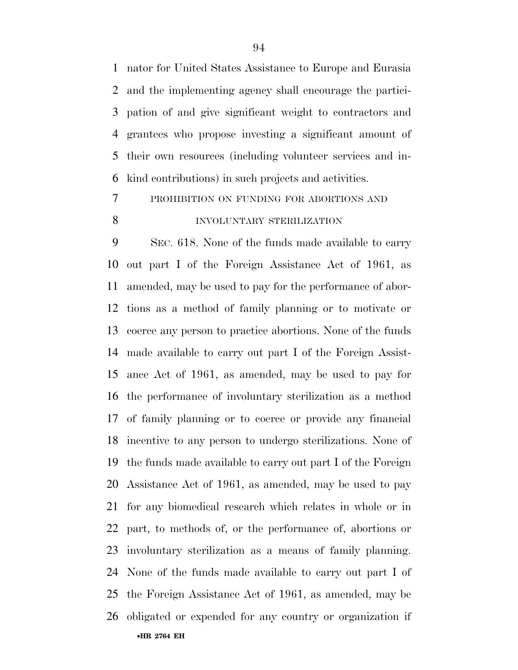nator for United States Assistance to Europe and Eurasia and the implementing agency shall encourage the partici- pation of and give significant weight to contractors and grantees who propose investing a significant amount of their own resources (including volunteer services and in-kind contributions) in such projects and activities.

# PROHIBITION ON FUNDING FOR ABORTIONS AND INVOLUNTARY STERILIZATION

•**HR 2764 EH**  SEC. 618. None of the funds made available to carry out part I of the Foreign Assistance Act of 1961, as amended, may be used to pay for the performance of abor- tions as a method of family planning or to motivate or coerce any person to practice abortions. None of the funds made available to carry out part I of the Foreign Assist- ance Act of 1961, as amended, may be used to pay for the performance of involuntary sterilization as a method of family planning or to coerce or provide any financial incentive to any person to undergo sterilizations. None of the funds made available to carry out part I of the Foreign Assistance Act of 1961, as amended, may be used to pay for any biomedical research which relates in whole or in part, to methods of, or the performance of, abortions or involuntary sterilization as a means of family planning. None of the funds made available to carry out part I of the Foreign Assistance Act of 1961, as amended, may be obligated or expended for any country or organization if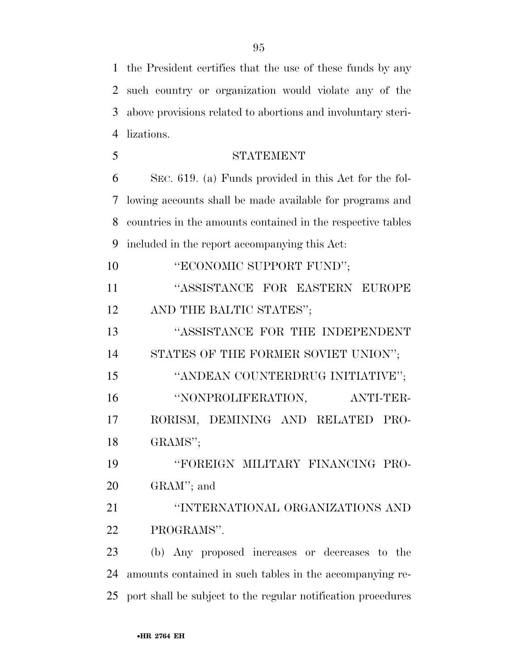the President certifies that the use of these funds by any such country or organization would violate any of the above provisions related to abortions and involuntary steri-lizations.

 STATEMENT SEC. 619. (a) Funds provided in this Act for the fol- lowing accounts shall be made available for programs and countries in the amounts contained in the respective tables included in the report accompanying this Act:

**"ECONOMIC SUPPORT FUND":**  ''ASSISTANCE FOR EASTERN EUROPE 12 AND THE BALTIC STATES"; ''ASSISTANCE FOR THE INDEPENDENT STATES OF THE FORMER SOVIET UNION''; 15 "ANDEAN COUNTERDRUG INITIATIVE"; ''NONPROLIFERATION, ANTI-TER-RORISM, DEMINING AND RELATED PRO-

GRAMS'';

 ''FOREIGN MILITARY FINANCING PRO-GRAM''; and

 ''INTERNATIONAL ORGANIZATIONS AND PROGRAMS''.

 (b) Any proposed increases or decreases to the amounts contained in such tables in the accompanying re-port shall be subject to the regular notification procedures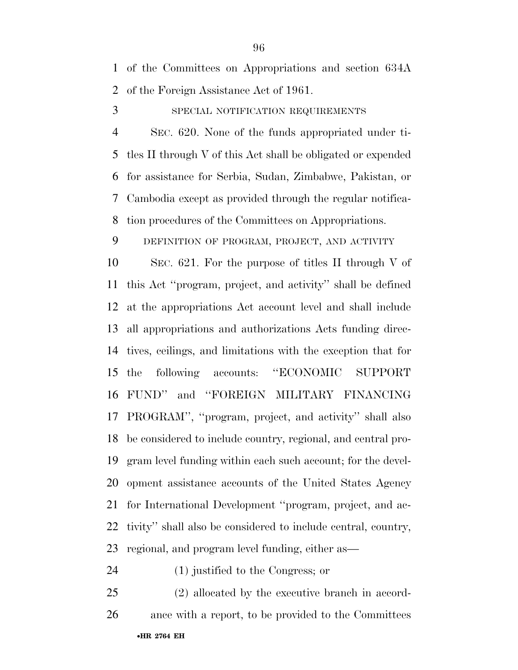of the Committees on Appropriations and section 634A of the Foreign Assistance Act of 1961.

3 SPECIAL NOTIFICATION REQUIREMENTS

 SEC. 620. None of the funds appropriated under ti- tles II through V of this Act shall be obligated or expended for assistance for Serbia, Sudan, Zimbabwe, Pakistan, or Cambodia except as provided through the regular notifica-tion procedures of the Committees on Appropriations.

DEFINITION OF PROGRAM, PROJECT, AND ACTIVITY

 SEC. 621. For the purpose of titles II through V of this Act ''program, project, and activity'' shall be defined at the appropriations Act account level and shall include all appropriations and authorizations Acts funding direc- tives, ceilings, and limitations with the exception that for the following accounts: ''ECONOMIC SUPPORT FUND'' and ''FOREIGN MILITARY FINANCING PROGRAM'', ''program, project, and activity'' shall also be considered to include country, regional, and central pro- gram level funding within each such account; for the devel- opment assistance accounts of the United States Agency for International Development ''program, project, and ac- tivity'' shall also be considered to include central, country, regional, and program level funding, either as—

(1) justified to the Congress; or

•**HR 2764 EH**  (2) allocated by the executive branch in accord-ance with a report, to be provided to the Committees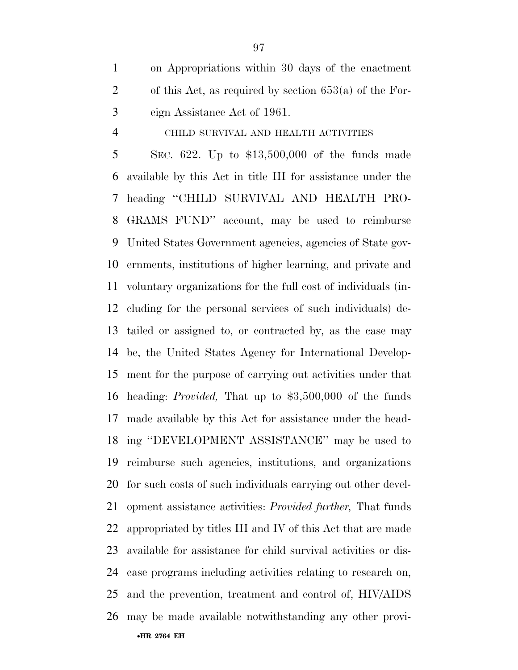on Appropriations within 30 days of the enactment of this Act, as required by section 653(a) of the For-eign Assistance Act of 1961.

# CHILD SURVIVAL AND HEALTH ACTIVITIES

•**HR 2764 EH**  SEC. 622. Up to \$13,500,000 of the funds made available by this Act in title III for assistance under the heading ''CHILD SURVIVAL AND HEALTH PRO- GRAMS FUND'' account, may be used to reimburse United States Government agencies, agencies of State gov- ernments, institutions of higher learning, and private and voluntary organizations for the full cost of individuals (in- cluding for the personal services of such individuals) de- tailed or assigned to, or contracted by, as the case may be, the United States Agency for International Develop- ment for the purpose of carrying out activities under that heading: *Provided,* That up to \$3,500,000 of the funds made available by this Act for assistance under the head- ing ''DEVELOPMENT ASSISTANCE'' may be used to reimburse such agencies, institutions, and organizations for such costs of such individuals carrying out other devel- opment assistance activities: *Provided further,* That funds appropriated by titles III and IV of this Act that are made available for assistance for child survival activities or dis- ease programs including activities relating to research on, and the prevention, treatment and control of, HIV/AIDS may be made available notwithstanding any other provi-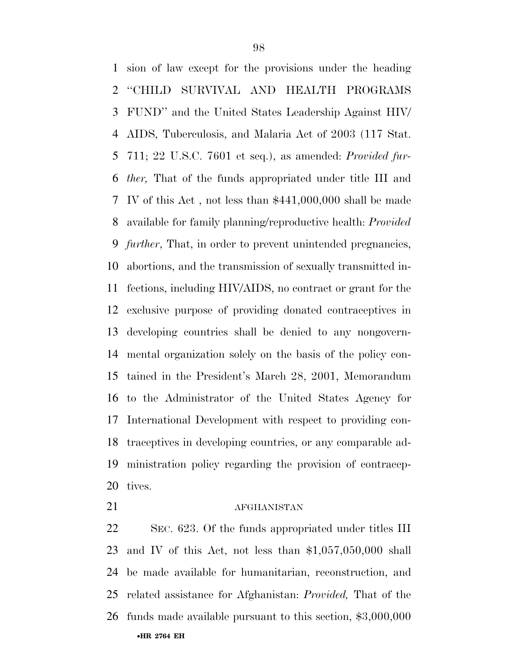sion of law except for the provisions under the heading ''CHILD SURVIVAL AND HEALTH PROGRAMS FUND'' and the United States Leadership Against HIV/ AIDS, Tuberculosis, and Malaria Act of 2003 (117 Stat. 711; 22 U.S.C. 7601 et seq.), as amended: *Provided fur- ther,* That of the funds appropriated under title III and IV of this Act , not less than \$441,000,000 shall be made available for family planning/reproductive health: *Provided further*, That, in order to prevent unintended pregnancies, abortions, and the transmission of sexually transmitted in- fections, including HIV/AIDS, no contract or grant for the exclusive purpose of providing donated contraceptives in developing countries shall be denied to any nongovern- mental organization solely on the basis of the policy con- tained in the President's March 28, 2001, Memorandum to the Administrator of the United States Agency for International Development with respect to providing con- traceptives in developing countries, or any comparable ad- ministration policy regarding the provision of contracep-tives.

#### 21 AFGHANISTAN

•**HR 2764 EH**  SEC. 623. Of the funds appropriated under titles III and IV of this Act, not less than \$1,057,050,000 shall be made available for humanitarian, reconstruction, and related assistance for Afghanistan: *Provided,* That of the funds made available pursuant to this section, \$3,000,000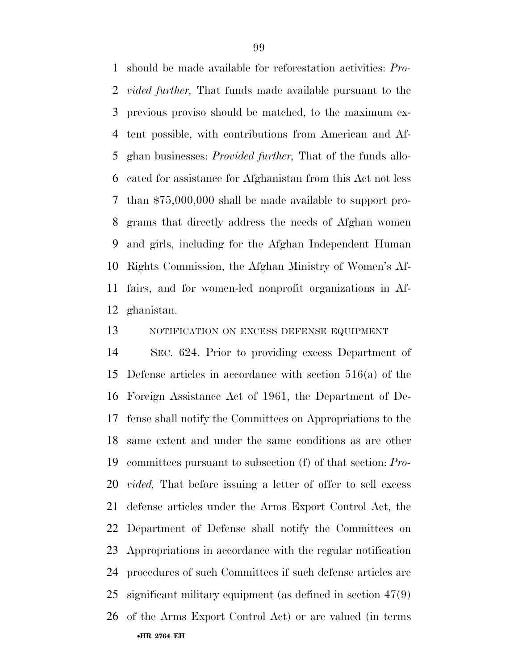should be made available for reforestation activities: *Pro- vided further,* That funds made available pursuant to the previous proviso should be matched, to the maximum ex- tent possible, with contributions from American and Af- ghan businesses: *Provided further,* That of the funds allo- cated for assistance for Afghanistan from this Act not less than \$75,000,000 shall be made available to support pro- grams that directly address the needs of Afghan women and girls, including for the Afghan Independent Human Rights Commission, the Afghan Ministry of Women's Af- fairs, and for women-led nonprofit organizations in Af-ghanistan.

# 13 NOTIFICATION ON EXCESS DEFENSE EQUIPMENT

•**HR 2764 EH**  SEC. 624. Prior to providing excess Department of Defense articles in accordance with section 516(a) of the Foreign Assistance Act of 1961, the Department of De- fense shall notify the Committees on Appropriations to the same extent and under the same conditions as are other committees pursuant to subsection (f) of that section: *Pro- vided,* That before issuing a letter of offer to sell excess defense articles under the Arms Export Control Act, the Department of Defense shall notify the Committees on Appropriations in accordance with the regular notification procedures of such Committees if such defense articles are significant military equipment (as defined in section 47(9) of the Arms Export Control Act) or are valued (in terms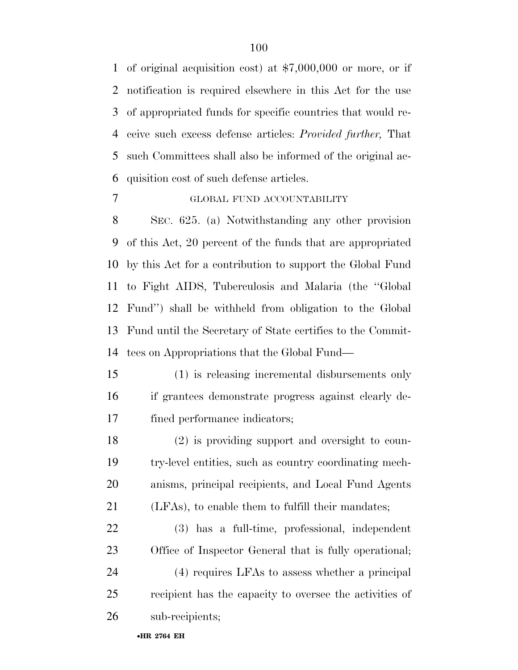of original acquisition cost) at \$7,000,000 or more, or if notification is required elsewhere in this Act for the use of appropriated funds for specific countries that would re- ceive such excess defense articles: *Provided further,* That such Committees shall also be informed of the original ac-quisition cost of such defense articles.

# GLOBAL FUND ACCOUNTABILITY

 SEC. 625. (a) Notwithstanding any other provision of this Act, 20 percent of the funds that are appropriated by this Act for a contribution to support the Global Fund to Fight AIDS, Tuberculosis and Malaria (the ''Global Fund'') shall be withheld from obligation to the Global Fund until the Secretary of State certifies to the Commit-tees on Appropriations that the Global Fund—

 (1) is releasing incremental disbursements only if grantees demonstrate progress against clearly de-fined performance indicators;

 (2) is providing support and oversight to coun- try-level entities, such as country coordinating mech- anisms, principal recipients, and Local Fund Agents (LFAs), to enable them to fulfill their mandates;

 (3) has a full-time, professional, independent Office of Inspector General that is fully operational;

 (4) requires LFAs to assess whether a principal recipient has the capacity to oversee the activities of sub-recipients;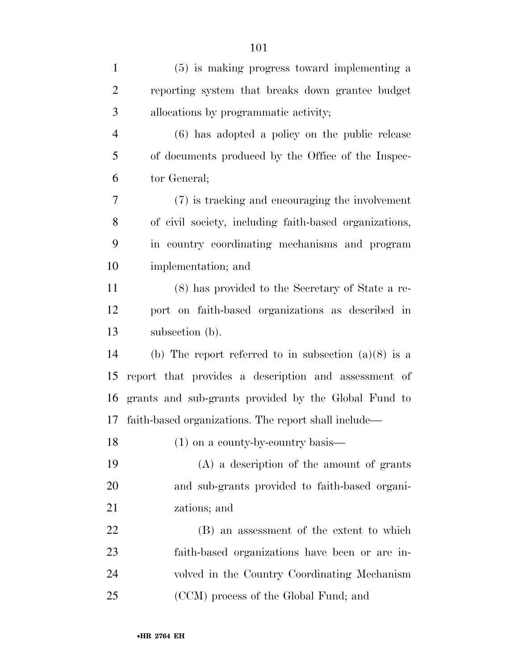| $\mathbf{1}$   | (5) is making progress toward implementing a           |
|----------------|--------------------------------------------------------|
| $\overline{2}$ | reporting system that breaks down grantee budget       |
| 3              | allocations by programmatic activity;                  |
| $\overline{4}$ | (6) has adopted a policy on the public release         |
| 5              | of documents produced by the Office of the Inspec-     |
| 6              | tor General;                                           |
| 7              | (7) is tracking and encouraging the involvement        |
| 8              | of civil society, including faith-based organizations, |
| 9              | in country coordinating mechanisms and program         |
| 10             | implementation; and                                    |
| 11             | (8) has provided to the Secretary of State a re-       |
| 12             | port on faith-based organizations as described in      |
| 13             | subsection (b).                                        |
| 14             | (b) The report referred to in subsection $(a)(8)$ is a |
| 15             | report that provides a description and assessment of   |
| 16             | grants and sub-grants provided by the Global Fund to   |
| 17             | faith-based organizations. The report shall include—   |
| 18             | $(1)$ on a county-by-country basis—                    |
| 19             | $(A)$ a description of the amount of grants            |
| 20             | and sub-grants provided to faith-based organi-         |
| 21             | zations; and                                           |
| 22             | (B) an assessment of the extent to which               |
| 23             | faith-based organizations have been or are in-         |
| 24             | volved in the Country Coordinating Mechanism           |
| 25             | (CCM) process of the Global Fund; and                  |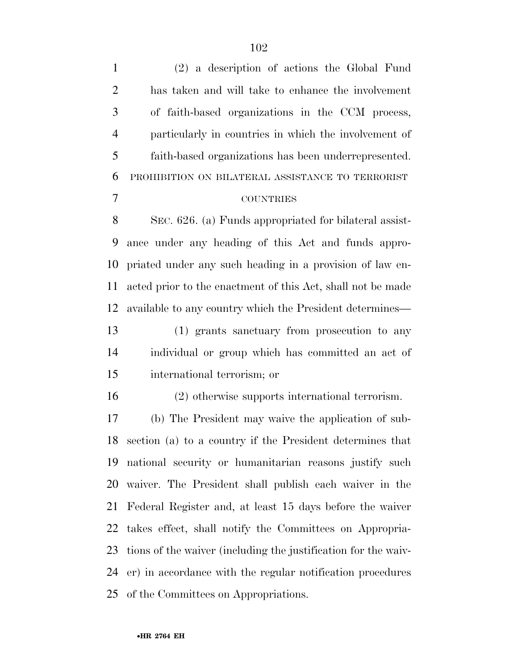| $\mathbf{1}$   | $(2)$ a description of actions the Global Fund                 |
|----------------|----------------------------------------------------------------|
| $\overline{2}$ | has taken and will take to enhance the involvement             |
| 3              | of faith-based organizations in the CCM process,               |
| $\overline{4}$ | particularly in countries in which the involvement of          |
| 5              | faith-based organizations has been underrepresented.           |
| 6              | PROHIBITION ON BILATERAL ASSISTANCE TO TERRORIST               |
| $\tau$         | <b>COUNTRIES</b>                                               |
| 8              | SEC. 626. (a) Funds appropriated for bilateral assist-         |
| 9              | ance under any heading of this Act and funds appro-            |
| 10             | priated under any such heading in a provision of law en-       |
| 11             | acted prior to the enactment of this Act, shall not be made    |
| 12             | available to any country which the President determines—       |
| 13             | (1) grants sanctuary from prosecution to any                   |
| 14             | individual or group which has committed an act of              |
| 15             | international terrorism; or                                    |
| 16             | (2) otherwise supports international terrorism.                |
| 17             | (b) The President may waive the application of sub-            |
|                | 18 section (a) to a country if the President determines that   |
| 19             | national security or humanitarian reasons justify such         |
|                | 20 waiver. The President shall publish each waiver in the      |
| 21             | Federal Register and, at least 15 days before the waiver       |
| 22             | takes effect, shall notify the Committees on Appropria-        |
| 23             | tions of the waiver (including the justification for the waiv- |
|                | 24 er) in accordance with the regular notification procedures  |
|                |                                                                |

of the Committees on Appropriations.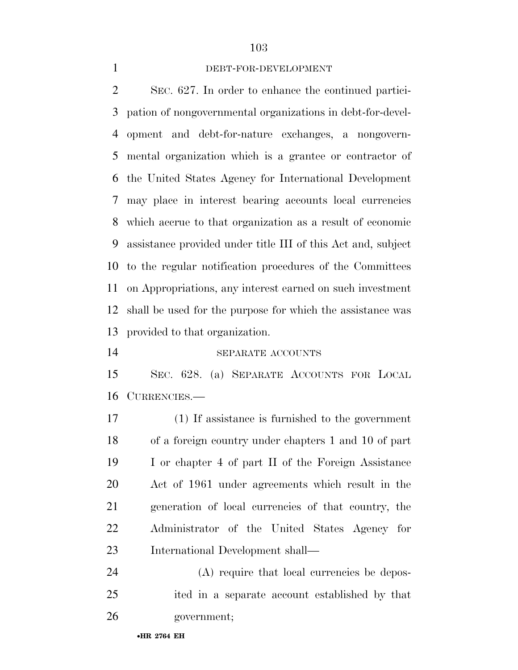## DEBT-FOR-DEVELOPMENT

 SEC. 627. In order to enhance the continued partici- pation of nongovernmental organizations in debt-for-devel- opment and debt-for-nature exchanges, a nongovern- mental organization which is a grantee or contractor of the United States Agency for International Development may place in interest bearing accounts local currencies which accrue to that organization as a result of economic assistance provided under title III of this Act and, subject to the regular notification procedures of the Committees on Appropriations, any interest earned on such investment shall be used for the purpose for which the assistance was provided to that organization.

#### SEPARATE ACCOUNTS

 SEC. 628. (a) SEPARATE ACCOUNTS FOR LOCAL CURRENCIES.—

 (1) If assistance is furnished to the government of a foreign country under chapters 1 and 10 of part I or chapter 4 of part II of the Foreign Assistance Act of 1961 under agreements which result in the generation of local currencies of that country, the Administrator of the United States Agency for International Development shall—

 (A) require that local currencies be depos- ited in a separate account established by that government;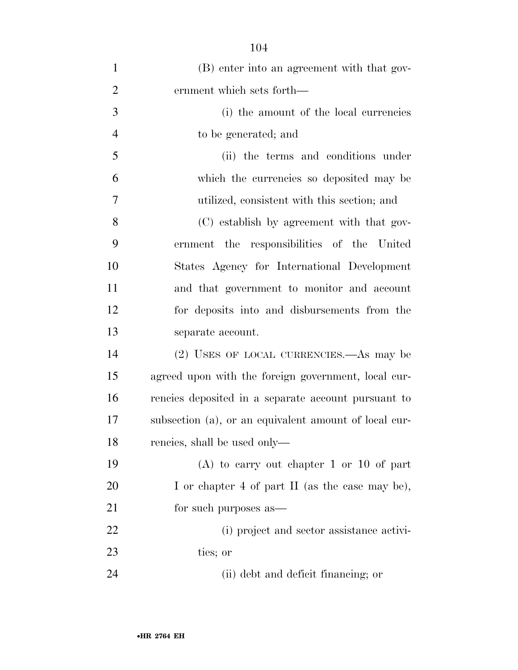| $\mathbf{1}$   | (B) enter into an agreement with that gov-            |
|----------------|-------------------------------------------------------|
| $\overline{2}$ | ernment which sets forth—                             |
| 3              | (i) the amount of the local currencies                |
| $\overline{4}$ | to be generated; and                                  |
| 5              | (ii) the terms and conditions under                   |
| 6              | which the currencies so deposited may be              |
| $\overline{7}$ | utilized, consistent with this section; and           |
| 8              | (C) establish by agreement with that gov-             |
| 9              | ernment the responsibilities of the United            |
| 10             | States Agency for International Development           |
| 11             | and that government to monitor and account            |
| 12             | for deposits into and disbursements from the          |
| 13             | separate account.                                     |
| 14             | (2) USES OF LOCAL CURRENCIES.—As may be               |
| 15             | agreed upon with the foreign government, local cur-   |
| 16             | rencies deposited in a separate account pursuant to   |
| 17             | subsection (a), or an equivalent amount of local cur- |
| 18             | rencies, shall be used only—                          |
| 19             | $(A)$ to carry out chapter 1 or 10 of part            |
| 20             | I or chapter 4 of part II (as the case may be),       |
| 21             | for such purposes as—                                 |
| 22             | (i) project and sector assistance activi-             |
| 23             | ties; or                                              |
| 24             | (ii) debt and deficit financing; or                   |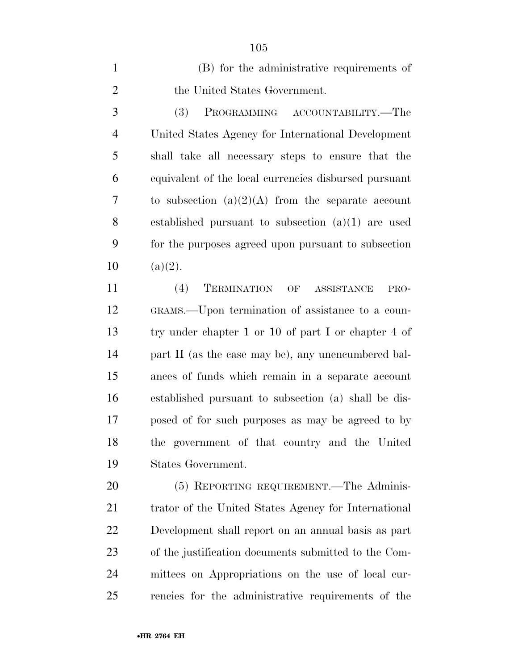(B) for the administrative requirements of 2 the United States Government.

 (3) PROGRAMMING ACCOUNTABILITY.—The United States Agency for International Development shall take all necessary steps to ensure that the equivalent of the local currencies disbursed pursuant to subsection (a)(2)(A) from the separate account established pursuant to subsection (a)(1) are used for the purposes agreed upon pursuant to subsection  $10 \text{ (a)(2)}.$ 

 (4) TERMINATION OF ASSISTANCE PRO- GRAMS.—Upon termination of assistance to a coun- try under chapter 1 or 10 of part I or chapter 4 of part II (as the case may be), any unencumbered bal- ances of funds which remain in a separate account established pursuant to subsection (a) shall be dis- posed of for such purposes as may be agreed to by the government of that country and the United States Government.

 (5) REPORTING REQUIREMENT.—The Adminis- trator of the United States Agency for International Development shall report on an annual basis as part of the justification documents submitted to the Com- mittees on Appropriations on the use of local cur-rencies for the administrative requirements of the

•**HR 2764 EH**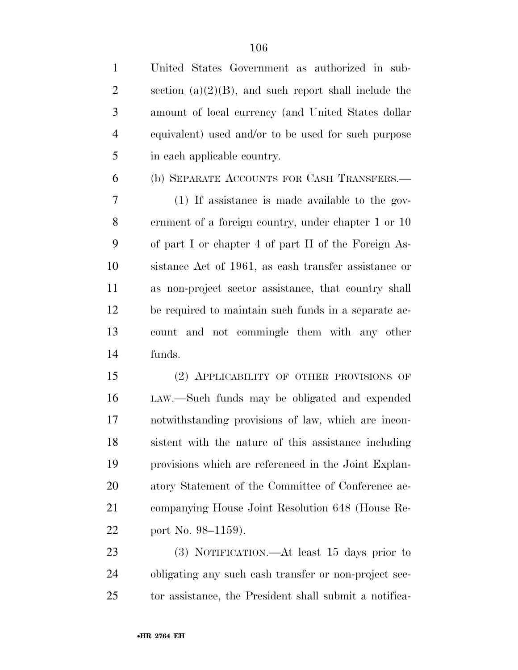| $\mathbf{1}$   | United States Government as authorized in sub-           |
|----------------|----------------------------------------------------------|
| $\overline{2}$ | section (a) $(2)(B)$ , and such report shall include the |
| 3              | amount of local currency (and United States dollar       |
| $\overline{4}$ | equivalent) used and/or to be used for such purpose      |
| 5              | in each applicable country.                              |
| 6              | (b) SEPARATE ACCOUNTS FOR CASH TRANSFERS.-               |
| 7              | $(1)$ If assistance is made available to the gov-        |
| $8\,$          | ernment of a foreign country, under chapter 1 or 10      |
| 9              | of part I or chapter 4 of part II of the Foreign As-     |
| 10             | sistance Act of 1961, as eash transfer assistance or     |
| 11             | as non-project sector assistance, that country shall     |
| 12             | be required to maintain such funds in a separate ac-     |
| 13             | count and not commingle them with any other              |
| 14             | funds.                                                   |
| 15             | (2) APPLICABILITY OF OTHER PROVISIONS OF                 |
| 16             | LAW.—Such funds may be obligated and expended            |
| 17             | notwithstanding provisions of law, which are incon-      |
| 18             | sistent with the nature of this assistance including     |
| 19             | provisions which are referenced in the Joint Explan-     |
| 20             | atory Statement of the Committee of Conference ac-       |
| 21             | companying House Joint Resolution 648 (House Re-         |
| 22             | port No. 98–1159).                                       |
| 23             | (3) NOTIFICATION.—At least 15 days prior to              |
|                |                                                          |

 obligating any such cash transfer or non-project sec-tor assistance, the President shall submit a notifica-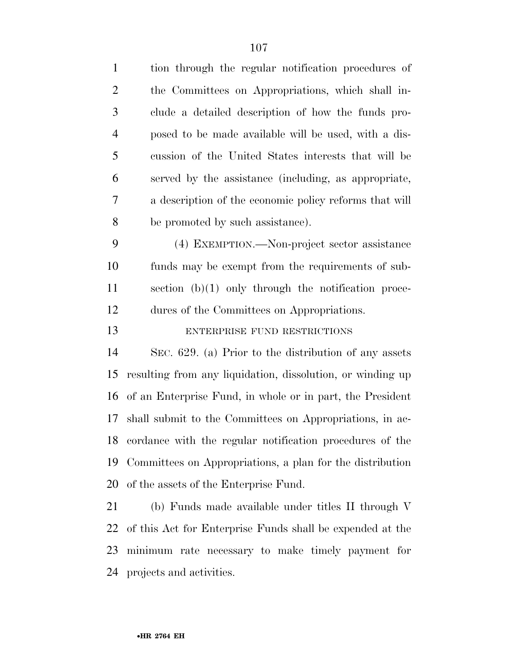| $\mathbf{1}$   | tion through the regular notification procedures of         |
|----------------|-------------------------------------------------------------|
| $\overline{2}$ | the Committees on Appropriations, which shall in-           |
| 3              | clude a detailed description of how the funds pro-          |
| $\overline{4}$ | posed to be made available will be used, with a dis-        |
| 5              | cussion of the United States interests that will be         |
| 6              | served by the assistance (including, as appropriate,        |
| 7              | a description of the economic policy reforms that will      |
| 8              | be promoted by such assistance).                            |
| 9              | (4) EXEMPTION.—Non-project sector assistance                |
| 10             | funds may be exempt from the requirements of sub-           |
| 11             | section $(b)(1)$ only through the notification proce-       |
| 12             | dures of the Committees on Appropriations.                  |
| 13             | ENTERPRISE FUND RESTRICTIONS                                |
| 14             | SEC. 629. (a) Prior to the distribution of any assets       |
| 15             | resulting from any liquidation, dissolution, or winding up  |
| 16             | of an Enterprise Fund, in whole or in part, the President   |
| 17             | shall submit to the Committees on Appropriations, in ac-    |
|                | 18 cordance with the regular notification procedures of the |
| 19             | Committees on Appropriations, a plan for the distribution   |
| 20             | of the assets of the Enterprise Fund.                       |
| 21             | (b) Funds made available under titles II through V          |
| 22             | of this Act for Enterprise Funds shall be expended at the   |
|                | 23 minimum rate necessary to make timely payment for        |
|                |                                                             |

projects and activities.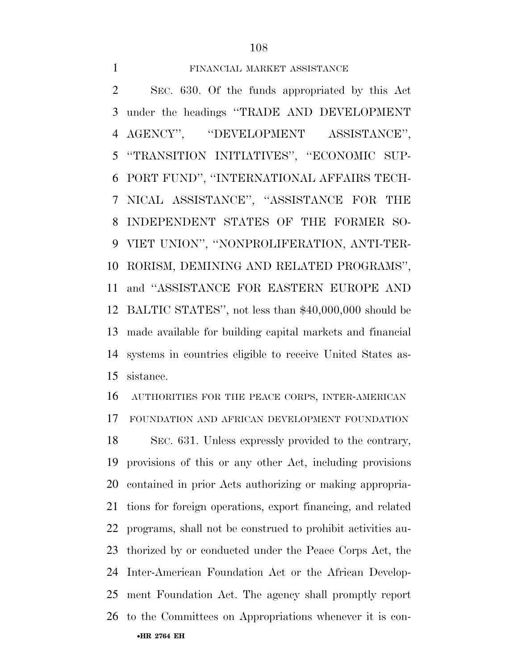## FINANCIAL MARKET ASSISTANCE

 SEC. 630. Of the funds appropriated by this Act under the headings ''TRADE AND DEVELOPMENT AGENCY'', ''DEVELOPMENT ASSISTANCE'', ''TRANSITION INITIATIVES'', ''ECONOMIC SUP- PORT FUND'', ''INTERNATIONAL AFFAIRS TECH- NICAL ASSISTANCE'', ''ASSISTANCE FOR THE INDEPENDENT STATES OF THE FORMER SO- VIET UNION'', ''NONPROLIFERATION, ANTI-TER- RORISM, DEMINING AND RELATED PROGRAMS'', and ''ASSISTANCE FOR EASTERN EUROPE AND BALTIC STATES'', not less than \$40,000,000 should be made available for building capital markets and financial systems in countries eligible to receive United States as-sistance.

 AUTHORITIES FOR THE PEACE CORPS, INTER-AMERICAN FOUNDATION AND AFRICAN DEVELOPMENT FOUNDATION

•**HR 2764 EH**  SEC. 631. Unless expressly provided to the contrary, provisions of this or any other Act, including provisions contained in prior Acts authorizing or making appropria- tions for foreign operations, export financing, and related programs, shall not be construed to prohibit activities au- thorized by or conducted under the Peace Corps Act, the Inter-American Foundation Act or the African Develop- ment Foundation Act. The agency shall promptly report to the Committees on Appropriations whenever it is con-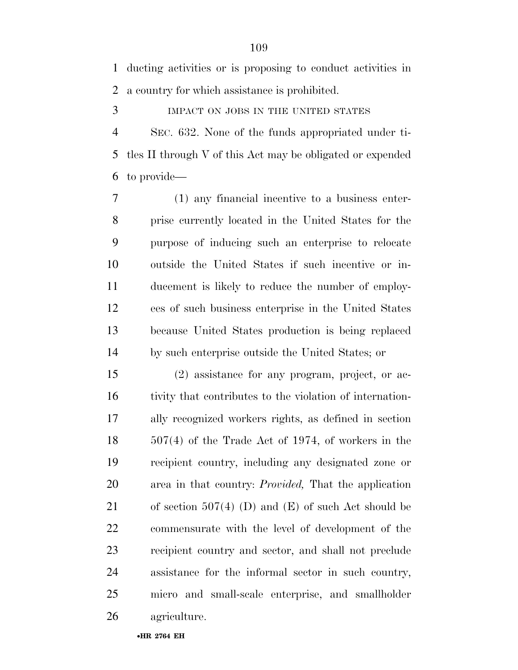ducting activities or is proposing to conduct activities in a country for which assistance is prohibited.

IMPACT ON JOBS IN THE UNITED STATES

 SEC. 632. None of the funds appropriated under ti- tles II through V of this Act may be obligated or expended to provide—

 (1) any financial incentive to a business enter- prise currently located in the United States for the purpose of inducing such an enterprise to relocate outside the United States if such incentive or in- ducement is likely to reduce the number of employ- ees of such business enterprise in the United States because United States production is being replaced by such enterprise outside the United States; or

 (2) assistance for any program, project, or ac- tivity that contributes to the violation of internation- ally recognized workers rights, as defined in section 507(4) of the Trade Act of 1974, of workers in the recipient country, including any designated zone or area in that country: *Provided,* That the application 21 of section 507(4) (D) and  $(E)$  of such Act should be commensurate with the level of development of the recipient country and sector, and shall not preclude assistance for the informal sector in such country, micro and small-scale enterprise, and smallholder agriculture.

•**HR 2764 EH**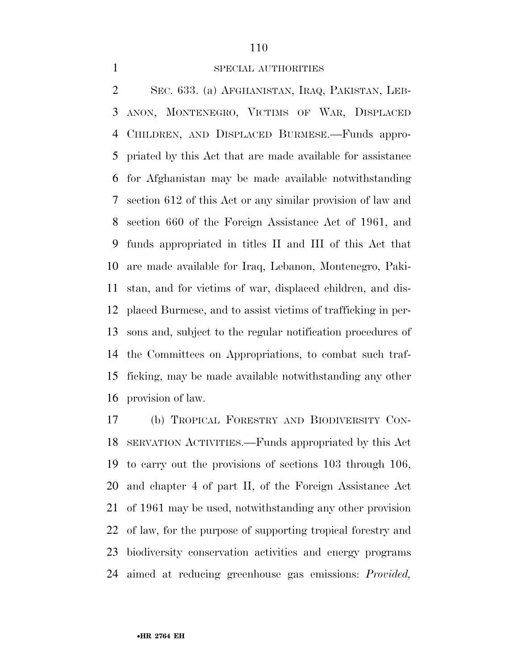## SPECIAL AUTHORITIES

 SEC. 633. (a) AFGHANISTAN, IRAQ, PAKISTAN, LEB- ANON, MONTENEGRO, VICTIMS OF WAR, DISPLACED CHILDREN, AND DISPLACED BURMESE.—Funds appro- priated by this Act that are made available for assistance for Afghanistan may be made available notwithstanding section 612 of this Act or any similar provision of law and section 660 of the Foreign Assistance Act of 1961, and funds appropriated in titles II and III of this Act that are made available for Iraq, Lebanon, Montenegro, Paki- stan, and for victims of war, displaced children, and dis- placed Burmese, and to assist victims of trafficking in per- sons and, subject to the regular notification procedures of the Committees on Appropriations, to combat such traf- ficking, may be made available notwithstanding any other provision of law.

 (b) TROPICAL FORESTRY AND BIODIVERSITY CON- SERVATION ACTIVITIES.—Funds appropriated by this Act to carry out the provisions of sections 103 through 106, and chapter 4 of part II, of the Foreign Assistance Act of 1961 may be used, notwithstanding any other provision of law, for the purpose of supporting tropical forestry and biodiversity conservation activities and energy programs aimed at reducing greenhouse gas emissions: *Provided,*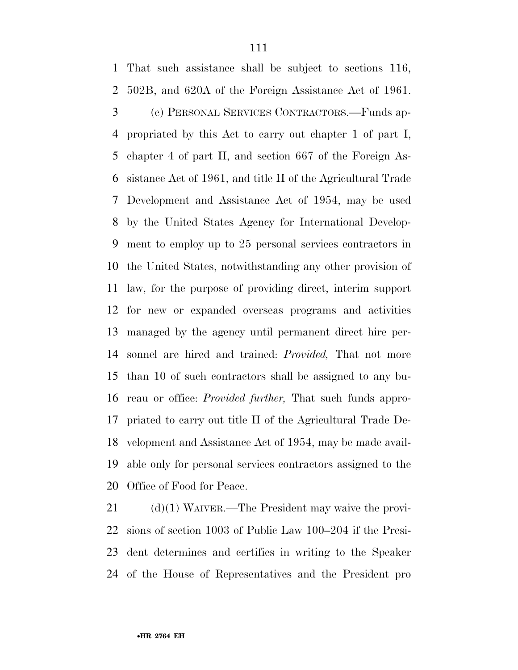That such assistance shall be subject to sections 116, 502B, and 620A of the Foreign Assistance Act of 1961. (c) PERSONAL SERVICES CONTRACTORS.—Funds ap- propriated by this Act to carry out chapter 1 of part I, chapter 4 of part II, and section 667 of the Foreign As- sistance Act of 1961, and title II of the Agricultural Trade Development and Assistance Act of 1954, may be used by the United States Agency for International Develop- ment to employ up to 25 personal services contractors in the United States, notwithstanding any other provision of law, for the purpose of providing direct, interim support for new or expanded overseas programs and activities managed by the agency until permanent direct hire per- sonnel are hired and trained: *Provided,* That not more than 10 of such contractors shall be assigned to any bu- reau or office: *Provided further,* That such funds appro- priated to carry out title II of the Agricultural Trade De- velopment and Assistance Act of 1954, may be made avail- able only for personal services contractors assigned to the Office of Food for Peace.

 (d)(1) WAIVER.—The President may waive the provi- sions of section 1003 of Public Law 100–204 if the Presi- dent determines and certifies in writing to the Speaker of the House of Representatives and the President pro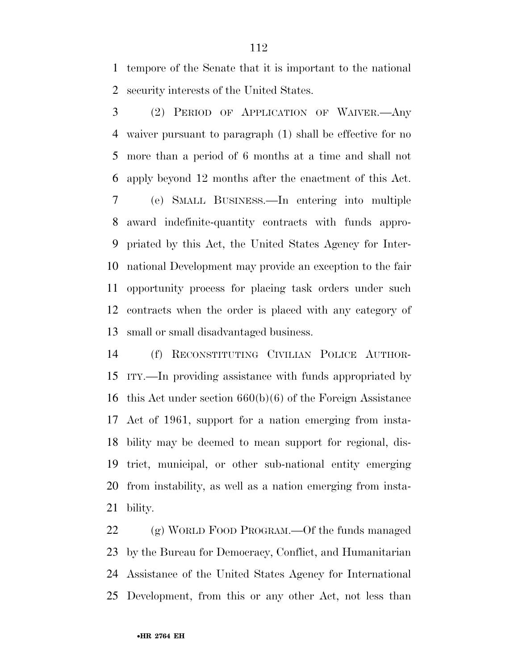tempore of the Senate that it is important to the national security interests of the United States.

 (2) PERIOD OF APPLICATION OF WAIVER.—Any waiver pursuant to paragraph (1) shall be effective for no more than a period of 6 months at a time and shall not apply beyond 12 months after the enactment of this Act. (e) SMALL BUSINESS.—In entering into multiple award indefinite-quantity contracts with funds appro- priated by this Act, the United States Agency for Inter- national Development may provide an exception to the fair opportunity process for placing task orders under such contracts when the order is placed with any category of small or small disadvantaged business.

 (f) RECONSTITUTING CIVILIAN POLICE AUTHOR- ITY.—In providing assistance with funds appropriated by this Act under section 660(b)(6) of the Foreign Assistance Act of 1961, support for a nation emerging from insta- bility may be deemed to mean support for regional, dis- trict, municipal, or other sub-national entity emerging from instability, as well as a nation emerging from insta-bility.

 (g) WORLD FOOD PROGRAM.—Of the funds managed by the Bureau for Democracy, Conflict, and Humanitarian Assistance of the United States Agency for International Development, from this or any other Act, not less than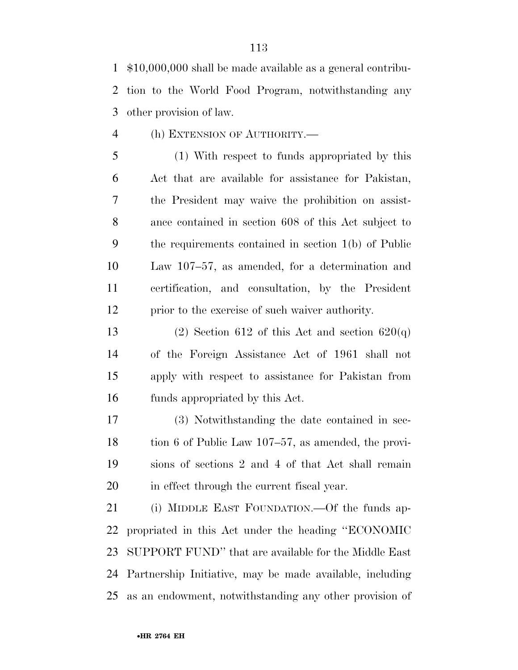\$10,000,000 shall be made available as a general contribu- tion to the World Food Program, notwithstanding any other provision of law.

(h) EXTENSION OF AUTHORITY.—

 (1) With respect to funds appropriated by this Act that are available for assistance for Pakistan, the President may waive the prohibition on assist- ance contained in section 608 of this Act subject to the requirements contained in section 1(b) of Public Law 107–57, as amended, for a determination and certification, and consultation, by the President prior to the exercise of such waiver authority.

13 (2) Section 612 of this Act and section  $620(q)$  of the Foreign Assistance Act of 1961 shall not apply with respect to assistance for Pakistan from funds appropriated by this Act.

 (3) Notwithstanding the date contained in sec- tion 6 of Public Law 107–57, as amended, the provi- sions of sections 2 and 4 of that Act shall remain in effect through the current fiscal year.

 (i) MIDDLE EAST FOUNDATION.—Of the funds ap- propriated in this Act under the heading ''ECONOMIC SUPPORT FUND'' that are available for the Middle East Partnership Initiative, may be made available, including as an endowment, notwithstanding any other provision of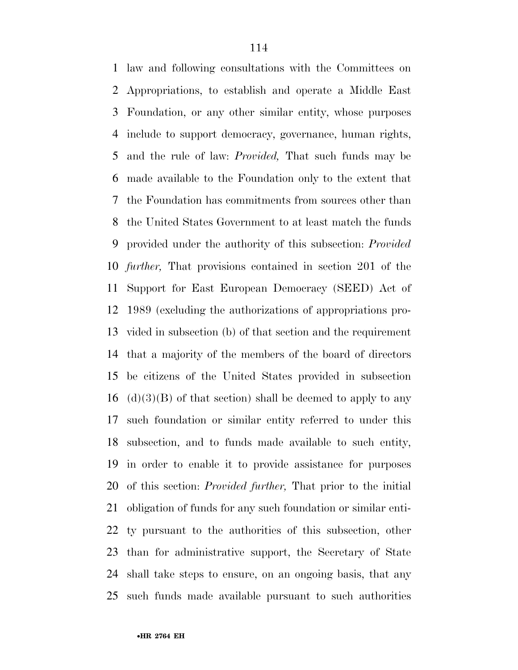law and following consultations with the Committees on Appropriations, to establish and operate a Middle East Foundation, or any other similar entity, whose purposes include to support democracy, governance, human rights, and the rule of law: *Provided,* That such funds may be made available to the Foundation only to the extent that the Foundation has commitments from sources other than the United States Government to at least match the funds provided under the authority of this subsection: *Provided further,* That provisions contained in section 201 of the Support for East European Democracy (SEED) Act of 1989 (excluding the authorizations of appropriations pro- vided in subsection (b) of that section and the requirement that a majority of the members of the board of directors be citizens of the United States provided in subsection (d)(3)(B) of that section) shall be deemed to apply to any such foundation or similar entity referred to under this subsection, and to funds made available to such entity, in order to enable it to provide assistance for purposes of this section: *Provided further,* That prior to the initial obligation of funds for any such foundation or similar enti- ty pursuant to the authorities of this subsection, other than for administrative support, the Secretary of State shall take steps to ensure, on an ongoing basis, that any such funds made available pursuant to such authorities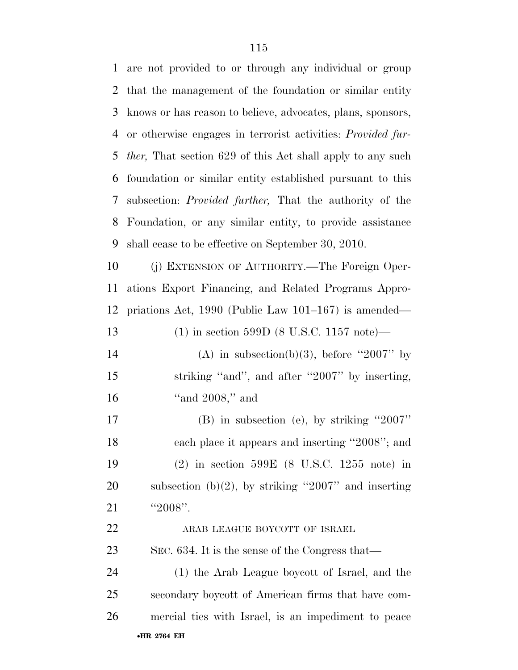•**HR 2764 EH**  are not provided to or through any individual or group that the management of the foundation or similar entity knows or has reason to believe, advocates, plans, sponsors, or otherwise engages in terrorist activities: *Provided fur- ther,* That section 629 of this Act shall apply to any such foundation or similar entity established pursuant to this subsection: *Provided further,* That the authority of the Foundation, or any similar entity, to provide assistance shall cease to be effective on September 30, 2010. (j) EXTENSION OF AUTHORITY.—The Foreign Oper- ations Export Financing, and Related Programs Appro- priations Act, 1990 (Public Law 101–167) is amended— (1) in section 599D (8 U.S.C. 1157 note)— 14 (A) in subsection(b)(3), before "2007" by 15 striking "and", and after "2007" by inserting, ''and 2008,'' and (B) in subsection (e), by striking ''2007'' each place it appears and inserting ''2008''; and (2) in section 599E (8 U.S.C. 1255 note) in 20 subsection  $(b)(2)$ , by striking "2007" and inserting 21 "2008". ARAB LEAGUE BOYCOTT OF ISRAEL SEC. 634. It is the sense of the Congress that— (1) the Arab League boycott of Israel, and the secondary boycott of American firms that have com-mercial ties with Israel, is an impediment to peace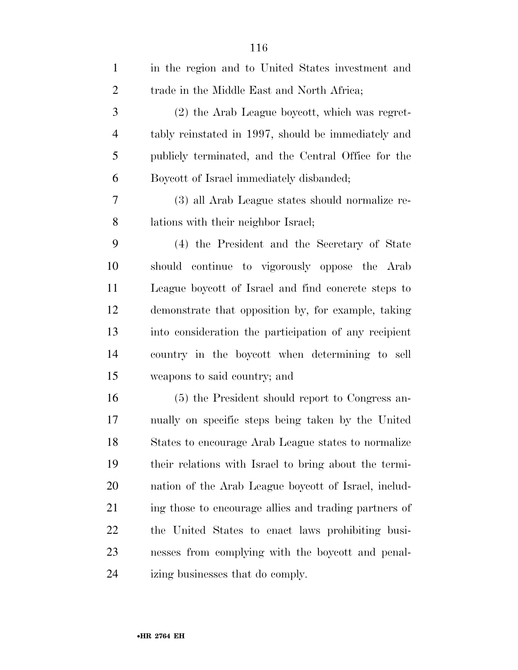| $\mathbf{1}$   | in the region and to United States investment and     |
|----------------|-------------------------------------------------------|
| $\mathfrak{2}$ | trade in the Middle East and North Africa;            |
| 3              | (2) the Arab League boycott, which was regret-        |
| $\overline{4}$ | tably reinstated in 1997, should be immediately and   |
| 5              | publicly terminated, and the Central Office for the   |
| 6              | Boycott of Israel immediately disbanded;              |
| 7              | (3) all Arab League states should normalize re-       |
| 8              | lations with their neighbor Israel;                   |
| 9              | (4) the President and the Secretary of State          |
| 10             | should continue to vigorously oppose the Arab         |
| 11             | League boycott of Israel and find concrete steps to   |
| 12             | demonstrate that opposition by, for example, taking   |
| 13             | into consideration the participation of any recipient |
| 14             | country in the boycott when determining to sell       |
| 15             | weapons to said country; and                          |
| 16             | (5) the President should report to Congress an-       |
| 17             | nually on specific steps being taken by the United    |
| 18             | States to encourage Arab League states to normalize   |
| 19             | their relations with Israel to bring about the termi- |
| 20             | nation of the Arab League boycott of Israel, includ-  |
| 21             | ing those to encourage allies and trading partners of |
| 22             | the United States to enact laws prohibiting busi-     |
| 23             | nesses from complying with the boycott and penal-     |
| 24             | izing businesses that do comply.                      |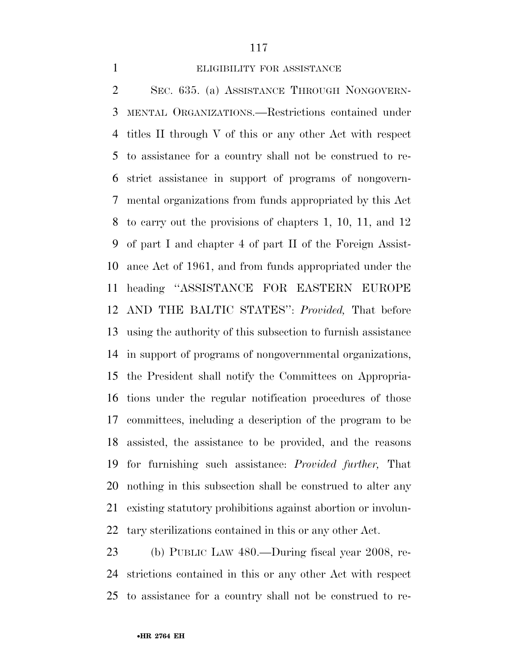### ELIGIBILITY FOR ASSISTANCE

 SEC. 635. (a) ASSISTANCE THROUGH NONGOVERN- MENTAL ORGANIZATIONS.—Restrictions contained under titles II through V of this or any other Act with respect to assistance for a country shall not be construed to re- strict assistance in support of programs of nongovern- mental organizations from funds appropriated by this Act to carry out the provisions of chapters 1, 10, 11, and 12 of part I and chapter 4 of part II of the Foreign Assist- ance Act of 1961, and from funds appropriated under the heading ''ASSISTANCE FOR EASTERN EUROPE AND THE BALTIC STATES'': *Provided,* That before using the authority of this subsection to furnish assistance in support of programs of nongovernmental organizations, the President shall notify the Committees on Appropria- tions under the regular notification procedures of those committees, including a description of the program to be assisted, the assistance to be provided, and the reasons for furnishing such assistance: *Provided further,* That nothing in this subsection shall be construed to alter any existing statutory prohibitions against abortion or involun-tary sterilizations contained in this or any other Act.

 (b) PUBLIC LAW 480.—During fiscal year 2008, re- strictions contained in this or any other Act with respect to assistance for a country shall not be construed to re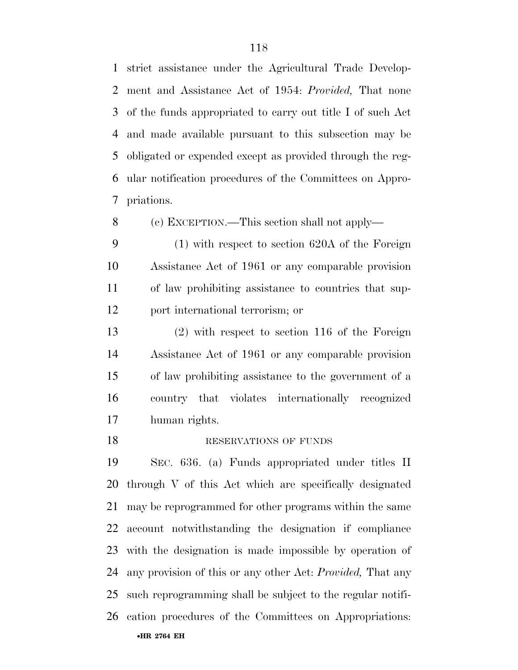strict assistance under the Agricultural Trade Develop- ment and Assistance Act of 1954: *Provided,* That none of the funds appropriated to carry out title I of such Act and made available pursuant to this subsection may be obligated or expended except as provided through the reg- ular notification procedures of the Committees on Appro-priations.

(c) EXCEPTION.—This section shall not apply—

 (1) with respect to section 620A of the Foreign Assistance Act of 1961 or any comparable provision of law prohibiting assistance to countries that sup-port international terrorism; or

 (2) with respect to section 116 of the Foreign Assistance Act of 1961 or any comparable provision of law prohibiting assistance to the government of a country that violates internationally recognized human rights.

#### 18 RESERVATIONS OF FUNDS

•**HR 2764 EH**  SEC. 636. (a) Funds appropriated under titles II through V of this Act which are specifically designated may be reprogrammed for other programs within the same account notwithstanding the designation if compliance with the designation is made impossible by operation of any provision of this or any other Act: *Provided,* That any such reprogramming shall be subject to the regular notifi-cation procedures of the Committees on Appropriations: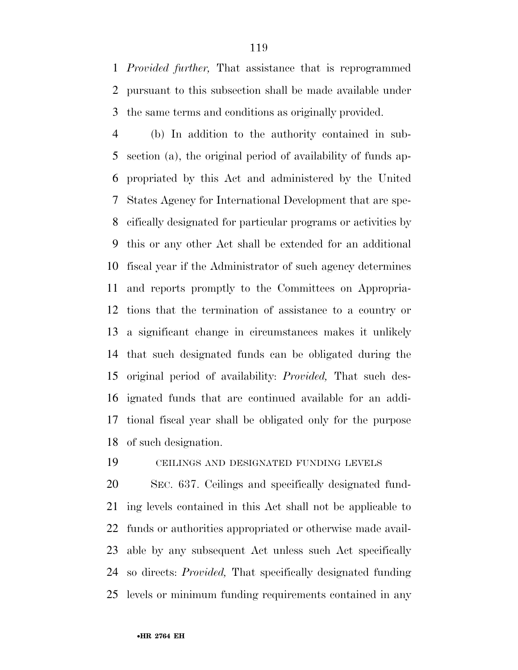*Provided further,* That assistance that is reprogrammed pursuant to this subsection shall be made available under the same terms and conditions as originally provided.

 (b) In addition to the authority contained in sub- section (a), the original period of availability of funds ap- propriated by this Act and administered by the United States Agency for International Development that are spe- cifically designated for particular programs or activities by this or any other Act shall be extended for an additional fiscal year if the Administrator of such agency determines and reports promptly to the Committees on Appropria- tions that the termination of assistance to a country or a significant change in circumstances makes it unlikely that such designated funds can be obligated during the original period of availability: *Provided,* That such des- ignated funds that are continued available for an addi- tional fiscal year shall be obligated only for the purpose of such designation.

CEILINGS AND DESIGNATED FUNDING LEVELS

 SEC. 637. Ceilings and specifically designated fund- ing levels contained in this Act shall not be applicable to funds or authorities appropriated or otherwise made avail- able by any subsequent Act unless such Act specifically so directs: *Provided,* That specifically designated funding levels or minimum funding requirements contained in any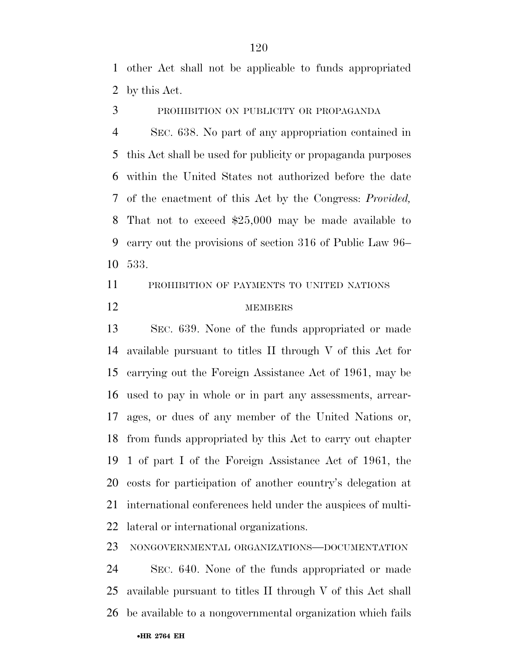other Act shall not be applicable to funds appropriated by this Act.

PROHIBITION ON PUBLICITY OR PROPAGANDA

 SEC. 638. No part of any appropriation contained in this Act shall be used for publicity or propaganda purposes within the United States not authorized before the date of the enactment of this Act by the Congress: *Provided,*  That not to exceed \$25,000 may be made available to carry out the provisions of section 316 of Public Law 96– 533.

PROHIBITION OF PAYMENTS TO UNITED NATIONS

## 12 MEMBERS

 SEC. 639. None of the funds appropriated or made available pursuant to titles II through V of this Act for carrying out the Foreign Assistance Act of 1961, may be used to pay in whole or in part any assessments, arrear- ages, or dues of any member of the United Nations or, from funds appropriated by this Act to carry out chapter 1 of part I of the Foreign Assistance Act of 1961, the costs for participation of another country's delegation at international conferences held under the auspices of multi-lateral or international organizations.

NONGOVERNMENTAL ORGANIZATIONS—DOCUMENTATION

 SEC. 640. None of the funds appropriated or made available pursuant to titles II through V of this Act shall be available to a nongovernmental organization which fails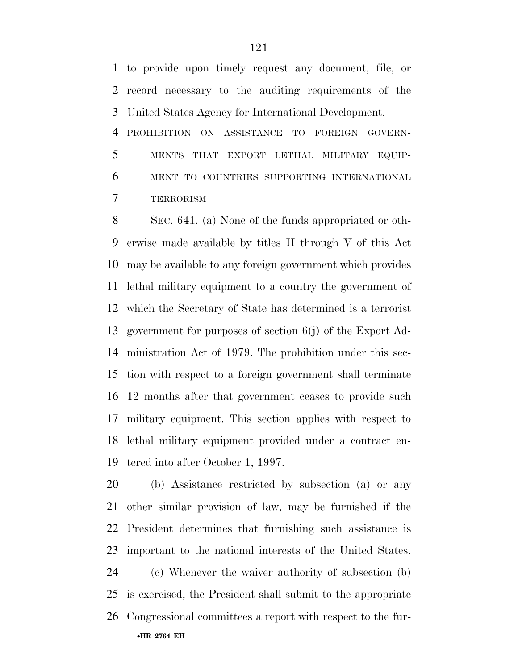to provide upon timely request any document, file, or record necessary to the auditing requirements of the United States Agency for International Development.

 PROHIBITION ON ASSISTANCE TO FOREIGN GOVERN- MENTS THAT EXPORT LETHAL MILITARY EQUIP- MENT TO COUNTRIES SUPPORTING INTERNATIONAL TERRORISM

 SEC. 641. (a) None of the funds appropriated or oth- erwise made available by titles II through V of this Act may be available to any foreign government which provides lethal military equipment to a country the government of which the Secretary of State has determined is a terrorist government for purposes of section 6(j) of the Export Ad- ministration Act of 1979. The prohibition under this sec- tion with respect to a foreign government shall terminate 12 months after that government ceases to provide such military equipment. This section applies with respect to lethal military equipment provided under a contract en-tered into after October 1, 1997.

 (b) Assistance restricted by subsection (a) or any other similar provision of law, may be furnished if the President determines that furnishing such assistance is important to the national interests of the United States. (c) Whenever the waiver authority of subsection (b) is exercised, the President shall submit to the appropriate Congressional committees a report with respect to the fur-

•**HR 2764 EH**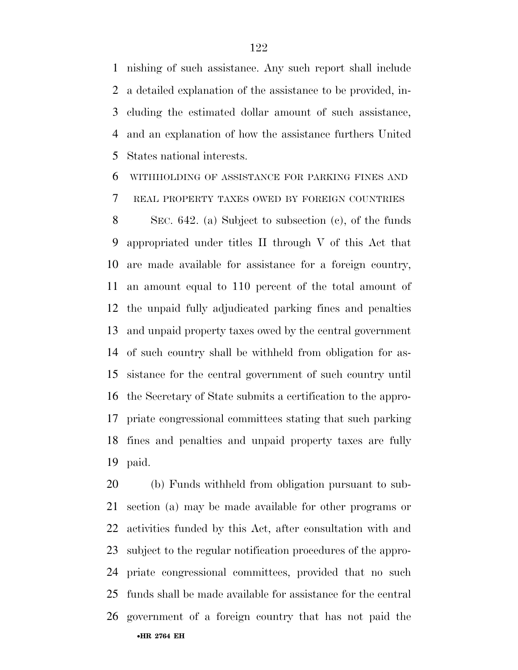nishing of such assistance. Any such report shall include a detailed explanation of the assistance to be provided, in- cluding the estimated dollar amount of such assistance, and an explanation of how the assistance furthers United States national interests.

WITHHOLDING OF ASSISTANCE FOR PARKING FINES AND

REAL PROPERTY TAXES OWED BY FOREIGN COUNTRIES

 SEC. 642. (a) Subject to subsection (c), of the funds appropriated under titles II through V of this Act that are made available for assistance for a foreign country, an amount equal to 110 percent of the total amount of the unpaid fully adjudicated parking fines and penalties and unpaid property taxes owed by the central government of such country shall be withheld from obligation for as- sistance for the central government of such country until the Secretary of State submits a certification to the appro- priate congressional committees stating that such parking fines and penalties and unpaid property taxes are fully paid.

•**HR 2764 EH**  (b) Funds withheld from obligation pursuant to sub- section (a) may be made available for other programs or activities funded by this Act, after consultation with and subject to the regular notification procedures of the appro- priate congressional committees, provided that no such funds shall be made available for assistance for the central government of a foreign country that has not paid the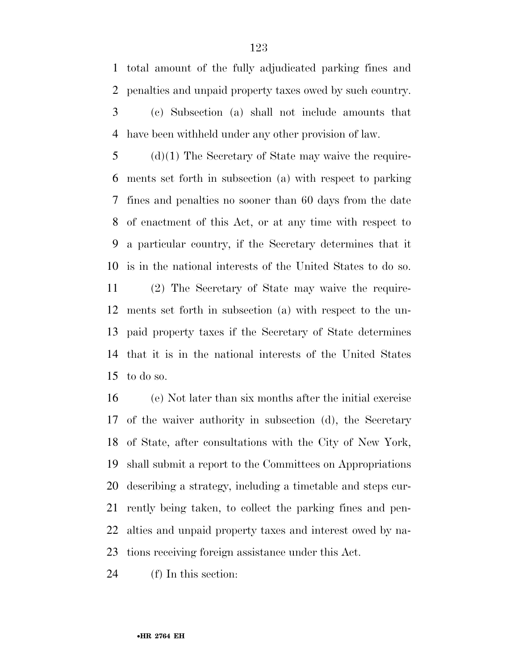total amount of the fully adjudicated parking fines and penalties and unpaid property taxes owed by such country.

 (c) Subsection (a) shall not include amounts that have been withheld under any other provision of law.

 (d)(1) The Secretary of State may waive the require- ments set forth in subsection (a) with respect to parking fines and penalties no sooner than 60 days from the date of enactment of this Act, or at any time with respect to a particular country, if the Secretary determines that it is in the national interests of the United States to do so.

 (2) The Secretary of State may waive the require- ments set forth in subsection (a) with respect to the un- paid property taxes if the Secretary of State determines that it is in the national interests of the United States to do so.

 (e) Not later than six months after the initial exercise of the waiver authority in subsection (d), the Secretary of State, after consultations with the City of New York, shall submit a report to the Committees on Appropriations describing a strategy, including a timetable and steps cur- rently being taken, to collect the parking fines and pen- alties and unpaid property taxes and interest owed by na-tions receiving foreign assistance under this Act.

(f) In this section: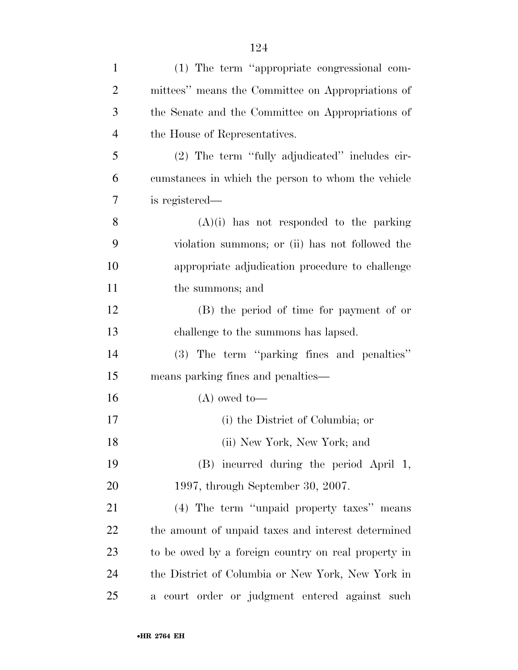| $\mathbf{1}$   | (1) The term "appropriate congressional com-        |
|----------------|-----------------------------------------------------|
| $\overline{2}$ | mittees" means the Committee on Appropriations of   |
| 3              | the Senate and the Committee on Appropriations of   |
| $\overline{4}$ | the House of Representatives.                       |
| 5              | (2) The term "fully adjudicated" includes cir-      |
| 6              | cumstances in which the person to whom the vehicle  |
| 7              | is registered-                                      |
| 8              | $(A)(i)$ has not responded to the parking           |
| 9              | violation summons; or (ii) has not followed the     |
| 10             | appropriate adjudication procedure to challenge     |
| 11             | the summons; and                                    |
| 12             | (B) the period of time for payment of or            |
| 13             | challenge to the summons has lapsed.                |
| 14             | (3) The term "parking fines and penalties"          |
| 15             | means parking fines and penalties—                  |
| 16             | $(A)$ owed to-                                      |
| 17             | (i) the District of Columbia; or                    |
| 18             | (ii) New York, New York; and                        |
| 19             | (B) incurred during the period April 1,             |
| 20             | 1997, through September 30, 2007.                   |
| 21             | (4) The term "unpaid property taxes" means          |
| 22             | the amount of unpaid taxes and interest determined  |
| 23             | to be owed by a foreign country on real property in |
| 24             | the District of Columbia or New York, New York in   |
| 25             | a court order or judgment entered against such      |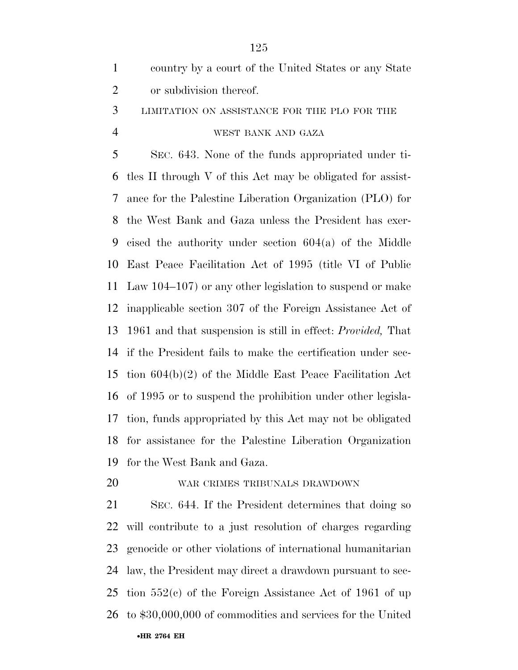|               | country by a court of the United States or any State |
|---------------|------------------------------------------------------|
| $\mathcal{L}$ | or subdivision thereof.                              |
|               | 3 LIMITATION ON ASSISTANCE FOR THE PLO FOR THE       |

## WEST BANK AND GAZA

 SEC. 643. None of the funds appropriated under ti- tles II through V of this Act may be obligated for assist- ance for the Palestine Liberation Organization (PLO) for the West Bank and Gaza unless the President has exer- cised the authority under section 604(a) of the Middle East Peace Facilitation Act of 1995 (title VI of Public Law 104–107) or any other legislation to suspend or make inapplicable section 307 of the Foreign Assistance Act of 1961 and that suspension is still in effect: *Provided,* That if the President fails to make the certification under sec- tion 604(b)(2) of the Middle East Peace Facilitation Act of 1995 or to suspend the prohibition under other legisla- tion, funds appropriated by this Act may not be obligated for assistance for the Palestine Liberation Organization for the West Bank and Gaza.

#### WAR CRIMES TRIBUNALS DRAWDOWN

•**HR 2764 EH**  SEC. 644. If the President determines that doing so will contribute to a just resolution of charges regarding genocide or other violations of international humanitarian law, the President may direct a drawdown pursuant to sec- tion 552(c) of the Foreign Assistance Act of 1961 of up to \$30,000,000 of commodities and services for the United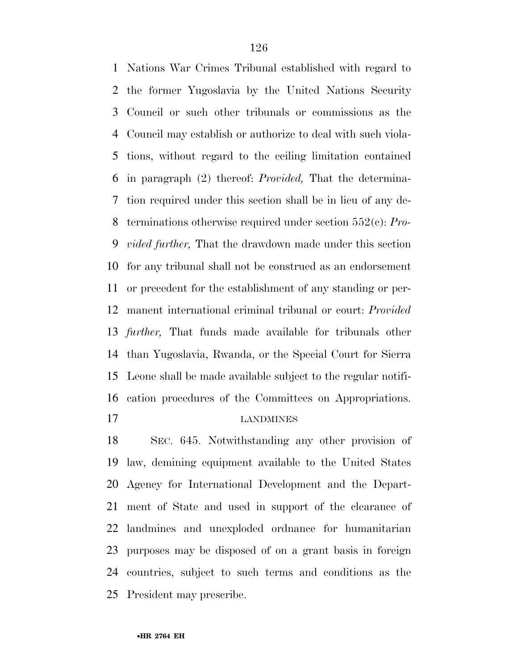Nations War Crimes Tribunal established with regard to the former Yugoslavia by the United Nations Security Council or such other tribunals or commissions as the Council may establish or authorize to deal with such viola- tions, without regard to the ceiling limitation contained in paragraph (2) thereof: *Provided,* That the determina- tion required under this section shall be in lieu of any de- terminations otherwise required under section 552(c): *Pro- vided further,* That the drawdown made under this section for any tribunal shall not be construed as an endorsement or precedent for the establishment of any standing or per- manent international criminal tribunal or court: *Provided further,* That funds made available for tribunals other than Yugoslavia, Rwanda, or the Special Court for Sierra Leone shall be made available subject to the regular notifi- cation procedures of the Committees on Appropriations. LANDMINES

 SEC. 645. Notwithstanding any other provision of law, demining equipment available to the United States Agency for International Development and the Depart- ment of State and used in support of the clearance of landmines and unexploded ordnance for humanitarian purposes may be disposed of on a grant basis in foreign countries, subject to such terms and conditions as the President may prescribe.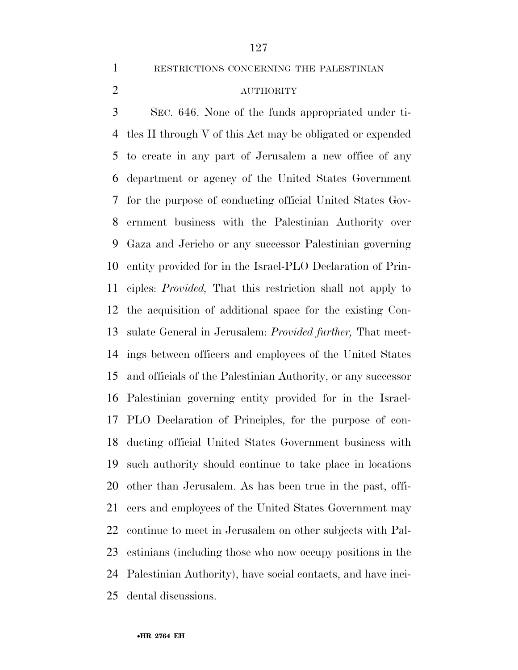RESTRICTIONS CONCERNING THE PALESTINIAN

## AUTHORITY

 SEC. 646. None of the funds appropriated under ti- tles II through V of this Act may be obligated or expended to create in any part of Jerusalem a new office of any department or agency of the United States Government for the purpose of conducting official United States Gov- ernment business with the Palestinian Authority over Gaza and Jericho or any successor Palestinian governing entity provided for in the Israel-PLO Declaration of Prin- ciples: *Provided,* That this restriction shall not apply to the acquisition of additional space for the existing Con- sulate General in Jerusalem: *Provided further,* That meet- ings between officers and employees of the United States and officials of the Palestinian Authority, or any successor Palestinian governing entity provided for in the Israel- PLO Declaration of Principles, for the purpose of con- ducting official United States Government business with such authority should continue to take place in locations other than Jerusalem. As has been true in the past, offi- cers and employees of the United States Government may continue to meet in Jerusalem on other subjects with Pal- estinians (including those who now occupy positions in the Palestinian Authority), have social contacts, and have inci-dental discussions.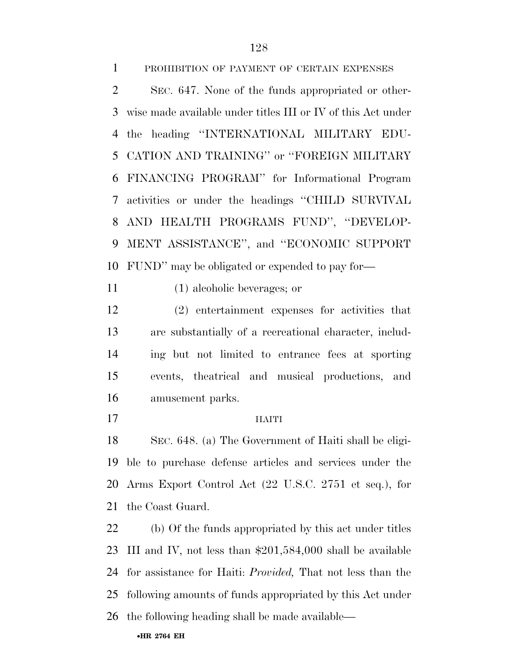PROHIBITION OF PAYMENT OF CERTAIN EXPENSES SEC. 647. None of the funds appropriated or other- wise made available under titles III or IV of this Act under the heading ''INTERNATIONAL MILITARY EDU- CATION AND TRAINING'' or ''FOREIGN MILITARY FINANCING PROGRAM'' for Informational Program activities or under the headings ''CHILD SURVIVAL

 AND HEALTH PROGRAMS FUND'', ''DEVELOP- MENT ASSISTANCE'', and ''ECONOMIC SUPPORT FUND'' may be obligated or expended to pay for—

(1) alcoholic beverages; or

 (2) entertainment expenses for activities that are substantially of a recreational character, includ- ing but not limited to entrance fees at sporting events, theatrical and musical productions, and amusement parks.

### HAITI

 SEC. 648. (a) The Government of Haiti shall be eligi- ble to purchase defense articles and services under the Arms Export Control Act (22 U.S.C. 2751 et seq.), for the Coast Guard.

 (b) Of the funds appropriated by this act under titles III and IV, not less than \$201,584,000 shall be available for assistance for Haiti: *Provided,* That not less than the following amounts of funds appropriated by this Act under the following heading shall be made available—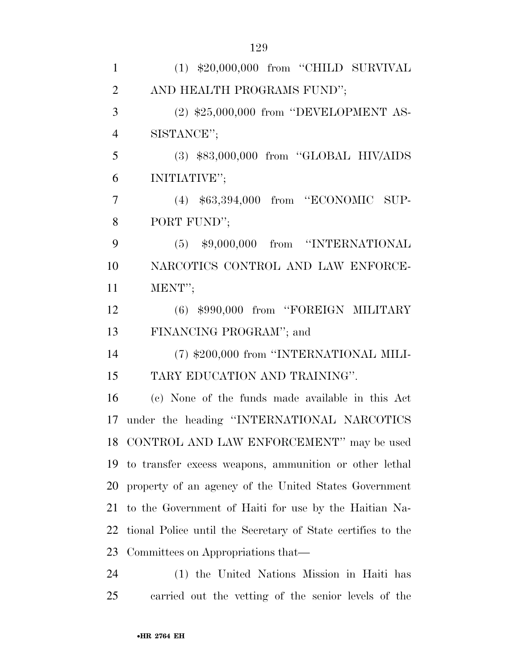| $(1)$ \$20,000,000 from "CHILD SURVIVAL                     |
|-------------------------------------------------------------|
| AND HEALTH PROGRAMS FUND";                                  |
| $(2)$ \$25,000,000 from "DEVELOPMENT AS-                    |
| SISTANCE";                                                  |
| $(3)$ \$83,000,000 from "GLOBAL HIV/AIDS                    |
| INITIATIVE";                                                |
| (4) \$63,394,000 from "ECONOMIC SUP-                        |
| PORT FUND";                                                 |
| $(5)$ \$9,000,000 from "INTERNATIONAL                       |
| NARCOTICS CONTROL AND LAW ENFORCE-                          |
| MENT";                                                      |
| $(6)$ \$990,000 from "FOREIGN MILITARY                      |
| FINANCING PROGRAM"; and                                     |
| (7) \$200,000 from "INTERNATIONAL MILI-                     |
| TARY EDUCATION AND TRAINING".                               |
| (c) None of the funds made available in this Act            |
| under the heading "INTERNATIONAL NARCOTICS                  |
| 18 CONTROL AND LAW ENFORCEMENT" may be used                 |
| 19 to transfer excess weapons, ammunition or other lethal   |
| 20 property of an agency of the United States Government    |
| to the Government of Haiti for use by the Haitian Na-       |
| tional Police until the Secretary of State certifies to the |
| Committees on Appropriations that—                          |
| (1) the United Nations Mission in Haiti has                 |
|                                                             |

carried out the vetting of the senior levels of the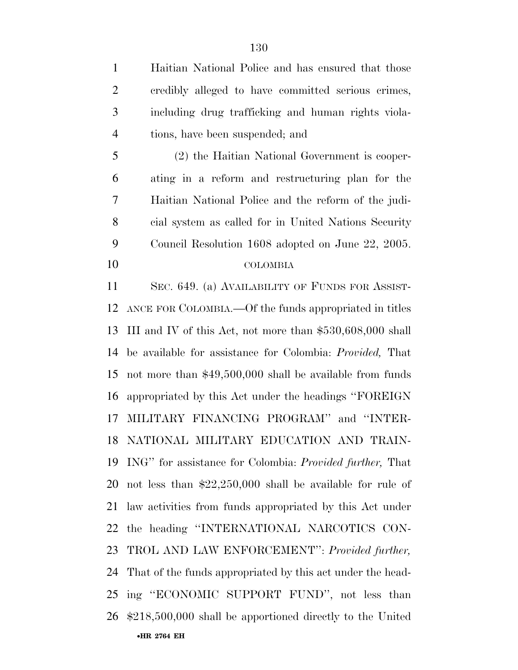•**HR 2764 EH**  Haitian National Police and has ensured that those credibly alleged to have committed serious crimes, including drug trafficking and human rights viola- tions, have been suspended; and (2) the Haitian National Government is cooper- ating in a reform and restructuring plan for the Haitian National Police and the reform of the judi- cial system as called for in United Nations Security Council Resolution 1608 adopted on June 22, 2005. COLOMBIA SEC. 649. (a) AVAILABILITY OF FUNDS FOR ASSIST- ANCE FOR COLOMBIA.—Of the funds appropriated in titles III and IV of this Act, not more than \$530,608,000 shall be available for assistance for Colombia: *Provided,* That not more than \$49,500,000 shall be available from funds appropriated by this Act under the headings ''FOREIGN MILITARY FINANCING PROGRAM'' and ''INTER- NATIONAL MILITARY EDUCATION AND TRAIN- ING'' for assistance for Colombia: *Provided further,* That not less than \$22,250,000 shall be available for rule of law activities from funds appropriated by this Act under the heading ''INTERNATIONAL NARCOTICS CON- TROL AND LAW ENFORCEMENT'': *Provided further,*  That of the funds appropriated by this act under the head- ing ''ECONOMIC SUPPORT FUND'', not less than \$218,500,000 shall be apportioned directly to the United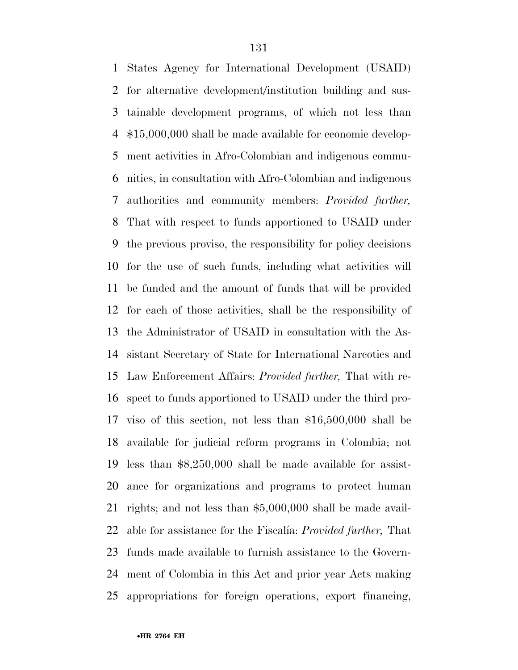States Agency for International Development (USAID) for alternative development/institution building and sus- tainable development programs, of which not less than \$15,000,000 shall be made available for economic develop- ment activities in Afro-Colombian and indigenous commu- nities, in consultation with Afro-Colombian and indigenous authorities and community members: *Provided further,*  That with respect to funds apportioned to USAID under the previous proviso, the responsibility for policy decisions for the use of such funds, including what activities will be funded and the amount of funds that will be provided for each of those activities, shall be the responsibility of the Administrator of USAID in consultation with the As- sistant Secretary of State for International Narcotics and Law Enforcement Affairs: *Provided further,* That with re- spect to funds apportioned to USAID under the third pro- viso of this section, not less than \$16,500,000 shall be available for judicial reform programs in Colombia; not less than \$8,250,000 shall be made available for assist- ance for organizations and programs to protect human rights; and not less than \$5,000,000 shall be made avail- able for assistance for the Fiscalı´a: *Provided further,* That funds made available to furnish assistance to the Govern- ment of Colombia in this Act and prior year Acts making appropriations for foreign operations, export financing,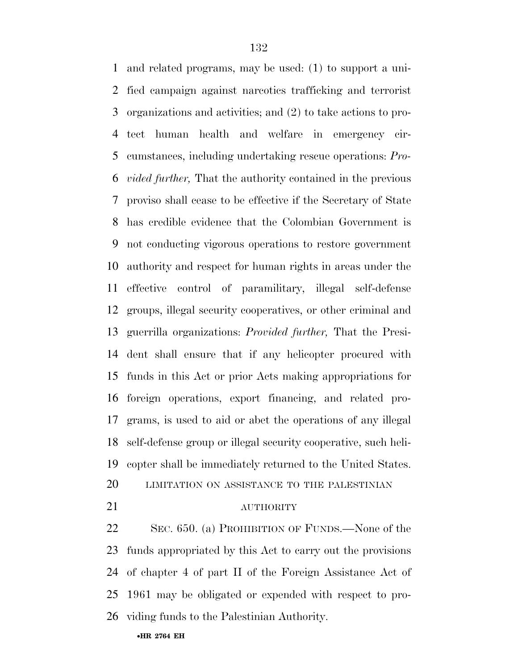and related programs, may be used: (1) to support a uni- fied campaign against narcotics trafficking and terrorist organizations and activities; and (2) to take actions to pro- tect human health and welfare in emergency cir- cumstances, including undertaking rescue operations: *Pro- vided further,* That the authority contained in the previous proviso shall cease to be effective if the Secretary of State has credible evidence that the Colombian Government is not conducting vigorous operations to restore government authority and respect for human rights in areas under the effective control of paramilitary, illegal self-defense groups, illegal security cooperatives, or other criminal and guerrilla organizations: *Provided further,* That the Presi- dent shall ensure that if any helicopter procured with funds in this Act or prior Acts making appropriations for foreign operations, export financing, and related pro- grams, is used to aid or abet the operations of any illegal self-defense group or illegal security cooperative, such heli-copter shall be immediately returned to the United States.

- LIMITATION ON ASSISTANCE TO THE PALESTINIAN
- 

## AUTHORITY

 SEC. 650. (a) PROHIBITION OF FUNDS.—None of the funds appropriated by this Act to carry out the provisions of chapter 4 of part II of the Foreign Assistance Act of 1961 may be obligated or expended with respect to pro-viding funds to the Palestinian Authority.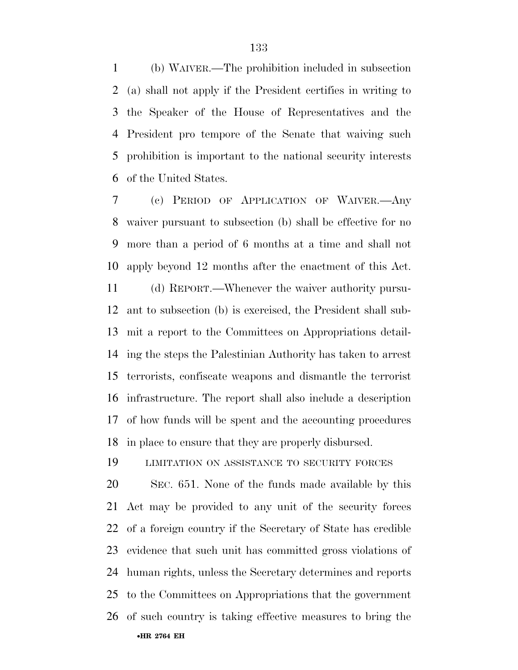(b) WAIVER.—The prohibition included in subsection (a) shall not apply if the President certifies in writing to the Speaker of the House of Representatives and the President pro tempore of the Senate that waiving such prohibition is important to the national security interests of the United States.

 (c) PERIOD OF APPLICATION OF WAIVER.—Any waiver pursuant to subsection (b) shall be effective for no more than a period of 6 months at a time and shall not apply beyond 12 months after the enactment of this Act.

 (d) REPORT.—Whenever the waiver authority pursu- ant to subsection (b) is exercised, the President shall sub- mit a report to the Committees on Appropriations detail- ing the steps the Palestinian Authority has taken to arrest terrorists, confiscate weapons and dismantle the terrorist infrastructure. The report shall also include a description of how funds will be spent and the accounting procedures in place to ensure that they are properly disbursed.

LIMITATION ON ASSISTANCE TO SECURITY FORCES

•**HR 2764 EH**  SEC. 651. None of the funds made available by this Act may be provided to any unit of the security forces of a foreign country if the Secretary of State has credible evidence that such unit has committed gross violations of human rights, unless the Secretary determines and reports to the Committees on Appropriations that the government of such country is taking effective measures to bring the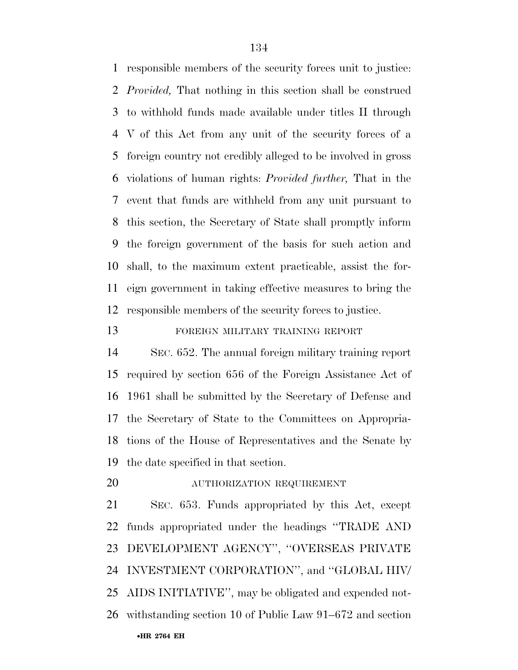responsible members of the security forces unit to justice: *Provided,* That nothing in this section shall be construed to withhold funds made available under titles II through V of this Act from any unit of the security forces of a foreign country not credibly alleged to be involved in gross violations of human rights: *Provided further,* That in the event that funds are withheld from any unit pursuant to this section, the Secretary of State shall promptly inform the foreign government of the basis for such action and shall, to the maximum extent practicable, assist the for- eign government in taking effective measures to bring the responsible members of the security forces to justice.

## FOREIGN MILITARY TRAINING REPORT

 SEC. 652. The annual foreign military training report required by section 656 of the Foreign Assistance Act of 1961 shall be submitted by the Secretary of Defense and the Secretary of State to the Committees on Appropria- tions of the House of Representatives and the Senate by the date specified in that section.

AUTHORIZATION REQUIREMENT

•**HR 2764 EH**  SEC. 653. Funds appropriated by this Act, except funds appropriated under the headings ''TRADE AND DEVELOPMENT AGENCY'', ''OVERSEAS PRIVATE INVESTMENT CORPORATION'', and ''GLOBAL HIV/ AIDS INITIATIVE'', may be obligated and expended not-withstanding section 10 of Public Law 91–672 and section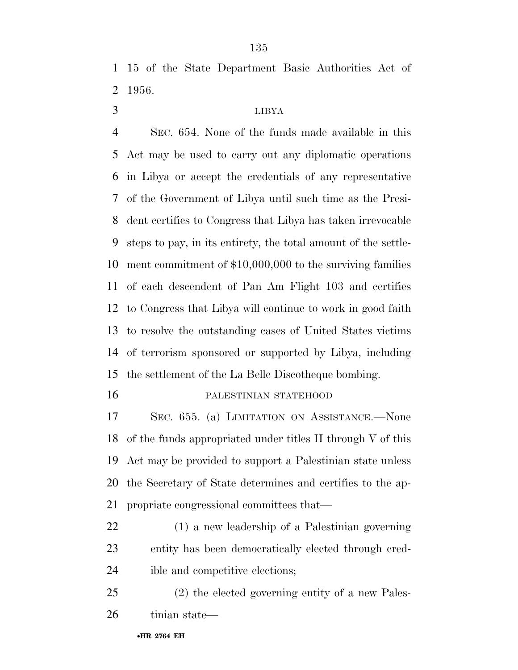15 of the State Department Basic Authorities Act of 1956.

# LIBYA

 SEC. 654. None of the funds made available in this Act may be used to carry out any diplomatic operations in Libya or accept the credentials of any representative of the Government of Libya until such time as the Presi- dent certifies to Congress that Libya has taken irrevocable steps to pay, in its entirety, the total amount of the settle- ment commitment of \$10,000,000 to the surviving families of each descendent of Pan Am Flight 103 and certifies to Congress that Libya will continue to work in good faith to resolve the outstanding cases of United States victims of terrorism sponsored or supported by Libya, including the settlement of the La Belle Discotheque bombing.

#### PALESTINIAN STATEHOOD

 SEC. 655. (a) LIMITATION ON ASSISTANCE.—None of the funds appropriated under titles II through V of this Act may be provided to support a Palestinian state unless the Secretary of State determines and certifies to the ap-propriate congressional committees that—

- (1) a new leadership of a Palestinian governing entity has been democratically elected through cred-ible and competitive elections;
- (2) the elected governing entity of a new Pales-tinian state—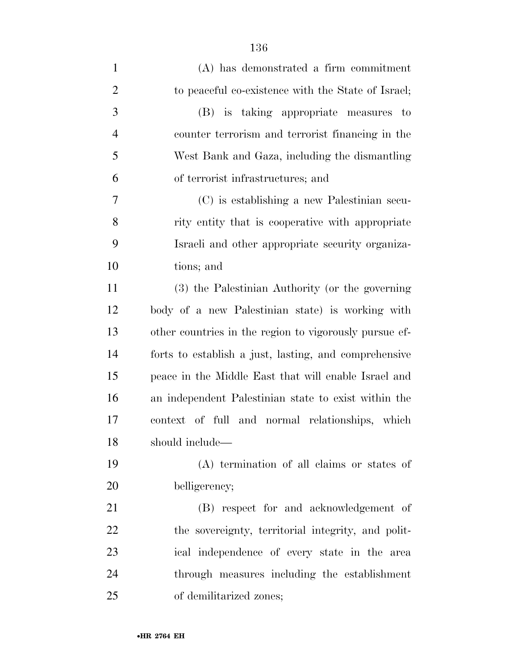| $\mathbf{1}$   | (A) has demonstrated a firm commitment                 |
|----------------|--------------------------------------------------------|
| $\overline{2}$ | to peaceful co-existence with the State of Israel;     |
| 3              | (B) is taking appropriate measures to                  |
| $\overline{4}$ | counter terrorism and terrorist financing in the       |
| 5              | West Bank and Gaza, including the dismantling          |
| 6              | of terrorist infrastructures; and                      |
| 7              | (C) is establishing a new Palestinian secu-            |
| 8              | rity entity that is cooperative with appropriate       |
| 9              | Israeli and other appropriate security organiza-       |
| 10             | tions; and                                             |
| 11             | (3) the Palestinian Authority (or the governing        |
| 12             | body of a new Palestinian state) is working with       |
| 13             | other countries in the region to vigorously pursue ef- |
| 14             | forts to establish a just, lasting, and comprehensive  |
| 15             | peace in the Middle East that will enable Israel and   |
| 16             | an independent Palestinian state to exist within the   |
| 17             | context of full and normal relationships, which        |
| 18             | should include-                                        |
| 19             | (A) termination of all claims or states of             |
| 20             | belligerency;                                          |
| 21             | (B) respect for and acknowledgement of                 |
| 22             | the sovereignty, territorial integrity, and polit-     |
| 23             | ical independence of every state in the area           |
| 24             | through measures including the establishment           |
| 25             | of demilitarized zones;                                |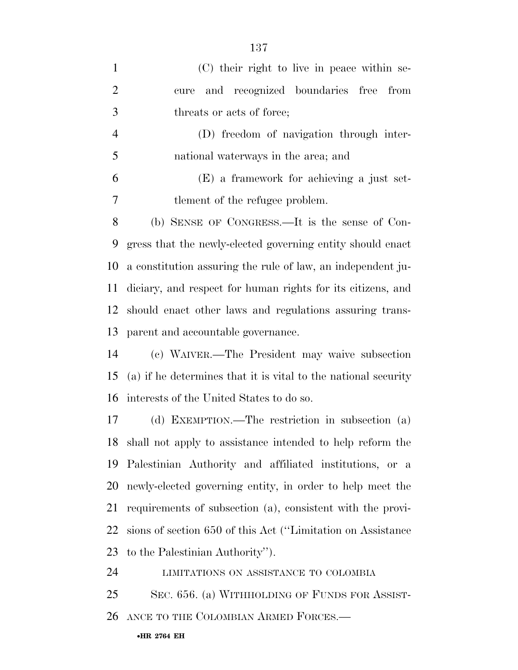| (C) their right to live in peace within se-                    |
|----------------------------------------------------------------|
| and recognized boundaries free<br>from<br>cure                 |
| threats or acts of force;                                      |
| (D) freedom of navigation through inter-                       |
| national waterways in the area; and                            |
| (E) a framework for achieving a just set-                      |
| tlement of the refugee problem.                                |
| (b) SENSE OF CONGRESS.—It is the sense of Con-                 |
| gress that the newly-elected governing entity should enact     |
| a constitution assuring the rule of law, an independent ju-    |
| diciary, and respect for human rights for its citizens, and    |
| should enact other laws and regulations assuring trans-        |
| parent and accountable governance.                             |
| (c) WAIVER.—The President may waive subsection                 |
| (a) if he determines that it is vital to the national security |
| interests of the United States to do so.                       |
| (d) EXEMPTION.—The restriction in subsection (a)               |
| shall not apply to assistance intended to help reform the      |
| Palestinian Authority and affiliated institutions, or a        |
| newly-elected governing entity, in order to help meet the      |
| requirements of subsection (a), consistent with the provi-     |
| sions of section 650 of this Act ("Limitation on Assistance"   |
| to the Palestinian Authority").                                |
| LIMITATIONS ON ASSISTANCE TO COLOMBIA                          |
|                                                                |

SEC. 656. (a) WITHHOLDING OF FUNDS FOR ASSIST-

ANCE TO THE COLOMBIAN ARMED FORCES.—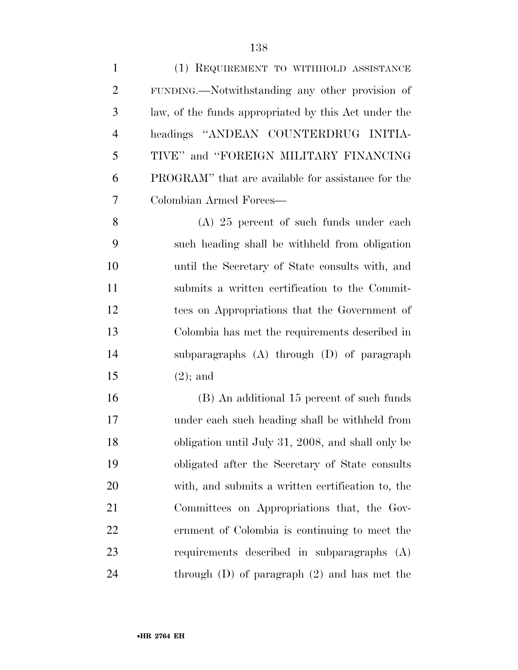| $\mathbf{1}$   | (1) REQUIREMENT TO WITHHOLD ASSISTANCE               |
|----------------|------------------------------------------------------|
| $\overline{2}$ | FUNDING.—Notwithstanding any other provision of      |
| 3              | law, of the funds appropriated by this Act under the |
| $\overline{4}$ | headings "ANDEAN COUNTERDRUG INITIA-                 |
| 5              | TIVE" and "FOREIGN MILITARY FINANCING                |
| 6              | PROGRAM" that are available for assistance for the   |
| 7              | Colombian Armed Forces-                              |
| 8              | $(A)$ 25 percent of such funds under each            |
| 9              | such heading shall be withheld from obligation       |
| 10             | until the Secretary of State consults with, and      |
| 11             | submits a written certification to the Commit-       |
| 12             | tees on Appropriations that the Government of        |
| 13             | Colombia has met the requirements described in       |
| 14             | subparagraphs $(A)$ through $(D)$ of paragraph       |
| 15             | $(2)$ ; and                                          |
| 16             | (B) An additional 15 percent of such funds           |
| 17             | under each such heading shall be withheld from       |
| 18             | obligation until July 31, 2008, and shall only be    |
| 19             | obligated after the Secretary of State consults      |
| 20             | with, and submits a written certification to, the    |
| 21             | Committees on Appropriations that, the Gov-          |
| 22             | ernment of Colombia is continuing to meet the        |
| 23             | requirements described in subparagraphs (A)          |
| 24             | through $(D)$ of paragraph $(2)$ and has met the     |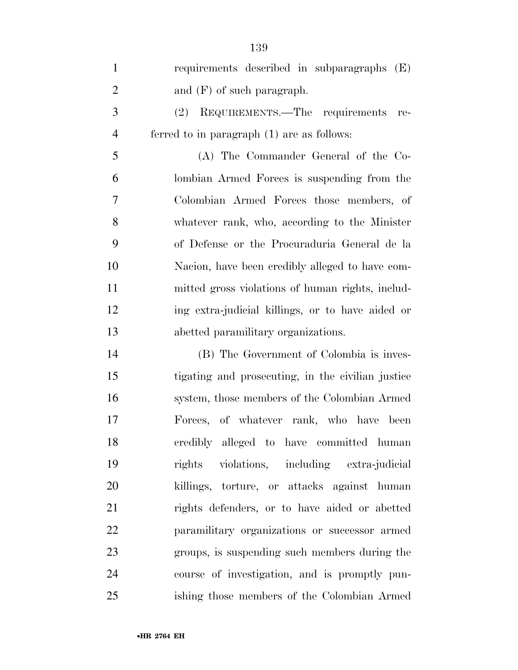| $\mathbf{1}$   | requirements described in subparagraphs (E)       |
|----------------|---------------------------------------------------|
| $\overline{2}$ | and $(F)$ of such paragraph.                      |
| 3              | REQUIREMENTS.—The requirements<br>(2)<br>re-      |
| $\overline{4}$ | ferred to in paragraph $(1)$ are as follows:      |
| 5              | (A) The Commander General of the Co-              |
| 6              | lombian Armed Forces is suspending from the       |
| 7              | Colombian Armed Forces those members, of          |
| 8              | whatever rank, who, according to the Minister     |
| 9              | of Defense or the Procuraduria General de la      |
| 10             | Nacion, have been credibly alleged to have com-   |
| 11             | mitted gross violations of human rights, includ-  |
| 12             | ing extra-judicial killings, or to have aided or  |
| 13             | abetted paramilitary organizations.               |
| 14             | (B) The Government of Colombia is inves-          |
| 15             | tigating and prosecuting, in the civilian justice |
| 16             | system, those members of the Colombian Armed      |
| 17             | Forces, of whatever rank, who have been           |
| 18             | credibly alleged to have committed human          |
| 19             | rights violations, including extra-judicial       |
| 20             | killings, torture, or attacks against human       |
| 21             | rights defenders, or to have aided or abetted     |
| 22             | paramilitary organizations or successor armed     |
| 23             | groups, is suspending such members during the     |
| 24             | course of investigation, and is promptly pun-     |
| 25             | ishing those members of the Colombian Armed       |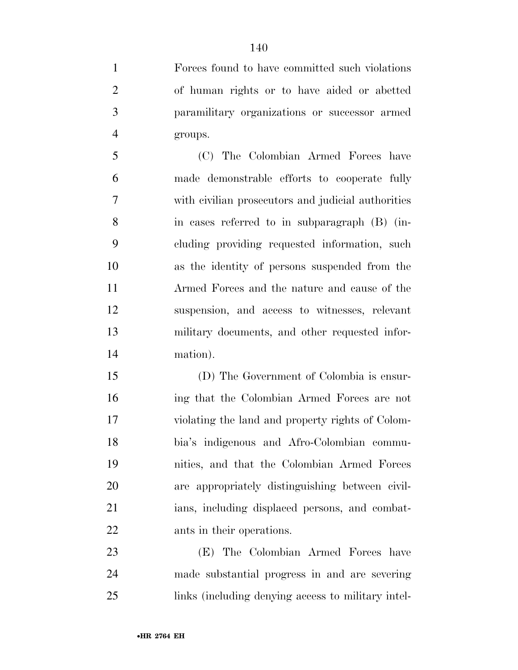Forces found to have committed such violations of human rights or to have aided or abetted paramilitary organizations or successor armed groups.

 (C) The Colombian Armed Forces have made demonstrable efforts to cooperate fully with civilian prosecutors and judicial authorities in cases referred to in subparagraph (B) (in- cluding providing requested information, such as the identity of persons suspended from the Armed Forces and the nature and cause of the suspension, and access to witnesses, relevant military documents, and other requested infor-mation).

 (D) The Government of Colombia is ensur- ing that the Colombian Armed Forces are not violating the land and property rights of Colom- bia's indigenous and Afro-Colombian commu- nities, and that the Colombian Armed Forces are appropriately distinguishing between civil- ians, including displaced persons, and combat-ants in their operations.

 (E) The Colombian Armed Forces have made substantial progress in and are severing links (including denying access to military intel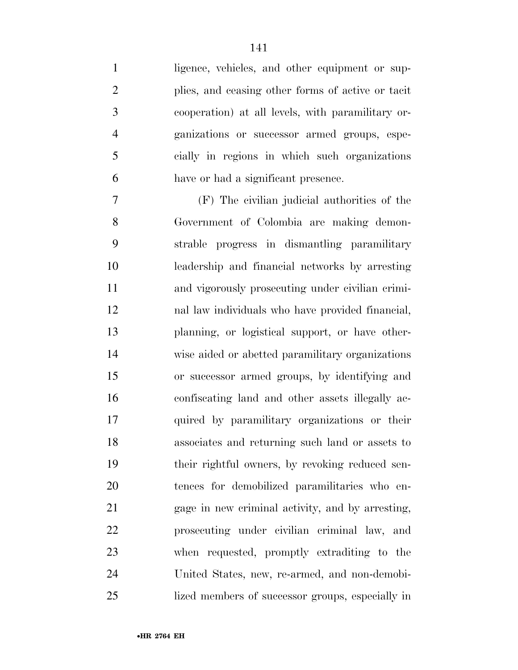1 ligence, vehicles, and other equipment or sup- plies, and ceasing other forms of active or tacit cooperation) at all levels, with paramilitary or- ganizations or successor armed groups, espe- cially in regions in which such organizations have or had a significant presence.

 (F) The civilian judicial authorities of the Government of Colombia are making demon- strable progress in dismantling paramilitary leadership and financial networks by arresting and vigorously prosecuting under civilian crimi- nal law individuals who have provided financial, planning, or logistical support, or have other- wise aided or abetted paramilitary organizations or successor armed groups, by identifying and confiscating land and other assets illegally ac- quired by paramilitary organizations or their associates and returning such land or assets to their rightful owners, by revoking reduced sen- tences for demobilized paramilitaries who en- gage in new criminal activity, and by arresting, prosecuting under civilian criminal law, and when requested, promptly extraditing to the United States, new, re-armed, and non-demobi-lized members of successor groups, especially in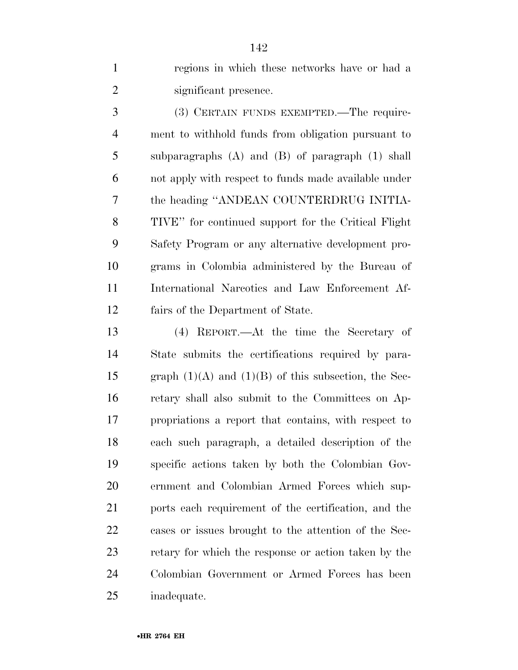regions in which these networks have or had a significant presence.

 (3) CERTAIN FUNDS EXEMPTED.—The require- ment to withhold funds from obligation pursuant to subparagraphs (A) and (B) of paragraph (1) shall not apply with respect to funds made available under the heading ''ANDEAN COUNTERDRUG INITIA- TIVE'' for continued support for the Critical Flight Safety Program or any alternative development pro- grams in Colombia administered by the Bureau of International Narcotics and Law Enforcement Af-fairs of the Department of State.

 (4) REPORT.—At the time the Secretary of State submits the certifications required by para-15 graph  $(1)(A)$  and  $(1)(B)$  of this subsection, the Sec- retary shall also submit to the Committees on Ap- propriations a report that contains, with respect to each such paragraph, a detailed description of the specific actions taken by both the Colombian Gov- ernment and Colombian Armed Forces which sup- ports each requirement of the certification, and the cases or issues brought to the attention of the Sec- retary for which the response or action taken by the Colombian Government or Armed Forces has been inadequate.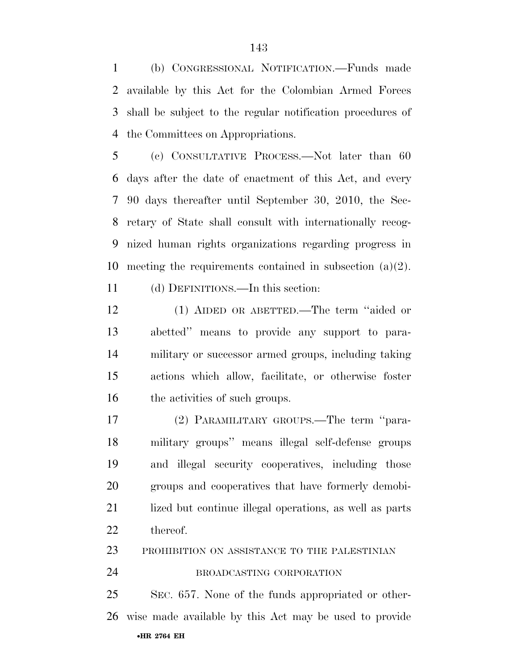(b) CONGRESSIONAL NOTIFICATION.—Funds made available by this Act for the Colombian Armed Forces shall be subject to the regular notification procedures of the Committees on Appropriations.

 (c) CONSULTATIVE PROCESS.—Not later than 60 days after the date of enactment of this Act, and every 90 days thereafter until September 30, 2010, the Sec- retary of State shall consult with internationally recog- nized human rights organizations regarding progress in meeting the requirements contained in subsection (a)(2).

(d) DEFINITIONS.—In this section:

 (1) AIDED OR ABETTED.—The term ''aided or abetted'' means to provide any support to para- military or successor armed groups, including taking actions which allow, facilitate, or otherwise foster 16 the activities of such groups.

 (2) PARAMILITARY GROUPS.—The term ''para- military groups'' means illegal self-defense groups and illegal security cooperatives, including those groups and cooperatives that have formerly demobi- lized but continue illegal operations, as well as parts thereof.

PROHIBITION ON ASSISTANCE TO THE PALESTINIAN

BROADCASTING CORPORATION

•**HR 2764 EH**  SEC. 657. None of the funds appropriated or other-wise made available by this Act may be used to provide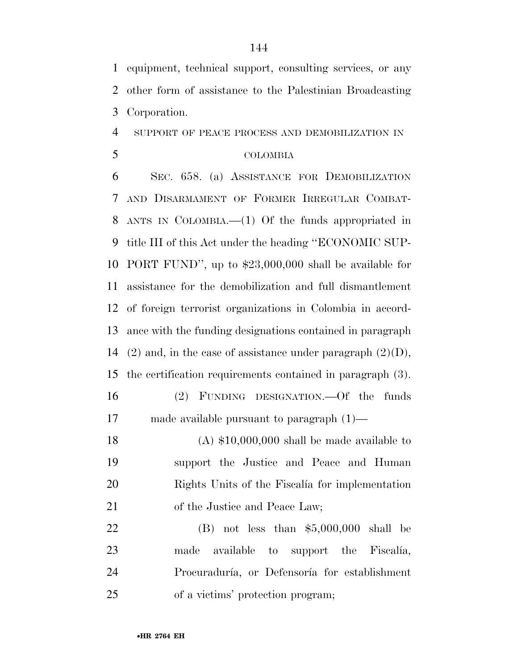equipment, technical support, consulting services, or any other form of assistance to the Palestinian Broadcasting Corporation.

## SUPPORT OF PEACE PROCESS AND DEMOBILIZATION IN

# COLOMBIA

 SEC. 658. (a) ASSISTANCE FOR DEMOBILIZATION AND DISARMAMENT OF FORMER IRREGULAR COMBAT- ANTS IN COLOMBIA.—(1) Of the funds appropriated in title III of this Act under the heading ''ECONOMIC SUP- PORT FUND'', up to \$23,000,000 shall be available for assistance for the demobilization and full dismantlement of foreign terrorist organizations in Colombia in accord- ance with the funding designations contained in paragraph 14 (2) and, in the case of assistance under paragraph  $(2)(D)$ , the certification requirements contained in paragraph (3). (2) FUNDING DESIGNATION.—Of the funds made available pursuant to paragraph (1)—

 (A) \$10,000,000 shall be made available to support the Justice and Peace and Human 20 Rights Units of the Fiscalía for implementation of the Justice and Peace Law;

 (B) not less than \$5,000,000 shall be 23 made available to support the Fiscalia, 24 Procuraduría, or Defensoría for establishment of a victims' protection program;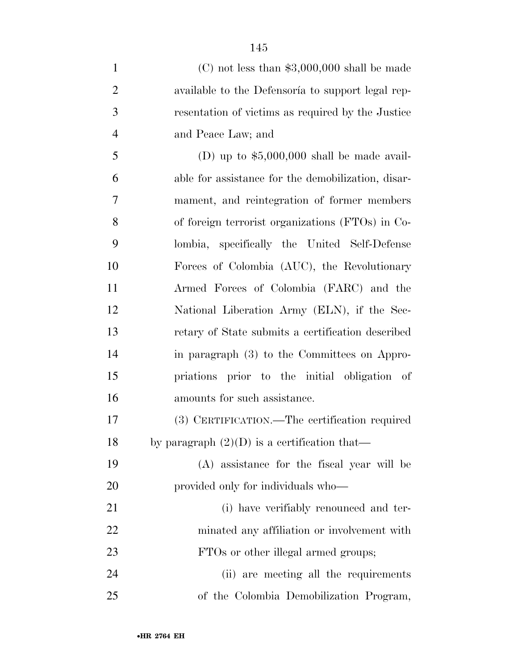| $\mathbf{1}$   | $(C)$ not less than \$3,000,000 shall be made      |
|----------------|----------------------------------------------------|
| $\overline{2}$ | available to the Defensoría to support legal rep-  |
| 3              | resentation of victims as required by the Justice  |
| $\overline{4}$ | and Peace Law; and                                 |
| 5              | (D) up to $$5,000,000$ shall be made avail-        |
| 6              | able for assistance for the demobilization, disar- |
| 7              | mament, and reintegration of former members        |
| 8              | of foreign terrorist organizations (FTOs) in Co-   |
| 9              | lombia, specifically the United Self-Defense       |
| 10             | Forces of Colombia (AUC), the Revolutionary        |
| 11             | Armed Forces of Colombia (FARC) and the            |
| 12             | National Liberation Army (ELN), if the Sec-        |
| 13             | retary of State submits a certification described  |
| 14             | in paragraph (3) to the Committees on Appro-       |
| 15             | priations prior to the initial obligation of       |
| 16             | amounts for such assistance.                       |
| 17             | (3) CERTIFICATION.—The certification required      |
| 18             | by paragraph $(2)(D)$ is a certification that—     |
| 19             | (A) assistance for the fiscal year will be         |
| 20             | provided only for individuals who—                 |
| 21             | (i) have verifiably renounced and ter-             |
| 22             | minated any affiliation or involvement with        |
| 23             | FTOs or other illegal armed groups;                |
| 24             | (ii) are meeting all the requirements              |
| 25             | of the Colombia Demobilization Program,            |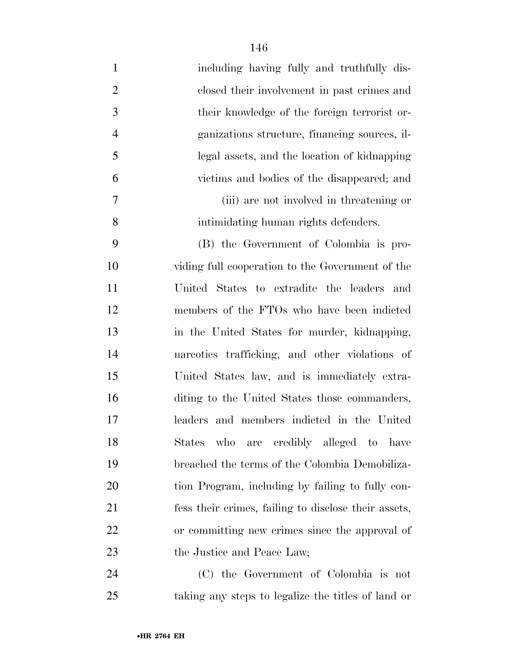| $\mathbf{1}$   | including having fully and truthfully dis-           |
|----------------|------------------------------------------------------|
| $\overline{2}$ | closed their involvement in past crimes and          |
| 3              | their knowledge of the foreign terrorist or-         |
| $\overline{4}$ | ganizations structure, financing sources, il-        |
| 5              | legal assets, and the location of kidnapping         |
| 6              | victims and bodies of the disappeared; and           |
| 7              | (iii) are not involved in threatening or             |
| 8              | intimidating human rights defenders.                 |
| 9              | (B) the Government of Colombia is pro-               |
| 10             | viding full cooperation to the Government of the     |
| 11             | United States to extradite the leaders and           |
| 12             | members of the FTOs who have been indicted           |
| 13             | in the United States for murder, kidnapping,         |
| 14             | nareotics trafficking, and other violations of       |
| 15             | United States law, and is immediately extra-         |
| 16             | diting to the United States those commanders,        |
| 17             | leaders and members indicted in the United           |
| 18             | States who are credibly alleged to have              |
| 19             | breached the terms of the Colombia Demobiliza-       |
| 20             | tion Program, including by failing to fully con-     |
| 21             | fess their crimes, failing to disclose their assets, |
| 22             | or committing new crimes since the approval of       |
| 23             | the Justice and Peace Law;                           |
| 24             | (C) the Government of Colombia is not                |
| 25             | taking any steps to legalize the titles of land or   |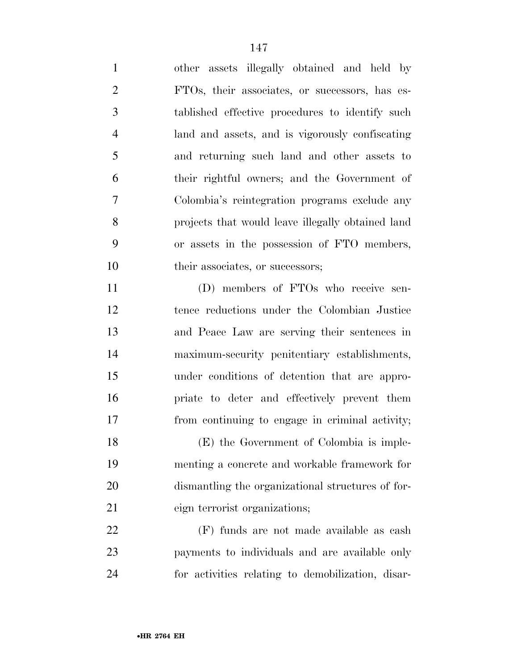other assets illegally obtained and held by FTOs, their associates, or successors, has es- tablished effective procedures to identify such land and assets, and is vigorously confiscating and returning such land and other assets to their rightful owners; and the Government of Colombia's reintegration programs exclude any projects that would leave illegally obtained land or assets in the possession of FTO members, 10 their associates, or successors;

 (D) members of FTOs who receive sen- tence reductions under the Colombian Justice and Peace Law are serving their sentences in maximum-security penitentiary establishments, under conditions of detention that are appro- priate to deter and effectively prevent them from continuing to engage in criminal activity;

 (E) the Government of Colombia is imple- menting a concrete and workable framework for dismantling the organizational structures of for-eign terrorist organizations;

 (F) funds are not made available as cash payments to individuals and are available only for activities relating to demobilization, disar-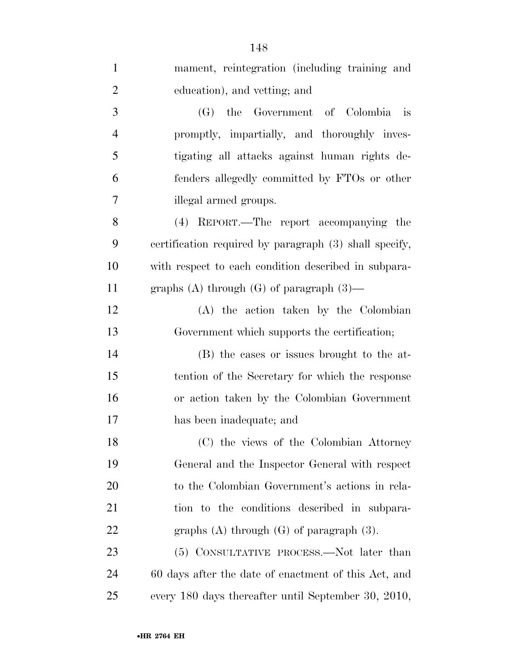| $\mathbf{1}$   | mament, reintegration (including training and          |
|----------------|--------------------------------------------------------|
| $\overline{2}$ | education), and vetting; and                           |
| 3              | (G) the Government of Colombia<br>$-$ is               |
| $\overline{4}$ | promptly, impartially, and thoroughly inves-           |
| 5              | tigating all attacks against human rights de-          |
| 6              | fenders allegedly committed by FTOs or other           |
| 7              | illegal armed groups.                                  |
| 8              | (4) REPORT.—The report accompanying the                |
| 9              | certification required by paragraph (3) shall specify, |
| 10             | with respect to each condition described in subpara-   |
| 11             | graphs (A) through (G) of paragraph $(3)$ —            |
| 12             | (A) the action taken by the Colombian                  |
| 13             | Government which supports the certification;           |
| 14             | (B) the cases or issues brought to the at-             |
| 15             | tention of the Secretary for which the response        |
| 16             | or action taken by the Colombian Government            |
| 17             | has been inadequate; and                               |
| 18             | (C) the views of the Colombian Attorney                |
| 19             | General and the Inspector General with respect         |
| 20             | to the Colombian Government's actions in rela-         |
| 21             | tion to the conditions described in subpara-           |
| 22             | graphs $(A)$ through $(G)$ of paragraph $(3)$ .        |
| 23             | (5) CONSULTATIVE PROCESS.—Not later than               |
| 24             | 60 days after the date of enactment of this Act, and   |
| 25             | every 180 days thereafter until September 30, 2010,    |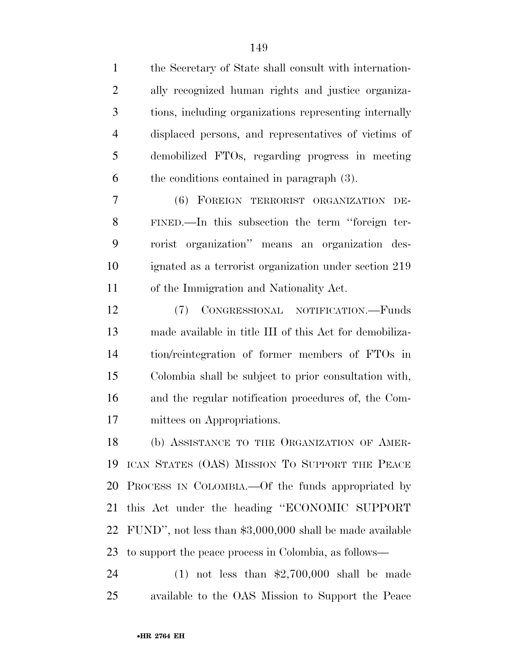| $\mathbf{1}$   | the Secretary of State shall consult with internation-    |
|----------------|-----------------------------------------------------------|
| $\overline{2}$ | ally recognized human rights and justice organiza-        |
| 3              | tions, including organizations representing internally    |
| $\overline{4}$ | displaced persons, and representatives of victims of      |
| 5              | demobilized FTOs, regarding progress in meeting           |
| 6              | the conditions contained in paragraph $(3)$ .             |
| 7              | (6) FOREIGN TERRORIST ORGANIZATION<br>DE-                 |
| 8              | FINED.—In this subsection the term "foreign ter-          |
| 9              | rorist organization" means an organization des-           |
| 10             | ignated as a terrorist organization under section 219     |
| 11             | of the Immigration and Nationality Act.                   |
| 12             | CONGRESSIONAL NOTIFICATION.—Funds<br>(7)                  |
| 13             | made available in title III of this Act for demobiliza-   |
| 14             | tion/reintegration of former members of FTOs in           |
| 15             | Colombia shall be subject to prior consultation with,     |
| 16             | and the regular notification procedures of, the Com-      |
| 17             | mittees on Appropriations.                                |
| 18             | (b) ASSISTANCE TO THE ORGANIZATION OF AMER-               |
| 19             | ICAN STATES (OAS) MISSION TO SUPPORT THE PEACE            |
| 20             | PROCESS IN COLOMBIA.—Of the funds appropriated by         |
| 21             | this Act under the heading "ECONOMIC SUPPORT              |
| 22             | FUND", not less than $$3,000,000$ shall be made available |
| 23             | to support the peace process in Colombia, as follows—     |
| 24             | $(1)$ not less than \$2,700,000 shall be made             |

available to the OAS Mission to Support the Peace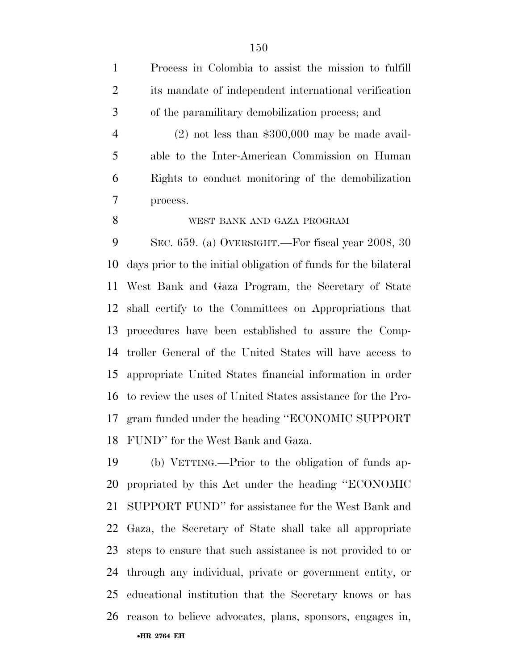Process in Colombia to assist the mission to fulfill its mandate of independent international verification of the paramilitary demobilization process; and

 (2) not less than \$300,000 may be made avail- able to the Inter-American Commission on Human Rights to conduct monitoring of the demobilization process.

WEST BANK AND GAZA PROGRAM

 SEC. 659. (a) OVERSIGHT.—For fiscal year 2008, 30 days prior to the initial obligation of funds for the bilateral West Bank and Gaza Program, the Secretary of State shall certify to the Committees on Appropriations that procedures have been established to assure the Comp- troller General of the United States will have access to appropriate United States financial information in order to review the uses of United States assistance for the Pro- gram funded under the heading ''ECONOMIC SUPPORT FUND'' for the West Bank and Gaza.

•**HR 2764 EH**  (b) VETTING.—Prior to the obligation of funds ap- propriated by this Act under the heading ''ECONOMIC SUPPORT FUND'' for assistance for the West Bank and Gaza, the Secretary of State shall take all appropriate steps to ensure that such assistance is not provided to or through any individual, private or government entity, or educational institution that the Secretary knows or has reason to believe advocates, plans, sponsors, engages in,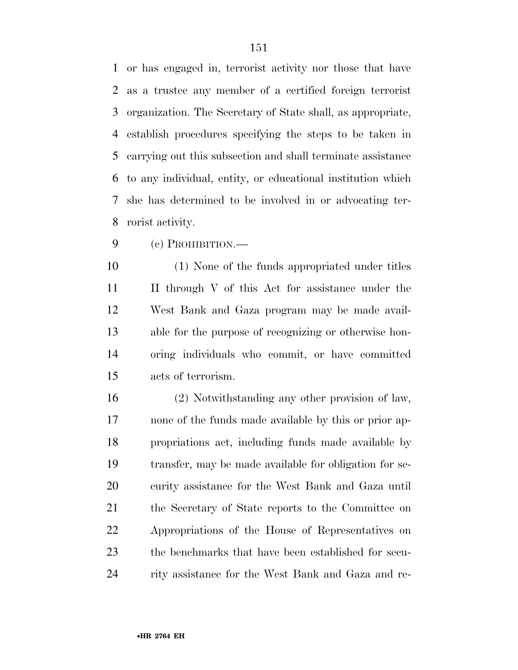or has engaged in, terrorist activity nor those that have as a trustee any member of a certified foreign terrorist organization. The Secretary of State shall, as appropriate, establish procedures specifying the steps to be taken in carrying out this subsection and shall terminate assistance to any individual, entity, or educational institution which she has determined to be involved in or advocating ter-rorist activity.

(c) PROHIBITION.—

 (1) None of the funds appropriated under titles II through V of this Act for assistance under the West Bank and Gaza program may be made avail- able for the purpose of recognizing or otherwise hon- oring individuals who commit, or have committed acts of terrorism.

 (2) Notwithstanding any other provision of law, none of the funds made available by this or prior ap- propriations act, including funds made available by transfer, may be made available for obligation for se- curity assistance for the West Bank and Gaza until the Secretary of State reports to the Committee on Appropriations of the House of Representatives on the benchmarks that have been established for secu-rity assistance for the West Bank and Gaza and re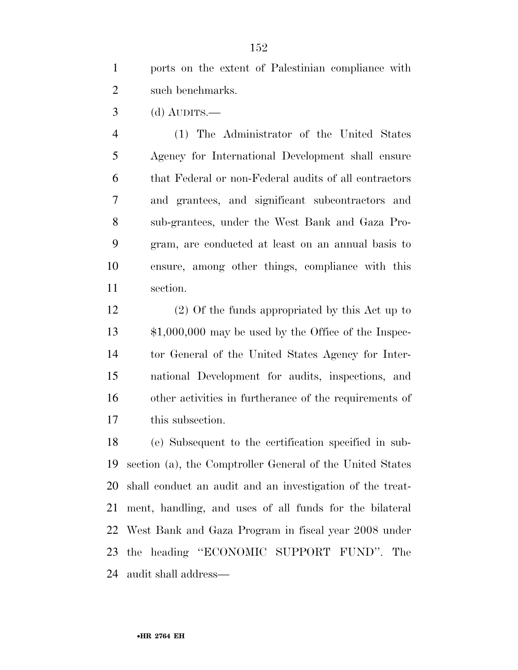ports on the extent of Palestinian compliance with such benchmarks.

(d) AUDITS.—

 (1) The Administrator of the United States Agency for International Development shall ensure that Federal or non-Federal audits of all contractors and grantees, and significant subcontractors and sub-grantees, under the West Bank and Gaza Pro- gram, are conducted at least on an annual basis to ensure, among other things, compliance with this section.

 (2) Of the funds appropriated by this Act up to \$1,000,000 may be used by the Office of the Inspec- tor General of the United States Agency for Inter- national Development for audits, inspections, and other activities in furtherance of the requirements of this subsection.

 (e) Subsequent to the certification specified in sub- section (a), the Comptroller General of the United States shall conduct an audit and an investigation of the treat- ment, handling, and uses of all funds for the bilateral West Bank and Gaza Program in fiscal year 2008 under the heading ''ECONOMIC SUPPORT FUND''. The audit shall address—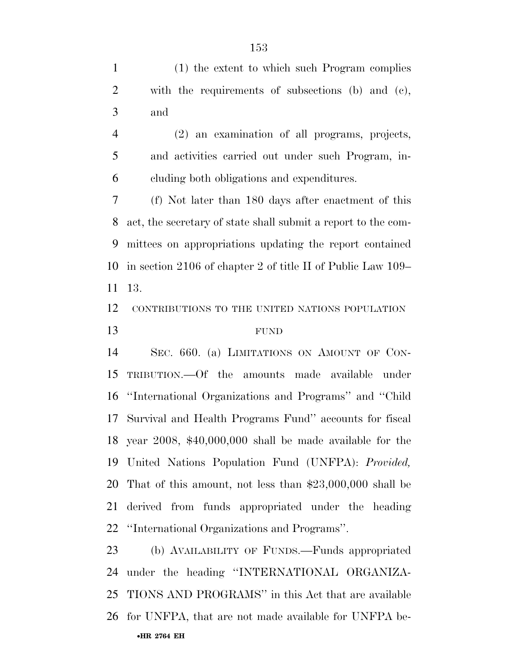(1) the extent to which such Program complies with the requirements of subsections (b) and (c), and (2) an examination of all programs, projects, and activities carried out under such Program, in- cluding both obligations and expenditures. (f) Not later than 180 days after enactment of this act, the secretary of state shall submit a report to the com- mittees on appropriations updating the report contained in section 2106 of chapter 2 of title II of Public Law 109– 13. CONTRIBUTIONS TO THE UNITED NATIONS POPULATION FUND SEC. 660. (a) LIMITATIONS ON AMOUNT OF CON- TRIBUTION.—Of the amounts made available under ''International Organizations and Programs'' and ''Child Survival and Health Programs Fund'' accounts for fiscal year 2008, \$40,000,000 shall be made available for the United Nations Population Fund (UNFPA): *Provided,*  That of this amount, not less than \$23,000,000 shall be derived from funds appropriated under the heading ''International Organizations and Programs''. (b) AVAILABILITY OF FUNDS.—Funds appropriated

•**HR 2764 EH**  under the heading ''INTERNATIONAL ORGANIZA- TIONS AND PROGRAMS'' in this Act that are available for UNFPA, that are not made available for UNFPA be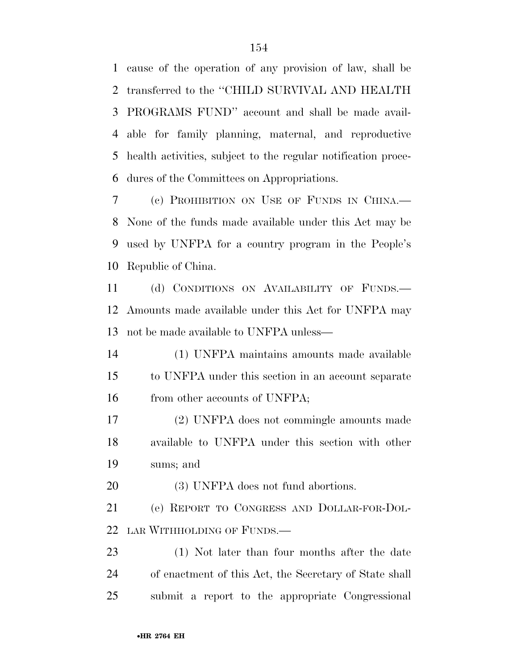cause of the operation of any provision of law, shall be transferred to the ''CHILD SURVIVAL AND HEALTH PROGRAMS FUND'' account and shall be made avail- able for family planning, maternal, and reproductive health activities, subject to the regular notification proce-dures of the Committees on Appropriations.

 (c) PROHIBITION ON USE OF FUNDS IN CHINA.— None of the funds made available under this Act may be used by UNFPA for a country program in the People's Republic of China.

 (d) CONDITIONS ON AVAILABILITY OF FUNDS.— Amounts made available under this Act for UNFPA may not be made available to UNFPA unless—

 (1) UNFPA maintains amounts made available to UNFPA under this section in an account separate 16 from other accounts of UNFPA;

 (2) UNFPA does not commingle amounts made available to UNFPA under this section with other sums; and

(3) UNFPA does not fund abortions.

 (e) REPORT TO CONGRESS AND DOLLAR-FOR-DOL-LAR WITHHOLDING OF FUNDS.—

 (1) Not later than four months after the date of enactment of this Act, the Secretary of State shall submit a report to the appropriate Congressional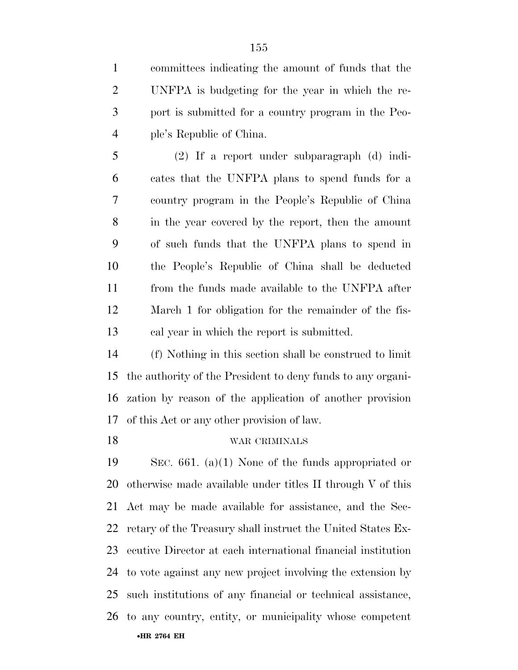committees indicating the amount of funds that the UNFPA is budgeting for the year in which the re- port is submitted for a country program in the Peo-ple's Republic of China.

 (2) If a report under subparagraph (d) indi- cates that the UNFPA plans to spend funds for a country program in the People's Republic of China in the year covered by the report, then the amount of such funds that the UNFPA plans to spend in the People's Republic of China shall be deducted from the funds made available to the UNFPA after March 1 for obligation for the remainder of the fis-cal year in which the report is submitted.

 (f) Nothing in this section shall be construed to limit the authority of the President to deny funds to any organi- zation by reason of the application of another provision of this Act or any other provision of law.

#### WAR CRIMINALS

•**HR 2764 EH**  SEC. 661. (a)(1) None of the funds appropriated or otherwise made available under titles II through V of this Act may be made available for assistance, and the Sec- retary of the Treasury shall instruct the United States Ex- ecutive Director at each international financial institution to vote against any new project involving the extension by such institutions of any financial or technical assistance, to any country, entity, or municipality whose competent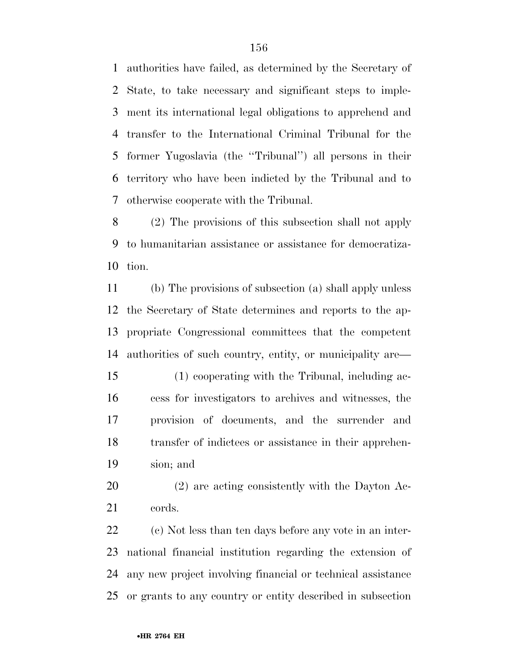authorities have failed, as determined by the Secretary of State, to take necessary and significant steps to imple- ment its international legal obligations to apprehend and transfer to the International Criminal Tribunal for the former Yugoslavia (the ''Tribunal'') all persons in their territory who have been indicted by the Tribunal and to otherwise cooperate with the Tribunal.

 (2) The provisions of this subsection shall not apply to humanitarian assistance or assistance for democratiza-tion.

 (b) The provisions of subsection (a) shall apply unless the Secretary of State determines and reports to the ap- propriate Congressional committees that the competent authorities of such country, entity, or municipality are—

- (1) cooperating with the Tribunal, including ac- cess for investigators to archives and witnesses, the provision of documents, and the surrender and transfer of indictees or assistance in their apprehen-sion; and
- (2) are acting consistently with the Dayton Ac-cords.

 (c) Not less than ten days before any vote in an inter- national financial institution regarding the extension of any new project involving financial or technical assistance or grants to any country or entity described in subsection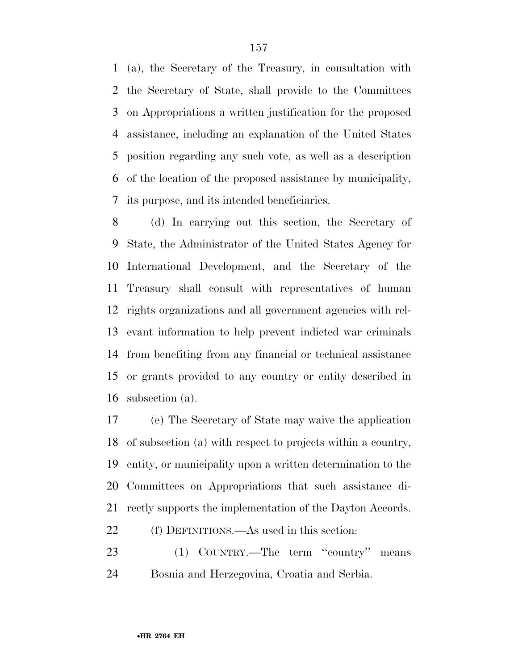(a), the Secretary of the Treasury, in consultation with the Secretary of State, shall provide to the Committees on Appropriations a written justification for the proposed assistance, including an explanation of the United States position regarding any such vote, as well as a description of the location of the proposed assistance by municipality, its purpose, and its intended beneficiaries.

 (d) In carrying out this section, the Secretary of State, the Administrator of the United States Agency for International Development, and the Secretary of the Treasury shall consult with representatives of human rights organizations and all government agencies with rel- evant information to help prevent indicted war criminals from benefiting from any financial or technical assistance or grants provided to any country or entity described in subsection (a).

 (e) The Secretary of State may waive the application of subsection (a) with respect to projects within a country, entity, or municipality upon a written determination to the Committees on Appropriations that such assistance di-rectly supports the implementation of the Dayton Accords.

(f) DEFINITIONS.—As used in this section:

 (1) COUNTRY.—The term ''country'' means Bosnia and Herzegovina, Croatia and Serbia.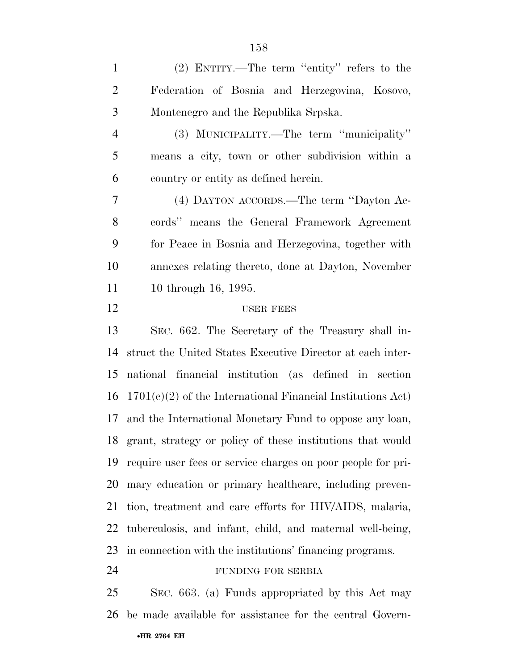(2) ENTITY.—The term ''entity'' refers to the Federation of Bosnia and Herzegovina, Kosovo, Montenegro and the Republika Srpska. (3) MUNICIPALITY.—The term ''municipality'' means a city, town or other subdivision within a country or entity as defined herein. (4) DAYTON ACCORDS.—The term ''Dayton Ac- cords'' means the General Framework Agreement for Peace in Bosnia and Herzegovina, together with annexes relating thereto, done at Dayton, November 11 10 through 16, 1995. 12 USER FEES SEC. 662. The Secretary of the Treasury shall in- struct the United States Executive Director at each inter- national financial institution (as defined in section 1701(c)(2) of the International Financial Institutions Act) and the International Monetary Fund to oppose any loan, grant, strategy or policy of these institutions that would require user fees or service charges on poor people for pri- mary education or primary healthcare, including preven- tion, treatment and care efforts for HIV/AIDS, malaria, tuberculosis, and infant, child, and maternal well-being, in connection with the institutions' financing programs. FUNDING FOR SERBIA

•**HR 2764 EH**  SEC. 663. (a) Funds appropriated by this Act may be made available for assistance for the central Govern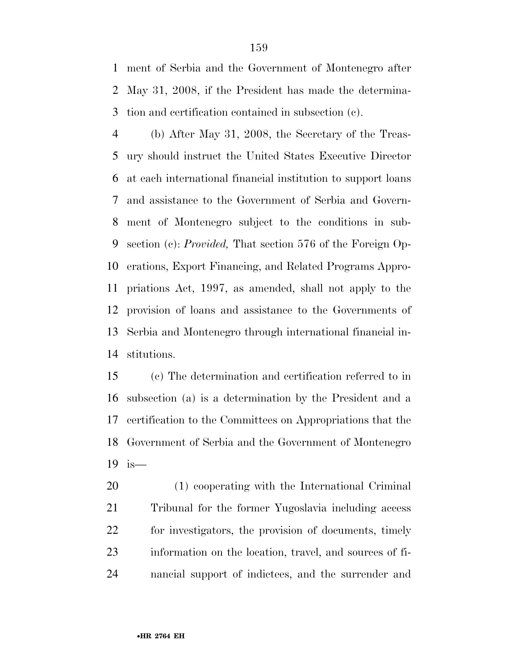ment of Serbia and the Government of Montenegro after May 31, 2008, if the President has made the determina-tion and certification contained in subsection (c).

 (b) After May 31, 2008, the Secretary of the Treas- ury should instruct the United States Executive Director at each international financial institution to support loans and assistance to the Government of Serbia and Govern- ment of Montenegro subject to the conditions in sub- section (c): *Provided,* That section 576 of the Foreign Op- erations, Export Financing, and Related Programs Appro- priations Act, 1997, as amended, shall not apply to the provision of loans and assistance to the Governments of Serbia and Montenegro through international financial in-stitutions.

 (c) The determination and certification referred to in subsection (a) is a determination by the President and a certification to the Committees on Appropriations that the Government of Serbia and the Government of Montenegro is—

 (1) cooperating with the International Criminal Tribunal for the former Yugoslavia including access for investigators, the provision of documents, timely information on the location, travel, and sources of fi-nancial support of indictees, and the surrender and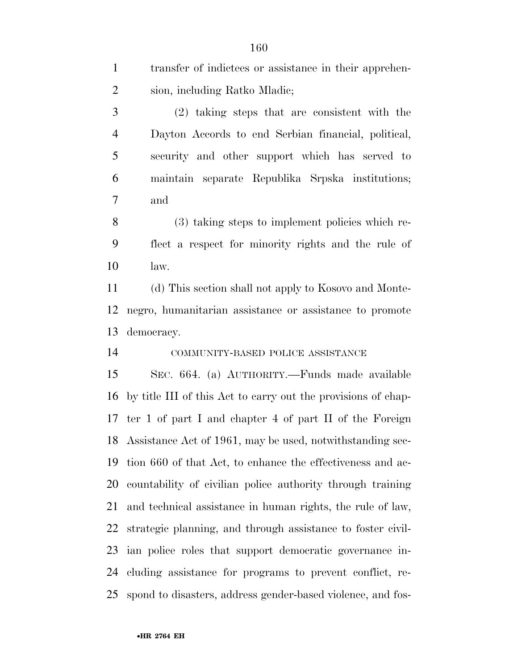| $\mathbf{1}$   | transfer of indictees or assistance in their apprehen-        |
|----------------|---------------------------------------------------------------|
| $\overline{2}$ | sion, including Ratko Mladic;                                 |
| 3              | (2) taking steps that are consistent with the                 |
| $\overline{4}$ | Dayton Accords to end Serbian financial, political,           |
| 5              | security and other support which has served to                |
| 6              | maintain separate Republika Srpska institutions;              |
| 7              | and                                                           |
| 8              | (3) taking steps to implement policies which re-              |
| 9              | flect a respect for minority rights and the rule of           |
| 10             | law.                                                          |
| 11             | (d) This section shall not apply to Kosovo and Monte-         |
| 12             | negro, humanitarian assistance or assistance to promote       |
| 13             | democracy.                                                    |
| 14             | COMMUNITY-BASED POLICE ASSISTANCE                             |
| 15             | SEC. 664. (a) AUTHORITY.—Funds made available                 |
| 16             | by title III of this Act to carry out the provisions of chap- |
|                | 17 ter 1 of part I and chapter 4 of part II of the Foreign    |
|                | 18 Assistance Act of 1961, may be used, notwithstanding sec-  |
| 19             | tion 660 of that Act, to enhance the effectiveness and ac-    |
| 20             | countability of civilian police authority through training    |
| 21             | and technical assistance in human rights, the rule of law,    |
| 22             | strategic planning, and through assistance to foster civil-   |
| 23             | ian police roles that support democratic governance in-       |
| 24             | cluding assistance for programs to prevent conflict, re-      |
| 25             | spond to disasters, address gender-based violence, and fos-   |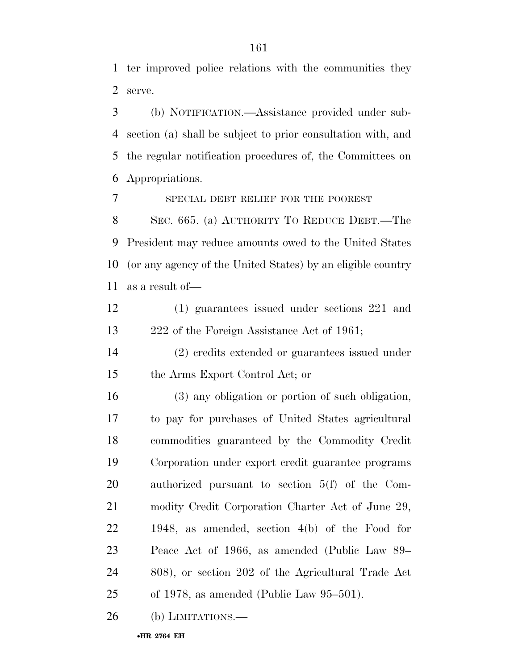ter improved police relations with the communities they serve.

 (b) NOTIFICATION.—Assistance provided under sub- section (a) shall be subject to prior consultation with, and the regular notification procedures of, the Committees on Appropriations.

SPECIAL DEBT RELIEF FOR THE POOREST

 SEC. 665. (a) AUTHORITY TO REDUCE DEBT.—The President may reduce amounts owed to the United States (or any agency of the United States) by an eligible country as a result of—

 (1) guarantees issued under sections 221 and 222 of the Foreign Assistance Act of 1961;

 (2) credits extended or guarantees issued under the Arms Export Control Act; or

 (3) any obligation or portion of such obligation, to pay for purchases of United States agricultural commodities guaranteed by the Commodity Credit Corporation under export credit guarantee programs authorized pursuant to section 5(f) of the Com- modity Credit Corporation Charter Act of June 29, 1948, as amended, section 4(b) of the Food for Peace Act of 1966, as amended (Public Law 89– 808), or section 202 of the Agricultural Trade Act of 1978, as amended (Public Law 95–501).

26 (b) LIMITATIONS.—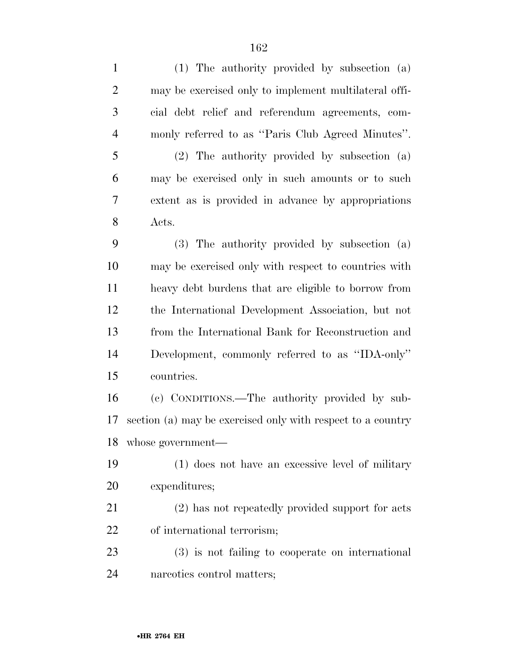| $\mathbf{1}$   | (1) The authority provided by subsection (a)                |
|----------------|-------------------------------------------------------------|
| $\overline{2}$ | may be exercised only to implement multilateral offi-       |
| 3              | cial debt relief and referendum agreements, com-            |
| $\overline{4}$ | monly referred to as "Paris Club Agreed Minutes".           |
| 5              | (2) The authority provided by subsection (a)                |
| 6              | may be exercised only in such amounts or to such            |
| 7              | extent as is provided in advance by appropriations          |
| 8              | Acts.                                                       |
| 9              | (3) The authority provided by subsection (a)                |
| 10             | may be exercised only with respect to countries with        |
| 11             | heavy debt burdens that are eligible to borrow from         |
| 12             | the International Development Association, but not          |
| 13             | from the International Bank for Reconstruction and          |
| 14             | Development, commonly referred to as "IDA-only"             |
| 15             | countries.                                                  |
| 16             | (c) CONDITIONS.—The authority provided by sub-              |
| 17             | section (a) may be exercised only with respect to a country |
| 18             | whose government—                                           |
| 19             | (1) does not have an excessive level of military            |
| 20             | expenditures;                                               |
| 21             | (2) has not repeatedly provided support for acts            |
| 22             | of international terrorism;                                 |
| 23             | $(3)$ is not failing to cooperate on international          |
| 24             | narcotics control matters;                                  |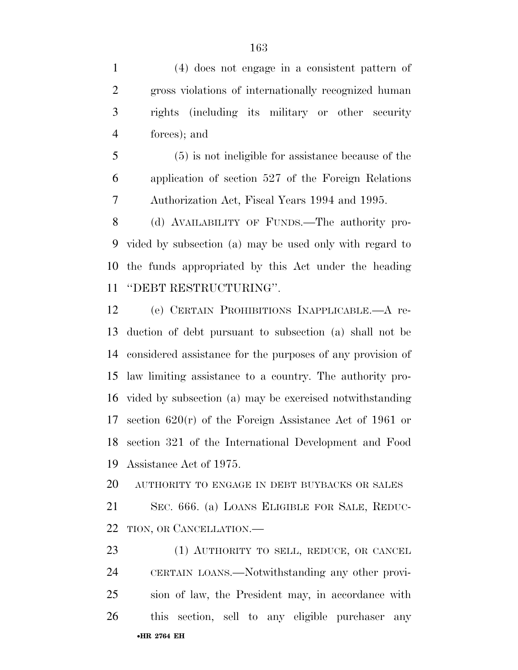(4) does not engage in a consistent pattern of gross violations of internationally recognized human rights (including its military or other security forces); and

 (5) is not ineligible for assistance because of the application of section 527 of the Foreign Relations Authorization Act, Fiscal Years 1994 and 1995.

 (d) AVAILABILITY OF FUNDS.—The authority pro- vided by subsection (a) may be used only with regard to the funds appropriated by this Act under the heading ''DEBT RESTRUCTURING''.

 (e) CERTAIN PROHIBITIONS INAPPLICABLE.—A re- duction of debt pursuant to subsection (a) shall not be considered assistance for the purposes of any provision of law limiting assistance to a country. The authority pro- vided by subsection (a) may be exercised notwithstanding section 620(r) of the Foreign Assistance Act of 1961 or section 321 of the International Development and Food Assistance Act of 1975.

AUTHORITY TO ENGAGE IN DEBT BUYBACKS OR SALES

 SEC. 666. (a) LOANS ELIGIBLE FOR SALE, REDUC-TION, OR CANCELLATION.—

•**HR 2764 EH**  23 (1) AUTHORITY TO SELL, REDUCE, OR CANCEL CERTAIN LOANS.—Notwithstanding any other provi- sion of law, the President may, in accordance with this section, sell to any eligible purchaser any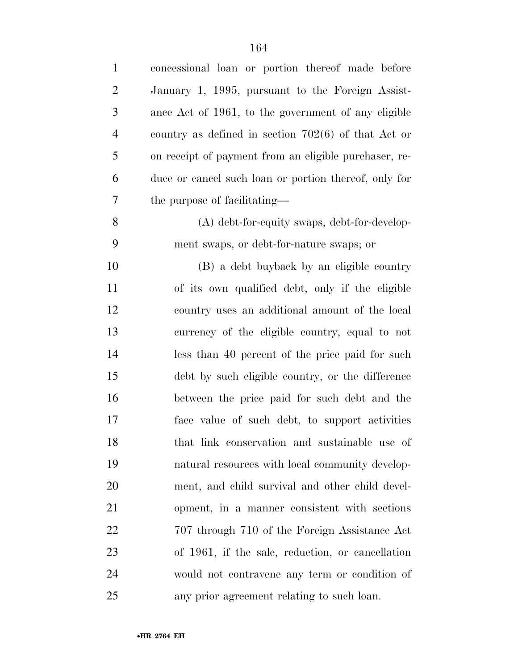| $\mathbf{1}$   | concessional loan or portion thereof made before      |
|----------------|-------------------------------------------------------|
| $\overline{2}$ | January 1, 1995, pursuant to the Foreign Assist-      |
| 3              | ance Act of 1961, to the government of any eligible   |
| $\overline{4}$ | country as defined in section $702(6)$ of that Act or |
| 5              | on receipt of payment from an eligible purchaser, re- |
| 6              | duce or cancel such loan or portion thereof, only for |
| 7              | the purpose of facilitating—                          |
| 8              | $(A)$ debt-for-equity swaps, debt-for-develop-        |
| 9              | ment swaps, or debt-for-nature swaps; or              |
| 10             | (B) a debt buyback by an eligible country             |
| 11             | of its own qualified debt, only if the eligible       |
| 12             | country uses an additional amount of the local        |
| 13             | currency of the eligible country, equal to not        |
| 14             | less than 40 percent of the price paid for such       |
| 15             | debt by such eligible country, or the difference      |
| 16             | between the price paid for such debt and the          |
| 17             | face value of such debt, to support activities        |
| 18             | that link conservation and sustainable use of         |
| 19             | natural resources with local community develop-       |
| 20             | ment, and child survival and other child devel-       |
| 21             | opment, in a manner consistent with sections          |
| 22             | 707 through 710 of the Foreign Assistance Act         |
| 23             | of 1961, if the sale, reduction, or cancellation      |
| 24             | would not contravene any term or condition of         |
| 25             | any prior agreement relating to such loan.            |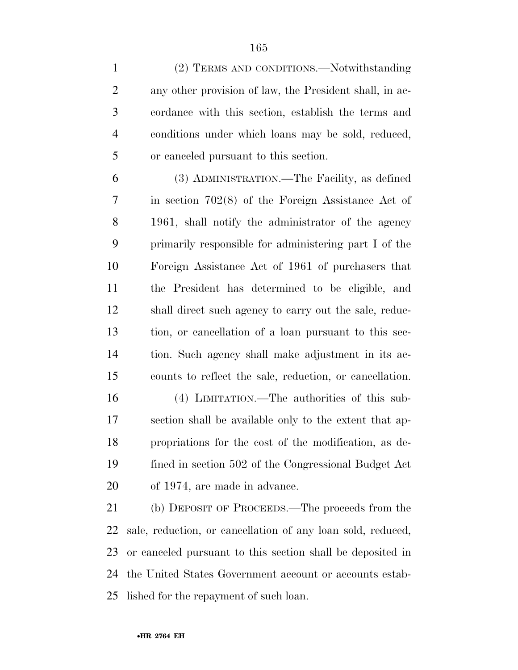(2) TERMS AND CONDITIONS.—Notwithstanding any other provision of law, the President shall, in ac- cordance with this section, establish the terms and conditions under which loans may be sold, reduced, or canceled pursuant to this section.

 (3) ADMINISTRATION.—The Facility, as defined in section 702(8) of the Foreign Assistance Act of 1961, shall notify the administrator of the agency primarily responsible for administering part I of the Foreign Assistance Act of 1961 of purchasers that the President has determined to be eligible, and shall direct such agency to carry out the sale, reduc- tion, or cancellation of a loan pursuant to this sec- tion. Such agency shall make adjustment in its ac-counts to reflect the sale, reduction, or cancellation.

 (4) LIMITATION.—The authorities of this sub- section shall be available only to the extent that ap- propriations for the cost of the modification, as de- fined in section 502 of the Congressional Budget Act of 1974, are made in advance.

 (b) DEPOSIT OF PROCEEDS.—The proceeds from the sale, reduction, or cancellation of any loan sold, reduced, or canceled pursuant to this section shall be deposited in the United States Government account or accounts estab-lished for the repayment of such loan.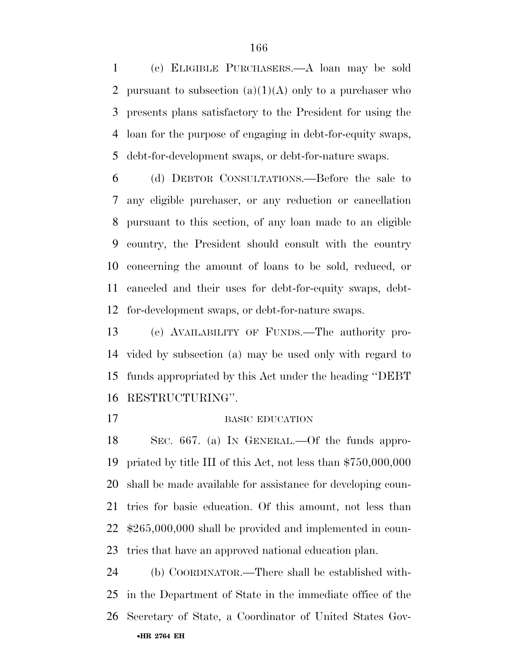(c) ELIGIBLE PURCHASERS.—A loan may be sold 2 pursuant to subsection  $(a)(1)(A)$  only to a purchaser who presents plans satisfactory to the President for using the loan for the purpose of engaging in debt-for-equity swaps, debt-for-development swaps, or debt-for-nature swaps.

 (d) DEBTOR CONSULTATIONS.—Before the sale to any eligible purchaser, or any reduction or cancellation pursuant to this section, of any loan made to an eligible country, the President should consult with the country concerning the amount of loans to be sold, reduced, or canceled and their uses for debt-for-equity swaps, debt-for-development swaps, or debt-for-nature swaps.

 (e) AVAILABILITY OF FUNDS.—The authority pro- vided by subsection (a) may be used only with regard to funds appropriated by this Act under the heading ''DEBT RESTRUCTURING''.

#### 17 BASIC EDUCATION

 SEC. 667. (a) IN GENERAL.—Of the funds appro- priated by title III of this Act, not less than \$750,000,000 shall be made available for assistance for developing coun- tries for basic education. Of this amount, not less than \$265,000,000 shall be provided and implemented in coun-tries that have an approved national education plan.

•**HR 2764 EH**  (b) COORDINATOR.—There shall be established with- in the Department of State in the immediate office of the Secretary of State, a Coordinator of United States Gov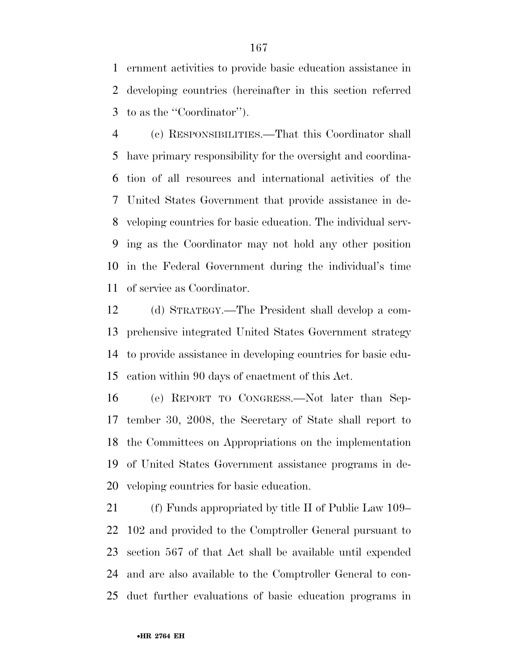ernment activities to provide basic education assistance in developing countries (hereinafter in this section referred to as the ''Coordinator'').

 (c) RESPONSIBILITIES.—That this Coordinator shall have primary responsibility for the oversight and coordina- tion of all resources and international activities of the United States Government that provide assistance in de- veloping countries for basic education. The individual serv- ing as the Coordinator may not hold any other position in the Federal Government during the individual's time of service as Coordinator.

 (d) STRATEGY.—The President shall develop a com- prehensive integrated United States Government strategy to provide assistance in developing countries for basic edu-cation within 90 days of enactment of this Act.

 (e) REPORT TO CONGRESS.—Not later than Sep- tember 30, 2008, the Secretary of State shall report to the Committees on Appropriations on the implementation of United States Government assistance programs in de-veloping countries for basic education.

 (f) Funds appropriated by title II of Public Law 109– 102 and provided to the Comptroller General pursuant to section 567 of that Act shall be available until expended and are also available to the Comptroller General to con-duct further evaluations of basic education programs in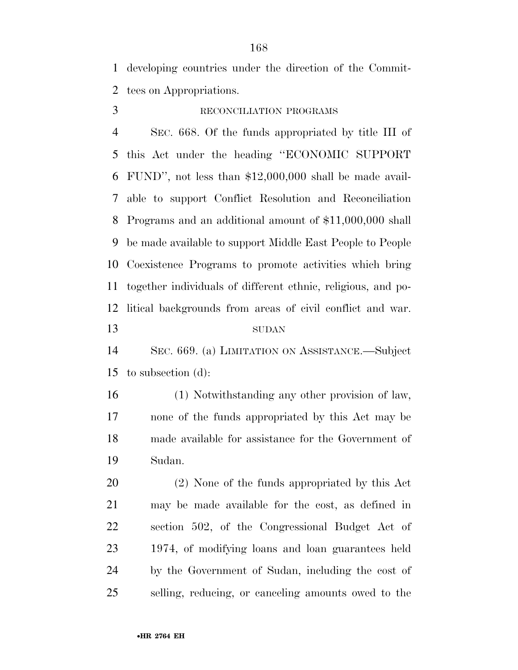developing countries under the direction of the Commit-tees on Appropriations.

### RECONCILIATION PROGRAMS

 SEC. 668. Of the funds appropriated by title III of this Act under the heading ''ECONOMIC SUPPORT FUND'', not less than \$12,000,000 shall be made avail- able to support Conflict Resolution and Reconciliation Programs and an additional amount of \$11,000,000 shall be made available to support Middle East People to People Coexistence Programs to promote activities which bring together individuals of different ethnic, religious, and po- litical backgrounds from areas of civil conflict and war. SUDAN

 SEC. 669. (a) LIMITATION ON ASSISTANCE.—Subject to subsection (d):

 (1) Notwithstanding any other provision of law, none of the funds appropriated by this Act may be made available for assistance for the Government of Sudan.

 (2) None of the funds appropriated by this Act may be made available for the cost, as defined in section 502, of the Congressional Budget Act of 1974, of modifying loans and loan guarantees held by the Government of Sudan, including the cost of selling, reducing, or canceling amounts owed to the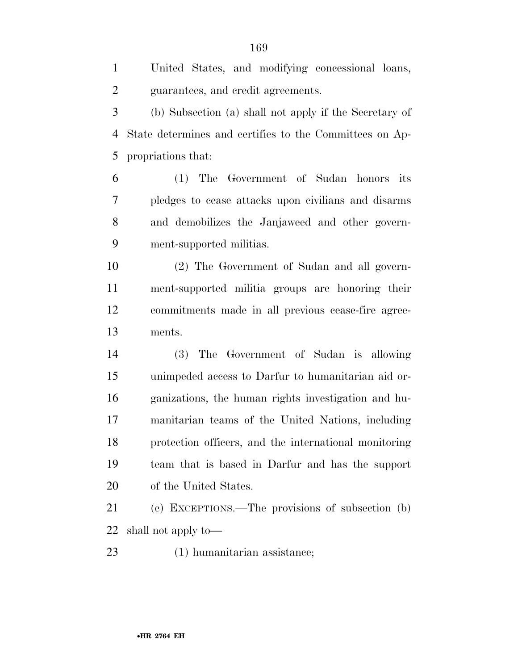guarantees, and credit agreements. (b) Subsection (a) shall not apply if the Secretary of State determines and certifies to the Committees on Ap- propriations that: (1) The Government of Sudan honors its pledges to cease attacks upon civilians and disarms and demobilizes the Janjaweed and other govern- ment-supported militias. (2) The Government of Sudan and all govern- ment-supported militia groups are honoring their commitments made in all previous cease-fire agree-ments.

 (3) The Government of Sudan is allowing unimpeded access to Darfur to humanitarian aid or- ganizations, the human rights investigation and hu- manitarian teams of the United Nations, including protection officers, and the international monitoring team that is based in Darfur and has the support of the United States.

 (c) EXCEPTIONS.—The provisions of subsection (b) shall not apply to—

(1) humanitarian assistance;

United States, and modifying concessional loans,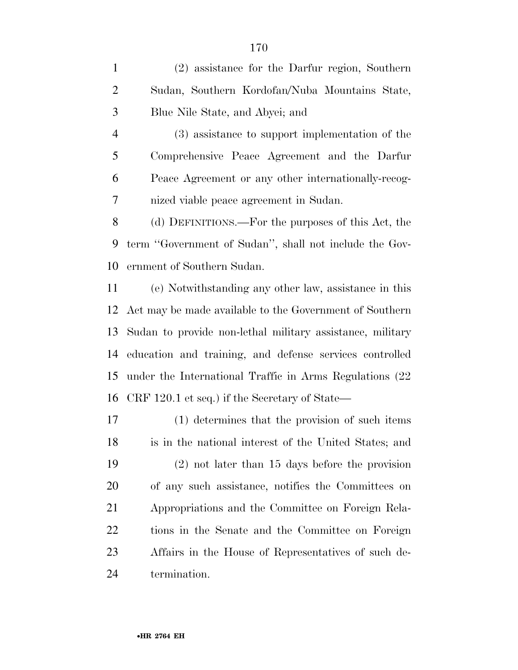(2) assistance for the Darfur region, Southern Sudan, Southern Kordofan/Nuba Mountains State, Blue Nile State, and Abyei; and

 (3) assistance to support implementation of the Comprehensive Peace Agreement and the Darfur Peace Agreement or any other internationally-recog-nized viable peace agreement in Sudan.

 (d) DEFINITIONS.—For the purposes of this Act, the term ''Government of Sudan'', shall not include the Gov-ernment of Southern Sudan.

 (e) Notwithstanding any other law, assistance in this Act may be made available to the Government of Southern Sudan to provide non-lethal military assistance, military education and training, and defense services controlled under the International Traffic in Arms Regulations (22 CRF 120.1 et seq.) if the Secretary of State—

 (1) determines that the provision of such items is in the national interest of the United States; and (2) not later than 15 days before the provision of any such assistance, notifies the Committees on Appropriations and the Committee on Foreign Rela- tions in the Senate and the Committee on Foreign Affairs in the House of Representatives of such de-termination.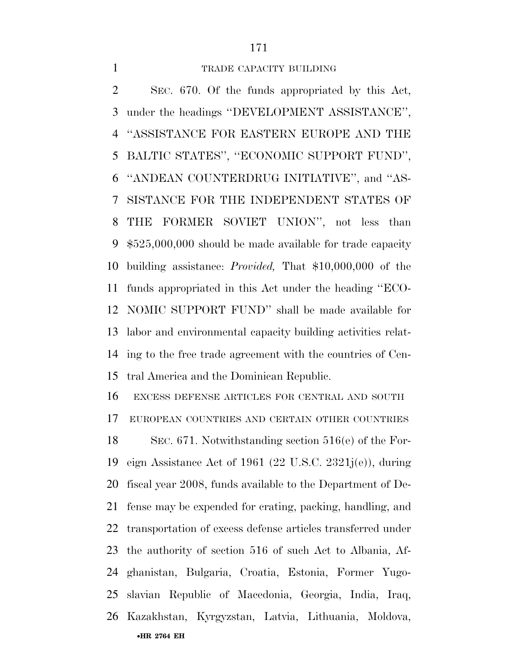SEC. 670. Of the funds appropriated by this Act, under the headings ''DEVELOPMENT ASSISTANCE'', ''ASSISTANCE FOR EASTERN EUROPE AND THE BALTIC STATES'', ''ECONOMIC SUPPORT FUND'', ''ANDEAN COUNTERDRUG INITIATIVE'', and ''AS- SISTANCE FOR THE INDEPENDENT STATES OF THE FORMER SOVIET UNION'', not less than \$525,000,000 should be made available for trade capacity building assistance: *Provided,* That \$10,000,000 of the funds appropriated in this Act under the heading ''ECO- NOMIC SUPPORT FUND'' shall be made available for labor and environmental capacity building activities relat- ing to the free trade agreement with the countries of Cen-tral America and the Dominican Republic.

EXCESS DEFENSE ARTICLES FOR CENTRAL AND SOUTH

EUROPEAN COUNTRIES AND CERTAIN OTHER COUNTRIES

•**HR 2764 EH**  SEC. 671. Notwithstanding section 516(e) of the For- eign Assistance Act of 1961 (22 U.S.C. 2321j(e)), during fiscal year 2008, funds available to the Department of De- fense may be expended for crating, packing, handling, and transportation of excess defense articles transferred under the authority of section 516 of such Act to Albania, Af- ghanistan, Bulgaria, Croatia, Estonia, Former Yugo- slavian Republic of Macedonia, Georgia, India, Iraq, Kazakhstan, Kyrgyzstan, Latvia, Lithuania, Moldova,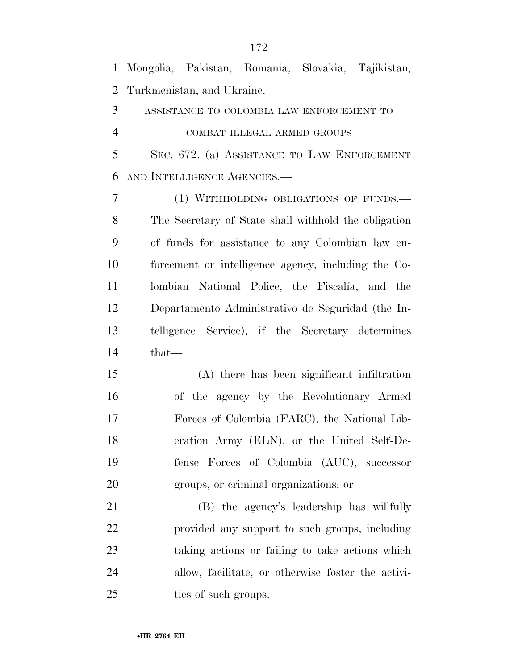Mongolia, Pakistan, Romania, Slovakia, Tajikistan, Turkmenistan, and Ukraine. ASSISTANCE TO COLOMBIA LAW ENFORCEMENT TO COMBAT ILLEGAL ARMED GROUPS SEC. 672. (a) ASSISTANCE TO LAW ENFORCEMENT AND INTELLIGENCE AGENCIES.— (1) WITHHOLDING OBLIGATIONS OF FUNDS.— The Secretary of State shall withhold the obligation of funds for assistance to any Colombian law en- forcement or intelligence agency, including the Co-11 lombian National Police, the Fiscalia, and the Departamento Administrativo de Seguridad (the In- telligence Service), if the Secretary determines that— (A) there has been significant infiltration of the agency by the Revolutionary Armed Forces of Colombia (FARC), the National Lib- eration Army (ELN), or the United Self-De- fense Forces of Colombia (AUC), successor groups, or criminal organizations; or (B) the agency's leadership has willfully provided any support to such groups, including taking actions or failing to take actions which allow, facilitate, or otherwise foster the activi-25 ties of such groups.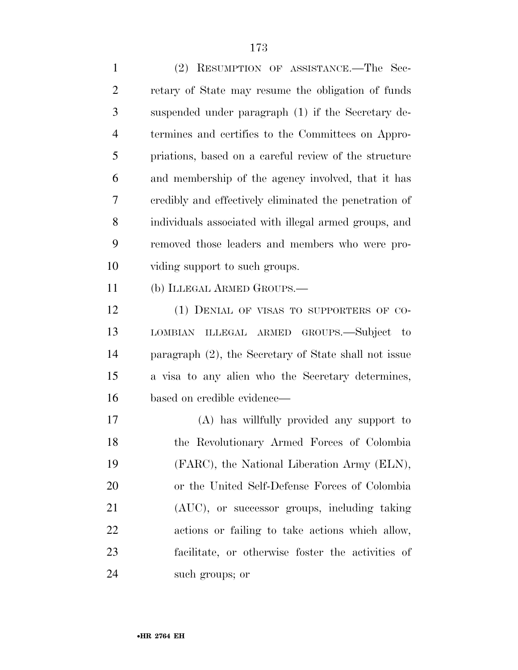(2) RESUMPTION OF ASSISTANCE.—The Sec- retary of State may resume the obligation of funds suspended under paragraph (1) if the Secretary de- termines and certifies to the Committees on Appro- priations, based on a careful review of the structure and membership of the agency involved, that it has credibly and effectively eliminated the penetration of individuals associated with illegal armed groups, and removed those leaders and members who were pro- viding support to such groups. (b) ILLEGAL ARMED GROUPS.— 12 (1) DENIAL OF VISAS TO SUPPORTERS OF CO-

 LOMBIAN ILLEGAL ARMED GROUPS.—Subject to paragraph (2), the Secretary of State shall not issue a visa to any alien who the Secretary determines, based on credible evidence—

 (A) has willfully provided any support to the Revolutionary Armed Forces of Colombia (FARC), the National Liberation Army (ELN), or the United Self-Defense Forces of Colombia (AUC), or successor groups, including taking actions or failing to take actions which allow, facilitate, or otherwise foster the activities of such groups; or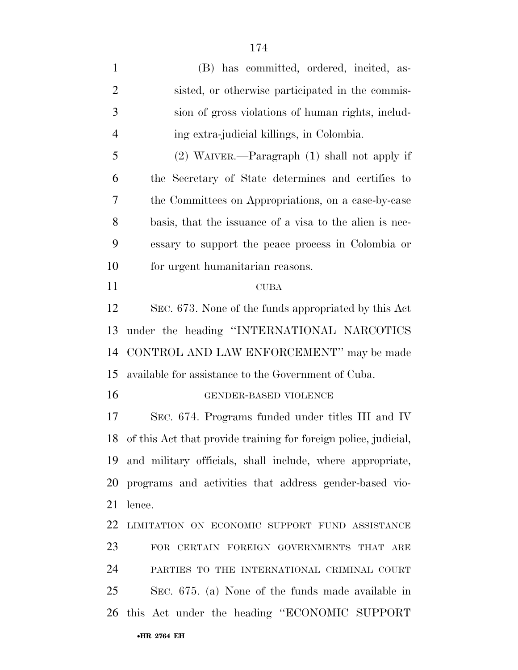| $\mathbf{1}$   | (B) has committed, ordered, incited, as-                           |
|----------------|--------------------------------------------------------------------|
| $\overline{2}$ | sisted, or otherwise participated in the commis-                   |
| 3              | sion of gross violations of human rights, includ-                  |
| $\overline{4}$ | ing extra-judicial killings, in Colombia.                          |
| 5              | $(2)$ WAIVER.—Paragraph $(1)$ shall not apply if                   |
| 6              | the Secretary of State determines and certifies to                 |
| 7              | the Committees on Appropriations, on a case-by-case                |
| 8              | basis, that the issuance of a visa to the alien is nec-            |
| 9              | essary to support the peace process in Colombia or                 |
| 10             | for urgent humanitarian reasons.                                   |
| 11             | <b>CUBA</b>                                                        |
| 12             | SEC. 673. None of the funds appropriated by this Act               |
| 13             | under the heading "INTERNATIONAL NARCOTICS                         |
| 14             | CONTROL AND LAW ENFORCEMENT" may be made                           |
| 15             | available for assistance to the Government of Cuba.                |
| 16             | GENDER-BASED VIOLENCE                                              |
| 17             | SEC. 674. Programs funded under titles III and IV                  |
|                | 18 of this Act that provide training for foreign police, judicial, |
|                | 19 and military officials, shall include, where appropriate,       |
| 20             | programs and activities that address gender-based vio-             |
| 21             | lence.                                                             |
| 22             | LIMITATION ON ECONOMIC SUPPORT FUND ASSISTANCE                     |
| 23             | FOR CERTAIN FOREIGN GOVERNMENTS THAT ARE                           |
| 24             | PARTIES TO THE INTERNATIONAL CRIMINAL COURT                        |
| 25             | SEC. 675. (a) None of the funds made available in                  |
|                | 26 this Act under the heading "ECONOMIC SUPPORT                    |
|                | •HR 2764 EH                                                        |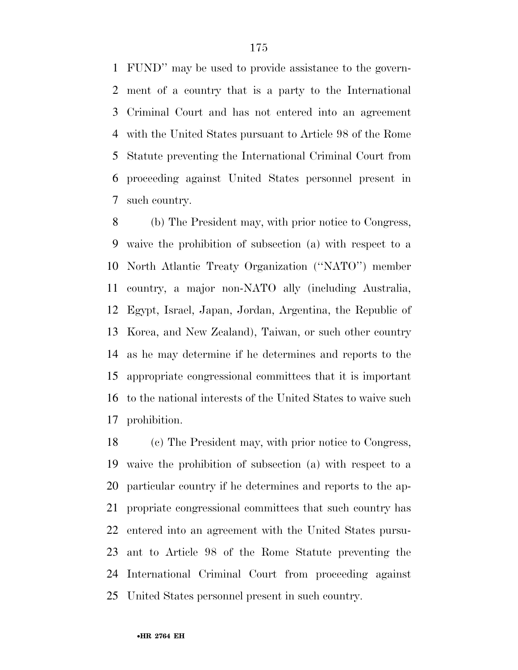FUND'' may be used to provide assistance to the govern- ment of a country that is a party to the International Criminal Court and has not entered into an agreement with the United States pursuant to Article 98 of the Rome Statute preventing the International Criminal Court from proceeding against United States personnel present in such country.

 (b) The President may, with prior notice to Congress, waive the prohibition of subsection (a) with respect to a North Atlantic Treaty Organization (''NATO'') member country, a major non-NATO ally (including Australia, Egypt, Israel, Japan, Jordan, Argentina, the Republic of Korea, and New Zealand), Taiwan, or such other country as he may determine if he determines and reports to the appropriate congressional committees that it is important to the national interests of the United States to waive such prohibition.

 (c) The President may, with prior notice to Congress, waive the prohibition of subsection (a) with respect to a particular country if he determines and reports to the ap- propriate congressional committees that such country has entered into an agreement with the United States pursu- ant to Article 98 of the Rome Statute preventing the International Criminal Court from proceeding against United States personnel present in such country.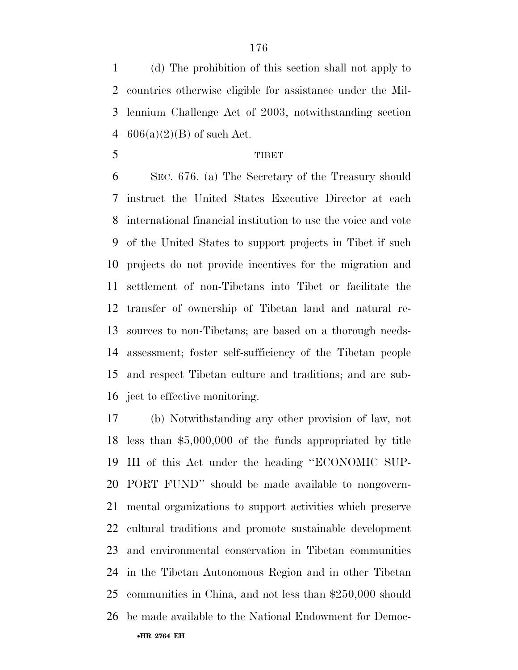(d) The prohibition of this section shall not apply to countries otherwise eligible for assistance under the Mil- lennium Challenge Act of 2003, notwithstanding section  $606(a)(2)(B)$  of such Act.

### 5 TIBET

 SEC. 676. (a) The Secretary of the Treasury should instruct the United States Executive Director at each international financial institution to use the voice and vote of the United States to support projects in Tibet if such projects do not provide incentives for the migration and settlement of non-Tibetans into Tibet or facilitate the transfer of ownership of Tibetan land and natural re- sources to non-Tibetans; are based on a thorough needs- assessment; foster self-sufficiency of the Tibetan people and respect Tibetan culture and traditions; and are sub-ject to effective monitoring.

•**HR 2764 EH**  (b) Notwithstanding any other provision of law, not less than \$5,000,000 of the funds appropriated by title III of this Act under the heading ''ECONOMIC SUP- PORT FUND'' should be made available to nongovern- mental organizations to support activities which preserve cultural traditions and promote sustainable development and environmental conservation in Tibetan communities in the Tibetan Autonomous Region and in other Tibetan communities in China, and not less than \$250,000 should be made available to the National Endowment for Democ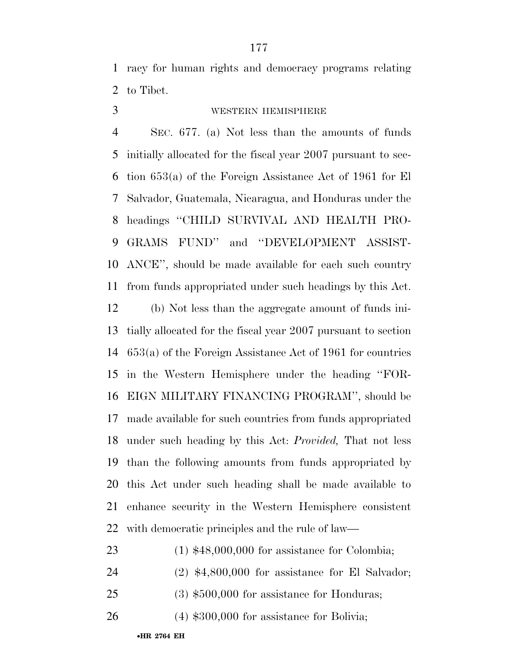racy for human rights and democracy programs relating to Tibet.

## WESTERN HEMISPHERE

 SEC. 677. (a) Not less than the amounts of funds initially allocated for the fiscal year 2007 pursuant to sec- tion 653(a) of the Foreign Assistance Act of 1961 for El Salvador, Guatemala, Nicaragua, and Honduras under the headings ''CHILD SURVIVAL AND HEALTH PRO- GRAMS FUND'' and ''DEVELOPMENT ASSIST- ANCE'', should be made available for each such country from funds appropriated under such headings by this Act.

 (b) Not less than the aggregate amount of funds ini- tially allocated for the fiscal year 2007 pursuant to section 653(a) of the Foreign Assistance Act of 1961 for countries in the Western Hemisphere under the heading ''FOR- EIGN MILITARY FINANCING PROGRAM'', should be made available for such countries from funds appropriated under such heading by this Act: *Provided,* That not less than the following amounts from funds appropriated by this Act under such heading shall be made available to enhance security in the Western Hemisphere consistent with democratic principles and the rule of law—

# (1) \$48,000,000 for assistance for Colombia;

(2) \$4,800,000 for assistance for El Salvador;

- (3) \$500,000 for assistance for Honduras;
- (4) \$300,000 for assistance for Bolivia;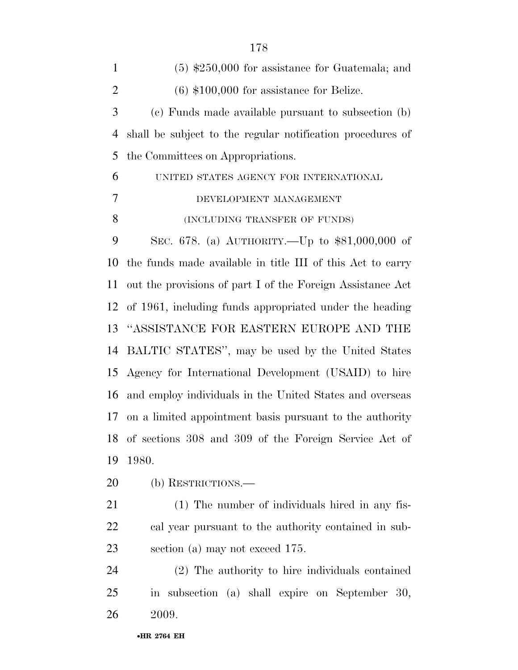| $\mathbf{1}$   | $(5)$ \$250,000 for assistance for Guatemala; and                   |
|----------------|---------------------------------------------------------------------|
| $\overline{2}$ | $(6)$ \$100,000 for assistance for Belize.                          |
| 3              | (c) Funds made available pursuant to subsection (b)                 |
| $\overline{4}$ | shall be subject to the regular notification procedures of          |
| 5              | the Committees on Appropriations.                                   |
| 6              | UNITED STATES AGENCY FOR INTERNATIONAL                              |
| $\overline{7}$ | DEVELOPMENT MANAGEMENT                                              |
| 8              | (INCLUDING TRANSFER OF FUNDS)                                       |
| 9              | SEC. 678. (a) AUTHORITY.—Up to \$81,000,000 of                      |
| 10             | the funds made available in title III of this Act to carry          |
| 11             | out the provisions of part I of the Foreign Assistance Act          |
| 12             | of 1961, including funds appropriated under the heading             |
| 13             | "ASSISTANCE FOR EASTERN EUROPE AND THE                              |
| 14             | BALTIC STATES", may be used by the United States                    |
|                | 15 Agency for International Development (USAID) to hire             |
| 16             | and employ individuals in the United States and overseas            |
| 17             | on a limited appointment basis pursuant to the authority            |
|                | 18 of sections 308 and 309 of the Foreign Service Act of            |
| 19             | 1980.                                                               |
| 20             | (b) RESTRICTIONS.—                                                  |
| 21             | (1) The number of individuals hired in any fis-                     |
| 22             | cal year pursuant to the authority contained in sub-                |
| 23             | section (a) may not exceed 175.                                     |
| 24             | (2) The authority to hire individuals contained                     |
| 25             | subsection (a) shall expire on September 30,<br>$\operatorname{in}$ |
| 26             | 2009.                                                               |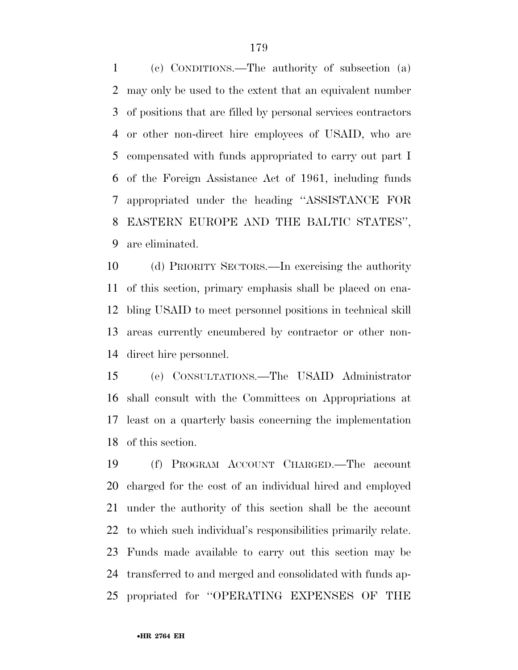(c) CONDITIONS.—The authority of subsection (a) may only be used to the extent that an equivalent number of positions that are filled by personal services contractors or other non-direct hire employees of USAID, who are compensated with funds appropriated to carry out part I of the Foreign Assistance Act of 1961, including funds appropriated under the heading ''ASSISTANCE FOR EASTERN EUROPE AND THE BALTIC STATES'', are eliminated.

 (d) PRIORITY SECTORS.—In exercising the authority of this section, primary emphasis shall be placed on ena- bling USAID to meet personnel positions in technical skill areas currently encumbered by contractor or other non-direct hire personnel.

 (e) CONSULTATIONS.—The USAID Administrator shall consult with the Committees on Appropriations at least on a quarterly basis concerning the implementation of this section.

 (f) PROGRAM ACCOUNT CHARGED.—The account charged for the cost of an individual hired and employed under the authority of this section shall be the account to which such individual's responsibilities primarily relate. Funds made available to carry out this section may be transferred to and merged and consolidated with funds ap-propriated for ''OPERATING EXPENSES OF THE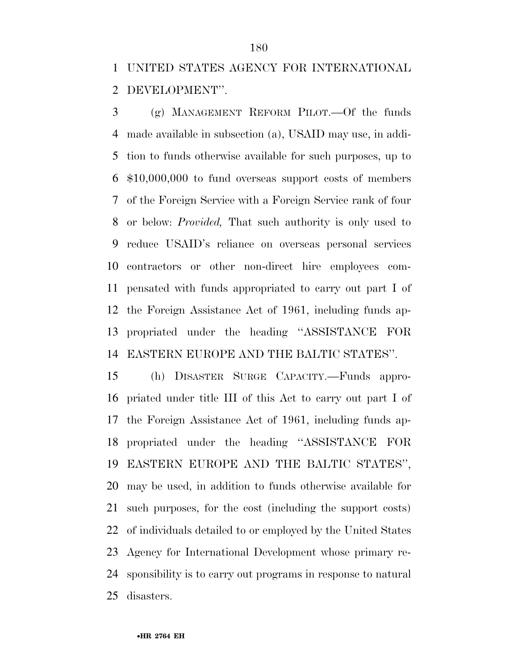UNITED STATES AGENCY FOR INTERNATIONAL DEVELOPMENT''.

 (g) MANAGEMENT REFORM PILOT.—Of the funds made available in subsection (a), USAID may use, in addi- tion to funds otherwise available for such purposes, up to \$10,000,000 to fund overseas support costs of members of the Foreign Service with a Foreign Service rank of four or below: *Provided,* That such authority is only used to reduce USAID's reliance on overseas personal services contractors or other non-direct hire employees com- pensated with funds appropriated to carry out part I of the Foreign Assistance Act of 1961, including funds ap- propriated under the heading ''ASSISTANCE FOR EASTERN EUROPE AND THE BALTIC STATES''.

 (h) DISASTER SURGE CAPACITY.—Funds appro- priated under title III of this Act to carry out part I of the Foreign Assistance Act of 1961, including funds ap- propriated under the heading ''ASSISTANCE FOR EASTERN EUROPE AND THE BALTIC STATES'', may be used, in addition to funds otherwise available for such purposes, for the cost (including the support costs) of individuals detailed to or employed by the United States Agency for International Development whose primary re- sponsibility is to carry out programs in response to natural disasters.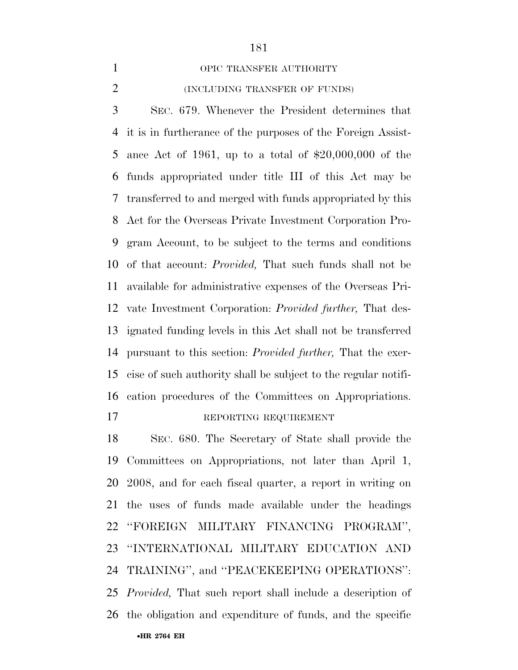OPIC TRANSFER AUTHORITY

## (INCLUDING TRANSFER OF FUNDS)

 SEC. 679. Whenever the President determines that it is in furtherance of the purposes of the Foreign Assist- ance Act of 1961, up to a total of \$20,000,000 of the funds appropriated under title III of this Act may be transferred to and merged with funds appropriated by this Act for the Overseas Private Investment Corporation Pro- gram Account, to be subject to the terms and conditions of that account: *Provided,* That such funds shall not be available for administrative expenses of the Overseas Pri- vate Investment Corporation: *Provided further,* That des- ignated funding levels in this Act shall not be transferred pursuant to this section: *Provided further,* That the exer- cise of such authority shall be subject to the regular notifi- cation procedures of the Committees on Appropriations. 17 REPORTING REQUIREMENT

•**HR 2764 EH**  SEC. 680. The Secretary of State shall provide the Committees on Appropriations, not later than April 1, 2008, and for each fiscal quarter, a report in writing on the uses of funds made available under the headings ''FOREIGN MILITARY FINANCING PROGRAM'', ''INTERNATIONAL MILITARY EDUCATION AND TRAINING'', and ''PEACEKEEPING OPERATIONS'': *Provided,* That such report shall include a description of the obligation and expenditure of funds, and the specific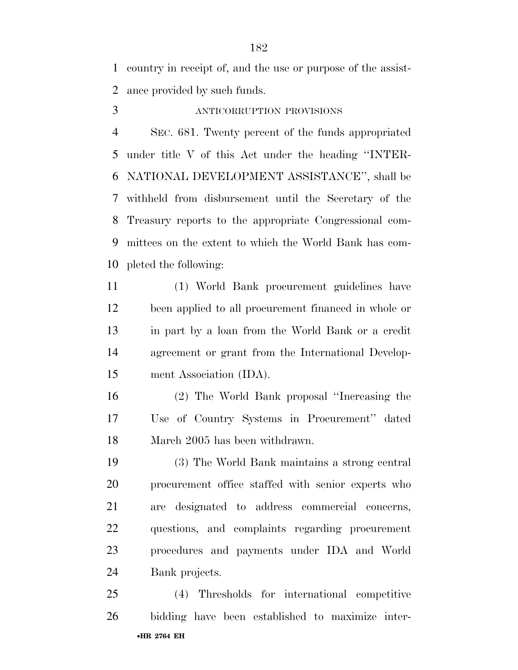country in receipt of, and the use or purpose of the assist-ance provided by such funds.

## ANTICORRUPTION PROVISIONS

 SEC. 681. Twenty percent of the funds appropriated under title V of this Act under the heading ''INTER- NATIONAL DEVELOPMENT ASSISTANCE'', shall be withheld from disbursement until the Secretary of the Treasury reports to the appropriate Congressional com- mittees on the extent to which the World Bank has com-pleted the following:

 (1) World Bank procurement guidelines have been applied to all procurement financed in whole or in part by a loan from the World Bank or a credit agreement or grant from the International Develop-ment Association (IDA).

 (2) The World Bank proposal ''Increasing the Use of Country Systems in Procurement'' dated March 2005 has been withdrawn.

 (3) The World Bank maintains a strong central procurement office staffed with senior experts who are designated to address commercial concerns, questions, and complaints regarding procurement procedures and payments under IDA and World Bank projects.

•**HR 2764 EH**  (4) Thresholds for international competitive bidding have been established to maximize inter-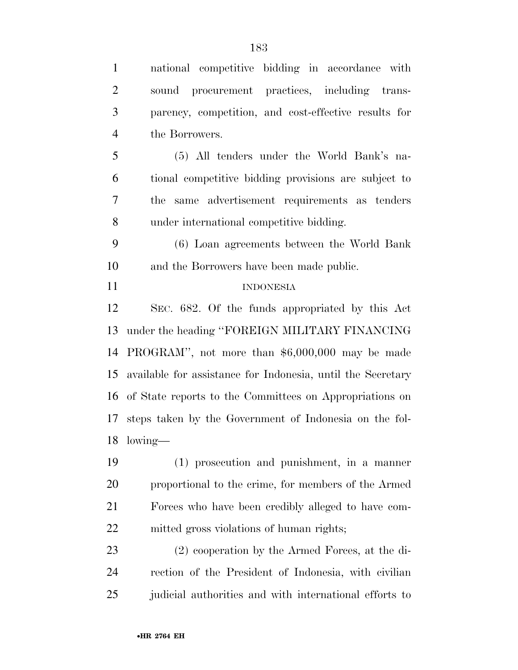| $\mathbf{1}$   | national competitive bidding in accordance with             |
|----------------|-------------------------------------------------------------|
| $\overline{2}$ | sound procurement practices, including trans-               |
| 3              | parency, competition, and cost-effective results for        |
| $\overline{4}$ | the Borrowers.                                              |
| 5              | (5) All tenders under the World Bank's na-                  |
| 6              | tional competitive bidding provisions are subject to        |
| $\tau$         | same advertisement requirements as tenders<br>the           |
| 8              | under international competitive bidding.                    |
| 9              | (6) Loan agreements between the World Bank                  |
| 10             | and the Borrowers have been made public.                    |
| 11             | <b>INDONESIA</b>                                            |
| 12             | SEC. 682. Of the funds appropriated by this Act             |
| 13             | under the heading "FOREIGN MILITARY FINANCING               |
| 14             | PROGRAM", not more than \$6,000,000 may be made             |
| 15             | available for assistance for Indonesia, until the Secretary |
|                | 16 of State reports to the Committees on Appropriations on  |
| 17             | steps taken by the Government of Indonesia on the fol-      |
|                | 18 lowing—                                                  |
| 19             | $(1)$ prosecution and punishment, in a manner               |
| 20             | proportional to the crime, for members of the Armed         |
| 21             | Forces who have been credibly alleged to have com-          |
| 22             | mitted gross violations of human rights;                    |
| 23             | (2) cooperation by the Armed Forces, at the di-             |
| 24             | rection of the President of Indonesia, with civilian        |

judicial authorities and with international efforts to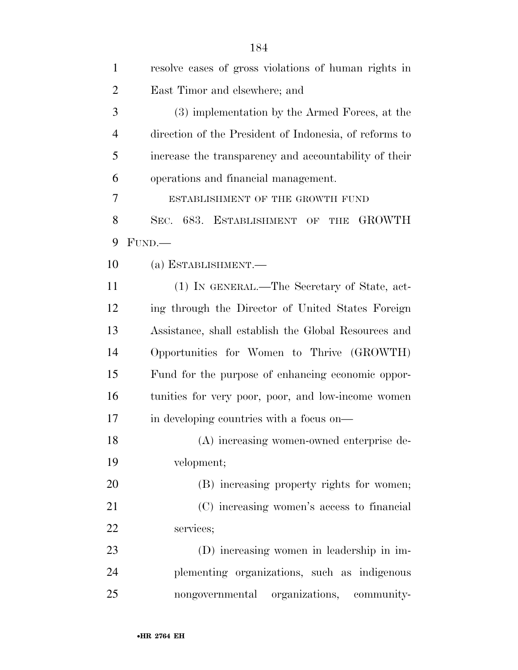| $\mathbf{1}$   | resolve cases of gross violations of human rights in      |
|----------------|-----------------------------------------------------------|
| $\overline{2}$ | East Timor and elsewhere; and                             |
| 3              | (3) implementation by the Armed Forces, at the            |
| $\overline{4}$ | direction of the President of Indonesia, of reforms to    |
| 5              | increase the transparency and accountability of their     |
| 6              | operations and financial management.                      |
| 7              | ESTABLISHMENT OF THE GROWTH FUND                          |
| 8              | <b>GROWTH</b><br>SEC. 683. ESTABLISHMENT OF<br><b>THE</b> |
| 9              | FUND.                                                     |
| 10             | (a) ESTABLISHMENT.-                                       |
| 11             | (1) IN GENERAL.—The Secretary of State, act-              |
| 12             | ing through the Director of United States Foreign         |
| 13             | Assistance, shall establish the Global Resources and      |
| 14             | Opportunities for Women to Thrive (GROWTH)                |
| 15             | Fund for the purpose of enhancing economic oppor-         |
| 16             | tunities for very poor, poor, and low-income women        |
| 17             | in developing countries with a focus on—                  |
| 18             | (A) increasing women-owned enterprise de-                 |
| 19             | velopment;                                                |
| 20             | (B) increasing property rights for women;                 |
| 21             | (C) increasing women's access to financial                |
| 22             | services;                                                 |
| 23             | (D) increasing women in leadership in im-                 |
| 24             | plementing organizations, such as indigenous              |
| 25             | nongovernmental organizations, community-                 |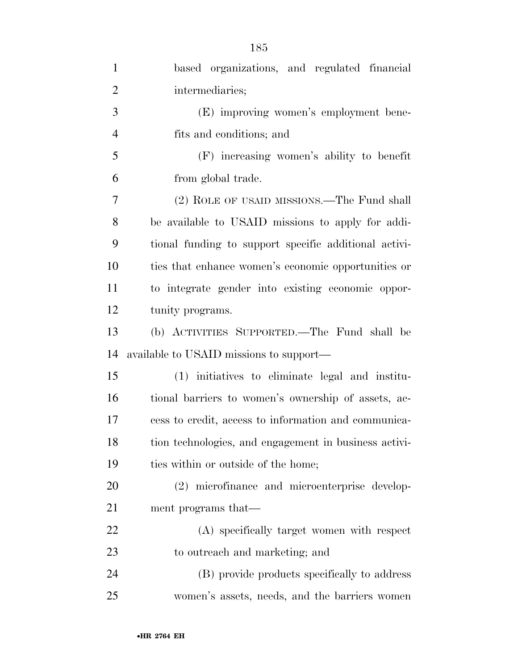| $\mathbf{1}$   | based organizations, and regulated financial          |
|----------------|-------------------------------------------------------|
| $\overline{2}$ | intermediaries;                                       |
| 3              | (E) improving women's employment bene-                |
| $\overline{4}$ | fits and conditions; and                              |
| 5              | (F) increasing women's ability to benefit             |
| 6              | from global trade.                                    |
| 7              | (2) ROLE OF USAID MISSIONS.—The Fund shall            |
| 8              | be available to USAID missions to apply for addi-     |
| 9              | tional funding to support specific additional activi- |
| 10             | ties that enhance women's economic opportunities or   |
| 11             | to integrate gender into existing economic oppor-     |
| 12             | tunity programs.                                      |
| 13             | (b) ACTIVITIES SUPPORTED.—The Fund shall be           |
| 14             | available to USAID missions to support—               |
| 15             | (1) initiatives to eliminate legal and institu-       |
| 16             | tional barriers to women's ownership of assets, ac-   |
| 17             | cess to credit, access to information and communica-  |
| 18             | tion technologies, and engagement in business activi- |
| 19             | ties within or outside of the home;                   |
| <b>20</b>      | (2) microfinance and microenterprise develop-         |
| 21             | ment programs that—                                   |
| 22             | (A) specifically target women with respect            |
| 23             | to outreach and marketing; and                        |
| 24             | (B) provide products specifically to address          |
| 25             | women's assets, needs, and the barriers women         |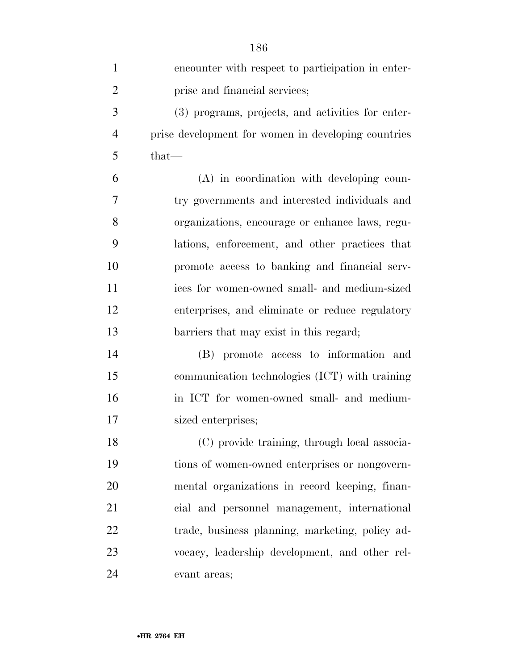| $\mathbf{1}$   | encounter with respect to participation in enter-   |
|----------------|-----------------------------------------------------|
| $\overline{2}$ | prise and financial services;                       |
| 3              | (3) programs, projects, and activities for enter-   |
| $\overline{4}$ | prise development for women in developing countries |
| 5              | $that-$                                             |
| 6              | (A) in coordination with developing coun-           |
| 7              | try governments and interested individuals and      |
| 8              | organizations, encourage or enhance laws, regu-     |
| 9              | lations, enforcement, and other practices that      |
| 10             | promote access to banking and financial serv-       |
| 11             | ices for women-owned small- and medium-sized        |
| 12             | enterprises, and eliminate or reduce regulatory     |
| 13             | barriers that may exist in this regard;             |
| 14             | (B) promote access to information and               |
| 15             | communication technologies (ICT) with training      |
| 16             | in ICT for women-owned small- and medium-           |
| 17             | sized enterprises;                                  |
| 18             | (C) provide training, through local associa-        |
| 19             | tions of women-owned enterprises or nongovern-      |
| 20             | mental organizations in record keeping, finan-      |
| 21             | cial and personnel management, international        |
| 22             | trade, business planning, marketing, policy ad-     |
| 23             | vocacy, leadership development, and other rel-      |
| 24             | evant areas;                                        |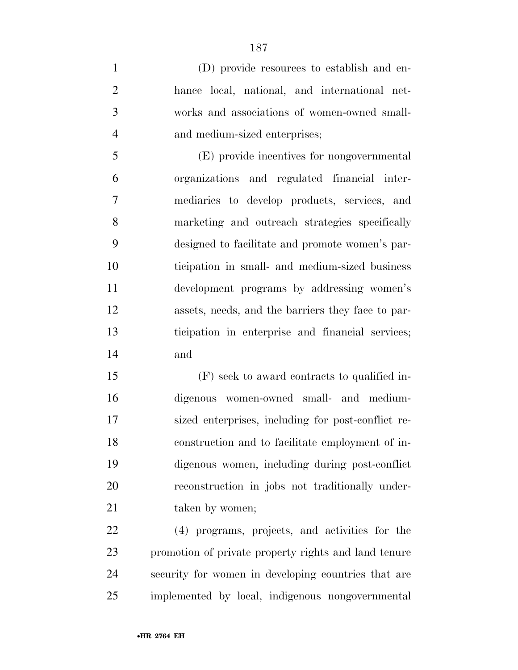(D) provide resources to establish and en- hance local, national, and international net- works and associations of women-owned small-and medium-sized enterprises;

 (E) provide incentives for nongovernmental organizations and regulated financial inter- mediaries to develop products, services, and marketing and outreach strategies specifically designed to facilitate and promote women's par- ticipation in small- and medium-sized business development programs by addressing women's assets, needs, and the barriers they face to par- ticipation in enterprise and financial services; and

 (F) seek to award contracts to qualified in- digenous women-owned small- and medium- sized enterprises, including for post-conflict re- construction and to facilitate employment of in- digenous women, including during post-conflict reconstruction in jobs not traditionally under-21 taken by women;

 (4) programs, projects, and activities for the promotion of private property rights and land tenure security for women in developing countries that are implemented by local, indigenous nongovernmental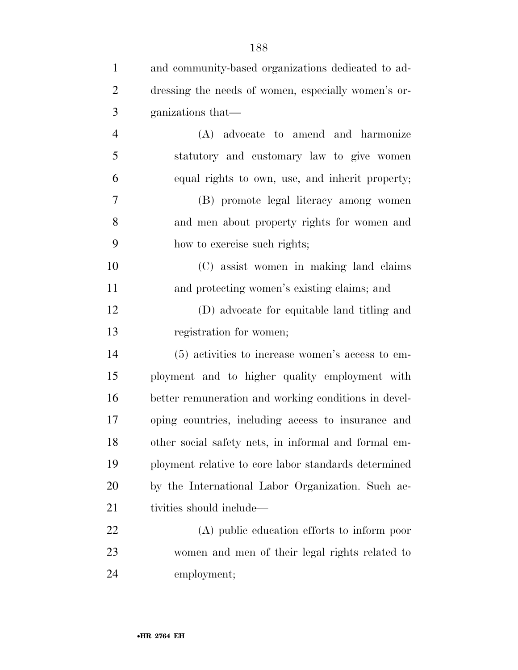| $\mathbf{1}$   | and community-based organizations dedicated to ad-   |
|----------------|------------------------------------------------------|
| $\overline{2}$ | dressing the needs of women, especially women's or-  |
| 3              | ganizations that—                                    |
| $\overline{4}$ | (A) advocate to amend and harmonize                  |
| 5              | statutory and customary law to give women            |
| 6              | equal rights to own, use, and inherit property;      |
| 7              | (B) promote legal literacy among women               |
| 8              | and men about property rights for women and          |
| 9              | how to exercise such rights;                         |
| 10             | (C) assist women in making land claims               |
| 11             | and protecting women's existing claims; and          |
| 12             | (D) advocate for equitable land titling and          |
| 13             | registration for women;                              |
| 14             | (5) activities to increase women's access to em-     |
| 15             | ployment and to higher quality employment with       |
| 16             | better remuneration and working conditions in devel- |
| 17             | oping countries, including access to insurance and   |
| 18             | other social safety nets, in informal and formal em- |
| 19             | ployment relative to core labor standards determined |
| 20             | by the International Labor Organization. Such ac-    |
| 21             | tivities should include—                             |
| 22             | (A) public education efforts to inform poor          |
| 23             | women and men of their legal rights related to       |
| 24             | employment;                                          |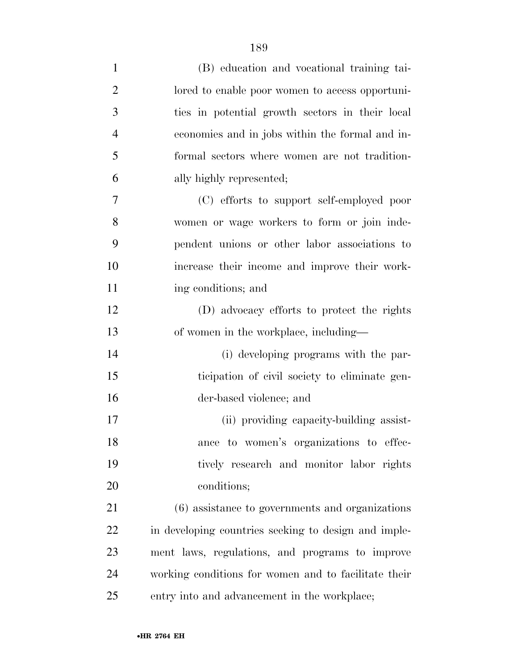| $\mathbf{1}$   | (B) education and vocational training tai-           |
|----------------|------------------------------------------------------|
| $\overline{2}$ | lored to enable poor women to access opportuni-      |
| 3              | ties in potential growth sectors in their local      |
| $\overline{4}$ | economies and in jobs within the formal and in-      |
| 5              | formal sectors where women are not tradition-        |
| 6              | ally highly represented;                             |
| 7              | (C) efforts to support self-employed poor            |
| 8              | women or wage workers to form or join inde-          |
| 9              | pendent unions or other labor associations to        |
| 10             | increase their income and improve their work-        |
| 11             | ing conditions; and                                  |
| 12             | (D) advocacy efforts to protect the rights           |
| 13             | of women in the workplace, including—                |
| 14             | (i) developing programs with the par-                |
| 15             | ticipation of civil society to eliminate gen-        |
| 16             | der-based violence; and                              |
| 17             | (ii) providing capacity-building assist-             |
| 18             | ance to women's organizations to effec-              |
| 19             | tively research and monitor labor rights             |
| 20             | conditions;                                          |
| 21             | (6) assistance to governments and organizations      |
| <u>22</u>      | in developing countries seeking to design and imple- |
| 23             | ment laws, regulations, and programs to improve      |
| 24             | working conditions for women and to facilitate their |
| 25             | entry into and advancement in the workplace;         |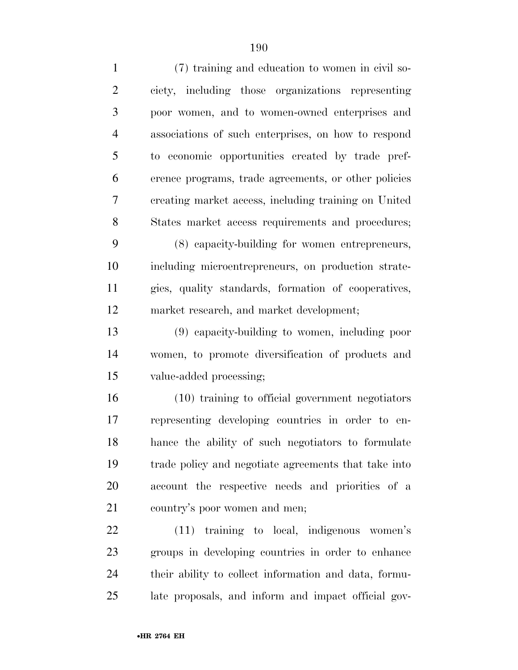| $\mathbf{1}$   | (7) training and education to women in civil so-      |
|----------------|-------------------------------------------------------|
| $\overline{2}$ | ciety, including those organizations representing     |
| 3              | poor women, and to women-owned enterprises and        |
| $\overline{4}$ | associations of such enterprises, on how to respond   |
| 5              | to economic opportunities created by trade pref-      |
| 6              | erence programs, trade agreements, or other policies  |
| 7              | creating market access, including training on United  |
| 8              | States market access requirements and procedures;     |
| 9              | (8) capacity-building for women entrepreneurs,        |
| 10             | including microentrepreneurs, on production strate-   |
| 11             | gies, quality standards, formation of cooperatives,   |
| 12             | market research, and market development;              |
| 13             | (9) capacity-building to women, including poor        |
| 14             | women, to promote diversification of products and     |
| 15             | value-added processing;                               |
| 16             | (10) training to official government negotiators      |
| 17             | representing developing countries in order to en-     |
| 18             | hance the ability of such negotiators to formulate    |
| 19             | trade policy and negotiate agreements that take into  |
| 20             | account the respective needs and priorities of a      |
| 21             | country's poor women and men;                         |
| 22             | $(11)$ training to local, indigenous women's          |
| 23             | groups in developing countries in order to enhance    |
| 24             | their ability to collect information and data, formu- |
|                |                                                       |

late proposals, and inform and impact official gov-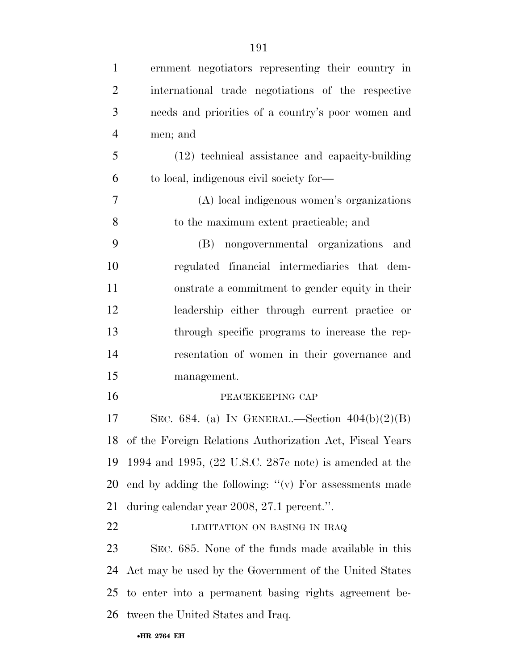| $\mathbf{1}$   | ernment negotiators representing their country in                         |
|----------------|---------------------------------------------------------------------------|
| $\overline{2}$ | international trade negotiations of the respective                        |
| 3              | needs and priorities of a country's poor women and                        |
| $\overline{4}$ | men; and                                                                  |
| 5              | (12) technical assistance and capacity-building                           |
| 6              | to local, indigenous civil society for—                                   |
| $\overline{7}$ | (A) local indigenous women's organizations                                |
| 8              | to the maximum extent practicable; and                                    |
| 9              | (B) nongovernmental organizations and                                     |
| 10             | regulated financial intermediaries that dem-                              |
| 11             | onstrate a commitment to gender equity in their                           |
| 12             | leadership either through current practice or                             |
| 13             | through specific programs to increase the rep-                            |
| 14             | resentation of women in their governance and                              |
| 15             | management.                                                               |
| 16             | PEACEKEEPING CAP                                                          |
| 17             | SEC. 684. (a) IN GENERAL.—Section $404(b)(2)(B)$                          |
|                | 18 of the Foreign Relations Authorization Act, Fiscal Years               |
| 19             | 1994 and 1995, $(22 \text{ U.S.C. } 287 \text{e note})$ is amended at the |
| 20             | end by adding the following: " $(v)$ For assessments made                 |
| 21             | during calendar year 2008, 27.1 percent.".                                |
| 22             | LIMITATION ON BASING IN IRAQ                                              |
| 23             | SEC. 685. None of the funds made available in this                        |
| 24             | Act may be used by the Government of the United States                    |
| 25             | to enter into a permanent basing rights agreement be-                     |
| 26             | tween the United States and Iraq.                                         |
|                |                                                                           |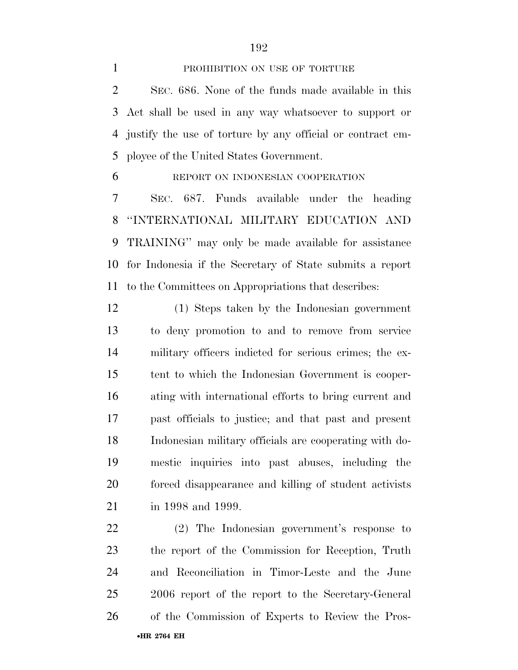## 1 PROHIBITION ON USE OF TORTURE

 SEC. 686. None of the funds made available in this Act shall be used in any way whatsoever to support or justify the use of torture by any official or contract em-ployee of the United States Government.

REPORT ON INDONESIAN COOPERATION

 SEC. 687. Funds available under the heading ''INTERNATIONAL MILITARY EDUCATION AND TRAINING'' may only be made available for assistance for Indonesia if the Secretary of State submits a report to the Committees on Appropriations that describes:

 (1) Steps taken by the Indonesian government to deny promotion to and to remove from service military officers indicted for serious crimes; the ex- tent to which the Indonesian Government is cooper- ating with international efforts to bring current and past officials to justice; and that past and present Indonesian military officials are cooperating with do- mestic inquiries into past abuses, including the forced disappearance and killing of student activists in 1998 and 1999.

•**HR 2764 EH**  (2) The Indonesian government's response to the report of the Commission for Reception, Truth and Reconciliation in Timor-Leste and the June 2006 report of the report to the Secretary-General of the Commission of Experts to Review the Pros-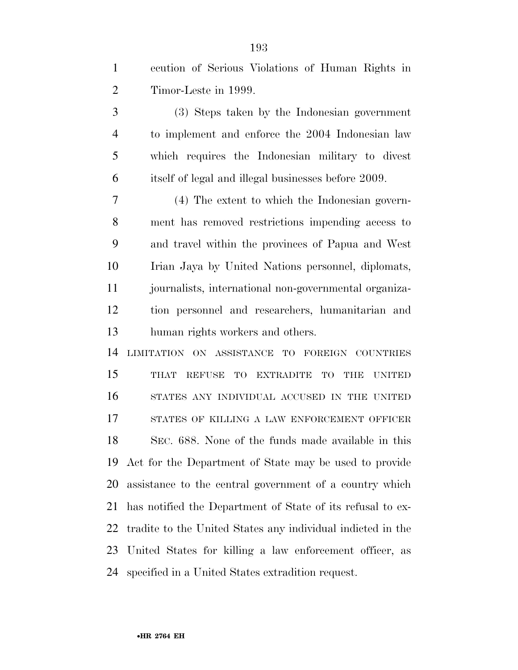| ecution of Serious Violations of Human Rights in |  |
|--------------------------------------------------|--|
| Timor-Leste in 1999.                             |  |

 (3) Steps taken by the Indonesian government to implement and enforce the 2004 Indonesian law which requires the Indonesian military to divest itself of legal and illegal businesses before 2009.

 (4) The extent to which the Indonesian govern- ment has removed restrictions impending access to and travel within the provinces of Papua and West Irian Jaya by United Nations personnel, diplomats, journalists, international non-governmental organiza- tion personnel and researchers, humanitarian and human rights workers and others.

 LIMITATION ON ASSISTANCE TO FOREIGN COUNTRIES THAT REFUSE TO EXTRADITE TO THE UNITED STATES ANY INDIVIDUAL ACCUSED IN THE UNITED STATES OF KILLING A LAW ENFORCEMENT OFFICER SEC. 688. None of the funds made available in this Act for the Department of State may be used to provide assistance to the central government of a country which has notified the Department of State of its refusal to ex- tradite to the United States any individual indicted in the United States for killing a law enforcement officer, as specified in a United States extradition request.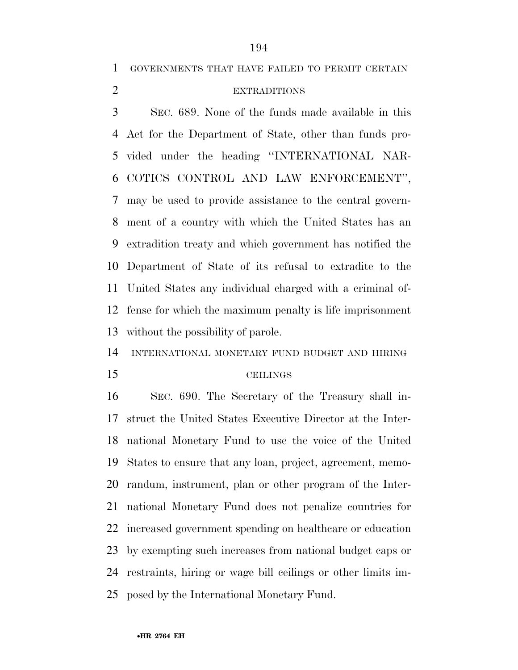GOVERNMENTS THAT HAVE FAILED TO PERMIT CERTAIN

## EXTRADITIONS

 SEC. 689. None of the funds made available in this Act for the Department of State, other than funds pro- vided under the heading ''INTERNATIONAL NAR- COTICS CONTROL AND LAW ENFORCEMENT'', may be used to provide assistance to the central govern- ment of a country with which the United States has an extradition treaty and which government has notified the Department of State of its refusal to extradite to the United States any individual charged with a criminal of- fense for which the maximum penalty is life imprisonment without the possibility of parole.

INTERNATIONAL MONETARY FUND BUDGET AND HIRING

#### CEILINGS

 SEC. 690. The Secretary of the Treasury shall in- struct the United States Executive Director at the Inter- national Monetary Fund to use the voice of the United States to ensure that any loan, project, agreement, memo- randum, instrument, plan or other program of the Inter- national Monetary Fund does not penalize countries for increased government spending on healthcare or education by exempting such increases from national budget caps or restraints, hiring or wage bill ceilings or other limits im-posed by the International Monetary Fund.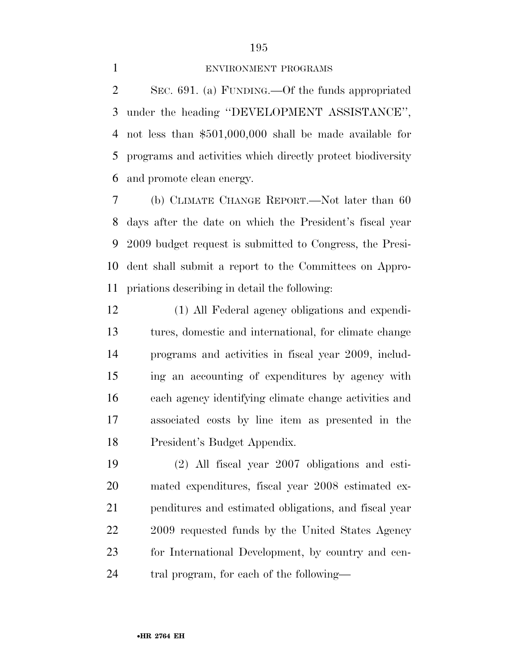## 

## ENVIRONMENT PROGRAMS

 SEC. 691. (a) FUNDING.—Of the funds appropriated under the heading ''DEVELOPMENT ASSISTANCE'', not less than \$501,000,000 shall be made available for programs and activities which directly protect biodiversity and promote clean energy.

 (b) CLIMATE CHANGE REPORT.—Not later than 60 days after the date on which the President's fiscal year 2009 budget request is submitted to Congress, the Presi- dent shall submit a report to the Committees on Appro-priations describing in detail the following:

 (1) All Federal agency obligations and expendi- tures, domestic and international, for climate change programs and activities in fiscal year 2009, includ- ing an accounting of expenditures by agency with each agency identifying climate change activities and associated costs by line item as presented in the President's Budget Appendix.

 (2) All fiscal year 2007 obligations and esti- mated expenditures, fiscal year 2008 estimated ex- penditures and estimated obligations, and fiscal year 22 2009 requested funds by the United States Agency for International Development, by country and cen-tral program, for each of the following—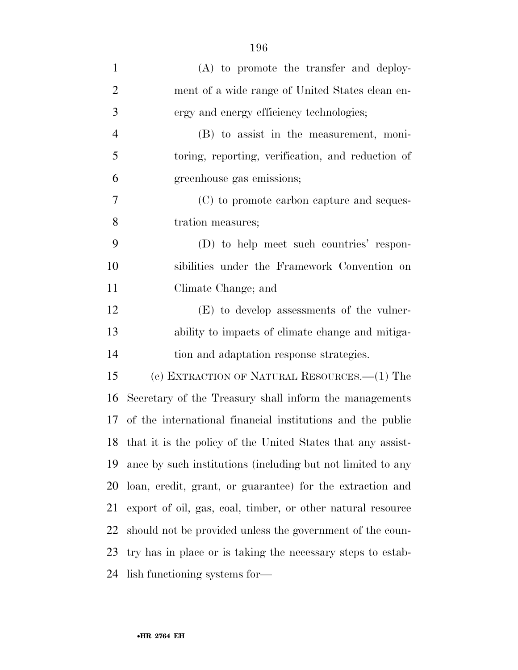| $\mathbf{1}$   | (A) to promote the transfer and deploy-                        |
|----------------|----------------------------------------------------------------|
| $\overline{2}$ | ment of a wide range of United States clean en-                |
| 3              | ergy and energy efficiency technologies;                       |
| $\overline{4}$ | (B) to assist in the measurement, moni-                        |
| 5              | toring, reporting, verification, and reduction of              |
| 6              | greenhouse gas emissions;                                      |
| $\overline{7}$ | (C) to promote carbon capture and seques-                      |
| 8              | tration measures;                                              |
| 9              | (D) to help meet such countries' respon-                       |
| 10             | sibilities under the Framework Convention on                   |
| 11             | Climate Change; and                                            |
| 12             | (E) to develop assessments of the vulner-                      |
| 13             | ability to impacts of climate change and mitiga-               |
| 14             | tion and adaptation response strategies.                       |
| 15             | (c) EXTRACTION OF NATURAL RESOURCES.—(1) The                   |
| 16             | Secretary of the Treasury shall inform the managements         |
| 17             | of the international financial institutions and the public     |
|                | 18 that it is the policy of the United States that any assist- |
| 19             | ance by such institutions (including but not limited to any    |
| 20             | loan, credit, grant, or guarantee) for the extraction and      |
| 21             | export of oil, gas, coal, timber, or other natural resource    |
| 22             | should not be provided unless the government of the coun-      |
| 23             | try has in place or is taking the necessary steps to estab-    |
| 24             | lish functioning systems for—                                  |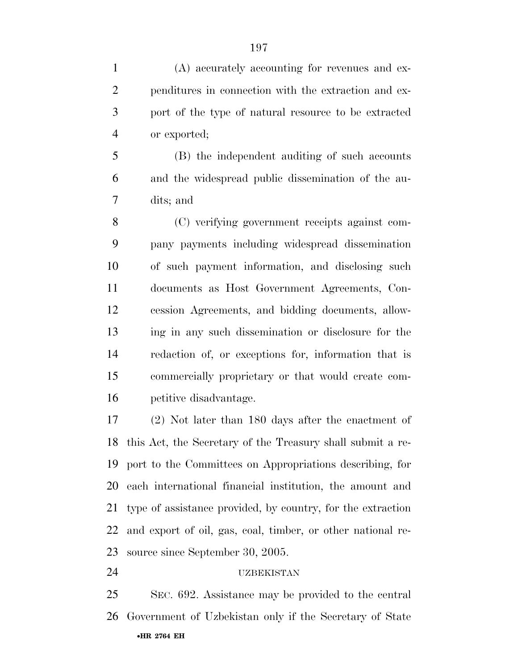(A) accurately accounting for revenues and ex- penditures in connection with the extraction and ex- port of the type of natural resource to be extracted or exported;

 (B) the independent auditing of such accounts and the widespread public dissemination of the au-dits; and

 (C) verifying government receipts against com- pany payments including widespread dissemination of such payment information, and disclosing such documents as Host Government Agreements, Con- cession Agreements, and bidding documents, allow- ing in any such dissemination or disclosure for the redaction of, or exceptions for, information that is commercially proprietary or that would create com-petitive disadvantage.

 (2) Not later than 180 days after the enactment of this Act, the Secretary of the Treasury shall submit a re- port to the Committees on Appropriations describing, for each international financial institution, the amount and type of assistance provided, by country, for the extraction and export of oil, gas, coal, timber, or other national re-source since September 30, 2005.

UZBEKISTAN

•**HR 2764 EH**  SEC. 692. Assistance may be provided to the central Government of Uzbekistan only if the Secretary of State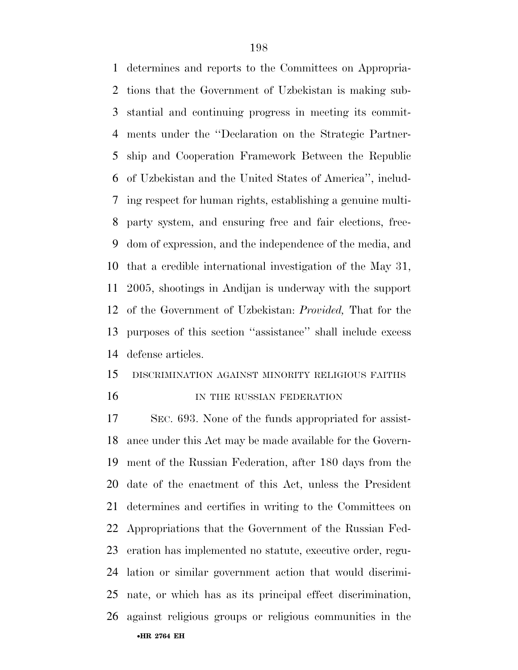determines and reports to the Committees on Appropria- tions that the Government of Uzbekistan is making sub- stantial and continuing progress in meeting its commit- ments under the ''Declaration on the Strategic Partner- ship and Cooperation Framework Between the Republic of Uzbekistan and the United States of America'', includ- ing respect for human rights, establishing a genuine multi- party system, and ensuring free and fair elections, free- dom of expression, and the independence of the media, and that a credible international investigation of the May 31, 2005, shootings in Andijan is underway with the support of the Government of Uzbekistan: *Provided,* That for the purposes of this section ''assistance'' shall include excess defense articles.

## DISCRIMINATION AGAINST MINORITY RELIGIOUS FAITHS

16 IN THE RUSSIAN FEDERATION

•**HR 2764 EH**  SEC. 693. None of the funds appropriated for assist- ance under this Act may be made available for the Govern- ment of the Russian Federation, after 180 days from the date of the enactment of this Act, unless the President determines and certifies in writing to the Committees on Appropriations that the Government of the Russian Fed- eration has implemented no statute, executive order, regu- lation or similar government action that would discrimi- nate, or which has as its principal effect discrimination, against religious groups or religious communities in the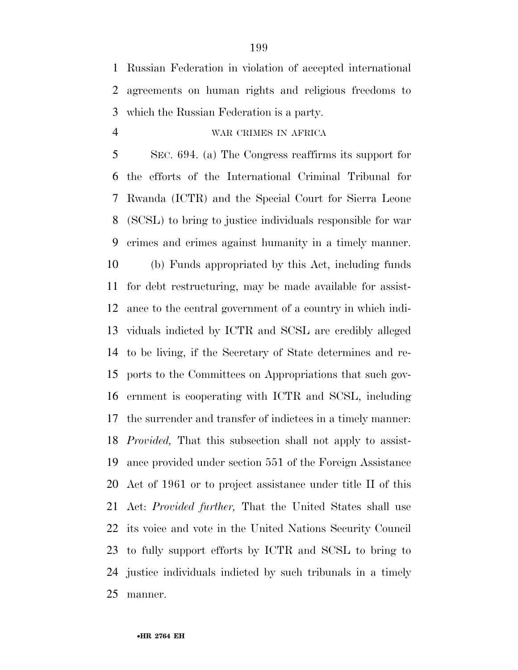Russian Federation in violation of accepted international agreements on human rights and religious freedoms to which the Russian Federation is a party.

WAR CRIMES IN AFRICA

 SEC. 694. (a) The Congress reaffirms its support for the efforts of the International Criminal Tribunal for Rwanda (ICTR) and the Special Court for Sierra Leone (SCSL) to bring to justice individuals responsible for war crimes and crimes against humanity in a timely manner. (b) Funds appropriated by this Act, including funds for debt restructuring, may be made available for assist- ance to the central government of a country in which indi- viduals indicted by ICTR and SCSL are credibly alleged to be living, if the Secretary of State determines and re- ports to the Committees on Appropriations that such gov- ernment is cooperating with ICTR and SCSL, including the surrender and transfer of indictees in a timely manner: *Provided,* That this subsection shall not apply to assist- ance provided under section 551 of the Foreign Assistance Act of 1961 or to project assistance under title II of this Act: *Provided further,* That the United States shall use its voice and vote in the United Nations Security Council to fully support efforts by ICTR and SCSL to bring to justice individuals indicted by such tribunals in a timely manner.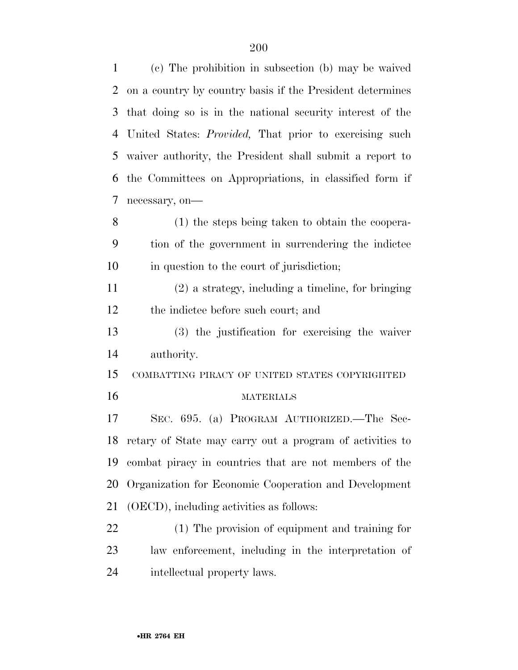(c) The prohibition in subsection (b) may be waived on a country by country basis if the President determines that doing so is in the national security interest of the United States: *Provided,* That prior to exercising such waiver authority, the President shall submit a report to the Committees on Appropriations, in classified form if necessary, on— (1) the steps being taken to obtain the coopera- tion of the government in surrendering the indictee in question to the court of jurisdiction; (2) a strategy, including a timeline, for bringing the indictee before such court; and (3) the justification for exercising the waiver authority. COMBATTING PIRACY OF UNITED STATES COPYRIGHTED MATERIALS SEC. 695. (a) PROGRAM AUTHORIZED.—The Sec- retary of State may carry out a program of activities to combat piracy in countries that are not members of the Organization for Economic Cooperation and Development (OECD), including activities as follows: (1) The provision of equipment and training for law enforcement, including in the interpretation of intellectual property laws.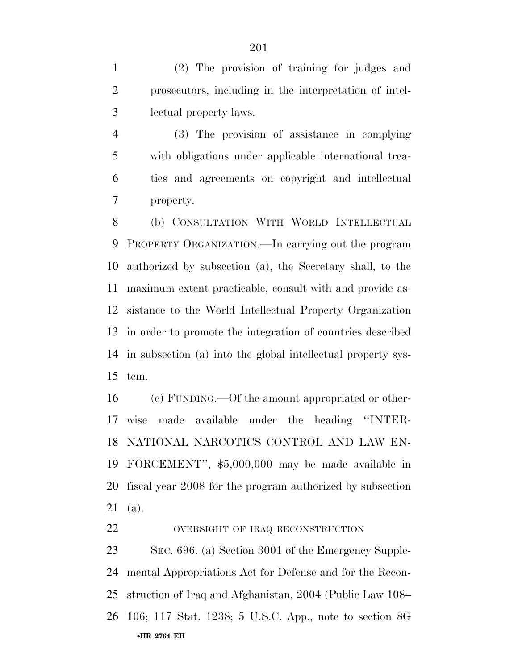(2) The provision of training for judges and prosecutors, including in the interpretation of intel-lectual property laws.

 (3) The provision of assistance in complying with obligations under applicable international trea- ties and agreements on copyright and intellectual property.

 (b) CONSULTATION WITH WORLD INTELLECTUAL PROPERTY ORGANIZATION.—In carrying out the program authorized by subsection (a), the Secretary shall, to the maximum extent practicable, consult with and provide as- sistance to the World Intellectual Property Organization in order to promote the integration of countries described in subsection (a) into the global intellectual property sys-tem.

 (c) FUNDING.—Of the amount appropriated or other- wise made available under the heading ''INTER- NATIONAL NARCOTICS CONTROL AND LAW EN- FORCEMENT'', \$5,000,000 may be made available in fiscal year 2008 for the program authorized by subsection (a).

## 22 OVERSIGHT OF IRAQ RECONSTRUCTION

•**HR 2764 EH**  SEC. 696. (a) Section 3001 of the Emergency Supple- mental Appropriations Act for Defense and for the Recon- struction of Iraq and Afghanistan, 2004 (Public Law 108– 106; 117 Stat. 1238; 5 U.S.C. App., note to section 8G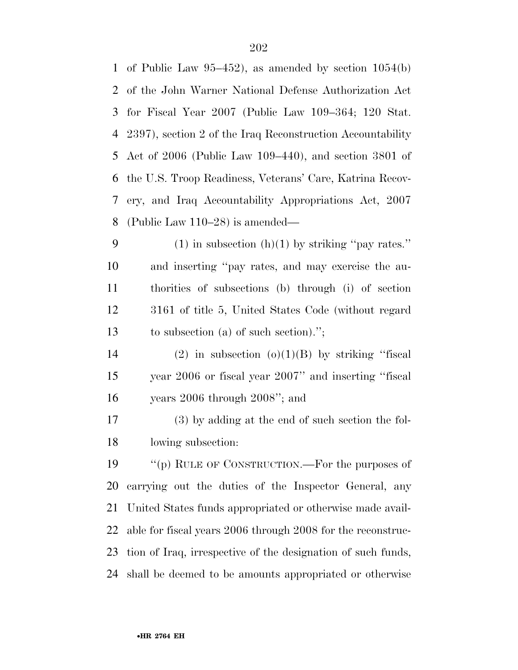| $\mathbf{1}$ | of Public Law $95-452$ , as amended by section $1054(b)$     |
|--------------|--------------------------------------------------------------|
| 2            | of the John Warner National Defense Authorization Act        |
| 3            | for Fiscal Year $2007$ (Public Law $109-364$ ; 120 Stat.     |
| 4            | 2397), section 2 of the Iraq Reconstruction Accountability   |
| 5            | Act of $2006$ (Public Law 109–440), and section 3801 of      |
| 6            | the U.S. Troop Readiness, Veterans' Care, Katrina Recov-     |
| 7            | ery, and Iraq Accountability Appropriations Act, 2007        |
| 8            | (Public Law $110-28$ ) is amended—                           |
| 9            | $(1)$ in subsection $(h)(1)$ by striking "pay rates."        |
| 10           | and inserting "pay rates, and may exercise the au-           |
| 11           | thorities of subsections (b) through (i) of section          |
| 12           | 3161 of title 5, United States Code (without regard)         |
| 13           | to subsection (a) of such section).";                        |
| 14           | (2) in subsection $(o)(1)(B)$ by striking "fiscal            |
| 15           | year 2006 or fiscal year 2007" and inserting "fiscal         |
| 16           | years $2006$ through $2008$ "; and                           |
| 17           | (3) by adding at the end of such section the fol-            |
| 18           | lowing subsection:                                           |
| 19           | "(p) RULE OF CONSTRUCTION.—For the purposes of               |
| 20           | carrying out the duties of the Inspector General, any        |
| 21           | United States funds appropriated or otherwise made avail-    |
| 22           | able for fiscal years 2006 through 2008 for the reconstruc-  |
| 23           | tion of Iraq, irrespective of the designation of such funds, |
| 24           | shall be deemed to be amounts appropriated or otherwise      |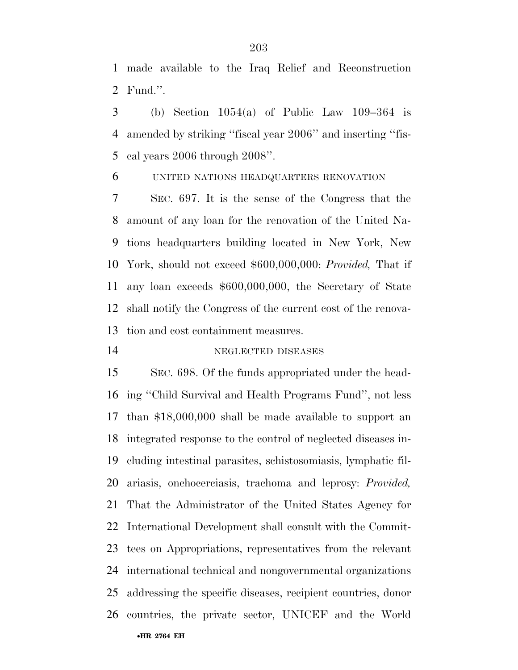made available to the Iraq Relief and Reconstruction Fund.''.

3 (b) Section  $1054(a)$  of Public Law  $109-364$  is amended by striking ''fiscal year 2006'' and inserting ''fis-cal years 2006 through 2008''.

UNITED NATIONS HEADQUARTERS RENOVATION

 SEC. 697. It is the sense of the Congress that the amount of any loan for the renovation of the United Na- tions headquarters building located in New York, New York, should not exceed \$600,000,000: *Provided,* That if any loan exceeds \$600,000,000, the Secretary of State shall notify the Congress of the current cost of the renova-tion and cost containment measures.

14 NEGLECTED DISEASES

•**HR 2764 EH**  SEC. 698. Of the funds appropriated under the head- ing ''Child Survival and Health Programs Fund'', not less than \$18,000,000 shall be made available to support an integrated response to the control of neglected diseases in- cluding intestinal parasites, schistosomiasis, lymphatic fil- ariasis, onchocerciasis, trachoma and leprosy: *Provided,*  That the Administrator of the United States Agency for International Development shall consult with the Commit- tees on Appropriations, representatives from the relevant international technical and nongovernmental organizations addressing the specific diseases, recipient countries, donor countries, the private sector, UNICEF and the World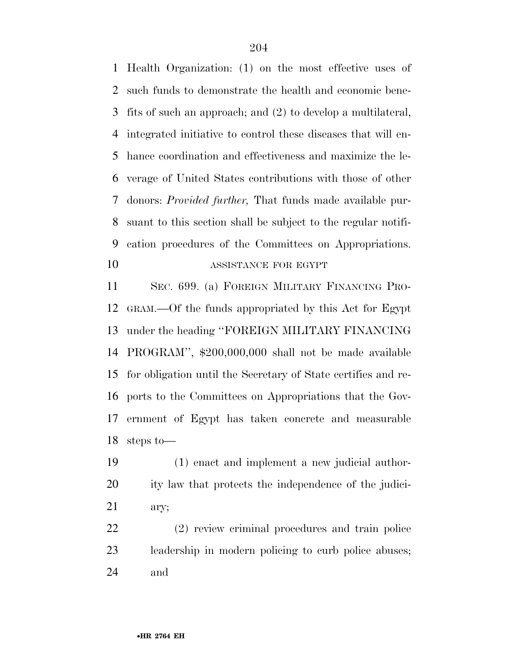Health Organization: (1) on the most effective uses of such funds to demonstrate the health and economic bene- fits of such an approach; and (2) to develop a multilateral, integrated initiative to control these diseases that will en- hance coordination and effectiveness and maximize the le- verage of United States contributions with those of other donors: *Provided further,* That funds made available pur- suant to this section shall be subject to the regular notifi- cation procedures of the Committees on Appropriations. ASSISTANCE FOR EGYPT

 SEC. 699. (a) FOREIGN MILITARY FINANCING PRO- GRAM.—Of the funds appropriated by this Act for Egypt under the heading ''FOREIGN MILITARY FINANCING PROGRAM'', \$200,000,000 shall not be made available for obligation until the Secretary of State certifies and re- ports to the Committees on Appropriations that the Gov- ernment of Egypt has taken concrete and measurable steps to—

 (1) enact and implement a new judicial author- ity law that protects the independence of the judici-ary;

 (2) review criminal procedures and train police leadership in modern policing to curb police abuses; and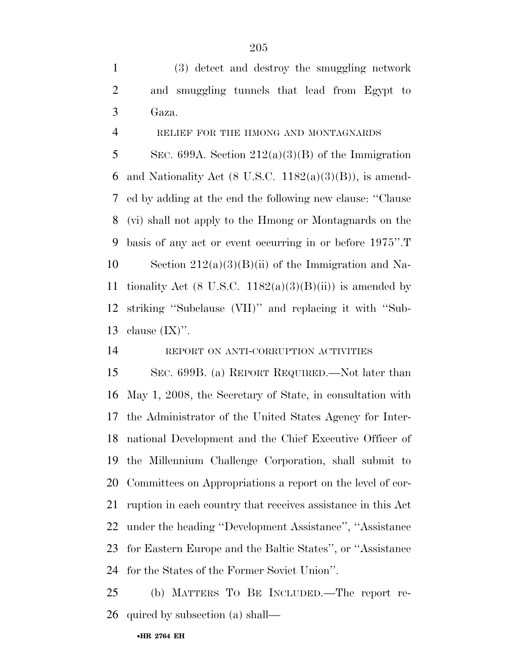(3) detect and destroy the smuggling network and smuggling tunnels that lead from Egypt to Gaza.

## RELIEF FOR THE HMONG AND MONTAGNARDS

5 SEC. 699A. Section  $212(a)(3)(B)$  of the Immigration 6 and Nationality Act (8 U.S.C.  $1182(a)(3)(B)$ ), is amend- ed by adding at the end the following new clause: ''Clause (vi) shall not apply to the Hmong or Montagnards on the basis of any act or event occurring in or before 1975''.T 10 Section  $212(a)(3)(B)(ii)$  of the Immigration and Na-11 tionality Act (8 U.S.C. 1182(a)(3)(B)(ii)) is amended by striking ''Subclause (VII)'' and replacing it with ''Sub-13 clause  $(IX)$ ".

## REPORT ON ANTI-CORRUPTION ACTIVITIES

 SEC. 699B. (a) REPORT REQUIRED.—Not later than May 1, 2008, the Secretary of State, in consultation with the Administrator of the United States Agency for Inter- national Development and the Chief Executive Officer of the Millennium Challenge Corporation, shall submit to Committees on Appropriations a report on the level of cor- ruption in each country that receives assistance in this Act under the heading ''Development Assistance'', ''Assistance for Eastern Europe and the Baltic States'', or ''Assistance for the States of the Former Soviet Union''.

 (b) MATTERS TO BE INCLUDED.—The report re-quired by subsection (a) shall—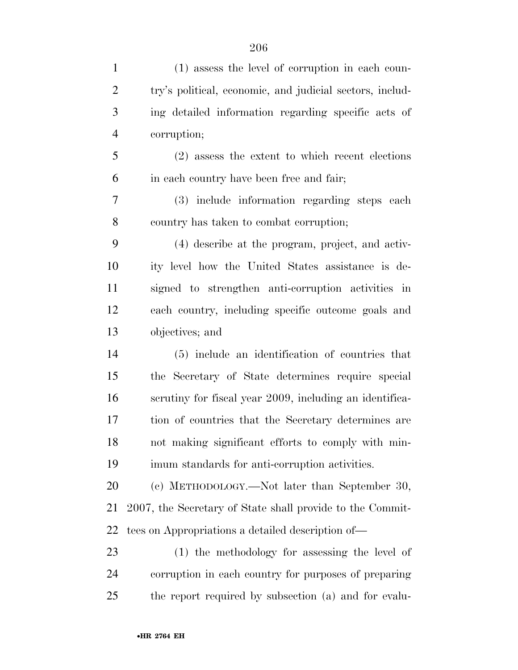| (1) assess the level of corruption in each coun-          |
|-----------------------------------------------------------|
| try's political, economic, and judicial sectors, includ-  |
| ing detailed information regarding specific acts of       |
| corruption;                                               |
| $(2)$ assess the extent to which recent elections         |
| in each country have been free and fair;                  |
| (3) include information regarding steps each              |
| country has taken to combat corruption;                   |
| (4) describe at the program, project, and activ-          |
| ity level how the United States assistance is de-         |
| signed to strengthen anti-corruption activities in        |
| each country, including specific outcome goals and        |
| objectives; and                                           |
| (5) include an identification of countries that           |
| the Secretary of State determines require special         |
| scrutiny for fiscal year 2009, including an identifica-   |
| tion of countries that the Secretary determines are       |
| not making significant efforts to comply with min-        |
| imum standards for anti-corruption activities.            |
| (c) METHODOLOGY.—Not later than September 30,             |
| 2007, the Secretary of State shall provide to the Commit- |
| tees on Appropriations a detailed description of—         |
| (1) the methodology for assessing the level of            |
| corruption in each country for purposes of preparing      |
|                                                           |

the report required by subsection (a) and for evalu-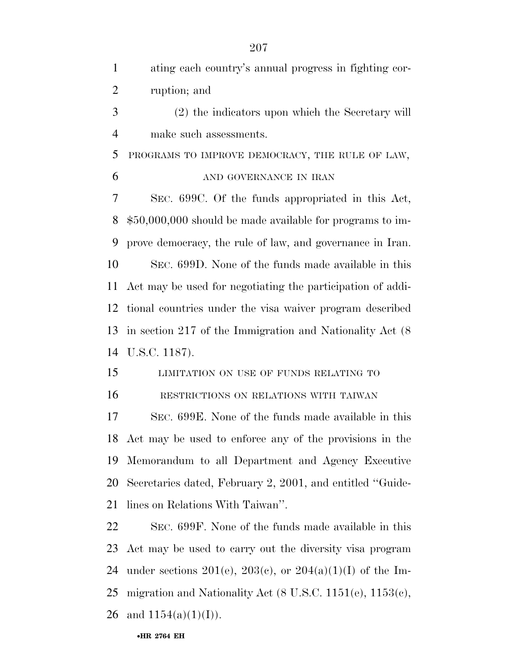| $\mathbf{1}$   | ating each country's annual progress in fighting cor-                |
|----------------|----------------------------------------------------------------------|
| $\overline{2}$ | ruption; and                                                         |
| 3              | (2) the indicators upon which the Secretary will                     |
| $\overline{4}$ | make such assessments.                                               |
| 5              | PROGRAMS TO IMPROVE DEMOCRACY, THE RULE OF LAW,                      |
| 6              | AND GOVERNANCE IN IRAN                                               |
| 7              | SEC. 699C. Of the funds appropriated in this Act,                    |
| 8              | $$50,000,000$ should be made available for programs to im-           |
| 9              | prove democracy, the rule of law, and governance in Iran.            |
| 10             | SEC. 699D. None of the funds made available in this                  |
| 11             | Act may be used for negotiating the participation of addi-           |
| 12             | tional countries under the visa waiver program described             |
| 13             | in section 217 of the Immigration and Nationality Act $(8)$          |
|                |                                                                      |
| 14             | U.S.C. 1187).                                                        |
| 15             | LIMITATION ON USE OF FUNDS RELATING TO                               |
| 16             | RESTRICTIONS ON RELATIONS WITH TAIWAN                                |
| 17             | SEC. 699E. None of the funds made available in this                  |
|                | 18 Act may be used to enforce any of the provisions in the           |
| 19             | Memorandum to all Department and Agency Executive                    |
| 20             | Secretaries dated, February 2, 2001, and entitled "Guide-            |
| 21             | lines on Relations With Taiwan".                                     |
| 22             | SEC. 699F. None of the funds made available in this                  |
| 23             | Act may be used to carry out the diversity visa program              |
| 24             | under sections 201(e), 203(c), or 204(a)(1)(I) of the Im-            |
| 25             | migration and Nationality Act $(8 \text{ U.S.C. } 1151(e), 1153(e),$ |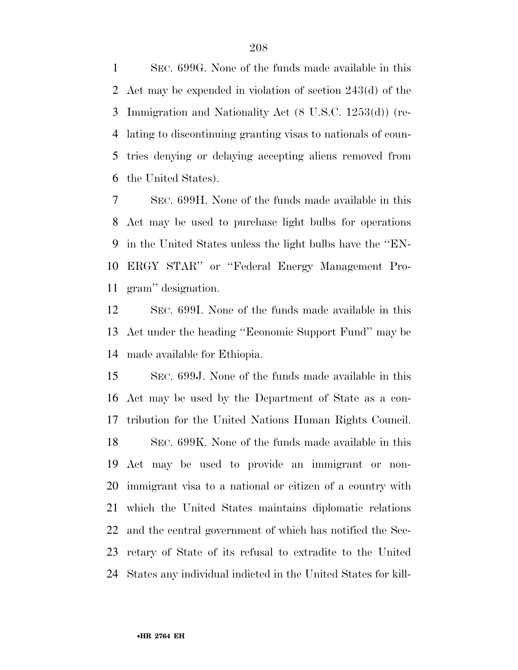SEC. 699G. None of the funds made available in this Act may be expended in violation of section 243(d) of the Immigration and Nationality Act (8 U.S.C. 1253(d)) (re- lating to discontinuing granting visas to nationals of coun- tries denying or delaying accepting aliens removed from the United States).

 SEC. 699H. None of the funds made available in this Act may be used to purchase light bulbs for operations in the United States unless the light bulbs have the ''EN- ERGY STAR'' or ''Federal Energy Management Pro-gram'' designation.

 SEC. 699I. None of the funds made available in this Act under the heading ''Economic Support Fund'' may be made available for Ethiopia.

 SEC. 699J. None of the funds made available in this Act may be used by the Department of State as a con- tribution for the United Nations Human Rights Council. SEC. 699K. None of the funds made available in this Act may be used to provide an immigrant or non- immigrant visa to a national or citizen of a country with which the United States maintains diplomatic relations and the central government of which has notified the Sec- retary of State of its refusal to extradite to the United States any individual indicted in the United States for kill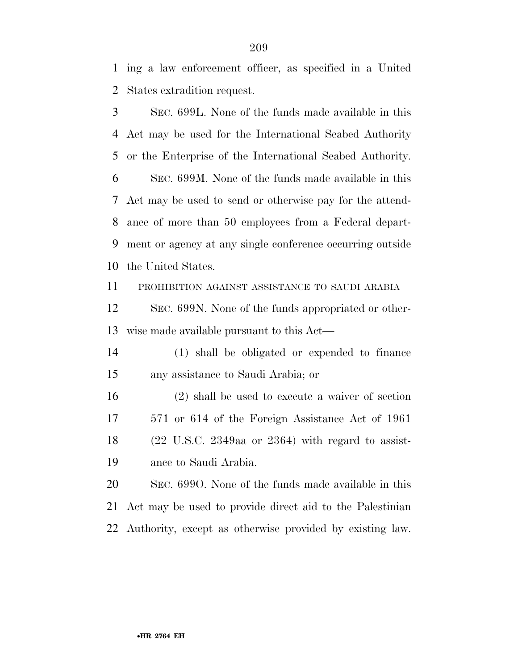ing a law enforcement officer, as specified in a United States extradition request.

 SEC. 699L. None of the funds made available in this Act may be used for the International Seabed Authority or the Enterprise of the International Seabed Authority. SEC. 699M. None of the funds made available in this Act may be used to send or otherwise pay for the attend- ance of more than 50 employees from a Federal depart- ment or agency at any single conference occurring outside the United States. PROHIBITION AGAINST ASSISTANCE TO SAUDI ARABIA SEC. 699N. None of the funds appropriated or other- wise made available pursuant to this Act— (1) shall be obligated or expended to finance any assistance to Saudi Arabia; or (2) shall be used to execute a waiver of section 571 or 614 of the Foreign Assistance Act of 1961 (22 U.S.C. 2349aa or 2364) with regard to assist- ance to Saudi Arabia. SEC. 699O. None of the funds made available in this

 Act may be used to provide direct aid to the Palestinian Authority, except as otherwise provided by existing law.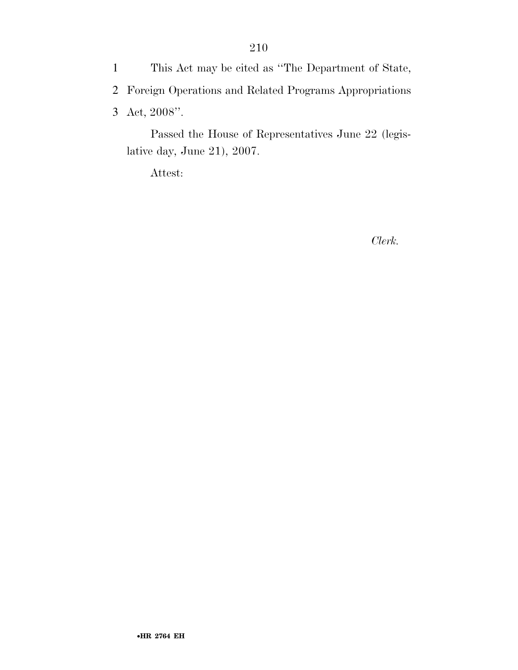1 This Act may be cited as ''The Department of State, 2 Foreign Operations and Related Programs Appropriations 3 Act, 2008''.

Passed the House of Representatives June 22 (legislative day, June 21), 2007.

Attest:

*Clerk.*